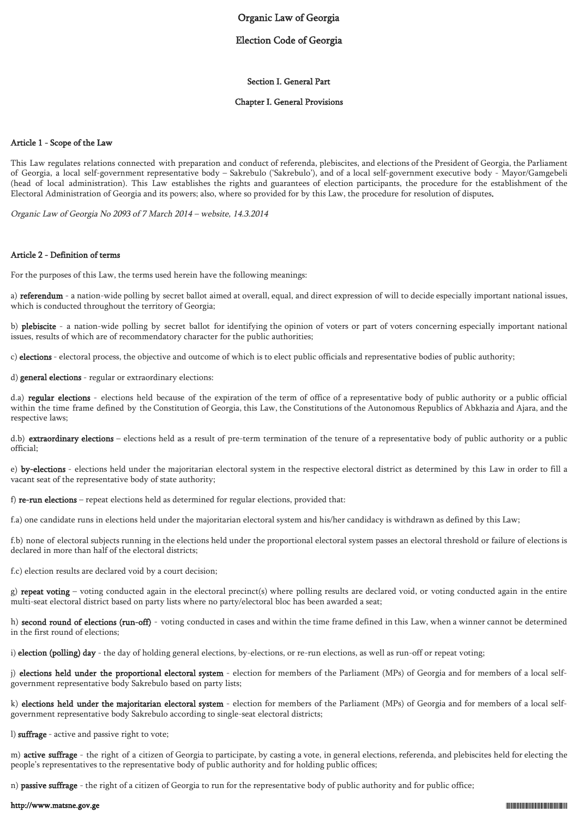# Organic Law of Georgia

# Election Code of Georgia

### Section I. General Part

### Chapter I. General Provisions

### Article 1 - Scope of the Law

This Law regulates relations connected with preparation and conduct of referenda, plebiscites, and elections of the President of Georgia, the Parliament of Georgia, a local self-government representative body – Sakrebulo ('Sakrebulo'), and of a local self-government executive body - Mayor/Gamgebeli (head of local administration). This Law establishes the rights and guarantees of election participants, the procedure for the establishment of the Electoral Administration of Georgia and its powers; also, where so provided for by this Law, the procedure for resolution of disputes.

Organic Law of Georgia No 2093 of 7 March 2014 – website, 14.3.2014

### Article 2 - Definition of terms

For the purposes of this Law, the terms used herein have the following meanings:

a) referendum - a nation-wide polling by secret ballot aimed at overall, equal, and direct expression of will to decide especially important national issues, which is conducted throughout the territory of Georgia;

b) plebiscite - a nation-wide polling by secret ballot for identifying the opinion of voters or part of voters concerning especially important national issues, results of which are of recommendatory character for the public authorities;

c) elections - electoral process, the objective and outcome of which is to elect public officials and representative bodies of public authority;

d) general elections - regular or extraordinary elections:

d.a) regular elections - elections held because of the expiration of the term of office of a representative body of public authority or a public official within the time frame defined by the Constitution of Georgia, this Law, the Constitutions of the Autonomous Republics of Abkhazia and Ajara, and the respective laws;

d.b) extraordinary elections – elections held as a result of pre-term termination of the tenure of a representative body of public authority or a public official;

e) by-elections - elections held under the majoritarian electoral system in the respective electoral district as determined by this Law in order to fill a vacant seat of the representative body of state authority;

f) re-run elections – repeat elections held as determined for regular elections, provided that:

f.a) one candidate runs in elections held under the majoritarian electoral system and his/her candidacy is withdrawn as defined by this Law;

f.b) none of electoral subjects running in the elections held under the proportional electoral system passes an electoral threshold or failure of elections is declared in more than half of the electoral districts;

f.c) election results are declared void by a court decision;

g) repeat voting – voting conducted again in the electoral precinct(s) where polling results are declared void, or voting conducted again in the entire multi-seat electoral district based on party lists where no party/electoral bloc has been awarded a seat;

h) second round of elections (run-off) - voting conducted in cases and within the time frame defined in this Law, when a winner cannot be determined in the first round of elections;

i) election (polling) day - the day of holding general elections, by-elections, or re-run elections, as well as run-off or repeat voting;

j) elections held under the proportional electoral system - election for members of the Parliament (MPs) of Georgia and for members of a local selfgovernment representative body Sakrebulo based on party lists;

k) elections held under the majoritarian electoral system - election for members of the Parliament (MPs) of Georgia and for members of a local selfgovernment representative body Sakrebulo according to single-seat electoral districts;

l) suffrage - active and passive right to vote;

m) active suffrage - the right of a citizen of Georgia to participate, by casting a vote, in general elections, referenda, and plebiscites held for electing the people's representatives to the representative body of public authority and for holding public offices;

n) **passive suffrage** - the right of a citizen of Georgia to run for the representative body of public authority and for public office;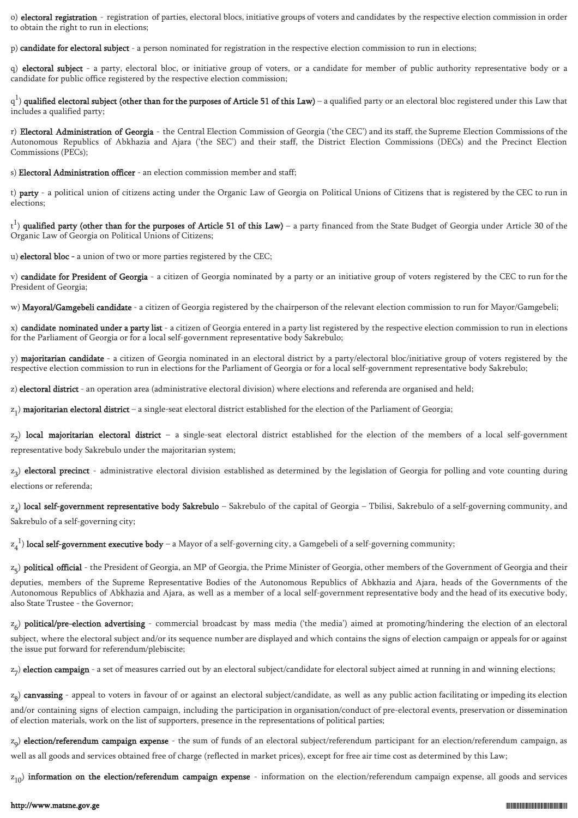o) electoral registration - registration of parties, electoral blocs, initiative groups of voters and candidates by the respective election commission in order to obtain the right to run in elections;

p) candidate for electoral subject - a person nominated for registration in the respective election commission to run in elections;

q) electoral subject - a party, electoral bloc, or initiative group of voters, or a candidate for member of public authority representative body or a candidate for public office registered by the respective election commission;

 $q^1$ ) qualified electoral subject (other than for the purposes of Article 51 of this Law) – a qualified party or an electoral bloc registered under this Law that includes a qualified party;

r) Electoral Administration of Georgia - the Central Election Commission of Georgia ('the CEC') and its staff, the Supreme Election Commissions of the Autonomous Republics of Abkhazia and Ajara ('the SEC') and their staff, the District Election Commissions (DECs) and the Precinct Election Commissions (PECs);

s) Electoral Administration officer - an election commission member and staff;

t) party - a political union of citizens acting under the Organic Law of Georgia on Political Unions of Citizens that is registered by the CEC to run in elections;

 $(t^{1})$  qualified party (other than for the purposes of Article 51 of this Law) – a party financed from the State Budget of Georgia under Article 30 of the Organic Law of Georgia on Political Unions of Citizens;

u) electoral bloc - a union of two or more parties registered by the CEC;

v) candidate for President of Georgia - a citizen of Georgia nominated by a party or an initiative group of voters registered by the CEC to run for the President of Georgia;

w) Mayoral/Gamgebeli candidate - a citizen of Georgia registered by the chairperson of the relevant election commission to run for Mayor/Gamgebeli;

x) candidate nominated under a party list - a citizen of Georgia entered in a party list registered by the respective election commission to run in elections for the Parliament of Georgia or for a local self-government representative body Sakrebulo;

y) **majoritarian candidate** - a citizen of Georgia nominated in an electoral district by a party/electoral bloc/initiative group of voters registered by the respective election commission to run in elections for the Parliament of Georgia or for a local self-government representative body Sakrebulo;

z) electoral district - an operation area (administrative electoral division) where elections and referenda are organised and held;

 $z_1$ ) **majoritarian electoral district** – a single-seat electoral district established for the election of the Parliament of Georgia;

z<sub>2</sub>) **local majoritarian electoral district** – a single-seat electoral district established for the election of the members of a local self-government representative body Sakrebulo under the majoritarian system;

z 3 ) electoral precinct - administrative electoral division established as determined by the legislation of Georgia for polling and vote counting during elections or referenda;

 $\rm z_4)$  **local self-government representative body Sakrebulo** – Sakrebulo of the capital of Georgia – Tbilisi, Sakrebulo of a self-governing community, and Sakrebulo of a self-governing city;

 $z_4^{-1}$ ) local self-government executive body – a Mayor of a self-governing city, a Gamgebeli of a self-governing community;

z<sub>5</sub>) **political official** - the President of Georgia, an MP of Georgia, the Prime Minister of Georgia, other members of the Government of Georgia and their

deputies, members of the Supreme Representative Bodies of the Autonomous Republics of Abkhazia and Ajara, heads of the Governments of the Autonomous Republics of Abkhazia and Ajara, as well as a member of a local self-government representative body and the head of its executive body, also State Trustee - the Governor;

 $z_{6}$ )  ${\bf political/pre-election\,\,adverting}$  - commercial broadcast by mass media ('the media') aimed at promoting/hindering the election of an electoral subject, where the electoral subject and/or its sequence number are displayed and which contains the signs of election campaign or appeals for or against the issue put forward for referendum/plebiscite;

z<sub>7</sub>) **election campaign** - a set of measures carried out by an electoral subject/candidate for electoral subject aimed at running in and winning elections;

z<sub>8</sub>) **canvassing** - appeal to voters in favour of or against an electoral subject/candidate, as well as any public action facilitating or impeding its election and/or containing signs of election campaign, including the participation in organisation/conduct of pre-electoral events, preservation or dissemination of election materials, work on the list of supporters, presence in the representations of political parties;

z<sub>9</sub>) **election/referendum campaign expense** - the sum of funds of an electoral subject/referendum participant for an election/referendum campaign, as well as all goods and services obtained free of charge (reflected in market prices), except for free air time cost as determined by this Law;

 $\rm z_{10})$  **information on the election/referendum campaign expense** - information on the election/referendum campaign expense, all goods and services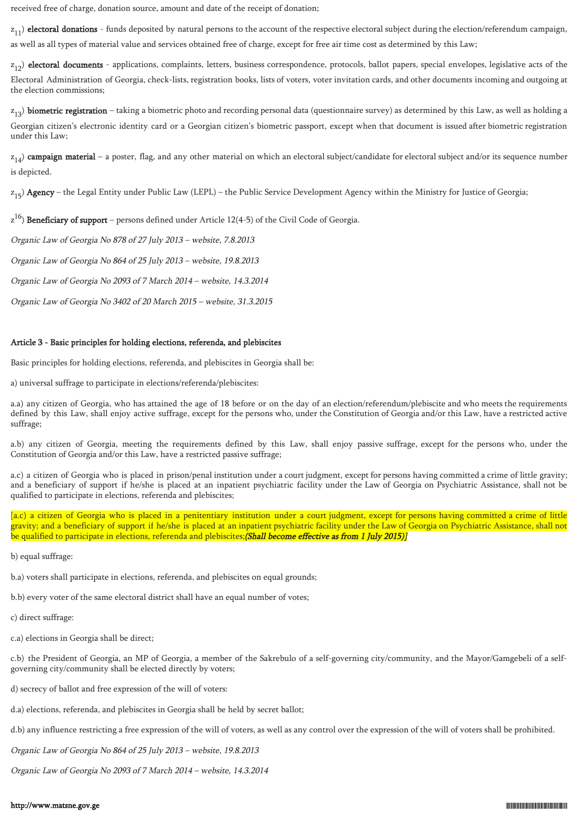received free of charge, donation source, amount and date of the receipt of donation;

 $\rm z_{11})$  **electoral donations** - funds deposited by natural persons to the account of the respective electoral subject during the election/referendum campaign, as well as all types of material value and services obtained free of charge, except for free air time cost as determined by this Law;

 $\rm z_{12}$ ) electoral documents - applications, complaints, letters, business correspondence, protocols, ballot papers, special envelopes, legislative acts of the Electoral Administration of Georgia, check-lists, registration books, lists of voters, voter invitation cards, and other documents incoming and outgoing at the election commissions;

 $\rm z_{13}$ ) **biometric registration** – taking a biometric photo and recording personal data (questionnaire survey) as determined by this Law, as well as holding a Georgian citizen's electronic identity card or a Georgian citizen's biometric passport, except when that document is issued after biometric registration under this Law;

 $z_{14}$ )  $\bf campalign\ material$  – a poster, flag, and any other material on which an electoral subject/candidate for electoral subject and/or its sequence number is depicted.

z<sub>15</sub>) **Agency** – the Legal Entity under Public Law (LEPL) – the Public Service Development Agency within the Ministry for Justice of Georgia;

 $z^{16}$ ) **Beneficiary of support** – persons defined under Article 12(4-5) of the Civil Code of Georgia.

Organic Law of Georgia No 878 of 27 July 2013 – website, 7.8.2013

Organic Law of Georgia No 864 of 25 July 2013 – website, 19.8.2013

Organic Law of Georgia No 2093 of 7 March 2014 – website, 14.3.2014

Organic Law of Georgia No 3402 of 20 March 2015 – website, 31.3.2015

# Article 3 - Basic principles for holding elections, referenda, and plebiscites

Basic principles for holding elections, referenda, and plebiscites in Georgia shall be:

a) universal suffrage to participate in elections/referenda/plebiscites:

a.a) any citizen of Georgia, who has attained the age of 18 before or on the day of an election/referendum/plebiscite and who meets the requirements defined by this Law, shall enjoy active suffrage, except for the persons who, under the Constitution of Georgia and/or this Law, have a restricted active suffrage;

a.b) any citizen of Georgia, meeting the requirements defined by this Law, shall enjoy passive suffrage, except for the persons who, under the Constitution of Georgia and/or this Law, have a restricted passive suffrage;

a.c) a citizen of Georgia who is placed in prison/penal institution under a court judgment, except for persons having committed a crime of little gravity; and a beneficiary of support if he/she is placed at an inpatient psychiatric facility under the Law of Georgia on Psychiatric Assistance, shall not be qualified to participate in elections, referenda and plebiscites;

[a.c) a citizen of Georgia who is placed in a penitentiary institution under a court judgment, except for persons having committed a crime of little gravity; and a beneficiary of support if he/she is placed at an inpatient psychiatric facility under the Law of Georgia on Psychiatric Assistance, shall not be qualified to participate in elections, referenda and plebiscites;(Shall become effective as from 1 July 2015)]

b) equal suffrage:

b.a) voters shall participate in elections, referenda, and plebiscites on equal grounds;

b.b) every voter of the same electoral district shall have an equal number of votes;

c) direct suffrage:

c.a) elections in Georgia shall be direct;

c.b) the President of Georgia, an MP of Georgia, a member of the Sakrebulo of a self-governing city/community, and the Mayor/Gamgebeli of a selfgoverning city/community shall be elected directly by voters;

- d) secrecy of ballot and free expression of the will of voters:
- d.a) elections, referenda, and plebiscites in Georgia shall be held by secret ballot;

d.b) any influence restricting a free expression of the will of voters, as well as any control over the expression of the will of voters shall be prohibited.

Organic Law of Georgia No 864 of 25 July 2013 – website, 19.8.2013

Organic Law of Georgia No 2093 of 7 March 2014 – website, 14.3.2014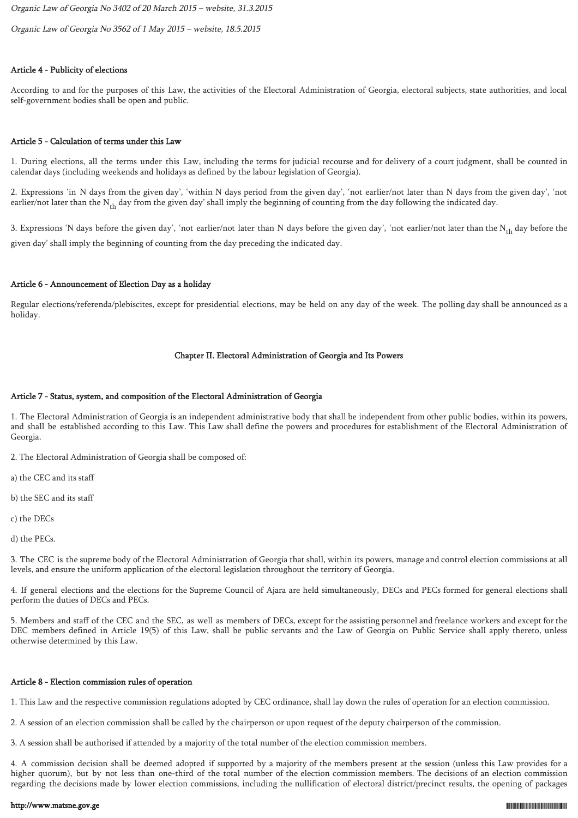Organic Law of Georgia No 3402 of 20 March 2015 – website, 31.3.2015

Organic Law of Georgia No 3562 of 1 May 2015 – website, 18.5.2015

# Article 4 - Publicity of elections

According to and for the purposes of this Law, the activities of the Electoral Administration of Georgia, electoral subjects, state authorities, and local self-government bodies shall be open and public.

### Article 5 - Calculation of terms under this Law

1. During elections, all the terms under this Law, including the terms for judicial recourse and for delivery of a court judgment, shall be counted in calendar days (including weekends and holidays as defined by the labour legislation of Georgia).

2. Expressions 'in N days from the given day', 'within N days period from the given day', 'not earlier/not later than N days from the given day', 'not earlier/not later than the  $N_{th}$  day from the given day' shall imply the beginning of counting from the day following the indicated day.

3. Expressions 'N days before the given day', 'not earlier/not later than N days before the given day', 'not earlier/not later than the  $N_{th}$  day before the given day' shall imply the beginning of counting from the day preceding the indicated day.

### Article 6 - Announcement of Election Day as a holiday

Regular elections/referenda/plebiscites, except for presidential elections, may be held on any day of the week. The polling day shall be announced as a holiday.

### Chapter II. Electoral Administration of Georgia and Its Powers

### Article 7 - Status, system, and composition of the Electoral Administration of Georgia

1. The Electoral Administration of Georgia is an independent administrative body that shall be independent from other public bodies, within its powers, and shall be established according to this Law. This Law shall define the powers and procedures for establishment of the Electoral Administration of Georgia.

2. The Electoral Administration of Georgia shall be composed of:

a) the CEC and its staff

b) the SEC and its staff

c) the DECs

d) the PECs.

3. The CEC is the supreme body of the Electoral Administration of Georgia that shall, within its powers, manage and control election commissions at all levels, and ensure the uniform application of the electoral legislation throughout the territory of Georgia.

4. If general elections and the elections for the Supreme Council of Ajara are held simultaneously, DECs and PECs formed for general elections shall perform the duties of DECs and PECs.

5. Members and staff of the CEC and the SEC, as well as members of DECs, except for the assisting personnel and freelance workers and except for the DEC members defined in Article 19(5) of this Law, shall be public servants and the Law of Georgia on Public Service shall apply thereto, unless otherwise determined by this Law.

### Article 8 - Election commission rules of operation

1. This Law and the respective commission regulations adopted by CEC ordinance, shall lay down the rules of operation for an election commission.

2. A session of an election commission shall be called by the chairperson or upon request of the deputy chairperson of the commission.

3. A session shall be authorised if attended by a majority of the total number of the election commission members.

4. A commission decision shall be deemed adopted if supported by a majority of the members present at the session (unless this Law provides for a higher quorum), but by not less than one-third of the total number of the election commission members. The decisions of an election commission regarding the decisions made by lower election commissions, including the nullification of electoral district/precinct results, the opening of packages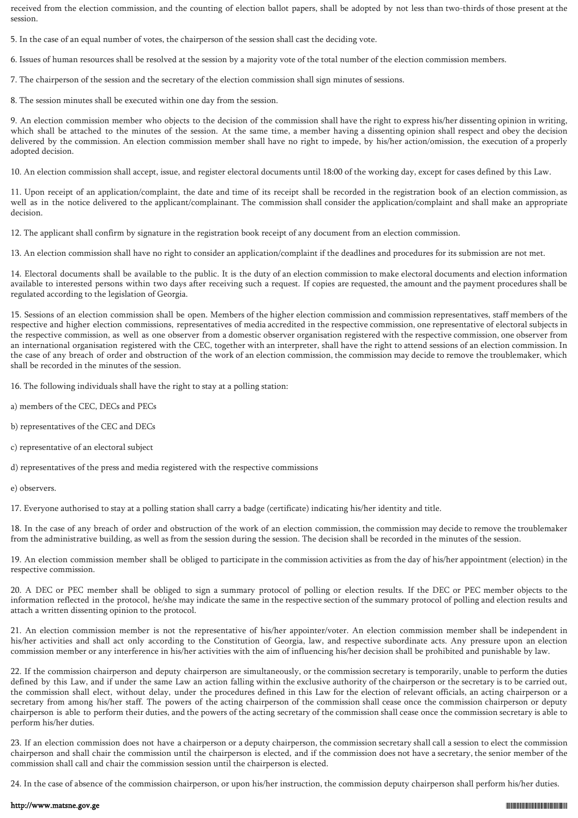received from the election commission, and the counting of election ballot papers, shall be adopted by not less than two-thirds of those present at the session.

5. In the case of an equal number of votes, the chairperson of the session shall cast the deciding vote.

6. Issues of human resources shall be resolved at the session by a majority vote of the total number of the election commission members.

7. The chairperson of the session and the secretary of the election commission shall sign minutes of sessions.

8. The session minutes shall be executed within one day from the session.

9. An election commission member who objects to the decision of the commission shall have the right to express his/her dissenting opinion in writing, which shall be attached to the minutes of the session. At the same time, a member having a dissenting opinion shall respect and obey the decision delivered by the commission. An election commission member shall have no right to impede, by his/her action/omission, the execution of a properly adopted decision.

10. An election commission shall accept, issue, and register electoral documents until 18:00 of the working day, except for cases defined by this Law.

11. Upon receipt of an application/complaint, the date and time of its receipt shall be recorded in the registration book of an election commission, as well as in the notice delivered to the applicant/complainant. The commission shall consider the application/complaint and shall make an appropriate decision.

12. The applicant shall confirm by signature in the registration book receipt of any document from an election commission.

13. An election commission shall have no right to consider an application/complaint if the deadlines and procedures for its submission are not met.

14. Electoral documents shall be available to the public. It is the duty of an election commission to make electoral documents and election information available to interested persons within two days after receiving such a request. If copies are requested, the amount and the payment procedures shall be regulated according to the legislation of Georgia.

15. Sessions of an election commission shall be open. Members of the higher election commission and commission representatives, staff members of the respective and higher election commissions, representatives of media accredited in the respective commission, one representative of electoral subjects in the respective commission, as well as one observer from a domestic observer organisation registered with the respective commission, one observer from an international organisation registered with the CEC, together with an interpreter, shall have the right to attend sessions of an election commission. In the case of any breach of order and obstruction of the work of an election commission, the commission may decide to remove the troublemaker, which shall be recorded in the minutes of the session.

16. The following individuals shall have the right to stay at a polling station:

- a) members of the CEC, DECs and PECs
- b) representatives of the CEC and DECs
- c) representative of an electoral subject

d) representatives of the press and media registered with the respective commissions

e) observers.

17. Everyone authorised to stay at a polling station shall carry a badge (certificate) indicating his/her identity and title.

18. In the case of any breach of order and obstruction of the work of an election commission, the commission may decide to remove the troublemaker from the administrative building, as well as from the session during the session. The decision shall be recorded in the minutes of the session.

19. An election commission member shall be obliged to participate in the commission activities as from the day of his/her appointment (election) in the respective commission.

20. A DEC or PEC member shall be obliged to sign a summary protocol of polling or election results. If the DEC or PEC member objects to the information reflected in the protocol, he/she may indicate the same in the respective section of the summary protocol of polling and election results and attach a written dissenting opinion to the protocol.

21. An election commission member is not the representative of his/her appointer/voter. An election commission member shall be independent in his/her activities and shall act only according to the Constitution of Georgia, law, and respective subordinate acts. Any pressure upon an election commission member or any interference in his/her activities with the aim of influencing his/her decision shall be prohibited and punishable by law.

22. If the commission chairperson and deputy chairperson are simultaneously, or the commission secretary is temporarily, unable to perform the duties defined by this Law, and if under the same Law an action falling within the exclusive authority of the chairperson or the secretary is to be carried out, the commission shall elect, without delay, under the procedures defined in this Law for the election of relevant officials, an acting chairperson or a secretary from among his/her staff. The powers of the acting chairperson of the commission shall cease once the commission chairperson or deputy chairperson is able to perform their duties, and the powers of the acting secretary of the commission shall cease once the commission secretary is able to perform his/her duties.

23. If an election commission does not have a chairperson or a deputy chairperson, the commission secretary shall call a session to elect the commission chairperson and shall chair the commission until the chairperson is elected, and if the commission does not have a secretary, the senior member of the commission shall call and chair the commission session until the chairperson is elected.

24. In the case of absence of the commission chairperson, or upon his/her instruction, the commission deputy chairperson shall perform his/her duties.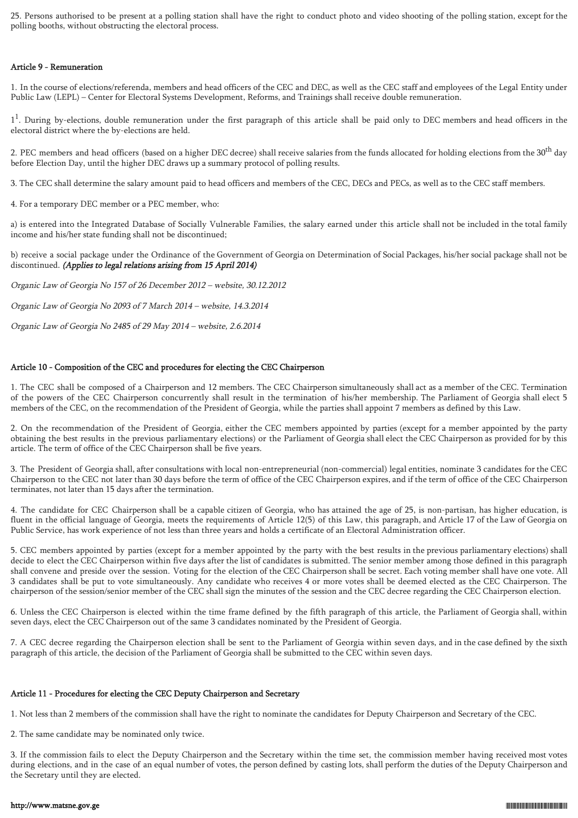25. Persons authorised to be present at a polling station shall have the right to conduct photo and video shooting of the polling station, except for the polling booths, without obstructing the electoral process.

### Article 9 - Remuneration

1. In the course of elections/referenda, members and head officers of the CEC and DEC, as well as the CEC staff and employees of the Legal Entity under Public Law (LEPL) – Center for Electoral Systems Development, Reforms, and Trainings shall receive double remuneration.

1<sup>1</sup>. During by-elections, double remuneration under the first paragraph of this article shall be paid only to DEC members and head officers in the electoral district where the by-elections are held.

2. PEC members and head officers (based on a higher DEC decree) shall receive salaries from the funds allocated for holding elections from the 30<sup>th</sup> day before Election Day, until the higher DEC draws up a summary protocol of polling results.

3. The CEC shall determine the salary amount paid to head officers and members of the CEC, DECs and PECs, as well as to the CEC staff members.

4. For a temporary DEC member or a PEC member, who:

a) is entered into the Integrated Database of Socially Vulnerable Families, the salary earned under this article shall not be included in the total family income and his/her state funding shall not be discontinued;

b) receive a social package under the Ordinance of the Government of Georgia on Determination of Social Packages, his/her social package shall not be discontinued. (Applies to legal relations arising from 15 April 2014)

Organic Law of Georgia No 157 of 26 December 2012 – website, 30.12.2012

Organic Law of Georgia No 2093 of 7 March 2014 – website, 14.3.2014

Organic Law of Georgia No 2485 of 29 May 2014 – website, 2.6.2014

# Article 10 - Composition of the CEC and procedures for electing the CEC Chairperson

1. The CEC shall be composed of a Chairperson and 12 members. The CEC Chairperson simultaneously shall act as a member of the CEC. Termination of the powers of the CEC Chairperson concurrently shall result in the termination of his/her membership. The Parliament of Georgia shall elect 5 members of the CEC, on the recommendation of the President of Georgia, while the parties shall appoint 7 members as defined by this Law.

2. On the recommendation of the President of Georgia, either the CEC members appointed by parties (except for a member appointed by the party obtaining the best results in the previous parliamentary elections) or the Parliament of Georgia shall elect the CEC Chairperson as provided for by this article. The term of office of the CEC Chairperson shall be five years.

3. The President of Georgia shall, after consultations with local non-entrepreneurial (non-commercial) legal entities, nominate 3 candidates for the CEC Chairperson to the CEC not later than 30 days before the term of office of the CEC Chairperson expires, and if the term of office of the CEC Chairperson terminates, not later than 15 days after the termination.

4. The candidate for CEC Chairperson shall be a capable citizen of Georgia, who has attained the age of 25, is non-partisan, has higher education, is fluent in the official language of Georgia, meets the requirements of Article 12(5) of this Law, this paragraph, and Article 17 of the Law of Georgia on Public Service, has work experience of not less than three years and holds a certificate of an Electoral Administration officer.

5. CEC members appointed by parties (except for a member appointed by the party with the best results in the previous parliamentary elections) shall decide to elect the CEC Chairperson within five days after the list of candidates is submitted. The senior member among those defined in this paragraph shall convene and preside over the session. Voting for the election of the CEC Chairperson shall be secret. Each voting member shall have one vote. All 3 candidates shall be put to vote simultaneously. Any candidate who receives 4 or more votes shall be deemed elected as the CEC Chairperson. The chairperson of the session/senior member of the CEC shall sign the minutes of the session and the CEC decree regarding the CEC Chairperson election.

6. Unless the CEC Chairperson is elected within the time frame defined by the fifth paragraph of this article, the Parliament of Georgia shall, within seven days, elect the CEC Chairperson out of the same 3 candidates nominated by the President of Georgia.

7. A CEC decree regarding the Chairperson election shall be sent to the Parliament of Georgia within seven days, and in the case defined by the sixth paragraph of this article, the decision of the Parliament of Georgia shall be submitted to the CEC within seven days.

# Article 11 - Procedures for electing the CEC Deputy Chairperson and Secretary

1. Not less than 2 members of the commission shall have the right to nominate the candidates for Deputy Chairperson and Secretary of the CEC.

2. The same candidate may be nominated only twice.

3. If the commission fails to elect the Deputy Chairperson and the Secretary within the time set, the commission member having received most votes during elections, and in the case of an equal number of votes, the person defined by casting lots, shall perform the duties of the Deputy Chairperson and the Secretary until they are elected.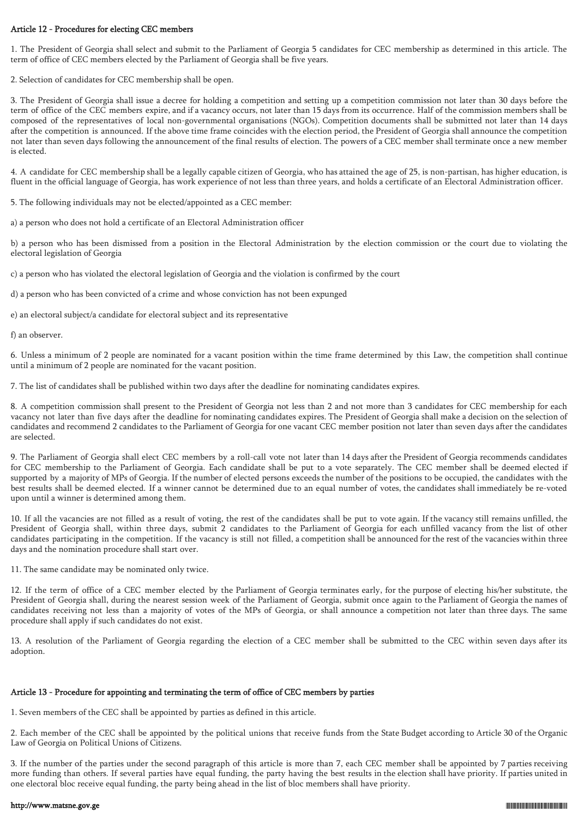# Article 12 - Procedures for electing CEC members

1. The President of Georgia shall select and submit to the Parliament of Georgia 5 candidates for CEC membership as determined in this article. The term of office of CEC members elected by the Parliament of Georgia shall be five years.

2. Selection of candidates for CEC membership shall be open.

3. The President of Georgia shall issue a decree for holding a competition and setting up a competition commission not later than 30 days before the term of office of the CEC members expire, and if a vacancy occurs, not later than 15 days from its occurrence. Half of the commission members shall be composed of the representatives of local non-governmental organisations (NGOs). Competition documents shall be submitted not later than 14 days after the competition is announced. If the above time frame coincides with the election period, the President of Georgia shall announce the competition not later than seven days following the announcement of the final results of election. The powers of a CEC member shall terminate once a new member is elected.

4. A candidate for CEC membership shall be a legally capable citizen of Georgia, who has attained the age of 25, is non-partisan, has higher education, is fluent in the official language of Georgia, has work experience of not less than three years, and holds a certificate of an Electoral Administration officer.

5. The following individuals may not be elected/appointed as a CEC member:

a) a person who does not hold a certificate of an Electoral Administration officer

b) a person who has been dismissed from a position in the Electoral Administration by the election commission or the court due to violating the electoral legislation of Georgia

c) a person who has violated the electoral legislation of Georgia and the violation is confirmed by the court

d) a person who has been convicted of a crime and whose conviction has not been expunged

e) an electoral subject/a candidate for electoral subject and its representative

f) an observer.

6. Unless a minimum of 2 people are nominated for a vacant position within the time frame determined by this Law, the competition shall continue until a minimum of 2 people are nominated for the vacant position.

7. The list of candidates shall be published within two days after the deadline for nominating candidates expires.

8. A competition commission shall present to the President of Georgia not less than 2 and not more than 3 candidates for CEC membership for each vacancy not later than five days after the deadline for nominating candidates expires. The President of Georgia shall make a decision on the selection of candidates and recommend 2 candidates to the Parliament of Georgia for one vacant CEC member position not later than seven days after the candidates are selected.

9. The Parliament of Georgia shall elect CEC members by a roll-call vote not later than 14 days after the President of Georgia recommends candidates for CEC membership to the Parliament of Georgia. Each candidate shall be put to a vote separately. The CEC member shall be deemed elected if supported by a majority of MPs of Georgia. If the number of elected persons exceeds the number of the positions to be occupied, the candidates with the best results shall be deemed elected. If a winner cannot be determined due to an equal number of votes, the candidates shall immediately be re-voted upon until a winner is determined among them.

10. If all the vacancies are not filled as a result of voting, the rest of the candidates shall be put to vote again. If the vacancy still remains unfilled, the President of Georgia shall, within three days, submit 2 candidates to the Parliament of Georgia for each unfilled vacancy from the list of other candidates participating in the competition. If the vacancy is still not filled, a competition shall be announced for the rest of the vacancies within three days and the nomination procedure shall start over.

11. The same candidate may be nominated only twice.

12. If the term of office of a CEC member elected by the Parliament of Georgia terminates early, for the purpose of electing his/her substitute, the President of Georgia shall, during the nearest session week of the Parliament of Georgia, submit once again to the Parliament of Georgia the names of candidates receiving not less than a majority of votes of the MPs of Georgia, or shall announce a competition not later than three days. The same procedure shall apply if such candidates do not exist.

13. A resolution of the Parliament of Georgia regarding the election of a CEC member shall be submitted to the CEC within seven days after its adoption.

# Article 13 - Procedure for appointing and terminating the term of office of CEC members by parties

1. Seven members of the CEC shall be appointed by parties as defined in this article.

2. Each member of the CEC shall be appointed by the political unions that receive funds from the State Budget according to Article 30 of the Organic Law of Georgia on Political Unions of Citizens.

3. If the number of the parties under the second paragraph of this article is more than 7, each CEC member shall be appointed by 7 parties receiving more funding than others. If several parties have equal funding, the party having the best results in the election shall have priority. If parties united in one electoral bloc receive equal funding, the party being ahead in the list of bloc members shall have priority.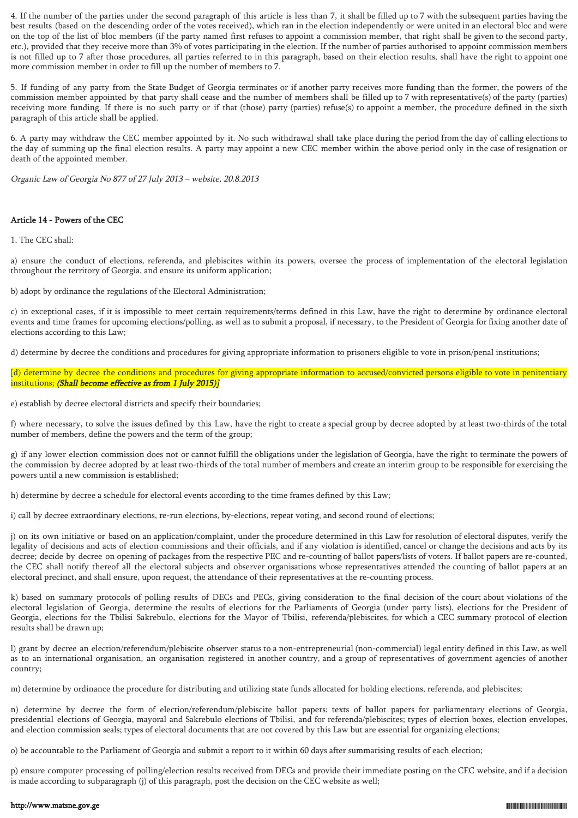4. If the number of the parties under the second paragraph of this article is less than 7, it shall be filled up to 7 with the subsequent parties having the best results (based on the descending order of the votes received), which ran in the election independently or were united in an electoral bloc and were on the top of the list of bloc members (if the party named first refuses to appoint a commission member, that right shall be given to the second party, etc.), provided that they receive more than 3% of votes participating in the election. If the number of parties authorised to appoint commission members is not filled up to 7 after those procedures, all parties referred to in this paragraph, based on their election results, shall have the right to appoint one more commission member in order to fill up the number of members to 7.

5. If funding of any party from the State Budget of Georgia terminates or if another party receives more funding than the former, the powers of the commission member appointed by that party shall cease and the number of members shall be filled up to 7 with representative(s) of the party (parties) receiving more funding. If there is no such party or if that (those) party (parties) refuse(s) to appoint a member, the procedure defined in the sixth paragraph of this article shall be applied.

6. A party may withdraw the CEC member appointed by it. No such withdrawal shall take place during the period from the day of calling elections to the day of summing up the final election results. A party may appoint a new CEC member within the above period only in the case of resignation or death of the appointed member.

Organic Law of Georgia No 877 of 27 July 2013 – website, 20.8.2013

# Article 14 - Powers of the CEC

1. The CEC shall:

a) ensure the conduct of elections, referenda, and plebiscites within its powers, oversee the process of implementation of the electoral legislation throughout the territory of Georgia, and ensure its uniform application;

b) adopt by ordinance the regulations of the Electoral Administration;

c) in exceptional cases, if it is impossible to meet certain requirements/terms defined in this Law, have the right to determine by ordinance electoral events and time frames for upcoming elections/polling, as well as to submit a proposal, if necessary, to the President of Georgia for fixing another date of elections according to this Law;

d) determine by decree the conditions and procedures for giving appropriate information to prisoners eligible to vote in prison/penal institutions;

[d) determine by decree the conditions and procedures for giving appropriate information to accused/convicted persons eligible to vote in penitentiary institutions; (Shall become effective as from 1 July 2015)]

e) establish by decree electoral districts and specify their boundaries;

f) where necessary, to solve the issues defined by this Law, have the right to create a special group by decree adopted by at least two-thirds of the total number of members, define the powers and the term of the group;

g) if any lower election commission does not or cannot fulfill the obligations under the legislation of Georgia, have the right to terminate the powers of the commission by decree adopted by at least two-thirds of the total number of members and create an interim group to be responsible for exercising the powers until a new commission is established;

h) determine by decree a schedule for electoral events according to the time frames defined by this Law;

i) call by decree extraordinary elections, re-run elections, by-elections, repeat voting, and second round of elections;

j) on its own initiative or based on an application/complaint, under the procedure determined in this Law for resolution of electoral disputes, verify the legality of decisions and acts of election commissions and their officials, and if any violation is identified, cancel or change the decisions and acts by its decree; decide by decree on opening of packages from the respective PEC and re-counting of ballot papers/lists of voters. If ballot papers are re-counted, the CEC shall notify thereof all the electoral subjects and observer organisations whose representatives attended the counting of ballot papers at an electoral precinct, and shall ensure, upon request, the attendance of their representatives at the re-counting process.

k) based on summary protocols of polling results of DECs and PECs, giving consideration to the final decision of the court about violations of the electoral legislation of Georgia, determine the results of elections for the Parliaments of Georgia (under party lists), elections for the President of Georgia, elections for the Tbilisi Sakrebulo, elections for the Mayor of Tbilisi, referenda/plebiscites, for which a CEC summary protocol of election results shall be drawn up;

l) grant by decree an election/referendum/plebiscite observer status to a non-entrepreneurial (non-commercial) legal entity defined in this Law, as well as to an international organisation, an organisation registered in another country, and a group of representatives of government agencies of another country;

m) determine by ordinance the procedure for distributing and utilizing state funds allocated for holding elections, referenda, and plebiscites;

n) determine by decree the form of election/referendum/plebiscite ballot papers; texts of ballot papers for parliamentary elections of Georgia, presidential elections of Georgia, mayoral and Sakrebulo elections of Tbilisi, and for referenda/plebiscites; types of election boxes, election envelopes, and election commission seals; types of electoral documents that are not covered by this Law but are essential for organizing elections;

o) be accountable to the Parliament of Georgia and submit a report to it within 60 days after summarising results of each election;

p) ensure computer processing of polling/election results received from DECs and provide their immediate posting on the CEC website, and if a decision is made according to subparagraph (j) of this paragraph, post the decision on the CEC website as well;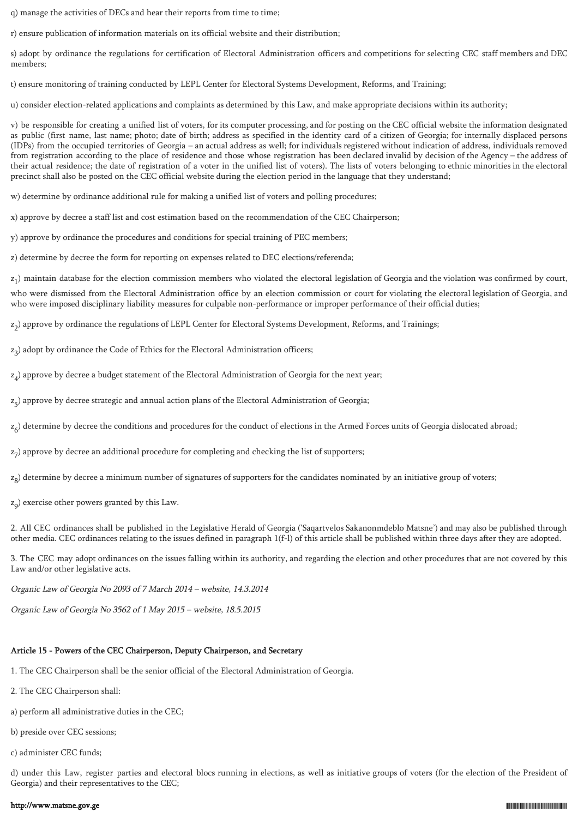q) manage the activities of DECs and hear their reports from time to time;

r) ensure publication of information materials on its official website and their distribution;

s) adopt by ordinance the regulations for certification of Electoral Administration officers and competitions for selecting CEC staff members and DEC members;

t) ensure monitoring of training conducted by LEPL Center for Electoral Systems Development, Reforms, and Training;

u) consider election-related applications and complaints as determined by this Law, and make appropriate decisions within its authority;

v) be responsible for creating a unified list of voters, for its computer processing, and for posting on the CEC official website the information designated as public (first name, last name; photo; date of birth; address as specified in the identity card of a citizen of Georgia; for internally displaced persons (IDPs) from the occupied territories of Georgia – an actual address as well; for individuals registered without indication of address, individuals removed from registration according to the place of residence and those whose registration has been declared invalid by decision of the Agency – the address of their actual residence; the date of registration of a voter in the unified list of voters). The lists of voters belonging to ethnic minorities in the electoral precinct shall also be posted on the CEC official website during the election period in the language that they understand;

w) determine by ordinance additional rule for making a unified list of voters and polling procedures;

x) approve by decree a staff list and cost estimation based on the recommendation of the CEC Chairperson;

y) approve by ordinance the procedures and conditions for special training of PEC members;

z) determine by decree the form for reporting on expenses related to DEC elections/referenda;

 $z_1$ ) maintain database for the election commission members who violated the electoral legislation of Georgia and the violation was confirmed by court,

who were dismissed from the Electoral Administration office by an election commission or court for violating the electoral legislation of Georgia, and who were imposed disciplinary liability measures for culpable non-performance or improper performance of their official duties;

z 2 ) approve by ordinance the regulations of LEPL Center for Electoral Systems Development, Reforms, and Trainings;

z 3 ) adopt by ordinance the Code of Ethics for the Electoral Administration officers;

 $z_4$ ) approve by decree a budget statement of the Electoral Administration of Georgia for the next year;

z 5 ) approve by decree strategic and annual action plans of the Electoral Administration of Georgia;

 $z_6$ ) determine by decree the conditions and procedures for the conduct of elections in the Armed Forces units of Georgia dislocated abroad;

z 7 ) approve by decree an additional procedure for completing and checking the list of supporters;

z 8 ) determine by decree a minimum number of signatures of supporters for the candidates nominated by an initiative group of voters;

z 9 ) exercise other powers granted by this Law.

2. All CEC ordinances shall be published in the Legislative Herald of Georgia ('Saqartvelos Sakanonmdeblo Matsne') and may also be published through other media. CEC ordinances relating to the issues defined in paragraph 1(f-l) of this article shall be published within three days after they are adopted.

3. The CEC may adopt ordinances on the issues falling within its authority, and regarding the election and other procedures that are not covered by this Law and/or other legislative acts.

Organic Law of Georgia No 2093 of 7 March 2014 – website, 14.3.2014

Organic Law of Georgia No 3562 of 1 May 2015 – website, 18.5.2015

# Article 15 - Powers of the CEC Chairperson, Deputy Chairperson, and Secretary

- 1. The CEC Chairperson shall be the senior official of the Electoral Administration of Georgia.
- 2. The CEC Chairperson shall:
- a) perform all administrative duties in the CEC;
- b) preside over CEC sessions;
- c) administer CEC funds;

d) under this Law, register parties and electoral blocs running in elections, as well as initiative groups of voters (for the election of the President of Georgia) and their representatives to the CEC;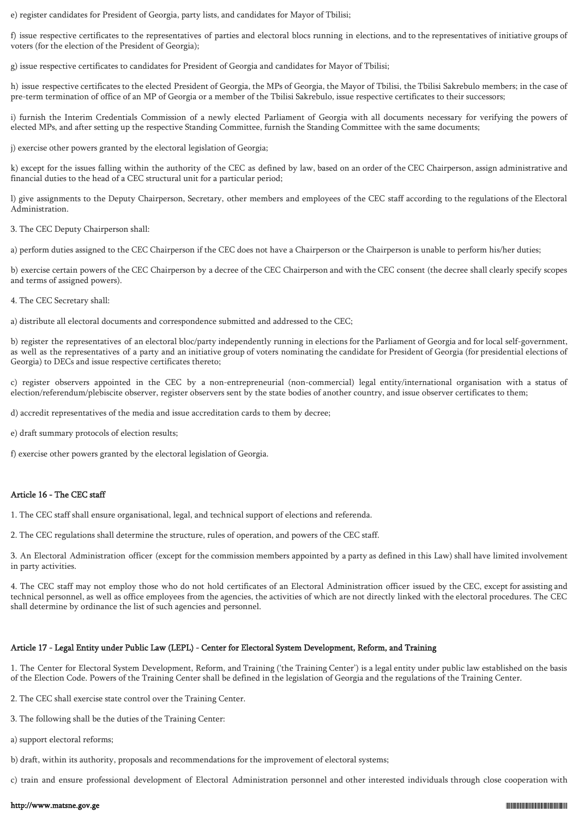e) register candidates for President of Georgia, party lists, and candidates for Mayor of Tbilisi;

f) issue respective certificates to the representatives of parties and electoral blocs running in elections, and to the representatives of initiative groups of voters (for the election of the President of Georgia);

g) issue respective certificates to candidates for President of Georgia and candidates for Mayor of Tbilisi;

h) issue respective certificates to the elected President of Georgia, the MPs of Georgia, the Mayor of Tbilisi, the Tbilisi Sakrebulo members; in the case of pre-term termination of office of an MP of Georgia or a member of the Tbilisi Sakrebulo, issue respective certificates to their successors;

i) furnish the Interim Credentials Commission of a newly elected Parliament of Georgia with all documents necessary for verifying the powers of elected MPs, and after setting up the respective Standing Committee, furnish the Standing Committee with the same documents;

j) exercise other powers granted by the electoral legislation of Georgia;

k) except for the issues falling within the authority of the CEC as defined by law, based on an order of the CEC Chairperson, assign administrative and financial duties to the head of a CEC structural unit for a particular period;

l) give assignments to the Deputy Chairperson, Secretary, other members and employees of the CEC staff according to the regulations of the Electoral Administration.

3. The CEC Deputy Chairperson shall:

a) perform duties assigned to the CEC Chairperson if the CEC does not have a Chairperson or the Chairperson is unable to perform his/her duties;

b) exercise certain powers of the CEC Chairperson by a decree of the CEC Chairperson and with the CEC consent (the decree shall clearly specify scopes and terms of assigned powers).

4. The CEC Secretary shall:

a) distribute all electoral documents and correspondence submitted and addressed to the CEC;

b) register the representatives of an electoral bloc/party independently running in elections for the Parliament of Georgia and for local self-government, as well as the representatives of a party and an initiative group of voters nominating the candidate for President of Georgia (for presidential elections of Georgia) to DECs and issue respective certificates thereto;

c) register observers appointed in the CEC by a non-entrepreneurial (non-commercial) legal entity/international organisation with a status of election/referendum/plebiscite observer, register observers sent by the state bodies of another country, and issue observer certificates to them;

d) accredit representatives of the media and issue accreditation cards to them by decree;

e) draft summary protocols of election results;

f) exercise other powers granted by the electoral legislation of Georgia.

# Article 16 - The CEC staff

1. The CEC staff shall ensure organisational, legal, and technical support of elections and referenda.

2. The CEC regulations shall determine the structure, rules of operation, and powers of the CEC staff.

3. An Electoral Administration officer (except for the commission members appointed by a party as defined in this Law) shall have limited involvement in party activities.

4. The CEC staff may not employ those who do not hold certificates of an Electoral Administration officer issued by the CEC, except for assisting and technical personnel, as well as office employees from the agencies, the activities of which are not directly linked with the electoral procedures. The CEC shall determine by ordinance the list of such agencies and personnel.

# Article 17 - Legal Entity under Public Law (LEPL) - Center for Electoral System Development, Reform, and Training

1. The Center for Electoral System Development, Reform, and Training ('the Training Center') is a legal entity under public law established on the basis of the Election Code. Powers of the Training Center shall be defined in the legislation of Georgia and the regulations of the Training Center.

2. The CEC shall exercise state control over the Training Center.

- 3. The following shall be the duties of the Training Center:
- a) support electoral reforms;
- b) draft, within its authority, proposals and recommendations for the improvement of electoral systems;

c) train and ensure professional development of Electoral Administration personnel and other interested individuals through close cooperation with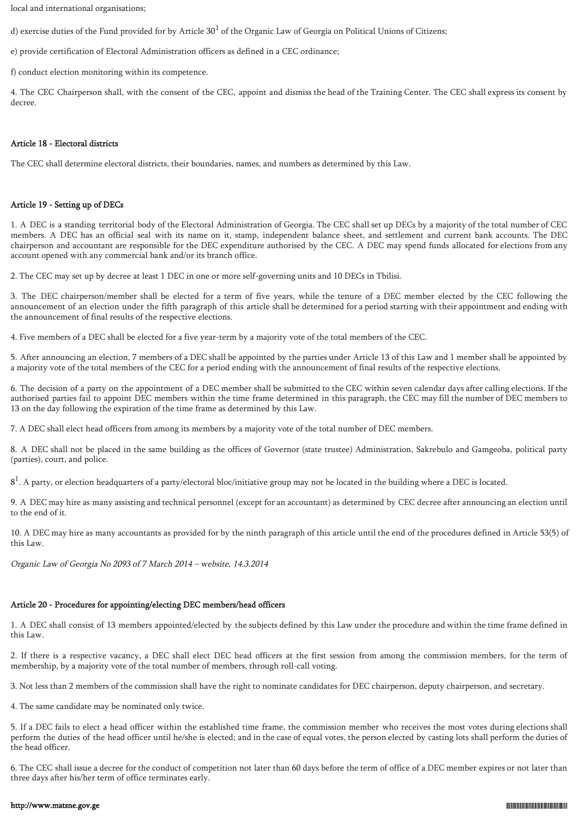local and international organisations;

d) exercise duties of the Fund provided for by Article  $30^1$  of the Organic Law of Georgia on Political Unions of Citizens;

e) provide certification of Electoral Administration officers as defined in a CEC ordinance;

f) conduct election monitoring within its competence.

4. The CEC Chairperson shall, with the consent of the CEC, appoint and dismiss the head of the Training Center. The CEC shall express its consent by decree.

### Article 18 - Electoral districts

The CEC shall determine electoral districts, their boundaries, names, and numbers as determined by this Law.

# Article 19 - Setting up of DECs

1. A DEC is a standing territorial body of the Electoral Administration of Georgia. The CEC shall set up DECs by a majority of the total number of CEC members. A DEC has an official seal with its name on it, stamp, independent balance sheet, and settlement and current bank accounts. The DEC chairperson and accountant are responsible for the DEC expenditure authorised by the CEC. A DEC may spend funds allocated for elections from any account opened with any commercial bank and/or its branch office.

2. The CEC may set up by decree at least 1 DEC in one or more self-governing units and 10 DECs in Tbilisi.

3. The DEC chairperson/member shall be elected for a term of five years, while the tenure of a DEC member elected by the CEC following the announcement of an election under the fifth paragraph of this article shall be determined for a period starting with their appointment and ending with the announcement of final results of the respective elections.

4. Five members of a DEC shall be elected for a five year-term by a majority vote of the total members of the CEC.

5. After announcing an election, 7 members of a DEC shall be appointed by the parties under Article 13 of this Law and 1 member shall be appointed by a majority vote of the total members of the CEC for a period ending with the announcement of final results of the respective elections.

6. The decision of a party on the appointment of a DEC member shall be submitted to the CEC within seven calendar days after calling elections. If the authorised parties fail to appoint DEC members within the time frame determined in this paragraph, the CEC may fill the number of DEC members to 13 on the day following the expiration of the time frame as determined by this Law.

7. A DEC shall elect head officers from among its members by a majority vote of the total number of DEC members.

8. A DEC shall not be placed in the same building as the offices of Governor (state trustee) Administration, Sakrebulo and Gamgeoba, political party (parties), court, and police.

 $8<sup>1</sup>$ . A party, or election headquarters of a party/electoral bloc/initiative group may not be located in the building where a DEC is located.

9. A DEC may hire as many assisting and technical personnel (except for an accountant) as determined by CEC decree after announcing an election until to the end of it.

10. A DEC may hire as many accountants as provided for by the ninth paragraph of this article until the end of the procedures defined in Article 53(5) of this Law.

Organic Law of Georgia No 2093 of 7 March 2014 – website, 14.3.2014

# Article 20 - Procedures for appointing/electing DEC members/head officers

1. A DEC shall consist of 13 members appointed/elected by the subjects defined by this Law under the procedure and within the time frame defined in this Law.

2. If there is a respective vacancy, a DEC shall elect DEC head officers at the first session from among the commission members, for the term of membership, by a majority vote of the total number of members, through roll-call voting.

3. Not less than 2 members of the commission shall have the right to nominate candidates for DEC chairperson, deputy chairperson, and secretary.

4. The same candidate may be nominated only twice.

5. If a DEC fails to elect a head officer within the established time frame, the commission member who receives the most votes during elections shall perform the duties of the head officer until he/she is elected; and in the case of equal votes, the person elected by casting lots shall perform the duties of the head officer.

6. The CEC shall issue a decree for the conduct of competition not later than 60 days before the term of office of a DEC member expires or not later than three days after his/her term of office terminates early.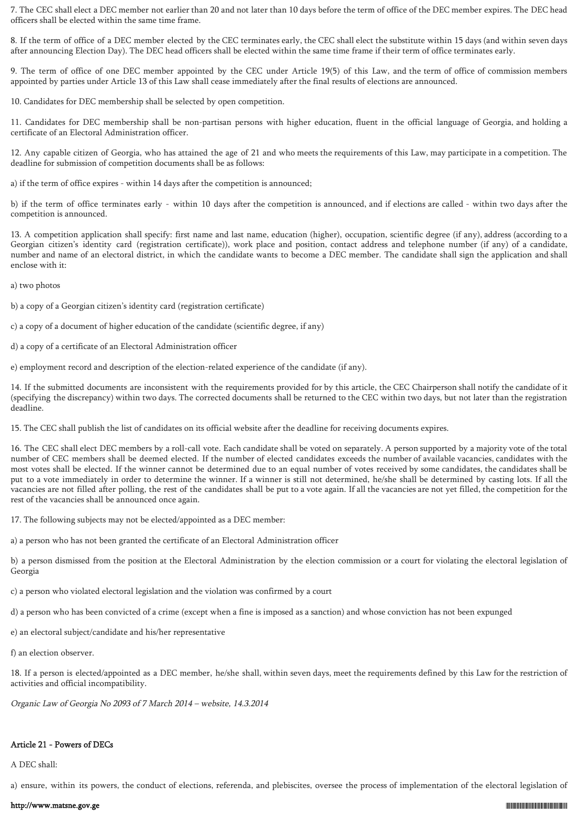7. The CEC shall elect a DEC member not earlier than 20 and not later than 10 days before the term of office of the DEC member expires. The DEC head officers shall be elected within the same time frame.

8. If the term of office of a DEC member elected by the CEC terminates early, the CEC shall elect the substitute within 15 days (and within seven days after announcing Election Day). The DEC head officers shall be elected within the same time frame if their term of office terminates early.

9. The term of office of one DEC member appointed by the CEC under Article 19(5) of this Law, and the term of office of commission members appointed by parties under Article 13 of this Law shall cease immediately after the final results of elections are announced.

10. Candidates for DEC membership shall be selected by open competition.

11. Candidates for DEC membership shall be non-partisan persons with higher education, fluent in the official language of Georgia, and holding a certificate of an Electoral Administration officer.

12. Any capable citizen of Georgia, who has attained the age of 21 and who meets the requirements of this Law, may participate in a competition. The deadline for submission of competition documents shall be as follows:

a) if the term of office expires - within 14 days after the competition is announced;

b) if the term of office terminates early - within 10 days after the competition is announced, and if elections are called - within two days after the competition is announced.

13. A competition application shall specify: first name and last name, education (higher), occupation, scientific degree (if any), address (according to a Georgian citizen's identity card (registration certificate)), work place and position, contact address and telephone number (if any) of a candidate, number and name of an electoral district, in which the candidate wants to become a DEC member. The candidate shall sign the application and shall enclose with it:

a) two photos

b) a copy of a Georgian citizen's identity card (registration certificate)

- c) a copy of a document of higher education of the candidate (scientific degree, if any)
- d) a copy of a certificate of an Electoral Administration officer

e) employment record and description of the election-related experience of the candidate (if any).

14. If the submitted documents are inconsistent with the requirements provided for by this article, the CEC Chairperson shall notify the candidate of it (specifying the discrepancy) within two days. The corrected documents shall be returned to the CEC within two days, but not later than the registration deadline.

15. The CEC shall publish the list of candidates on its official website after the deadline for receiving documents expires.

16. The CEC shall elect DEC members by a roll-call vote. Each candidate shall be voted on separately. A person supported by a majority vote of the total number of CEC members shall be deemed elected. If the number of elected candidates exceeds the number of available vacancies, candidates with the most votes shall be elected. If the winner cannot be determined due to an equal number of votes received by some candidates, the candidates shall be put to a vote immediately in order to determine the winner. If a winner is still not determined, he/she shall be determined by casting lots. If all the vacancies are not filled after polling, the rest of the candidates shall be put to a vote again. If all the vacancies are not yet filled, the competition for the rest of the vacancies shall be announced once again.

17. The following subjects may not be elected/appointed as a DEC member:

a) a person who has not been granted the certificate of an Electoral Administration officer

b) a person dismissed from the position at the Electoral Administration by the election commission or a court for violating the electoral legislation of Georgia

c) a person who violated electoral legislation and the violation was confirmed by a court

d) a person who has been convicted of a crime (except when a fine is imposed as a sanction) and whose conviction has not been expunged

e) an electoral subject/candidate and his/her representative

f) an election observer.

18. If a person is elected/appointed as a DEC member, he/she shall, within seven days, meet the requirements defined by this Law for the restriction of activities and official incompatibility.

Organic Law of Georgia No 2093 of 7 March 2014 – website, 14.3.2014

# Article 21 - Powers of DECs

A DEC shall:

a) ensure, within its powers, the conduct of elections, referenda, and plebiscites, oversee the process of implementation of the electoral legislation of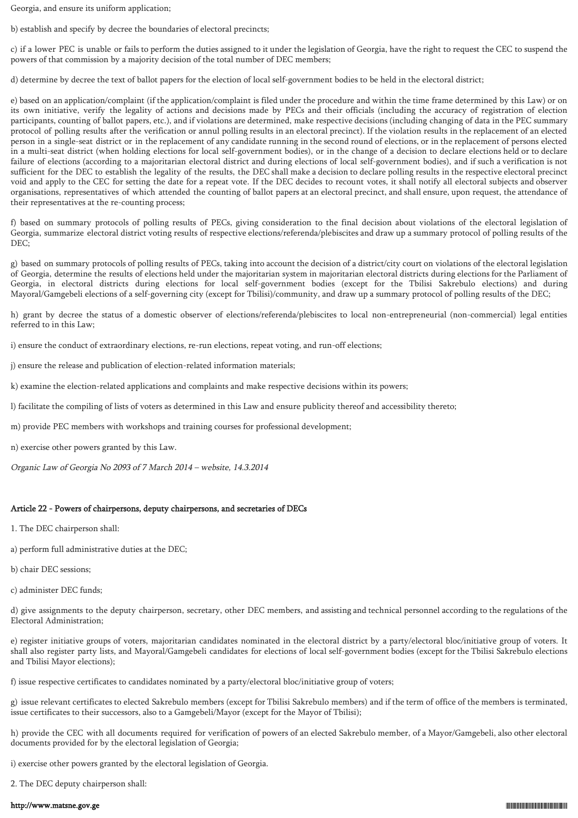Georgia, and ensure its uniform application;

b) establish and specify by decree the boundaries of electoral precincts;

c) if a lower PEC is unable or fails to perform the duties assigned to it under the legislation of Georgia, have the right to request the CEC to suspend the powers of that commission by a majority decision of the total number of DEC members;

d) determine by decree the text of ballot papers for the election of local self-government bodies to be held in the electoral district;

e) based on an application/complaint (if the application/complaint is filed under the procedure and within the time frame determined by this Law) or on its own initiative, verify the legality of actions and decisions made by PECs and their officials (including the accuracy of registration of election participants, counting of ballot papers, etc.), and if violations are determined, make respective decisions (including changing of data in the PEC summary protocol of polling results after the verification or annul polling results in an electoral precinct). If the violation results in the replacement of an elected person in a single-seat district or in the replacement of any candidate running in the second round of elections, or in the replacement of persons elected in a multi-seat district (when holding elections for local self-government bodies), or in the change of a decision to declare elections held or to declare failure of elections (according to a majoritarian electoral district and during elections of local self-government bodies), and if such a verification is not sufficient for the DEC to establish the legality of the results, the DEC shall make a decision to declare polling results in the respective electoral precinct void and apply to the CEC for setting the date for a repeat vote. If the DEC decides to recount votes, it shall notify all electoral subjects and observer organisations, representatives of which attended the counting of ballot papers at an electoral precinct, and shall ensure, upon request, the attendance of their representatives at the re-counting process;

f) based on summary protocols of polling results of PECs, giving consideration to the final decision about violations of the electoral legislation of Georgia, summarize electoral district voting results of respective elections/referenda/plebiscites and draw up a summary protocol of polling results of the DEC;

g) based on summary protocols of polling results of PECs, taking into account the decision of a district/city court on violations of the electoral legislation of Georgia, determine the results of elections held under the majoritarian system in majoritarian electoral districts during elections for the Parliament of Georgia, in electoral districts during elections for local self-government bodies (except for the Tbilisi Sakrebulo elections) and during Mayoral/Gamgebeli elections of a self-governing city (except for Tbilisi)/community, and draw up a summary protocol of polling results of the DEC;

h) grant by decree the status of a domestic observer of elections/referenda/plebiscites to local non-entrepreneurial (non-commercial) legal entities referred to in this Law;

i) ensure the conduct of extraordinary elections, re-run elections, repeat voting, and run-off elections;

j) ensure the release and publication of election-related information materials;

k) examine the election-related applications and complaints and make respective decisions within its powers;

l) facilitate the compiling of lists of voters as determined in this Law and ensure publicity thereof and accessibility thereto;

m) provide PEC members with workshops and training courses for professional development;

n) exercise other powers granted by this Law.

Organic Law of Georgia No 2093 of 7 March 2014 – website, 14.3.2014

# Article 22 - Powers of chairpersons, deputy chairpersons, and secretaries of DECs

1. The DEC chairperson shall:

a) perform full administrative duties at the DEC;

b) chair DEC sessions;

c) administer DEC funds;

d) give assignments to the deputy chairperson, secretary, other DEC members, and assisting and technical personnel according to the regulations of the Electoral Administration;

e) register initiative groups of voters, majoritarian candidates nominated in the electoral district by a party/electoral bloc/initiative group of voters. It shall also register party lists, and Mayoral/Gamgebeli candidates for elections of local self-government bodies (except for the Tbilisi Sakrebulo elections and Tbilisi Mayor elections);

f) issue respective certificates to candidates nominated by a party/electoral bloc/initiative group of voters;

g) issue relevant certificates to elected Sakrebulo members (except for Tbilisi Sakrebulo members) and if the term of office of the members is terminated, issue certificates to their successors, also to a Gamgebeli/Mayor (except for the Mayor of Tbilisi);

h) provide the CEC with all documents required for verification of powers of an elected Sakrebulo member, of a Mayor/Gamgebeli, also other electoral documents provided for by the electoral legislation of Georgia;

i) exercise other powers granted by the electoral legislation of Georgia.

2. The DEC deputy chairperson shall: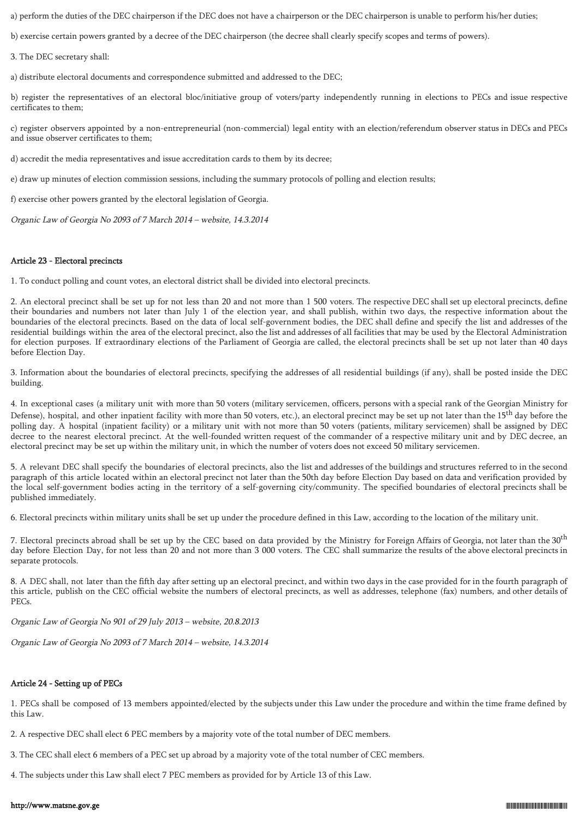a) perform the duties of the DEC chairperson if the DEC does not have a chairperson or the DEC chairperson is unable to perform his/her duties;

b) exercise certain powers granted by a decree of the DEC chairperson (the decree shall clearly specify scopes and terms of powers).

3. The DEC secretary shall:

a) distribute electoral documents and correspondence submitted and addressed to the DEC;

b) register the representatives of an electoral bloc/initiative group of voters/party independently running in elections to PECs and issue respective certificates to them;

c) register observers appointed by a non-entrepreneurial (non-commercial) legal entity with an election/referendum observer status in DECs and PECs and issue observer certificates to them;

d) accredit the media representatives and issue accreditation cards to them by its decree;

e) draw up minutes of election commission sessions, including the summary protocols of polling and election results;

f) exercise other powers granted by the electoral legislation of Georgia.

Organic Law of Georgia No 2093 of 7 March 2014 – website, 14.3.2014

### Article 23 - Electoral precincts

1. To conduct polling and count votes, an electoral district shall be divided into electoral precincts.

2. An electoral precinct shall be set up for not less than 20 and not more than 1 500 voters. The respective DEC shall set up electoral precincts, define their boundaries and numbers not later than July 1 of the election year, and shall publish, within two days, the respective information about the boundaries of the electoral precincts. Based on the data of local self-government bodies, the DEC shall define and specify the list and addresses of the residential buildings within the area of the electoral precinct, also the list and addresses of all facilities that may be used by the Electoral Administration for election purposes. If extraordinary elections of the Parliament of Georgia are called, the electoral precincts shall be set up not later than 40 days before Election Day.

3. Information about the boundaries of electoral precincts, specifying the addresses of all residential buildings (if any), shall be posted inside the DEC building.

4. In exceptional cases (a military unit with more than 50 voters (military servicemen, officers, persons with a special rank of the Georgian Ministry for Defense), hospital, and other inpatient facility with more than 50 voters, etc.), an electoral precinct may be set up not later than the  $15<sup>th</sup>$  day before the polling day. A hospital (inpatient facility) or a military unit with not more than 50 voters (patients, military servicemen) shall be assigned by DEC decree to the nearest electoral precinct. At the well-founded written request of the commander of a respective military unit and by DEC decree, an electoral precinct may be set up within the military unit, in which the number of voters does not exceed 50 military servicemen.

5. A relevant DEC shall specify the boundaries of electoral precincts, also the list and addresses of the buildings and structures referred to in the second paragraph of this article located within an electoral precinct not later than the 50th day before Election Day based on data and verification provided by the local self-government bodies acting in the territory of a self-governing city/community. The specified boundaries of electoral precincts shall be published immediately.

6. Electoral precincts within military units shall be set up under the procedure defined in this Law, according to the location of the military unit.

7. Electoral precincts abroad shall be set up by the CEC based on data provided by the Ministry for Foreign Affairs of Georgia, not later than the 30<sup>th</sup> day before Election Day, for not less than 20 and not more than 3 000 voters. The CEC shall summarize the results of the above electoral precincts in separate protocols.

8. A DEC shall, not later than the fifth day after setting up an electoral precinct, and within two days in the case provided for in the fourth paragraph of this article, publish on the CEC official website the numbers of electoral precincts, as well as addresses, telephone (fax) numbers, and other details of PECs.

Organic Law of Georgia No 901 of 29 July 2013 – website, 20.8.2013

Organic Law of Georgia No 2093 of 7 March 2014 – website, 14.3.2014

### Article 24 - Setting up of PECs

1. PECs shall be composed of 13 members appointed/elected by the subjects under this Law under the procedure and within the time frame defined by this Law.

2. A respective DEC shall elect 6 PEC members by a majority vote of the total number of DEC members.

3. The CEC shall elect 6 members of a PEC set up abroad by a majority vote of the total number of CEC members.

4. The subjects under this Law shall elect 7 PEC members as provided for by Article 13 of this Law.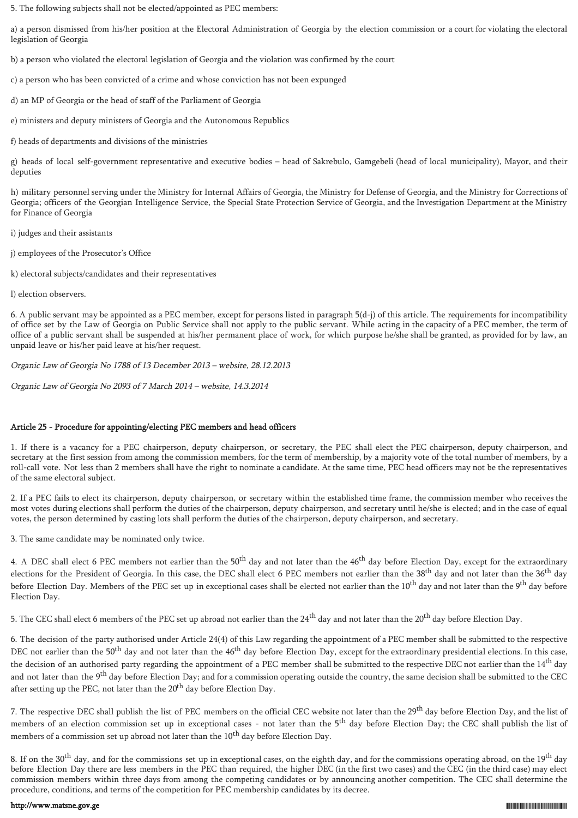5. The following subjects shall not be elected/appointed as PEC members:

a) a person dismissed from his/her position at the Electoral Administration of Georgia by the election commission or a court for violating the electoral legislation of Georgia

b) a person who violated the electoral legislation of Georgia and the violation was confirmed by the court

c) a person who has been convicted of a crime and whose conviction has not been expunged

d) an MP of Georgia or the head of staff of the Parliament of Georgia

e) ministers and deputy ministers of Georgia and the Autonomous Republics

f) heads of departments and divisions of the ministries

g) heads of local self-government representative and executive bodies – head of Sakrebulo, Gamgebeli (head of local municipality), Mayor, and their deputies

h) military personnel serving under the Ministry for Internal Affairs of Georgia, the Ministry for Defense of Georgia, and the Ministry for Corrections of Georgia; officers of the Georgian Intelligence Service, the Special State Protection Service of Georgia, and the Investigation Department at the Ministry for Finance of Georgia

i) judges and their assistants

j) employees of the Prosecutor's Office

k) electoral subjects/candidates and their representatives

l) election observers.

6. A public servant may be appointed as a PEC member, except for persons listed in paragraph 5(d-j) of this article. The requirements for incompatibility of office set by the Law of Georgia on Public Service shall not apply to the public servant. While acting in the capacity of a PEC member, the term of office of a public servant shall be suspended at his/her permanent place of work, for which purpose he/she shall be granted, as provided for by law, an unpaid leave or his/her paid leave at his/her request.

Organic Law of Georgia No 1788 of 13 December 2013 – website, 28.12.2013

Organic Law of Georgia No 2093 of 7 March 2014 – website, 14.3.2014

# Article 25 - Procedure for appointing/electing PEC members and head officers

1. If there is a vacancy for a PEC chairperson, deputy chairperson, or secretary, the PEC shall elect the PEC chairperson, deputy chairperson, and secretary at the first session from among the commission members, for the term of membership, by a majority vote of the total number of members, by a roll-call vote. Not less than 2 members shall have the right to nominate a candidate. At the same time, PEC head officers may not be the representatives of the same electoral subject.

2. If a PEC fails to elect its chairperson, deputy chairperson, or secretary within the established time frame, the commission member who receives the most votes during elections shall perform the duties of the chairperson, deputy chairperson, and secretary until he/she is elected; and in the case of equal votes, the person determined by casting lots shall perform the duties of the chairperson, deputy chairperson, and secretary.

3. The same candidate may be nominated only twice.

4. A DEC shall elect 6 PEC members not earlier than the 50<sup>th</sup> day and not later than the 46<sup>th</sup> day before Election Day, except for the extraordinary elections for the President of Georgia. In this case, the DEC shall elect 6 PEC members not earlier than the 38<sup>th</sup> day and not later than the 36<sup>th</sup> day before Election Day. Members of the PEC set up in exceptional cases shall be elected not earlier than the 10<sup>th</sup> day and not later than the 9<sup>th</sup> day before Election Day.

5. The CEC shall elect 6 members of the PEC set up abroad not earlier than the 24<sup>th</sup> day and not later than the 20<sup>th</sup> day before Election Day.

6. The decision of the party authorised under Article 24(4) of this Law regarding the appointment of a PEC member shall be submitted to the respective DEC not earlier than the 50<sup>th</sup> day and not later than the 46<sup>th</sup> day before Election Day, except for the extraordinary presidential elections. In this case, the decision of an authorised party regarding the appointment of a PEC member shall be submitted to the respective DEC not earlier than the 14<sup>th</sup> day and not later than the 9<sup>th</sup> day before Election Day; and for a commission operating outside the country, the same decision shall be submitted to the CEC after setting up the PEC, not later than the 20<sup>th</sup> day before Election Day.

7. The respective DEC shall publish the list of PEC members on the official CEC website not later than the 29<sup>th</sup> day before Election Day, and the list of members of an election commission set up in exceptional cases - not later than the 5<sup>th</sup> day before Election Day; the CEC shall publish the list of members of a commission set up abroad not later than the 10<sup>th</sup> day before Election Day.

8. If on the 30<sup>th</sup> day, and for the commissions set up in exceptional cases, on the eighth day, and for the commissions operating abroad, on the 19<sup>th</sup> day before Election Day there are less members in the PEC than required, the higher DEC (in the first two cases) and the CEC (in the third case) may elect commission members within three days from among the competing candidates or by announcing another competition. The CEC shall determine the procedure, conditions, and terms of the competition for PEC membership candidates by its decree.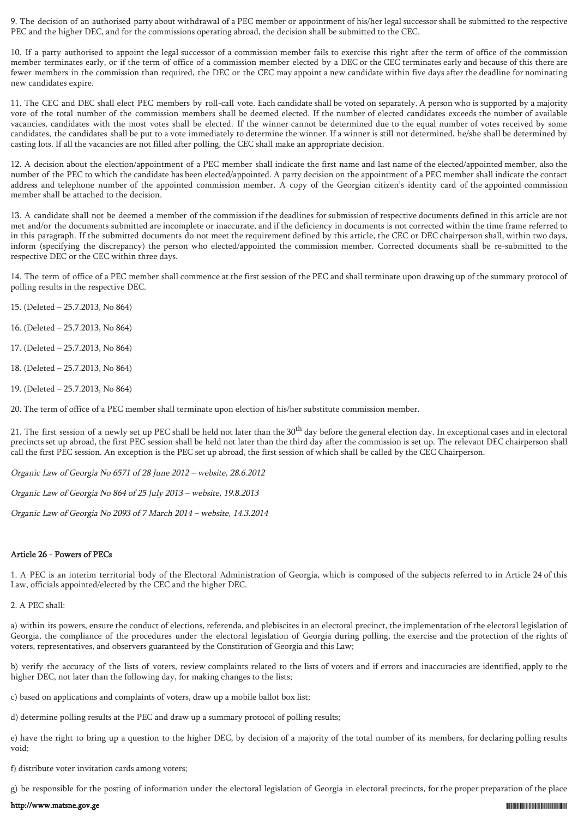9. The decision of an authorised party about withdrawal of a PEC member or appointment of his/her legal successor shall be submitted to the respective PEC and the higher DEC, and for the commissions operating abroad, the decision shall be submitted to the CEC.

10. If a party authorised to appoint the legal successor of a commission member fails to exercise this right after the term of office of the commission member terminates early, or if the term of office of a commission member elected by a DEC or the CEC terminates early and because of this there are fewer members in the commission than required, the DEC or the CEC may appoint a new candidate within five days after the deadline for nominating new candidates expire.

11. The CEC and DEC shall elect PEC members by roll-call vote. Each candidate shall be voted on separately. A person who is supported by a majority vote of the total number of the commission members shall be deemed elected. If the number of elected candidates exceeds the number of available vacancies, candidates with the most votes shall be elected. If the winner cannot be determined due to the equal number of votes received by some candidates, the candidates shall be put to a vote immediately to determine the winner. If a winner is still not determined, he/she shall be determined by casting lots. If all the vacancies are not filled after polling, the CEC shall make an appropriate decision.

12. A decision about the election/appointment of a PEC member shall indicate the first name and last name of the elected/appointed member, also the number of the PEC to which the candidate has been elected/appointed. A party decision on the appointment of a PEC member shall indicate the contact address and telephone number of the appointed commission member. A copy of the Georgian citizen's identity card of the appointed commission member shall be attached to the decision.

13. A candidate shall not be deemed a member of the commission if the deadlines for submission of respective documents defined in this article are not met and/or the documents submitted are incomplete or inaccurate, and if the deficiency in documents is not corrected within the time frame referred to in this paragraph. If the submitted documents do not meet the requirement defined by this article, the CEC or DEC chairperson shall, within two days, inform (specifying the discrepancy) the person who elected/appointed the commission member. Corrected documents shall be re-submitted to the respective DEC or the CEC within three days.

14. The term of office of a PEC member shall commence at the first session of the PEC and shall terminate upon drawing up of the summary protocol of polling results in the respective DEC.

- 15. (Deleted 25.7.2013, No 864)
- 16. (Deleted 25.7.2013, No 864)
- 17. (Deleted 25.7.2013, No 864)
- 18. (Deleted 25.7.2013, No 864)
- 19. (Deleted 25.7.2013, No 864)

20. The term of office of a PEC member shall terminate upon election of his/her substitute commission member.

21. The first session of a newly set up PEC shall be held not later than the 30<sup>th</sup> day before the general election day. In exceptional cases and in electoral precincts set up abroad, the first PEC session shall be held not later than the third day after the commission is set up. The relevant DEC chairperson shall call the first PEC session. An exception is the PEC set up abroad, the first session of which shall be called by the CEC Chairperson.

Organic Law of Georgia No 6571 of 28 June 2012 – website, 28.6.2012

Organic Law of Georgia No 864 of 25 July 2013 – website, 19.8.2013

Organic Law of Georgia No 2093 of 7 March 2014 – website, 14.3.2014

# Article 26 - Powers of PECs

1. A PEC is an interim territorial body of the Electoral Administration of Georgia, which is composed of the subjects referred to in Article 24 of this Law, officials appointed/elected by the CEC and the higher DEC.

2. A PEC shall:

a) within its powers, ensure the conduct of elections, referenda, and plebiscites in an electoral precinct, the implementation of the electoral legislation of Georgia, the compliance of the procedures under the electoral legislation of Georgia during polling, the exercise and the protection of the rights of voters, representatives, and observers guaranteed by the Constitution of Georgia and this Law;

b) verify the accuracy of the lists of voters, review complaints related to the lists of voters and if errors and inaccuracies are identified, apply to the higher DEC, not later than the following day, for making changes to the lists;

c) based on applications and complaints of voters, draw up a mobile ballot box list;

d) determine polling results at the PEC and draw up a summary protocol of polling results;

e) have the right to bring up a question to the higher DEC, by decision of a majority of the total number of its members, for declaring polling results void;

f) distribute voter invitation cards among voters;

g) be responsible for the posting of information under the electoral legislation of Georgia in electoral precincts, for the proper preparation of the place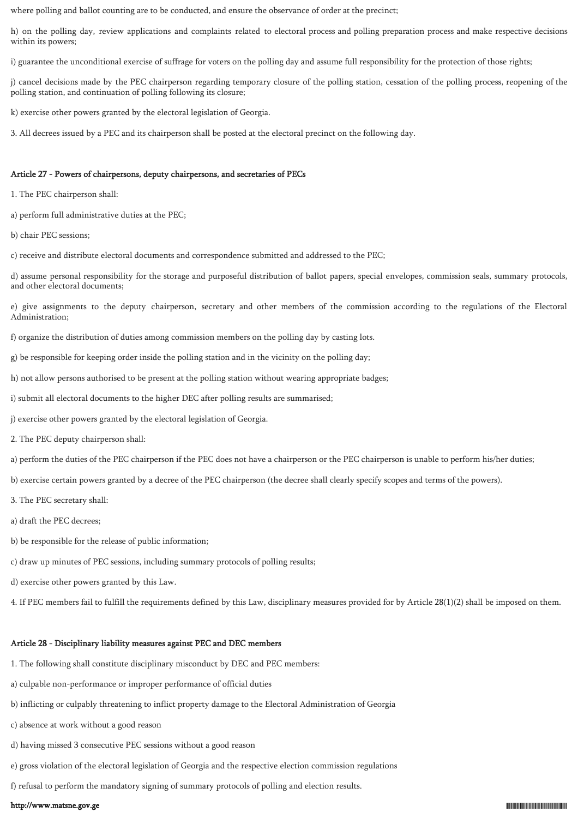where polling and ballot counting are to be conducted, and ensure the observance of order at the precinct;

h) on the polling day, review applications and complaints related to electoral process and polling preparation process and make respective decisions within its powers;

i) guarantee the unconditional exercise of suffrage for voters on the polling day and assume full responsibility for the protection of those rights;

j) cancel decisions made by the PEC chairperson regarding temporary closure of the polling station, cessation of the polling process, reopening of the polling station, and continuation of polling following its closure;

k) exercise other powers granted by the electoral legislation of Georgia.

3. All decrees issued by a PEC and its chairperson shall be posted at the electoral precinct on the following day.

### Article 27 - Powers of chairpersons, deputy chairpersons, and secretaries of PECs

- 1. The PEC chairperson shall:
- a) perform full administrative duties at the PEC;
- b) chair PEC sessions;
- c) receive and distribute electoral documents and correspondence submitted and addressed to the PEC;

d) assume personal responsibility for the storage and purposeful distribution of ballot papers, special envelopes, commission seals, summary protocols, and other electoral documents;

e) give assignments to the deputy chairperson, secretary and other members of the commission according to the regulations of the Electoral Administration;

f) organize the distribution of duties among commission members on the polling day by casting lots.

g) be responsible for keeping order inside the polling station and in the vicinity on the polling day;

- h) not allow persons authorised to be present at the polling station without wearing appropriate badges;
- i) submit all electoral documents to the higher DEC after polling results are summarised;
- j) exercise other powers granted by the electoral legislation of Georgia.
- 2. The PEC deputy chairperson shall:
- a) perform the duties of the PEC chairperson if the PEC does not have a chairperson or the PEC chairperson is unable to perform his/her duties;
- b) exercise certain powers granted by a decree of the PEC chairperson (the decree shall clearly specify scopes and terms of the powers).
- 3. The PEC secretary shall:
- a) draft the PEC decrees;
- b) be responsible for the release of public information;
- c) draw up minutes of PEC sessions, including summary protocols of polling results;
- d) exercise other powers granted by this Law.

4. If PEC members fail to fulfill the requirements defined by this Law, disciplinary measures provided for by Article 28(1)(2) shall be imposed on them.

# Article 28 - Disciplinary liability measures against PEC and DEC members

- 1. The following shall constitute disciplinary misconduct by DEC and PEC members:
- a) culpable non-performance or improper performance of official duties
- b) inflicting or culpably threatening to inflict property damage to the Electoral Administration of Georgia
- c) absence at work without a good reason
- d) having missed 3 consecutive PEC sessions without a good reason
- e) gross violation of the electoral legislation of Georgia and the respective election commission regulations
- f) refusal to perform the mandatory signing of summary protocols of polling and election results.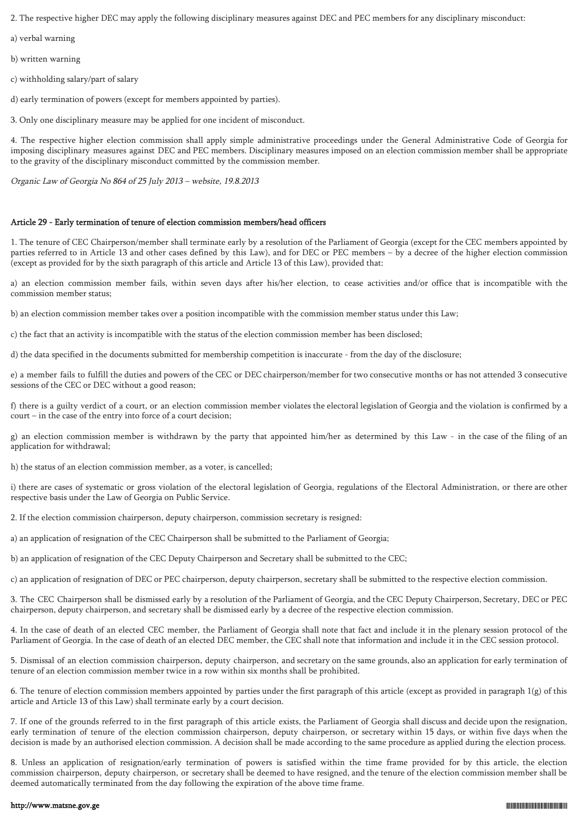2. The respective higher DEC may apply the following disciplinary measures against DEC and PEC members for any disciplinary misconduct:

a) verbal warning

b) written warning

c) withholding salary/part of salary

d) early termination of powers (except for members appointed by parties).

3. Only one disciplinary measure may be applied for one incident of misconduct.

4. The respective higher election commission shall apply simple administrative proceedings under the General Administrative Code of Georgia for imposing disciplinary measures against DEC and PEC members. Disciplinary measures imposed on an election commission member shall be appropriate to the gravity of the disciplinary misconduct committed by the commission member.

Organic Law of Georgia No 864 of 25 July 2013 – website, 19.8.2013

### Article 29 - Early termination of tenure of election commission members/head officers

1. The tenure of CEC Chairperson/member shall terminate early by a resolution of the Parliament of Georgia (except for the CEC members appointed by parties referred to in Article 13 and other cases defined by this Law), and for DEC or PEC members – by a decree of the higher election commission (except as provided for by the sixth paragraph of this article and Article 13 of this Law), provided that:

a) an election commission member fails, within seven days after his/her election, to cease activities and/or office that is incompatible with the commission member status;

b) an election commission member takes over a position incompatible with the commission member status under this Law;

c) the fact that an activity is incompatible with the status of the election commission member has been disclosed;

d) the data specified in the documents submitted for membership competition is inaccurate - from the day of the disclosure;

e) a member fails to fulfill the duties and powers of the CEC or DEC chairperson/member for two consecutive months or has not attended 3 consecutive sessions of the CEC or DEC without a good reason;

f) there is a guilty verdict of a court, or an election commission member violates the electoral legislation of Georgia and the violation is confirmed by a court – in the case of the entry into force of a court decision;

g) an election commission member is withdrawn by the party that appointed him/her as determined by this Law - in the case of the filing of an application for withdrawal;

h) the status of an election commission member, as a voter, is cancelled;

i) there are cases of systematic or gross violation of the electoral legislation of Georgia, regulations of the Electoral Administration, or there are other respective basis under the Law of Georgia on Public Service.

2. If the election commission chairperson, deputy chairperson, commission secretary is resigned:

a) an application of resignation of the CEC Chairperson shall be submitted to the Parliament of Georgia;

b) an application of resignation of the CEC Deputy Chairperson and Secretary shall be submitted to the CEC;

c) an application of resignation of DEC or PEC chairperson, deputy chairperson, secretary shall be submitted to the respective election commission.

3. The CEC Chairperson shall be dismissed early by a resolution of the Parliament of Georgia, and the CEC Deputy Chairperson, Secretary, DEC or PEC chairperson, deputy chairperson, and secretary shall be dismissed early by a decree of the respective election commission.

4. In the case of death of an elected CEC member, the Parliament of Georgia shall note that fact and include it in the plenary session protocol of the Parliament of Georgia. In the case of death of an elected DEC member, the CEC shall note that information and include it in the CEC session protocol.

5. Dismissal of an election commission chairperson, deputy chairperson, and secretary on the same grounds, also an application for early termination of tenure of an election commission member twice in a row within six months shall be prohibited.

6. The tenure of election commission members appointed by parties under the first paragraph of this article (except as provided in paragraph 1(g) of this article and Article 13 of this Law) shall terminate early by a court decision.

7. If one of the grounds referred to in the first paragraph of this article exists, the Parliament of Georgia shall discuss and decide upon the resignation, early termination of tenure of the election commission chairperson, deputy chairperson, or secretary within 15 days, or within five days when the decision is made by an authorised election commission. A decision shall be made according to the same procedure as applied during the election process.

8. Unless an application of resignation/early termination of powers is satisfied within the time frame provided for by this article, the election commission chairperson, deputy chairperson, or secretary shall be deemed to have resigned, and the tenure of the election commission member shall be deemed automatically terminated from the day following the expiration of the above time frame.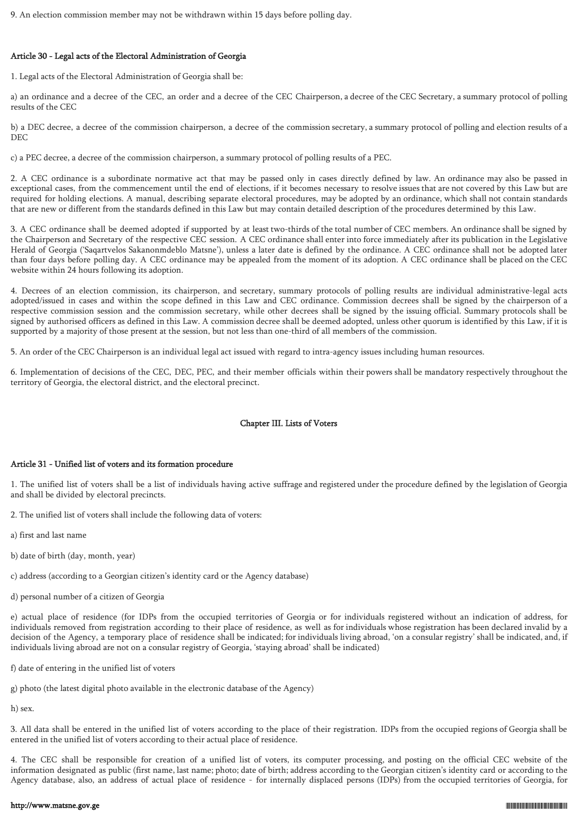9. An election commission member may not be withdrawn within 15 days before polling day.

# Article 30 - Legal acts of the Electoral Administration of Georgia

1. Legal acts of the Electoral Administration of Georgia shall be:

a) an ordinance and a decree of the CEC, an order and a decree of the CEC Chairperson, a decree of the CEC Secretary, a summary protocol of polling results of the CEC

b) a DEC decree, a decree of the commission chairperson, a decree of the commission secretary, a summary protocol of polling and election results of a DEC

c) a PEC decree, a decree of the commission chairperson, a summary protocol of polling results of a PEC.

2. A CEC ordinance is a subordinate normative act that may be passed only in cases directly defined by law. An ordinance may also be passed in exceptional cases, from the commencement until the end of elections, if it becomes necessary to resolve issues that are not covered by this Law but are required for holding elections. A manual, describing separate electoral procedures, may be adopted by an ordinance, which shall not contain standards that are new or different from the standards defined in this Law but may contain detailed description of the procedures determined by this Law.

3. A CEC ordinance shall be deemed adopted if supported by at least two-thirds of the total number of CEC members. An ordinance shall be signed by the Chairperson and Secretary of the respective CEC session. A CEC ordinance shall enter into force immediately after its publication in the Legislative Herald of Georgia ('Saqartvelos Sakanonmdeblo Matsne'), unless a later date is defined by the ordinance. A CEC ordinance shall not be adopted later than four days before polling day. A CEC ordinance may be appealed from the moment of its adoption. A CEC ordinance shall be placed on the CEC website within 24 hours following its adoption.

4. Decrees of an election commission, its chairperson, and secretary, summary protocols of polling results are individual administrative-legal acts adopted/issued in cases and within the scope defined in this Law and CEC ordinance. Commission decrees shall be signed by the chairperson of a respective commission session and the commission secretary, while other decrees shall be signed by the issuing official. Summary protocols shall be signed by authorised officers as defined in this Law. A commission decree shall be deemed adopted, unless other quorum is identified by this Law, if it is supported by a majority of those present at the session, but not less than one-third of all members of the commission.

5. An order of the CEC Chairperson is an individual legal act issued with regard to intra-agency issues including human resources.

6. Implementation of decisions of the CEC, DEC, PEC, and their member officials within their powers shall be mandatory respectively throughout the territory of Georgia, the electoral district, and the electoral precinct.

# Chapter III. Lists of Voters

# Article 31 - Unified list of voters and its formation procedure

1. The unified list of voters shall be a list of individuals having active suffrage and registered under the procedure defined by the legislation of Georgia and shall be divided by electoral precincts.

2. The unified list of voters shall include the following data of voters:

- a) first and last name
- b) date of birth (day, month, year)
- c) address (according to a Georgian citizen's identity card or the Agency database)
- d) personal number of a citizen of Georgia

e) actual place of residence (for IDPs from the occupied territories of Georgia or for individuals registered without an indication of address, for individuals removed from registration according to their place of residence, as well as for individuals whose registration has been declared invalid by a decision of the Agency, a temporary place of residence shall be indicated; for individuals living abroad, 'on a consular registry' shall be indicated, and, if individuals living abroad are not on a consular registry of Georgia, 'staying abroad' shall be indicated)

- f) date of entering in the unified list of voters
- g) photo (the latest digital photo available in the electronic database of the Agency)

h) sex.

3. All data shall be entered in the unified list of voters according to the place of their registration. IDPs from the occupied regions of Georgia shall be entered in the unified list of voters according to their actual place of residence.

4. The CEC shall be responsible for creation of a unified list of voters, its computer processing, and posting on the official CEC website of the information designated as public (first name, last name; photo; date of birth; address according to the Georgian citizen's identity card or according to the Agency database, also, an address of actual place of residence - for internally displaced persons (IDPs) from the occupied territories of Georgia, for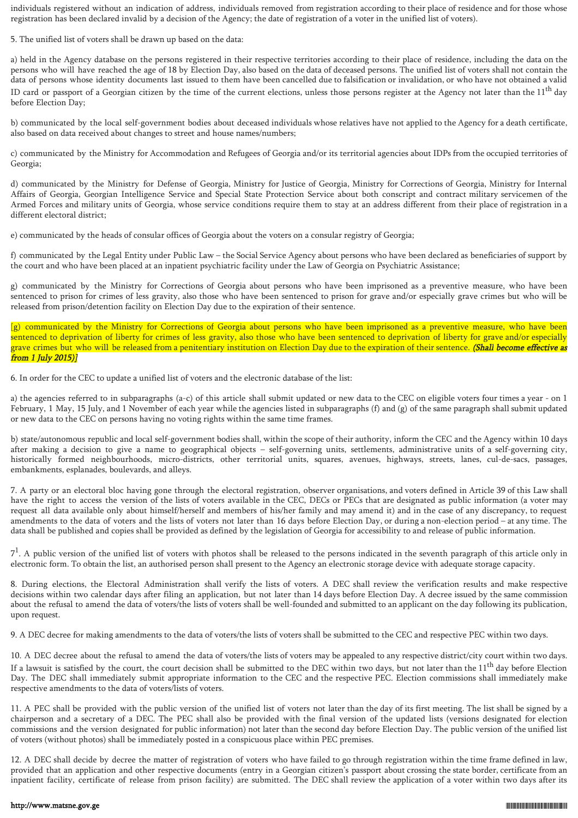individuals registered without an indication of address, individuals removed from registration according to their place of residence and for those whose registration has been declared invalid by a decision of the Agency; the date of registration of a voter in the unified list of voters).

5. The unified list of voters shall be drawn up based on the data:

a) held in the Agency database on the persons registered in their respective territories according to their place of residence, including the data on the persons who will have reached the age of 18 by Election Day, also based on the data of deceased persons. The unified list of voters shall not contain the data of persons whose identity documents last issued to them have been cancelled due to falsification or invalidation, or who have not obtained a valid ID card or passport of a Georgian citizen by the time of the current elections, unless those persons register at the Agency not later than the  $11<sup>th</sup>$  day before Election Day;

b) communicated by the local self-government bodies about deceased individuals whose relatives have not applied to the Agency for a death certificate, also based on data received about changes to street and house names/numbers;

c) communicated by the Ministry for Accommodation and Refugees of Georgia and/or its territorial agencies about IDPs from the occupied territories of Georgia;

d) communicated by the Ministry for Defense of Georgia, Ministry for Justice of Georgia, Ministry for Corrections of Georgia, Ministry for Internal Affairs of Georgia, Georgian Intelligence Service and Special State Protection Service about both conscript and contract military servicemen of the Armed Forces and military units of Georgia, whose service conditions require them to stay at an address different from their place of registration in a different electoral district;

e) communicated by the heads of consular offices of Georgia about the voters on a consular registry of Georgia;

f) communicated by the Legal Entity under Public Law – the Social Service Agency about persons who have been declared as beneficiaries of support by the court and who have been placed at an inpatient psychiatric facility under the Law of Georgia on Psychiatric Assistance;

g) communicated by the Ministry for Corrections of Georgia about persons who have been imprisoned as a preventive measure, who have been sentenced to prison for crimes of less gravity, also those who have been sentenced to prison for grave and/or especially grave crimes but who will be released from prison/detention facility on Election Day due to the expiration of their sentence.

[g) communicated by the Ministry for Corrections of Georgia about persons who have been imprisoned as a preventive measure, who have been sentenced to deprivation of liberty for crimes of less gravity, also those who have been sentenced to deprivation of liberty for grave and/or especially grave crimes but who will be released from a penitentiary institution on Election Day due to the expiration of their sentence. (Shall become effective as from 1 July 2015)]

6. In order for the CEC to update a unified list of voters and the electronic database of the list:

a) the agencies referred to in subparagraphs (a-c) of this article shall submit updated or new data to the CEC on eligible voters four times a year - on 1 February, 1 May, 15 July, and 1 November of each year while the agencies listed in subparagraphs (f) and (g) of the same paragraph shall submit updated or new data to the CEC on persons having no voting rights within the same time frames.

b) state/autonomous republic and local self-government bodies shall, within the scope of their authority, inform the CEC and the Agency within 10 days after making a decision to give a name to geographical objects – self-governing units, settlements, administrative units of a self-governing city, historically formed neighbourhoods, micro-districts, other territorial units, squares, avenues, highways, streets, lanes, cul-de-sacs, passages, embankments, esplanades, boulevards, and alleys.

7. A party or an electoral bloc having gone through the electoral registration, observer organisations, and voters defined in Article 39 of this Law shall have the right to access the version of the lists of voters available in the CEC, DECs or PECs that are designated as public information (a voter may request all data available only about himself/herself and members of his/her family and may amend it) and in the case of any discrepancy, to request amendments to the data of voters and the lists of voters not later than 16 days before Election Day, or during a non-election period – at any time. The data shall be published and copies shall be provided as defined by the legislation of Georgia for accessibility to and release of public information.

 $7<sup>1</sup>$ . A public version of the unified list of voters with photos shall be released to the persons indicated in the seventh paragraph of this article only in electronic form. To obtain the list, an authorised person shall present to the Agency an electronic storage device with adequate storage capacity.

8. During elections, the Electoral Administration shall verify the lists of voters. A DEC shall review the verification results and make respective decisions within two calendar days after filing an application, but not later than 14 days before Election Day. A decree issued by the same commission about the refusal to amend the data of voters/the lists of voters shall be well-founded and submitted to an applicant on the day following its publication, upon request.

9. A DEC decree for making amendments to the data of voters/the lists of voters shall be submitted to the CEC and respective PEC within two days.

10. A DEC decree about the refusal to amend the data of voters/the lists of voters may be appealed to any respective district/city court within two days. If a lawsuit is satisfied by the court, the court decision shall be submitted to the DEC within two days, but not later than the  $11<sup>th</sup>$  day before Election Day. The DEC shall immediately submit appropriate information to the CEC and the respective PEC. Election commissions shall immediately make respective amendments to the data of voters/lists of voters.

11. A PEC shall be provided with the public version of the unified list of voters not later than the day of its first meeting. The list shall be signed by a chairperson and a secretary of a DEC. The PEC shall also be provided with the final version of the updated lists (versions designated for election commissions and the version designated for public information) not later than the second day before Election Day. The public version of the unified list of voters (without photos) shall be immediately posted in a conspicuous place within PEC premises.

12. A DEC shall decide by decree the matter of registration of voters who have failed to go through registration within the time frame defined in law, provided that an application and other respective documents (entry in a Georgian citizen's passport about crossing the state border, certificate from an inpatient facility, certificate of release from prison facility) are submitted. The DEC shall review the application of a voter within two days after its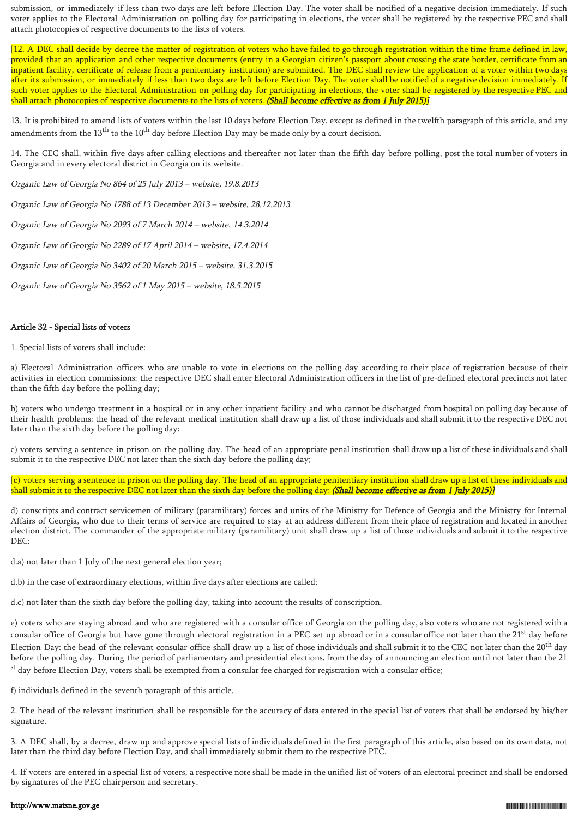submission, or immediately if less than two days are left before Election Day. The voter shall be notified of a negative decision immediately. If such voter applies to the Electoral Administration on polling day for participating in elections, the voter shall be registered by the respective PEC and shall attach photocopies of respective documents to the lists of voters.

[12. A DEC shall decide by decree the matter of registration of voters who have failed to go through registration within the time frame defined in law, provided that an application and other respective documents (entry in a Georgian citizen's passport about crossing the state border, certificate from an inpatient facility, certificate of release from a penitentiary institution) are submitted. The DEC shall review the application of a voter within two days after its submission, or immediately if less than two days are left before Election Day. The voter shall be notified of a negative decision immediately. If such voter applies to the Electoral Administration on polling day for participating in elections, the voter shall be registered by the respective PEC and shall attach photocopies of respective documents to the lists of voters. (Shall become effective as from 1 July 2015)]

13. It is prohibited to amend lists of voters within the last 10 days before Election Day, except as defined in the twelfth paragraph of this article, and any amendments from the  $13<sup>th</sup>$  to the  $10<sup>th</sup>$  day before Election Day may be made only by a court decision.

14. The CEC shall, within five days after calling elections and thereafter not later than the fifth day before polling, post the total number of voters in Georgia and in every electoral district in Georgia on its website.

Organic Law of Georgia No 864 of 25 July 2013 – website, 19.8.2013

Organic Law of Georgia No 1788 of 13 December 2013 – website, 28.12.2013

Organic Law of Georgia No 2093 of 7 March 2014 – website, 14.3.2014

Organic Law of Georgia No 2289 of 17 April 2014 – website, 17.4.2014

Organic Law of Georgia No 3402 of 20 March 2015 – website, 31.3.2015

Organic Law of Georgia No 3562 of 1 May 2015 – website, 18.5.2015

# Article 32 - Special lists of voters

1. Special lists of voters shall include:

a) Electoral Administration officers who are unable to vote in elections on the polling day according to their place of registration because of their activities in election commissions: the respective DEC shall enter Electoral Administration officers in the list of pre-defined electoral precincts not later than the fifth day before the polling day;

b) voters who undergo treatment in a hospital or in any other inpatient facility and who cannot be discharged from hospital on polling day because of their health problems: the head of the relevant medical institution shall draw up a list of those individuals and shall submit it to the respective DEC not later than the sixth day before the polling day;

c) voters serving a sentence in prison on the polling day. The head of an appropriate penal institution shall draw up a list of these individuals and shall submit it to the respective DEC not later than the sixth day before the polling day;

[c) voters serving a sentence in prison on the polling day. The head of an appropriate penitentiary institution shall draw up a list of these individuals and shall submit it to the respective DEC not later than the sixth day before the polling day; (Shall become effective as from 1 July 2015)]

d) conscripts and contract servicemen of military (paramilitary) forces and units of the Ministry for Defence of Georgia and the Ministry for Internal Affairs of Georgia, who due to their terms of service are required to stay at an address different from their place of registration and located in another election district. The commander of the appropriate military (paramilitary) unit shall draw up a list of those individuals and submit it to the respective DEC:

d.a) not later than 1 July of the next general election year;

d.b) in the case of extraordinary elections, within five days after elections are called;

d.c) not later than the sixth day before the polling day, taking into account the results of conscription.

e) voters who are staying abroad and who are registered with a consular office of Georgia on the polling day, also voters who are not registered with a consular office of Georgia but have gone through electoral registration in a PEC set up abroad or in a consular office not later than the 21<sup>st</sup> day before Election Day: the head of the relevant consular office shall draw up a list of those individuals and shall submit it to the CEC not later than the  $20^{\text{th}}$  day before the polling day. During the period of parliamentary and presidential elections, from the day of announcing an election until not later than the 21 st day before Election Day, voters shall be exempted from a consular fee charged for registration with a consular office;

f) individuals defined in the seventh paragraph of this article.

2. The head of the relevant institution shall be responsible for the accuracy of data entered in the special list of voters that shall be endorsed by his/her signature.

3. A DEC shall, by a decree, draw up and approve special lists of individuals defined in the first paragraph of this article, also based on its own data, not later than the third day before Election Day, and shall immediately submit them to the respective PEC.

4. If voters are entered in a special list of voters, a respective note shall be made in the unified list of voters of an electoral precinct and shall be endorsed by signatures of the PEC chairperson and secretary.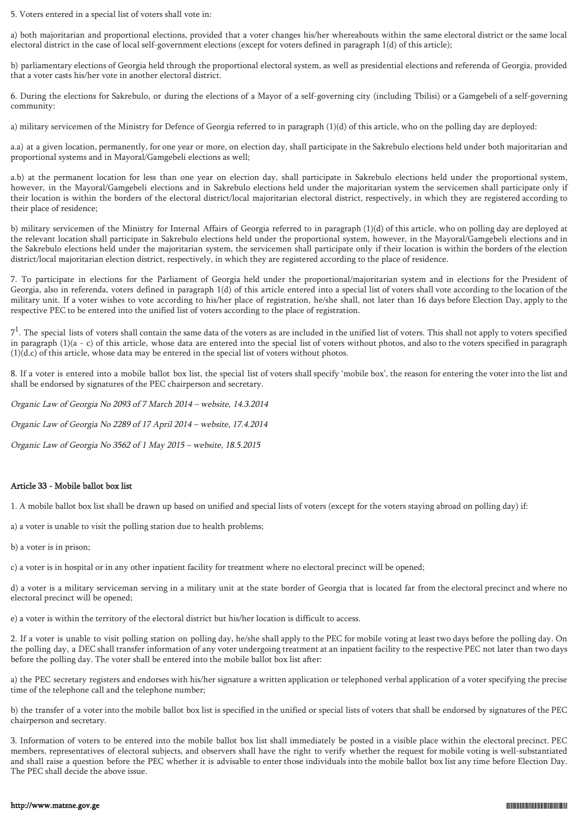5. Voters entered in a special list of voters shall vote in:

a) both majoritarian and proportional elections, provided that a voter changes his/her whereabouts within the same electoral district or the same local electoral district in the case of local self-government elections (except for voters defined in paragraph 1(d) of this article);

b) parliamentary elections of Georgia held through the proportional electoral system, as well as presidential elections and referenda of Georgia, provided that a voter casts his/her vote in another electoral district.

6. During the elections for Sakrebulo, or during the elections of a Mayor of a self-governing city (including Tbilisi) or a Gamgebeli of a self-governing community:

a) military servicemen of the Ministry for Defence of Georgia referred to in paragraph (1)(d) of this article, who on the polling day are deployed:

a.a) at a given location, permanently, for one year or more, on election day, shall participate in the Sakrebulo elections held under both majoritarian and proportional systems and in Mayoral/Gamgebeli elections as well;

a.b) at the permanent location for less than one year on election day, shall participate in Sakrebulo elections held under the proportional system, however, in the Mayoral/Gamgebeli elections and in Sakrebulo elections held under the majoritarian system the servicemen shall participate only if their location is within the borders of the electoral district/local majoritarian electoral district, respectively, in which they are registered according to their place of residence;

b) military servicemen of the Ministry for Internal Affairs of Georgia referred to in paragraph (1)(d) of this article, who on polling day are deployed at the relevant location shall participate in Sakrebulo elections held under the proportional system, however, in the Mayoral/Gamgebeli elections and in the Sakrebulo elections held under the majoritarian system, the servicemen shall participate only if their location is within the borders of the election district/local majoritarian election district, respectively, in which they are registered according to the place of residence.

7. To participate in elections for the Parliament of Georgia held under the proportional/majoritarian system and in elections for the President of Georgia, also in referenda, voters defined in paragraph 1(d) of this article entered into a special list of voters shall vote according to the location of the military unit. If a voter wishes to vote according to his/her place of registration, he/she shall, not later than 16 days before Election Day, apply to the respective PEC to be entered into the unified list of voters according to the place of registration.

 $7<sup>1</sup>$ . The special lists of voters shall contain the same data of the voters as are included in the unified list of voters. This shall not apply to voters specified in paragraph  $(1)(a - c)$  of this article, whose data are entered into the special list of voters without photos, and also to the voters specified in paragraph (1)(d.c) of this article, whose data may be entered in the special list of voters without photos.

8. If a voter is entered into a mobile ballot box list, the special list of voters shall specify 'mobile box', the reason for entering the voter into the list and shall be endorsed by signatures of the PEC chairperson and secretary.

Organic Law of Georgia No 2093 of 7 March 2014 – website, 14.3.2014 Organic Law of Georgia No 2289 of 17 April 2014 – website, 17.4.2014

Organic Law of Georgia No 3562 of 1 May 2015 – website, 18.5.2015

# Article 33 - Mobile ballot box list

1. A mobile ballot box list shall be drawn up based on unified and special lists of voters (except for the voters staying abroad on polling day) if:

a) a voter is unable to visit the polling station due to health problems;

b) a voter is in prison;

c) a voter is in hospital or in any other inpatient facility for treatment where no electoral precinct will be opened;

d) a voter is a military serviceman serving in a military unit at the state border of Georgia that is located far from the electoral precinct and where no electoral precinct will be opened;

e) a voter is within the territory of the electoral district but his/her location is difficult to access.

2. If a voter is unable to visit polling station on polling day, he/she shall apply to the PEC for mobile voting at least two days before the polling day. On the polling day, a DEC shall transfer information of any voter undergoing treatment at an inpatient facility to the respective PEC not later than two days before the polling day. The voter shall be entered into the mobile ballot box list after:

a) the PEC secretary registers and endorses with his/her signature a written application or telephoned verbal application of a voter specifying the precise time of the telephone call and the telephone number;

b) the transfer of a voter into the mobile ballot box list is specified in the unified or special lists of voters that shall be endorsed by signatures of the PEC chairperson and secretary.

3. Information of voters to be entered into the mobile ballot box list shall immediately be posted in a visible place within the electoral precinct. PEC members, representatives of electoral subjects, and observers shall have the right to verify whether the request for mobile voting is well-substantiated and shall raise a question before the PEC whether it is advisable to enter those individuals into the mobile ballot box list any time before Election Day. The PEC shall decide the above issue.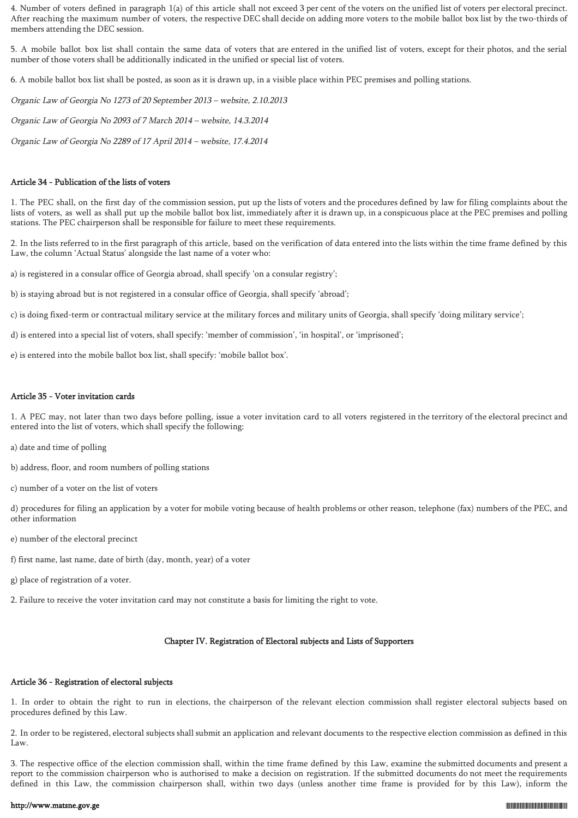4. Number of voters defined in paragraph 1(a) of this article shall not exceed 3 per cent of the voters on the unified list of voters per electoral precinct. After reaching the maximum number of voters, the respective DEC shall decide on adding more voters to the mobile ballot box list by the two-thirds of members attending the DEC session.

5. A mobile ballot box list shall contain the same data of voters that are entered in the unified list of voters, except for their photos, and the serial number of those voters shall be additionally indicated in the unified or special list of voters.

6. A mobile ballot box list shall be posted, as soon as it is drawn up, in a visible place within PEC premises and polling stations.

Organic Law of Georgia No 1273 of 20 September 2013 – website, 2.10.2013

Organic Law of Georgia No 2093 of 7 March 2014 – website, 14.3.2014

Organic Law of Georgia No 2289 of 17 April 2014 – website, 17.4.2014

### Article 34 - Publication of the lists of voters

1. The PEC shall, on the first day of the commission session, put up the lists of voters and the procedures defined by law for filing complaints about the lists of voters, as well as shall put up the mobile ballot box list, immediately after it is drawn up, in a conspicuous place at the PEC premises and polling stations. The PEC chairperson shall be responsible for failure to meet these requirements.

2. In the lists referred to in the first paragraph of this article, based on the verification of data entered into the lists within the time frame defined by this Law, the column 'Actual Status' alongside the last name of a voter who:

a) is registered in a consular office of Georgia abroad, shall specify 'on a consular registry';

b) is staying abroad but is not registered in a consular office of Georgia, shall specify 'abroad';

c) is doing fixed-term or contractual military service at the military forces and military units of Georgia, shall specify 'doing military service';

- d) is entered into a special list of voters, shall specify: 'member of commission', 'in hospital', or 'imprisoned';
- e) is entered into the mobile ballot box list, shall specify: 'mobile ballot box'.

#### Article 35 - Voter invitation cards

1. A PEC may, not later than two days before polling, issue a voter invitation card to all voters registered in the territory of the electoral precinct and entered into the list of voters, which shall specify the following:

- a) date and time of polling
- b) address, floor, and room numbers of polling stations
- c) number of a voter on the list of voters

d) procedures for filing an application by a voter for mobile voting because of health problems or other reason, telephone (fax) numbers of the PEC, and other information

- e) number of the electoral precinct
- f) first name, last name, date of birth (day, month, year) of a voter
- g) place of registration of a voter.
- 2. Failure to receive the voter invitation card may not constitute a basis for limiting the right to vote.

# Chapter IV. Registration of Electoral subjects and Lists of Supporters

# Article 36 - Registration of electoral subjects

1. In order to obtain the right to run in elections, the chairperson of the relevant election commission shall register electoral subjects based on procedures defined by this Law.

2. In order to be registered, electoral subjects shall submit an application and relevant documents to the respective election commission as defined in this Law.

3. The respective office of the election commission shall, within the time frame defined by this Law, examine the submitted documents and present a report to the commission chairperson who is authorised to make a decision on registration. If the submitted documents do not meet the requirements defined in this Law, the commission chairperson shall, within two days (unless another time frame is provided for by this Law), inform the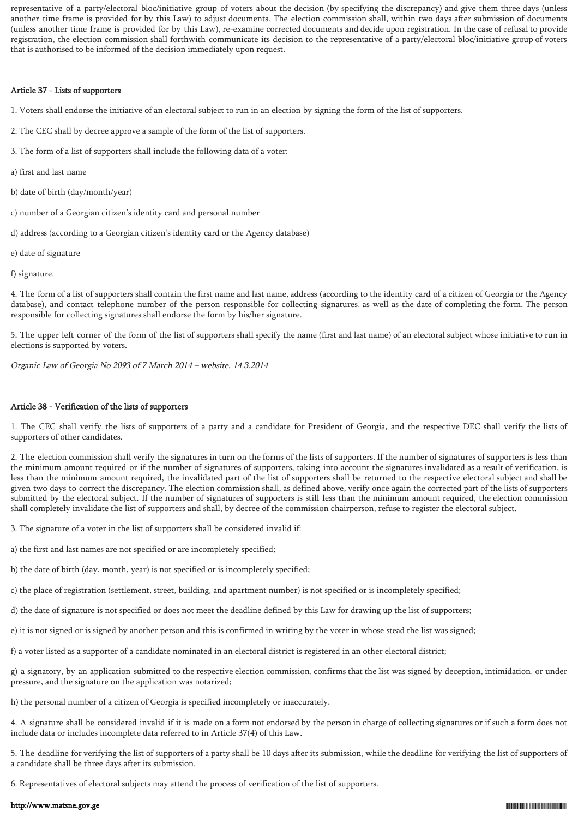representative of a party/electoral bloc/initiative group of voters about the decision (by specifying the discrepancy) and give them three days (unless another time frame is provided for by this Law) to adjust documents. The election commission shall, within two days after submission of documents (unless another time frame is provided for by this Law), re-examine corrected documents and decide upon registration. In the case of refusal to provide registration, the election commission shall forthwith communicate its decision to the representative of a party/electoral bloc/initiative group of voters that is authorised to be informed of the decision immediately upon request.

# Article 37 - Lists of supporters

1. Voters shall endorse the initiative of an electoral subject to run in an election by signing the form of the list of supporters.

- 2. The CEC shall by decree approve a sample of the form of the list of supporters.
- 3. The form of a list of supporters shall include the following data of a voter:
- a) first and last name
- b) date of birth (day/month/year)
- c) number of a Georgian citizen's identity card and personal number
- d) address (according to a Georgian citizen's identity card or the Agency database)
- e) date of signature
- f) signature.

4. The form of a list of supporters shall contain the first name and last name, address (according to the identity card of a citizen of Georgia or the Agency database), and contact telephone number of the person responsible for collecting signatures, as well as the date of completing the form. The person responsible for collecting signatures shall endorse the form by his/her signature.

5. The upper left corner of the form of the list of supporters shall specify the name (first and last name) of an electoral subject whose initiative to run in elections is supported by voters.

Organic Law of Georgia No 2093 of 7 March 2014 – website, 14.3.2014

# Article 38 - Verification of the lists of supporters

1. The CEC shall verify the lists of supporters of a party and a candidate for President of Georgia, and the respective DEC shall verify the lists of supporters of other candidates.

2. The election commission shall verify the signatures in turn on the forms of the lists of supporters. If the number of signatures of supporters is less than the minimum amount required or if the number of signatures of supporters, taking into account the signatures invalidated as a result of verification, is less than the minimum amount required, the invalidated part of the list of supporters shall be returned to the respective electoral subject and shall be given two days to correct the discrepancy. The election commission shall, as defined above, verify once again the corrected part of the lists of supporters submitted by the electoral subject. If the number of signatures of supporters is still less than the minimum amount required, the election commission shall completely invalidate the list of supporters and shall, by decree of the commission chairperson, refuse to register the electoral subject.

3. The signature of a voter in the list of supporters shall be considered invalid if:

- a) the first and last names are not specified or are incompletely specified;
- b) the date of birth (day, month, year) is not specified or is incompletely specified;
- c) the place of registration (settlement, street, building, and apartment number) is not specified or is incompletely specified;
- d) the date of signature is not specified or does not meet the deadline defined by this Law for drawing up the list of supporters;
- e) it is not signed or is signed by another person and this is confirmed in writing by the voter in whose stead the list was signed;
- f) a voter listed as a supporter of a candidate nominated in an electoral district is registered in an other electoral district;

g) a signatory, by an application submitted to the respective election commission, confirms that the list was signed by deception, intimidation, or under pressure, and the signature on the application was notarized;

- h) the personal number of a citizen of Georgia is specified incompletely or inaccurately.
- 4. A signature shall be considered invalid if it is made on a form not endorsed by the person in charge of collecting signatures or if such a form does not include data or includes incomplete data referred to in Article 37(4) of this Law.

5. The deadline for verifying the list of supporters of a party shall be 10 days after its submission, while the deadline for verifying the list of supporters of a candidate shall be three days after its submission.

6. Representatives of electoral subjects may attend the process of verification of the list of supporters.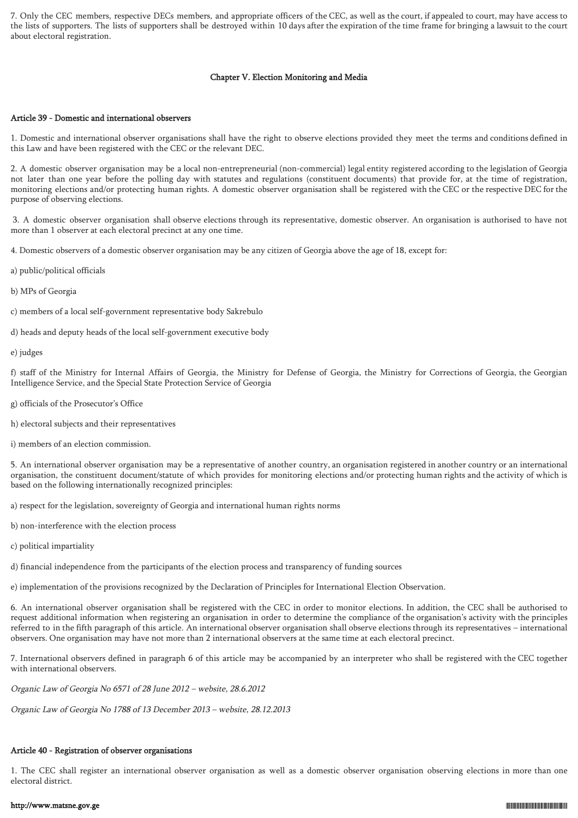7. Only the CEC members, respective DECs members, and appropriate officers of the CEC, as well as the court, if appealed to court, may have access to the lists of supporters. The lists of supporters shall be destroyed within 10 days after the expiration of the time frame for bringing a lawsuit to the court about electoral registration.

### Chapter V. Election Monitoring and Media

### Article 39 - Domestic and international observers

1. Domestic and international observer organisations shall have the right to observe elections provided they meet the terms and conditions defined in this Law and have been registered with the CEC or the relevant DEC.

2. A domestic observer organisation may be a local non-entrepreneurial (non-commercial) legal entity registered according to the legislation of Georgia not later than one year before the polling day with statutes and regulations (constituent documents) that provide for, at the time of registration, monitoring elections and/or protecting human rights. A domestic observer organisation shall be registered with the CEC or the respective DEC for the purpose of observing elections.

 3. A domestic observer organisation shall observe elections through its representative, domestic observer. An organisation is authorised to have not more than 1 observer at each electoral precinct at any one time.

4. Domestic observers of a domestic observer organisation may be any citizen of Georgia above the age of 18, except for:

- a) public/political officials
- b) MPs of Georgia
- c) members of a local self-government representative body Sakrebulo
- d) heads and deputy heads of the local self-government executive body

e) judges

f) staff of the Ministry for Internal Affairs of Georgia, the Ministry for Defense of Georgia, the Ministry for Corrections of Georgia, the Georgian Intelligence Service, and the Special State Protection Service of Georgia

- g) officials of the Prosecutor's Office
- h) electoral subjects and their representatives

i) members of an election commission.

5. An international observer organisation may be a representative of another country, an organisation registered in another country or an international organisation, the constituent document/statute of which provides for monitoring elections and/or protecting human rights and the activity of which is based on the following internationally recognized principles:

a) respect for the legislation, sovereignty of Georgia and international human rights norms

- b) non-interference with the election process
- c) political impartiality

d) financial independence from the participants of the election process and transparency of funding sources

e) implementation of the provisions recognized by the Declaration of Principles for International Election Observation.

6. An international observer organisation shall be registered with the CEC in order to monitor elections. In addition, the CEC shall be authorised to request additional information when registering an organisation in order to determine the compliance of the organisation's activity with the principles referred to in the fifth paragraph of this article. An international observer organisation shall observe elections through its representatives – international observers. One organisation may have not more than 2 international observers at the same time at each electoral precinct.

7. International observers defined in paragraph 6 of this article may be accompanied by an interpreter who shall be registered with the CEC together with international observers.

Organic Law of Georgia No 6571 of 28 June 2012 – website, 28.6.2012

Organic Law of Georgia No 1788 of 13 December 2013 – website, 28.12.2013

# Article 40 - Registration of observer organisations

1. The CEC shall register an international observer organisation as well as a domestic observer organisation observing elections in more than one electoral district.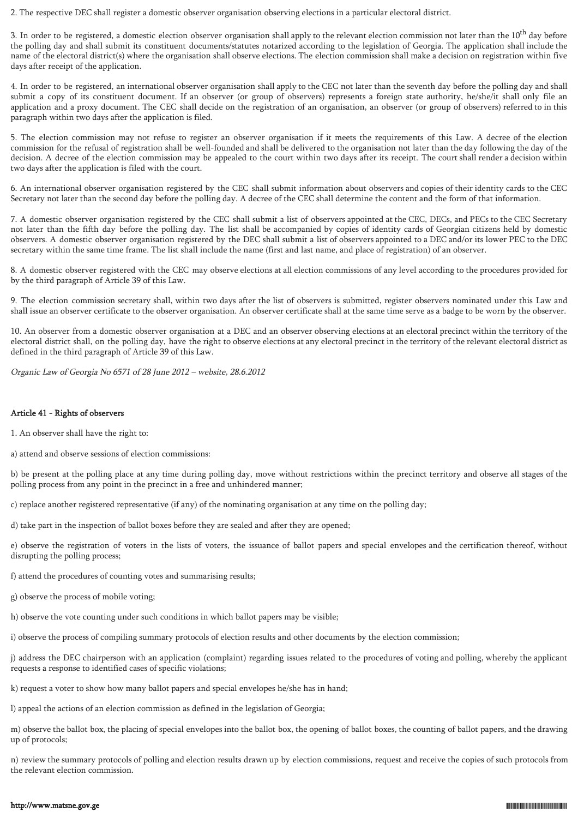2. The respective DEC shall register a domestic observer organisation observing elections in a particular electoral district.

3. In order to be registered, a domestic election observer organisation shall apply to the relevant election commission not later than the 10<sup>th</sup> day before the polling day and shall submit its constituent documents/statutes notarized according to the legislation of Georgia. The application shall include the name of the electoral district(s) where the organisation shall observe elections. The election commission shall make a decision on registration within five days after receipt of the application.

4. In order to be registered, an international observer organisation shall apply to the CEC not later than the seventh day before the polling day and shall submit a copy of its constituent document. If an observer (or group of observers) represents a foreign state authority, he/she/it shall only file an application and a proxy document. The CEC shall decide on the registration of an organisation, an observer (or group of observers) referred to in this paragraph within two days after the application is filed.

5. The election commission may not refuse to register an observer organisation if it meets the requirements of this Law. A decree of the election commission for the refusal of registration shall be well-founded and shall be delivered to the organisation not later than the day following the day of the decision. A decree of the election commission may be appealed to the court within two days after its receipt. The court shall render a decision within two days after the application is filed with the court.

6. An international observer organisation registered by the CEC shall submit information about observers and copies of their identity cards to the CEC Secretary not later than the second day before the polling day. A decree of the CEC shall determine the content and the form of that information.

7. A domestic observer organisation registered by the CEC shall submit a list of observers appointed at the CEC, DECs, and PECs to the CEC Secretary not later than the fifth day before the polling day. The list shall be accompanied by copies of identity cards of Georgian citizens held by domestic observers. A domestic observer organisation registered by the DEC shall submit a list of observers appointed to a DEC and/or its lower PEC to the DEC secretary within the same time frame. The list shall include the name (first and last name, and place of registration) of an observer.

8. A domestic observer registered with the CEC may observe elections at all election commissions of any level according to the procedures provided for by the third paragraph of Article 39 of this Law.

9. The election commission secretary shall, within two days after the list of observers is submitted, register observers nominated under this Law and shall issue an observer certificate to the observer organisation. An observer certificate shall at the same time serve as a badge to be worn by the observer.

10. An observer from a domestic observer organisation at a DEC and an observer observing elections at an electoral precinct within the territory of the electoral district shall, on the polling day, have the right to observe elections at any electoral precinct in the territory of the relevant electoral district as defined in the third paragraph of Article 39 of this Law.

Organic Law of Georgia No 6571 of 28 June 2012 – website, 28.6.2012

# Article 41 - Rights of observers

1. An observer shall have the right to:

a) attend and observe sessions of election commissions:

b) be present at the polling place at any time during polling day, move without restrictions within the precinct territory and observe all stages of the polling process from any point in the precinct in a free and unhindered manner;

c) replace another registered representative (if any) of the nominating organisation at any time on the polling day;

d) take part in the inspection of ballot boxes before they are sealed and after they are opened;

e) observe the registration of voters in the lists of voters, the issuance of ballot papers and special envelopes and the certification thereof, without disrupting the polling process;

f) attend the procedures of counting votes and summarising results;

g) observe the process of mobile voting;

h) observe the vote counting under such conditions in which ballot papers may be visible;

i) observe the process of compiling summary protocols of election results and other documents by the election commission;

j) address the DEC chairperson with an application (complaint) regarding issues related to the procedures of voting and polling, whereby the applicant requests a response to identified cases of specific violations;

k) request a voter to show how many ballot papers and special envelopes he/she has in hand;

l) appeal the actions of an election commission as defined in the legislation of Georgia;

m) observe the ballot box, the placing of special envelopes into the ballot box, the opening of ballot boxes, the counting of ballot papers, and the drawing up of protocols;

n) review the summary protocols of polling and election results drawn up by election commissions, request and receive the copies of such protocols from the relevant election commission.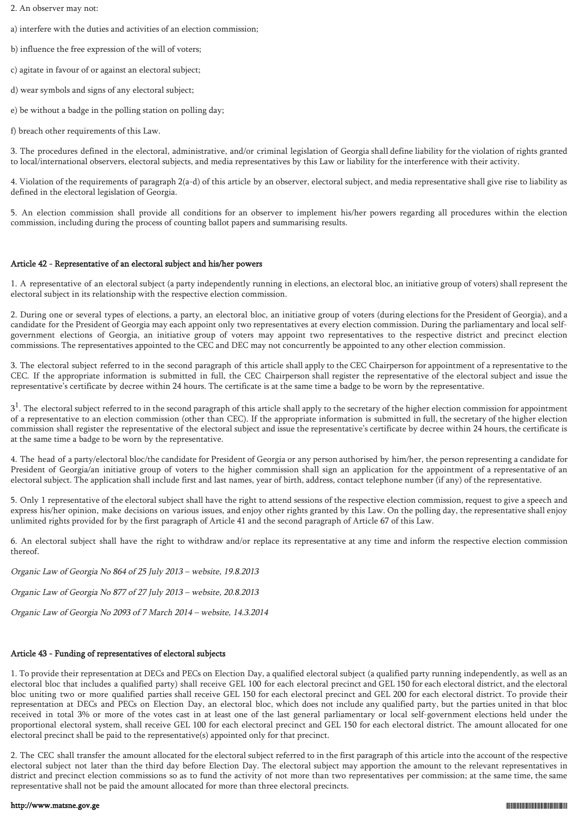- 2. An observer may not:
- a) interfere with the duties and activities of an election commission;
- b) influence the free expression of the will of voters;
- c) agitate in favour of or against an electoral subject;
- d) wear symbols and signs of any electoral subject;
- e) be without a badge in the polling station on polling day;
- f) breach other requirements of this Law.

3. The procedures defined in the electoral, administrative, and/or criminal legislation of Georgia shall define liability for the violation of rights granted to local/international observers, electoral subjects, and media representatives by this Law or liability for the interference with their activity.

4. Violation of the requirements of paragraph 2(a-d) of this article by an observer, electoral subject, and media representative shall give rise to liability as defined in the electoral legislation of Georgia.

5. An election commission shall provide all conditions for an observer to implement his/her powers regarding all procedures within the election commission, including during the process of counting ballot papers and summarising results.

# Article 42 - Representative of an electoral subject and his/her powers

1. A representative of an electoral subject (a party independently running in elections, an electoral bloc, an initiative group of voters) shall represent the electoral subject in its relationship with the respective election commission.

2. During one or several types of elections, a party, an electoral bloc, an initiative group of voters (during elections for the President of Georgia), and a candidate for the President of Georgia may each appoint only two representatives at every election commission. During the parliamentary and local selfgovernment elections of Georgia, an initiative group of voters may appoint two representatives to the respective district and precinct election commissions. The representatives appointed to the CEC and DEC may not concurrently be appointed to any other election commission.

3. The electoral subject referred to in the second paragraph of this article shall apply to the CEC Chairperson for appointment of a representative to the CEC. If the appropriate information is submitted in full, the CEC Chairperson shall register the representative of the electoral subject and issue the representative's certificate by decree within 24 hours. The certificate is at the same time a badge to be worn by the representative.

 $3<sup>1</sup>$ . The electoral subject referred to in the second paragraph of this article shall apply to the secretary of the higher election commission for appointment of a representative to an election commission (other than CEC). If the appropriate information is submitted in full, the secretary of the higher election commission shall register the representative of the electoral subject and issue the representative's certificate by decree within 24 hours, the certificate is at the same time a badge to be worn by the representative.

4. The head of a party/electoral bloc/the candidate for President of Georgia or any person authorised by him/her, the person representing a candidate for President of Georgia/an initiative group of voters to the higher commission shall sign an application for the appointment of a representative of an electoral subject. The application shall include first and last names, year of birth, address, contact telephone number (if any) of the representative.

5. Only 1 representative of the electoral subject shall have the right to attend sessions of the respective election commission, request to give a speech and express his/her opinion, make decisions on various issues, and enjoy other rights granted by this Law. On the polling day, the representative shall enjoy unlimited rights provided for by the first paragraph of Article 41 and the second paragraph of Article 67 of this Law.

6. An electoral subject shall have the right to withdraw and/or replace its representative at any time and inform the respective election commission thereof.

Organic Law of Georgia No 864 of 25 July 2013 – website, 19.8.2013

Organic Law of Georgia No 877 of 27 July 2013 – website, 20.8.2013

Organic Law of Georgia No 2093 of 7 March 2014 – website, 14.3.2014

# Article 43 - Funding of representatives of electoral subjects

1. To provide their representation at DECs and PECs on Election Day, a qualified electoral subject (a qualified party running independently, as well as an electoral bloc that includes a qualified party) shall receive GEL 100 for each electoral precinct and GEL 150 for each electoral district, and the electoral bloc uniting two or more qualified parties shall receive GEL 150 for each electoral precinct and GEL 200 for each electoral district. To provide their representation at DECs and PECs on Election Day, an electoral bloc, which does not include any qualified party, but the parties united in that bloc received in total 3% or more of the votes cast in at least one of the last general parliamentary or local self-government elections held under the proportional electoral system, shall receive GEL 100 for each electoral precinct and GEL 150 for each electoral district. The amount allocated for one electoral precinct shall be paid to the representative(s) appointed only for that precinct.

2. The CEC shall transfer the amount allocated for the electoral subject referred to in the first paragraph of this article into the account of the respective electoral subject not later than the third day before Election Day. The electoral subject may apportion the amount to the relevant representatives in district and precinct election commissions so as to fund the activity of not more than two representatives per commission; at the same time, the same representative shall not be paid the amount allocated for more than three electoral precincts.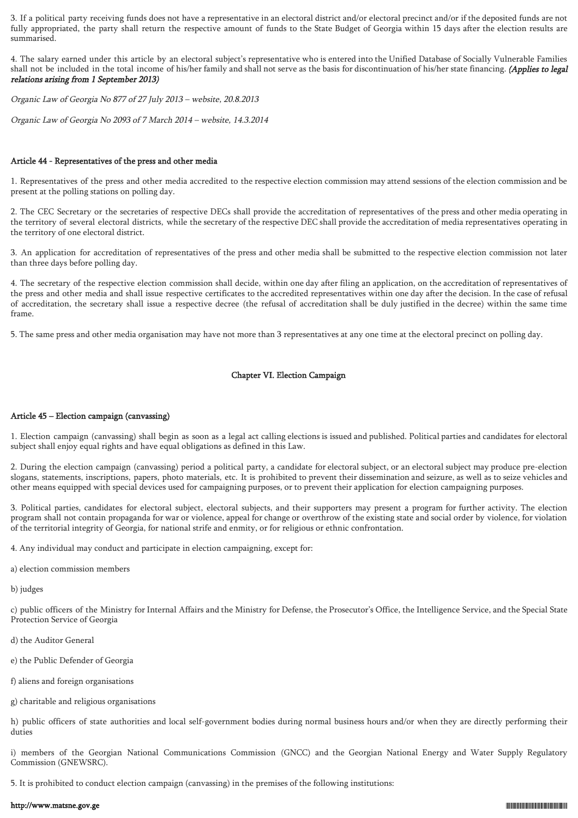3. If a political party receiving funds does not have a representative in an electoral district and/or electoral precinct and/or if the deposited funds are not fully appropriated, the party shall return the respective amount of funds to the State Budget of Georgia within 15 days after the election results are summarised.

4. The salary earned under this article by an electoral subject's representative who is entered into the Unified Database of Socially Vulnerable Families shall not be included in the total income of his/her family and shall not serve as the basis for discontinuation of his/her state financing. (Applies to legal relations arising from 1 September 2013)

Organic Law of Georgia No 877 of 27 July 2013 – website, 20.8.2013

Organic Law of Georgia No 2093 of 7 March 2014 – website, 14.3.2014

### Article 44 - Representatives of the press and other media

1. Representatives of the press and other media accredited to the respective election commission may attend sessions of the election commission and be present at the polling stations on polling day.

2. The CEC Secretary or the secretaries of respective DECs shall provide the accreditation of representatives of the press and other media operating in the territory of several electoral districts, while the secretary of the respective DEC shall provide the accreditation of media representatives operating in the territory of one electoral district.

3. An application for accreditation of representatives of the press and other media shall be submitted to the respective election commission not later than three days before polling day.

4. The secretary of the respective election commission shall decide, within one day after filing an application, on the accreditation of representatives of the press and other media and shall issue respective certificates to the accredited representatives within one day after the decision. In the case of refusal of accreditation, the secretary shall issue a respective decree (the refusal of accreditation shall be duly justified in the decree) within the same time frame.

5. The same press and other media organisation may have not more than 3 representatives at any one time at the electoral precinct on polling day.

# Chapter VI. Election Campaign

# Article 45 – Election campaign (canvassing)

1. Election campaign (canvassing) shall begin as soon as a legal act calling elections is issued and published. Political parties and candidates for electoral subject shall enjoy equal rights and have equal obligations as defined in this Law.

2. During the election campaign (canvassing) period a political party, a candidate for electoral subject, or an electoral subject may produce pre-election slogans, statements, inscriptions, papers, photo materials, etc. It is prohibited to prevent their dissemination and seizure, as well as to seize vehicles and other means equipped with special devices used for campaigning purposes, or to prevent their application for election campaigning purposes.

3. Political parties, candidates for electoral subject, electoral subjects, and their supporters may present a program for further activity. The election program shall not contain propaganda for war or violence, appeal for change or overthrow of the existing state and social order by violence, for violation of the territorial integrity of Georgia, for national strife and enmity, or for religious or ethnic confrontation.

4. Any individual may conduct and participate in election campaigning, except for:

a) election commission members

b) judges

c) public officers of the Ministry for Internal Affairs and the Ministry for Defense, the Prosecutor's Office, the Intelligence Service, and the Special State Protection Service of Georgia

- d) the Auditor General
- e) the Public Defender of Georgia
- f) aliens and foreign organisations
- g) charitable and religious organisations

h) public officers of state authorities and local self-government bodies during normal business hours and/or when they are directly performing their duties

i) members of the Georgian National Communications Commission (GNCC) and the Georgian National Energy and Water Supply Regulatory Commission (GNEWSRC).

5. It is prohibited to conduct election campaign (canvassing) in the premises of the following institutions: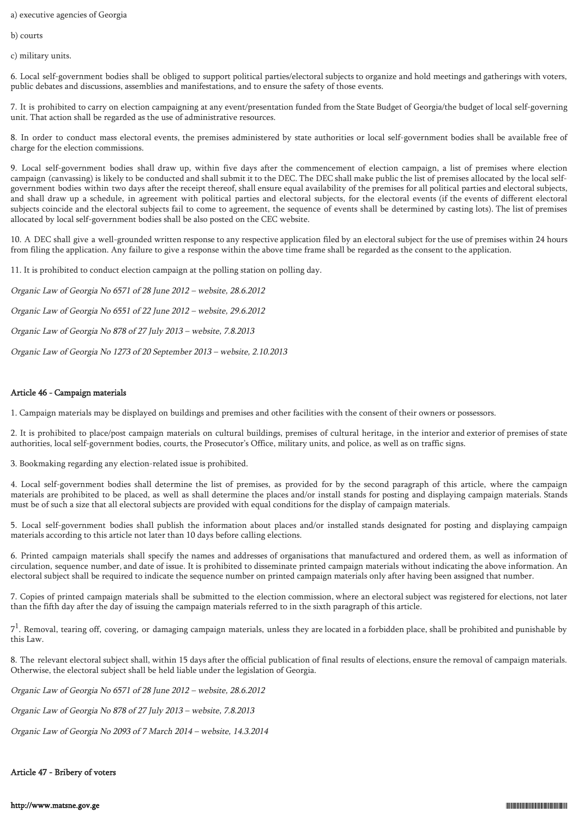a) executive agencies of Georgia

b) courts

c) military units.

6. Local self-government bodies shall be obliged to support political parties/electoral subjects to organize and hold meetings and gatherings with voters, public debates and discussions, assemblies and manifestations, and to ensure the safety of those events.

7. It is prohibited to carry on election campaigning at any event/presentation funded from the State Budget of Georgia/the budget of local self-governing unit. That action shall be regarded as the use of administrative resources.

8. In order to conduct mass electoral events, the premises administered by state authorities or local self-government bodies shall be available free of charge for the election commissions.

9. Local self-government bodies shall draw up, within five days after the commencement of election campaign, a list of premises where election campaign (canvassing) is likely to be conducted and shall submit it to the DEC. The DEC shall make public the list of premises allocated by the local selfgovernment bodies within two days after the receipt thereof, shall ensure equal availability of the premises for all political parties and electoral subjects, and shall draw up a schedule, in agreement with political parties and electoral subjects, for the electoral events (if the events of different electoral subjects coincide and the electoral subjects fail to come to agreement, the sequence of events shall be determined by casting lots). The list of premises allocated by local self-government bodies shall be also posted on the CEC website.

10. A DEC shall give a well-grounded written response to any respective application filed by an electoral subject for the use of premises within 24 hours from filing the application. Any failure to give a response within the above time frame shall be regarded as the consent to the application.

11. It is prohibited to conduct election campaign at the polling station on polling day.

Organic Law of Georgia No 6571 of 28 June 2012 – website, 28.6.2012

Organic Law of Georgia No 6551 of 22 June 2012 – website, 29.6.2012

Organic Law of Georgia No 878 of 27 July 2013 – website, 7.8.2013

Organic Law of Georgia No 1273 of 20 September 2013 – website, 2.10.2013

# Article 46 - Campaign materials

1. Campaign materials may be displayed on buildings and premises and other facilities with the consent of their owners or possessors.

2. It is prohibited to place/post campaign materials on cultural buildings, premises of cultural heritage, in the interior and exterior of premises of state authorities, local self-government bodies, courts, the Prosecutor's Office, military units, and police, as well as on traffic signs.

3. Bookmaking regarding any election-related issue is prohibited.

4. Local self-government bodies shall determine the list of premises, as provided for by the second paragraph of this article, where the campaign materials are prohibited to be placed, as well as shall determine the places and/or install stands for posting and displaying campaign materials. Stands must be of such a size that all electoral subjects are provided with equal conditions for the display of campaign materials.

5. Local self-government bodies shall publish the information about places and/or installed stands designated for posting and displaying campaign materials according to this article not later than 10 days before calling elections.

6. Printed campaign materials shall specify the names and addresses of organisations that manufactured and ordered them, as well as information of circulation, sequence number, and date of issue. It is prohibited to disseminate printed campaign materials without indicating the above information. An electoral subject shall be required to indicate the sequence number on printed campaign materials only after having been assigned that number.

7. Copies of printed campaign materials shall be submitted to the election commission, where an electoral subject was registered for elections, not later than the fifth day after the day of issuing the campaign materials referred to in the sixth paragraph of this article.

 $7<sup>1</sup>$ . Removal, tearing off, covering, or damaging campaign materials, unless they are located in a forbidden place, shall be prohibited and punishable by this Law.

8. The relevant electoral subject shall, within 15 days after the official publication of final results of elections, ensure the removal of campaign materials. Otherwise, the electoral subject shall be held liable under the legislation of Georgia.

Organic Law of Georgia No 6571 of 28 June 2012 – website, 28.6.2012

Organic Law of Georgia No 878 of 27 July 2013 – website, 7.8.2013

Organic Law of Georgia No 2093 of 7 March 2014 – website, 14.3.2014

# Article 47 - Bribery of voters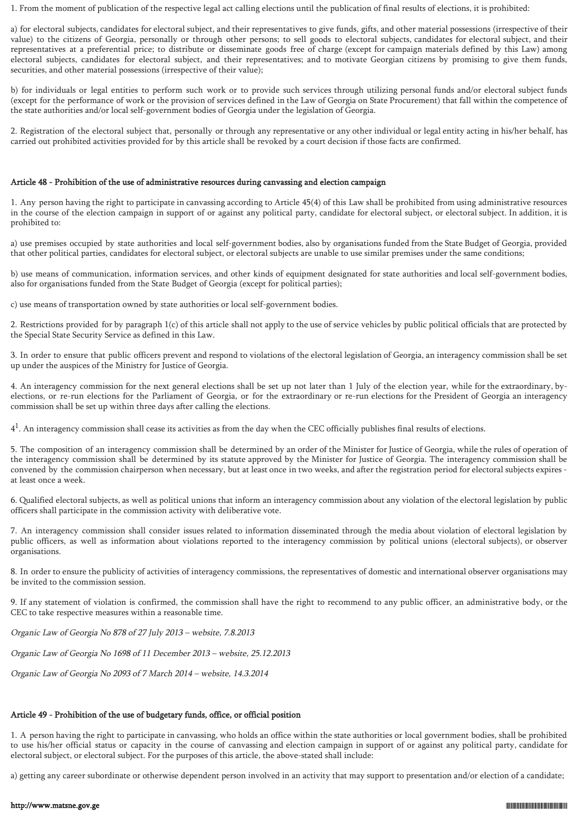1. From the moment of publication of the respective legal act calling elections until the publication of final results of elections, it is prohibited:

a) for electoral subjects, candidates for electoral subject, and their representatives to give funds, gifts, and other material possessions (irrespective of their value) to the citizens of Georgia, personally or through other persons; to sell goods to electoral subjects, candidates for electoral subject, and their representatives at a preferential price; to distribute or disseminate goods free of charge (except for campaign materials defined by this Law) among electoral subjects, candidates for electoral subject, and their representatives; and to motivate Georgian citizens by promising to give them funds, securities, and other material possessions (irrespective of their value);

b) for individuals or legal entities to perform such work or to provide such services through utilizing personal funds and/or electoral subject funds (except for the performance of work or the provision of services defined in the Law of Georgia on State Procurement) that fall within the competence of the state authorities and/or local self-government bodies of Georgia under the legislation of Georgia.

2. Registration of the electoral subject that, personally or through any representative or any other individual or legal entity acting in his/her behalf, has carried out prohibited activities provided for by this article shall be revoked by a court decision if those facts are confirmed.

### Article 48 - Prohibition of the use of administrative resources during canvassing and election campaign

1. Any person having the right to participate in canvassing according to Article 45(4) of this Law shall be prohibited from using administrative resources in the course of the election campaign in support of or against any political party, candidate for electoral subject, or electoral subject. In addition, it is prohibited to:

a) use premises occupied by state authorities and local self-government bodies, also by organisations funded from the State Budget of Georgia, provided that other political parties, candidates for electoral subject, or electoral subjects are unable to use similar premises under the same conditions;

b) use means of communication, information services, and other kinds of equipment designated for state authorities and local self-government bodies, also for organisations funded from the State Budget of Georgia (except for political parties);

c) use means of transportation owned by state authorities or local self-government bodies.

2. Restrictions provided for by paragraph 1(c) of this article shall not apply to the use of service vehicles by public political officials that are protected by the Special State Security Service as defined in this Law.

3. In order to ensure that public officers prevent and respond to violations of the electoral legislation of Georgia, an interagency commission shall be set up under the auspices of the Ministry for Justice of Georgia.

4. An interagency commission for the next general elections shall be set up not later than 1 July of the election year, while for the extraordinary, byelections, or re-run elections for the Parliament of Georgia, or for the extraordinary or re-run elections for the President of Georgia an interagency commission shall be set up within three days after calling the elections.

 $4<sup>1</sup>$ . An interagency commission shall cease its activities as from the day when the CEC officially publishes final results of elections.

5. The composition of an interagency commission shall be determined by an order of the Minister for Justice of Georgia, while the rules of operation of the interagency commission shall be determined by its statute approved by the Minister for Justice of Georgia. The interagency commission shall be convened by the commission chairperson when necessary, but at least once in two weeks, and after the registration period for electoral subjects expires at least once a week.

6. Qualified electoral subjects, as well as political unions that inform an interagency commission about any violation of the electoral legislation by public officers shall participate in the commission activity with deliberative vote.

7. An interagency commission shall consider issues related to information disseminated through the media about violation of electoral legislation by public officers, as well as information about violations reported to the interagency commission by political unions (electoral subjects), or observer organisations.

8. In order to ensure the publicity of activities of interagency commissions, the representatives of domestic and international observer organisations may be invited to the commission session.

9. If any statement of violation is confirmed, the commission shall have the right to recommend to any public officer, an administrative body, or the CEC to take respective measures within a reasonable time.

Organic Law of Georgia No 878 of 27 July 2013 – website, 7.8.2013

Organic Law of Georgia No 1698 of 11 December 2013 – website, 25.12.2013

Organic Law of Georgia No 2093 of 7 March 2014 – website, 14.3.2014

# Article 49 - Prohibition of the use of budgetary funds, office, or official position

1. A person having the right to participate in canvassing, who holds an office within the state authorities or local government bodies, shall be prohibited to use his/her official status or capacity in the course of canvassing and election campaign in support of or against any political party, candidate for electoral subject, or electoral subject. For the purposes of this article, the above-stated shall include:

a) getting any career subordinate or otherwise dependent person involved in an activity that may support to presentation and/or election of a candidate;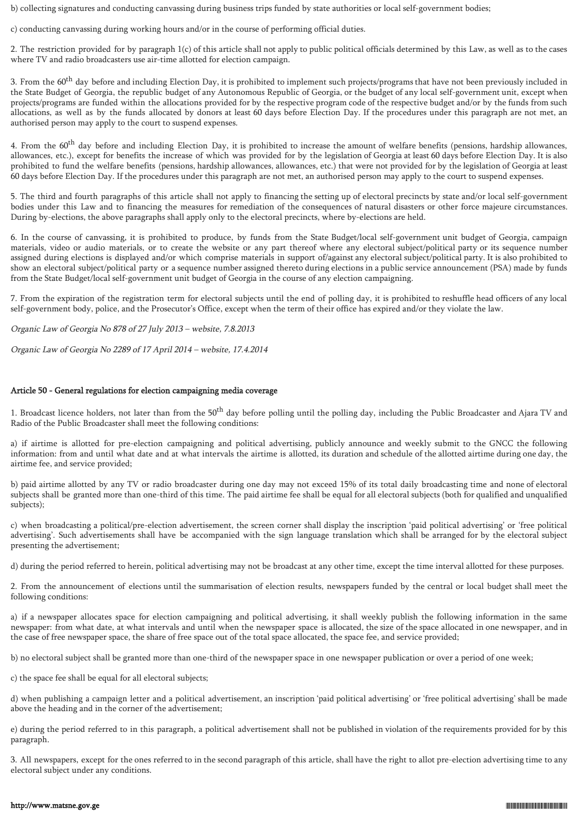b) collecting signatures and conducting canvassing during business trips funded by state authorities or local self-government bodies;

c) conducting canvassing during working hours and/or in the course of performing official duties.

2. The restriction provided for by paragraph 1(c) of this article shall not apply to public political officials determined by this Law, as well as to the cases where TV and radio broadcasters use air-time allotted for election campaign.

3. From the  $60^{\text{th}}$  day before and including Election Day, it is prohibited to implement such projects/programs that have not been previously included in the State Budget of Georgia, the republic budget of any Autonomous Republic of Georgia, or the budget of any local self-government unit, except when projects/programs are funded within the allocations provided for by the respective program code of the respective budget and/or by the funds from such allocations, as well as by the funds allocated by donors at least 60 days before Election Day. If the procedures under this paragraph are not met, an authorised person may apply to the court to suspend expenses.

4. From the  $60<sup>th</sup>$  day before and including Election Day, it is prohibited to increase the amount of welfare benefits (pensions, hardship allowances, allowances, etc.), except for benefits the increase of which was provided for by the legislation of Georgia at least 60 days before Election Day. It is also prohibited to fund the welfare benefits (pensions, hardship allowances, allowances, etc.) that were not provided for by the legislation of Georgia at least 60 days before Election Day. If the procedures under this paragraph are not met, an authorised person may apply to the court to suspend expenses.

5. The third and fourth paragraphs of this article shall not apply to financing the setting up of electoral precincts by state and/or local self-government bodies under this Law and to financing the measures for remediation of the consequences of natural disasters or other force majeure circumstances. During by-elections, the above paragraphs shall apply only to the electoral precincts, where by-elections are held.

6. In the course of canvassing, it is prohibited to produce, by funds from the State Budget/local self-government unit budget of Georgia, campaign materials, video or audio materials, or to create the website or any part thereof where any electoral subject/political party or its sequence number assigned during elections is displayed and/or which comprise materials in support of/against any electoral subject/political party. It is also prohibited to show an electoral subject/political party or a sequence number assigned thereto during elections in a public service announcement (PSA) made by funds from the State Budget/local self-government unit budget of Georgia in the course of any election campaigning.

7. From the expiration of the registration term for electoral subjects until the end of polling day, it is prohibited to reshuffle head officers of any local self-government body, police, and the Prosecutor's Office, except when the term of their office has expired and/or they violate the law.

Organic Law of Georgia No 878 of 27 July 2013 – website, 7.8.2013

Organic Law of Georgia No 2289 of 17 April 2014 – website, 17.4.2014

### Article 50 - General regulations for election campaigning media coverage

1. Broadcast licence holders, not later than from the 50<sup>th</sup> day before polling until the polling day, including the Public Broadcaster and Ajara TV and Radio of the Public Broadcaster shall meet the following conditions:

a) if airtime is allotted for pre-election campaigning and political advertising, publicly announce and weekly submit to the GNCC the following information: from and until what date and at what intervals the airtime is allotted, its duration and schedule of the allotted airtime during one day, the airtime fee, and service provided;

b) paid airtime allotted by any TV or radio broadcaster during one day may not exceed 15% of its total daily broadcasting time and none of electoral subjects shall be granted more than one-third of this time. The paid airtime fee shall be equal for all electoral subjects (both for qualified and unqualified subjects);

c) when broadcasting a political/pre-election advertisement, the screen corner shall display the inscription 'paid political advertising' or 'free political advertising'. Such advertisements shall have be accompanied with the sign language translation which shall be arranged for by the electoral subject presenting the advertisement;

d) during the period referred to herein, political advertising may not be broadcast at any other time, except the time interval allotted for these purposes.

2. From the announcement of elections until the summarisation of election results, newspapers funded by the central or local budget shall meet the following conditions:

a) if a newspaper allocates space for election campaigning and political advertising, it shall weekly publish the following information in the same newspaper: from what date, at what intervals and until when the newspaper space is allocated, the size of the space allocated in one newspaper, and in the case of free newspaper space, the share of free space out of the total space allocated, the space fee, and service provided;

b) no electoral subject shall be granted more than one-third of the newspaper space in one newspaper publication or over a period of one week;

c) the space fee shall be equal for all electoral subjects;

d) when publishing a campaign letter and a political advertisement, an inscription 'paid political advertising' or 'free political advertising' shall be made above the heading and in the corner of the advertisement;

e) during the period referred to in this paragraph, a political advertisement shall not be published in violation of the requirements provided for by this paragraph.

3. All newspapers, except for the ones referred to in the second paragraph of this article, shall have the right to allot pre-election advertising time to any electoral subject under any conditions.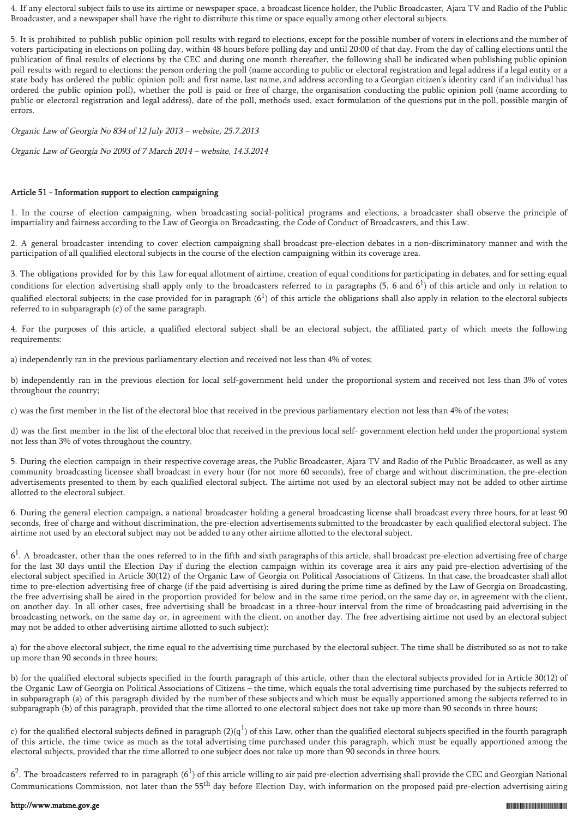4. If any electoral subject fails to use its airtime or newspaper space, a broadcast licence holder, the Public Broadcaster, Ajara TV and Radio of the Public Broadcaster, and a newspaper shall have the right to distribute this time or space equally among other electoral subjects.

5. It is prohibited to publish public opinion poll results with regard to elections, except for the possible number of voters in elections and the number of voters participating in elections on polling day, within 48 hours before polling day and until 20:00 of that day. From the day of calling elections until the publication of final results of elections by the CEC and during one month thereafter, the following shall be indicated when publishing public opinion poll results with regard to elections: the person ordering the poll (name according to public or electoral registration and legal address if a legal entity or a state body has ordered the public opinion poll; and first name, last name, and address according to a Georgian citizen's identity card if an individual has ordered the public opinion poll), whether the poll is paid or free of charge, the organisation conducting the public opinion poll (name according to public or electoral registration and legal address), date of the poll, methods used, exact formulation of the questions put in the poll, possible margin of errors.

Organic Law of Georgia No 834 of 12 July 2013 – website, 25.7.2013

Organic Law of Georgia No 2093 of 7 March 2014 – website, 14.3.2014

# Article 51 - Information support to election campaigning

1. In the course of election campaigning, when broadcasting social-political programs and elections, a broadcaster shall observe the principle of impartiality and fairness according to the Law of Georgia on Broadcasting, the Code of Conduct of Broadcasters, and this Law.

2. A general broadcaster intending to cover election campaigning shall broadcast pre-election debates in a non-discriminatory manner and with the participation of all qualified electoral subjects in the course of the election campaigning within its coverage area.

3. The obligations provided for by this Law for equal allotment of airtime, creation of equal conditions for participating in debates, and for setting equal conditions for election advertising shall apply only to the broadcasters referred to in paragraphs  $(5, 6 \text{ and } 6^1)$  of this article and only in relation to qualified electoral subjects; in the case provided for in paragraph ( $6^1$ ) of this article the obligations shall also apply in relation to the electoral subjects referred to in subparagraph (c) of the same paragraph.

4. For the purposes of this article, a qualified electoral subject shall be an electoral subject, the affiliated party of which meets the following requirements:

a) independently ran in the previous parliamentary election and received not less than 4% of votes;

b) independently ran in the previous election for local self-government held under the proportional system and received not less than 3% of votes throughout the country;

c) was the first member in the list of the electoral bloc that received in the previous parliamentary election not less than 4% of the votes;

d) was the first member in the list of the electoral bloc that received in the previous local self- government election held under the proportional system not less than 3% of votes throughout the country.

5. During the election campaign in their respective coverage areas, the Public Broadcaster, Ajara TV and Radio of the Public Broadcaster, as well as any community broadcasting licensee shall broadcast in every hour (for not more 60 seconds), free of charge and without discrimination, the pre-election advertisements presented to them by each qualified electoral subject. The airtime not used by an electoral subject may not be added to other airtime allotted to the electoral subject.

6. During the general election campaign, a national broadcaster holding a general broadcasting license shall broadcast every three hours, for at least 90 seconds, free of charge and without discrimination, the pre-election advertisements submitted to the broadcaster by each qualified electoral subject. The airtime not used by an electoral subject may not be added to any other airtime allotted to the electoral subject.

 $6<sup>1</sup>$ . A broadcaster, other than the ones referred to in the fifth and sixth paragraphs of this article, shall broadcast pre-election advertising free of charge for the last 30 days until the Election Day if during the election campaign within its coverage area it airs any paid pre-election advertising of the electoral subject specified in Article 30(12) of the Organic Law of Georgia on Political Associations of Citizens. In that case, the broadcaster shall allot time to pre-election advertising free of charge (if the paid advertising is aired during the prime time as defined by the Law of Georgia on Broadcasting, the free advertising shall be aired in the proportion provided for below and in the same time period, on the same day or, in agreement with the client, on another day. In all other cases, free advertising shall be broadcast in a three-hour interval from the time of broadcasting paid advertising in the broadcasting network, on the same day or, in agreement with the client, on another day. The free advertising airtime not used by an electoral subject may not be added to other advertising airtime allotted to such subject):

a) for the above electoral subject, the time equal to the advertising time purchased by the electoral subject. The time shall be distributed so as not to take up more than 90 seconds in three hours;

b) for the qualified electoral subjects specified in the fourth paragraph of this article, other than the electoral subjects provided for in Article 30(12) of the Organic Law of Georgia on Political Associations of Citizens – the time, which equals the total advertising time purchased by the subjects referred to in subparagraph (a) of this paragraph divided by the number of these subjects and which must be equally apportioned among the subjects referred to in subparagraph (b) of this paragraph, provided that the time allotted to one electoral subject does not take up more than 90 seconds in three hours;

c) for the qualified electoral subjects defined in paragraph (2)( $q^1$ ) of this Law, other than the qualified electoral subjects specified in the fourth paragraph of this article, the time twice as much as the total advertising time purchased under this paragraph, which must be equally apportioned among the electoral subjects, provided that the time allotted to one subject does not take up more than 90 seconds in three hours.

 $6^2$ . The broadcasters referred to in paragraph  $(6^1)$  of this article willing to air paid pre-election advertising shall provide the CEC and Georgian National Communications Commission, not later than the 55<sup>th</sup> day before Election Day, with information on the proposed paid pre-election advertising airing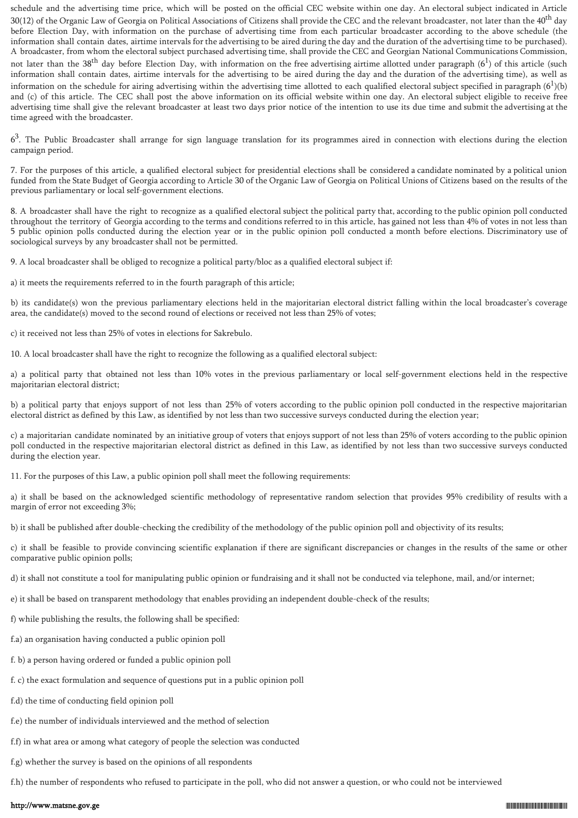schedule and the advertising time price, which will be posted on the official CEC website within one day. An electoral subject indicated in Article 30(12) of the Organic Law of Georgia on Political Associations of Citizens shall provide the CEC and the relevant broadcaster, not later than the 40<sup>th</sup> day before Election Day, with information on the purchase of advertising time from each particular broadcaster according to the above schedule (the information shall contain dates, airtime intervals for the advertising to be aired during the day and the duration of the advertising time to be purchased). A broadcaster, from whom the electoral subject purchased advertising time, shall provide the CEC and Georgian National Communications Commission, not later than the 38<sup>th</sup> day before Election Day, with information on the free advertising airtime allotted under paragraph (6<sup>1</sup>) of this article (such information shall contain dates, airtime intervals for the advertising to be aired during the day and the duration of the advertising time), as well as information on the schedule for airing advertising within the advertising time allotted to each qualified electoral subject specified in paragraph  $(6^1)(b)$ and (c) of this article. The CEC shall post the above information on its official website within one day. An electoral subject eligible to receive free advertising time shall give the relevant broadcaster at least two days prior notice of the intention to use its due time and submit the advertising at the time agreed with the broadcaster.

 $6<sup>3</sup>$ . The Public Broadcaster shall arrange for sign language translation for its programmes aired in connection with elections during the election campaign period.

7. For the purposes of this article, a qualified electoral subject for presidential elections shall be considered a candidate nominated by a political union funded from the State Budget of Georgia according to Article 30 of the Organic Law of Georgia on Political Unions of Citizens based on the results of the previous parliamentary or local self-government elections.

8. A broadcaster shall have the right to recognize as a qualified electoral subject the political party that, according to the public opinion poll conducted throughout the territory of Georgia according to the terms and conditions referred to in this article, has gained not less than 4% of votes in not less than 5 public opinion polls conducted during the election year or in the public opinion poll conducted a month before elections. Discriminatory use of sociological surveys by any broadcaster shall not be permitted.

9. A local broadcaster shall be obliged to recognize a political party/bloc as a qualified electoral subject if:

a) it meets the requirements referred to in the fourth paragraph of this article;

b) its candidate(s) won the previous parliamentary elections held in the majoritarian electoral district falling within the local broadcaster's coverage area, the candidate(s) moved to the second round of elections or received not less than 25% of votes;

c) it received not less than 25% of votes in elections for Sakrebulo.

10. A local broadcaster shall have the right to recognize the following as a qualified electoral subject:

a) a political party that obtained not less than 10% votes in the previous parliamentary or local self-government elections held in the respective majoritarian electoral district;

b) a political party that enjoys support of not less than 25% of voters according to the public opinion poll conducted in the respective majoritarian electoral district as defined by this Law, as identified by not less than two successive surveys conducted during the election year;

c) a majoritarian candidate nominated by an initiative group of voters that enjoys support of not less than 25% of voters according to the public opinion poll conducted in the respective majoritarian electoral district as defined in this Law, as identified by not less than two successive surveys conducted during the election year.

11. For the purposes of this Law, a public opinion poll shall meet the following requirements:

a) it shall be based on the acknowledged scientific methodology of representative random selection that provides 95% credibility of results with a margin of error not exceeding 3%;

b) it shall be published after double-checking the credibility of the methodology of the public opinion poll and objectivity of its results;

c) it shall be feasible to provide convincing scientific explanation if there are significant discrepancies or changes in the results of the same or other comparative public opinion polls;

d) it shall not constitute a tool for manipulating public opinion or fundraising and it shall not be conducted via telephone, mail, and/or internet;

e) it shall be based on transparent methodology that enables providing an independent double-check of the results;

f) while publishing the results, the following shall be specified:

- f.a) an organisation having conducted a public opinion poll
- f. b) a person having ordered or funded a public opinion poll
- f. c) the exact formulation and sequence of questions put in a public opinion poll
- f.d) the time of conducting field opinion poll
- f.e) the number of individuals interviewed and the method of selection
- f.f) in what area or among what category of people the selection was conducted
- f.g) whether the survey is based on the opinions of all respondents

f.h) the number of respondents who refused to participate in the poll, who did not answer a question, or who could not be interviewed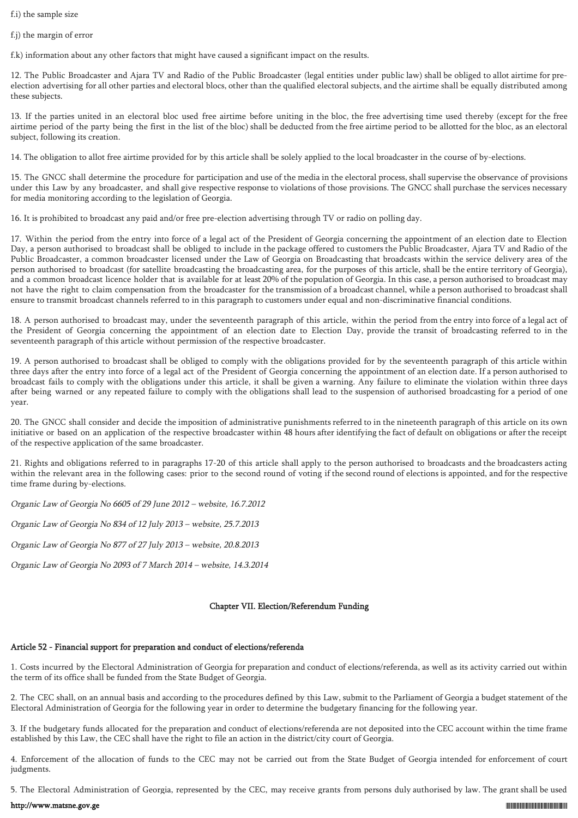f.i) the sample size

f.j) the margin of error

f.k) information about any other factors that might have caused a significant impact on the results.

12. The Public Broadcaster and Ajara TV and Radio of the Public Broadcaster (legal entities under public law) shall be obliged to allot airtime for preelection advertising for all other parties and electoral blocs, other than the qualified electoral subjects, and the airtime shall be equally distributed among these subjects.

13. If the parties united in an electoral bloc used free airtime before uniting in the bloc, the free advertising time used thereby (except for the free airtime period of the party being the first in the list of the bloc) shall be deducted from the free airtime period to be allotted for the bloc, as an electoral subject, following its creation.

14. The obligation to allot free airtime provided for by this article shall be solely applied to the local broadcaster in the course of by-elections.

15. The GNCC shall determine the procedure for participation and use of the media in the electoral process, shall supervise the observance of provisions under this Law by any broadcaster, and shall give respective response to violations of those provisions. The GNCC shall purchase the services necessary for media monitoring according to the legislation of Georgia.

16. It is prohibited to broadcast any paid and/or free pre-election advertising through TV or radio on polling day.

17. Within the period from the entry into force of a legal act of the President of Georgia concerning the appointment of an election date to Election Day, a person authorised to broadcast shall be obliged to include in the package offered to customers the Public Broadcaster, Ajara TV and Radio of the Public Broadcaster, a common broadcaster licensed under the Law of Georgia on Broadcasting that broadcasts within the service delivery area of the person authorised to broadcast (for satellite broadcasting the broadcasting area, for the purposes of this article, shall be the entire territory of Georgia), and a common broadcast licence holder that is available for at least 20% of the population of Georgia. In this case, a person authorised to broadcast may not have the right to claim compensation from the broadcaster for the transmission of a broadcast channel, while a person authorised to broadcast shall ensure to transmit broadcast channels referred to in this paragraph to customers under equal and non-discriminative financial conditions.

18. A person authorised to broadcast may, under the seventeenth paragraph of this article, within the period from the entry into force of a legal act of the President of Georgia concerning the appointment of an election date to Election Day, provide the transit of broadcasting referred to in the seventeenth paragraph of this article without permission of the respective broadcaster.

19. A person authorised to broadcast shall be obliged to comply with the obligations provided for by the seventeenth paragraph of this article within three days after the entry into force of a legal act of the President of Georgia concerning the appointment of an election date. If a person authorised to broadcast fails to comply with the obligations under this article, it shall be given a warning. Any failure to eliminate the violation within three days after being warned or any repeated failure to comply with the obligations shall lead to the suspension of authorised broadcasting for a period of one year.

20. The GNCC shall consider and decide the imposition of administrative punishments referred to in the nineteenth paragraph of this article on its own initiative or based on an application of the respective broadcaster within 48 hours after identifying the fact of default on obligations or after the receipt of the respective application of the same broadcaster.

21. Rights and obligations referred to in paragraphs 17-20 of this article shall apply to the person authorised to broadcasts and the broadcasters acting within the relevant area in the following cases: prior to the second round of voting if the second round of elections is appointed, and for the respective time frame during by-elections.

Organic Law of Georgia No 6605 of 29 June 2012 – website, 16.7.2012

Organic Law of Georgia No 834 of 12 July 2013 – website, 25.7.2013

Organic Law of Georgia No 877 of 27 July 2013 – website, 20.8.2013

Organic Law of Georgia No 2093 of 7 March 2014 – website, 14.3.2014

# Chapter VII. Election/Referendum Funding

# Article 52 - Financial support for preparation and conduct of elections/referenda

1. Costs incurred by the Electoral Administration of Georgia for preparation and conduct of elections/referenda, as well as its activity carried out within the term of its office shall be funded from the State Budget of Georgia.

2. The CEC shall, on an annual basis and according to the procedures defined by this Law, submit to the Parliament of Georgia a budget statement of the Electoral Administration of Georgia for the following year in order to determine the budgetary financing for the following year.

3. If the budgetary funds allocated for the preparation and conduct of elections/referenda are not deposited into the CEC account within the time frame established by this Law, the CEC shall have the right to file an action in the district/city court of Georgia.

4. Enforcement of the allocation of funds to the CEC may not be carried out from the State Budget of Georgia intended for enforcement of court judgments.

5. The Electoral Administration of Georgia, represented by the CEC, may receive grants from persons duly authorised by law. The grant shall be used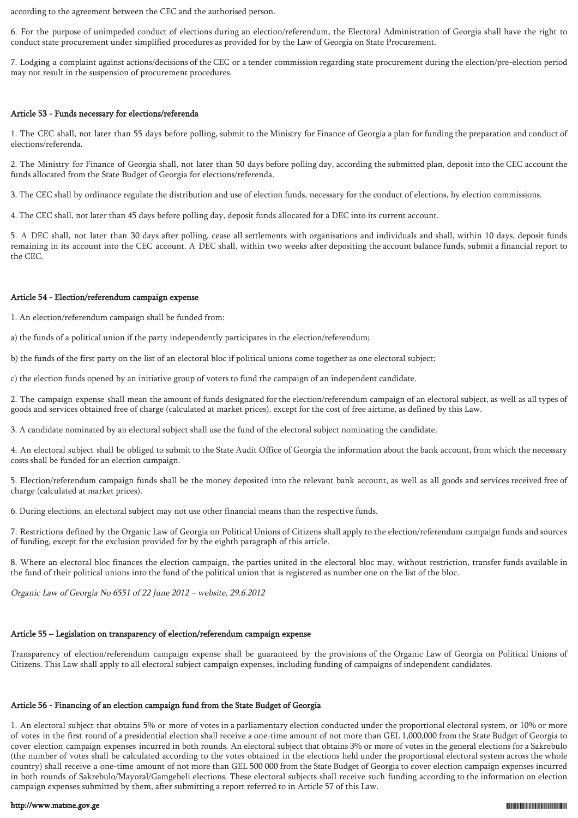according to the agreement between the CEC and the authorised person.

6. For the purpose of unimpeded conduct of elections during an election/referendum, the Electoral Administration of Georgia shall have the right to conduct state procurement under simplified procedures as provided for by the Law of Georgia on State Procurement.

7. Lodging a complaint against actions/decisions of the CEC or a tender commission regarding state procurement during the election/pre-election period may not result in the suspension of procurement procedures.

### Article 53 - Funds necessary for elections/referenda

1. The CEC shall, not later than 55 days before polling, submit to the Ministry for Finance of Georgia a plan for funding the preparation and conduct of elections/referenda.

2. The Ministry for Finance of Georgia shall, not later than 50 days before polling day, according the submitted plan, deposit into the CEC account the funds allocated from the State Budget of Georgia for elections/referenda.

3. The CEC shall by ordinance regulate the distribution and use of election funds, necessary for the conduct of elections, by election commissions.

4. The CEC shall, not later than 45 days before polling day, deposit funds allocated for a DEC into its current account.

5. A DEC shall, not later than 30 days after polling, cease all settlements with organisations and individuals and shall, within 10 days, deposit funds remaining in its account into the CEC account. A DEC shall, within two weeks after depositing the account balance funds, submit a financial report to the CEC.

# Article 54 - Election/referendum campaign expense

1. An election/referendum campaign shall be funded from:

a) the funds of a political union if the party independently participates in the election/referendum;

b) the funds of the first party on the list of an electoral bloc if political unions come together as one electoral subject;

c) the election funds opened by an initiative group of voters to fund the campaign of an independent candidate.

2. The campaign expense shall mean the amount of funds designated for the election/referendum campaign of an electoral subject, as well as all types of goods and services obtained free of charge (calculated at market prices), except for the cost of free airtime, as defined by this Law.

3. A candidate nominated by an electoral subject shall use the fund of the electoral subject nominating the candidate.

4. An electoral subject shall be obliged to submit to the State Audit Office of Georgia the information about the bank account, from which the necessary costs shall be funded for an election campaign.

5. Election/referendum campaign funds shall be the money deposited into the relevant bank account, as well as all goods and services received free of charge (calculated at market prices).

6. During elections, an electoral subject may not use other financial means than the respective funds.

7. Restrictions defined by the Organic Law of Georgia on Political Unions of Citizens shall apply to the election/referendum campaign funds and sources of funding, except for the exclusion provided for by the eighth paragraph of this article.

8. Where an electoral bloc finances the election campaign, the parties united in the electoral bloc may, without restriction, transfer funds available in the fund of their political unions into the fund of the political union that is registered as number one on the list of the bloc.

Organic Law of Georgia No 6551 of 22 June 2012 – website, 29.6.2012

# Article 55 – Legislation on transparency of election/referendum campaign expense

Transparency of election/referendum campaign expense shall be guaranteed by the provisions of the Organic Law of Georgia on Political Unions of Citizens. This Law shall apply to all electoral subject campaign expenses, including funding of campaigns of independent candidates.

# Article 56 - Financing of an election campaign fund from the State Budget of Georgia

1. An electoral subject that obtains 5% or more of votes in a parliamentary election conducted under the proportional electoral system, or 10% or more of votes in the first round of a presidential election shall receive a one-time amount of not more than GEL 1,000,000 from the State Budget of Georgia to cover election campaign expenses incurred in both rounds. An electoral subject that obtains 3% or more of votes in the general elections for a Sakrebulo (the number of votes shall be calculated according to the votes obtained in the elections held under the proportional electoral system across the whole country) shall receive a one-time amount of not more than GEL 500 000 from the State Budget of Georgia to cover election campaign expenses incurred in both rounds of Sakrebulo/Mayoral/Gamgebeli elections. These electoral subjects shall receive such funding according to the information on election campaign expenses submitted by them, after submitting a report referred to in Article 57 of this Law.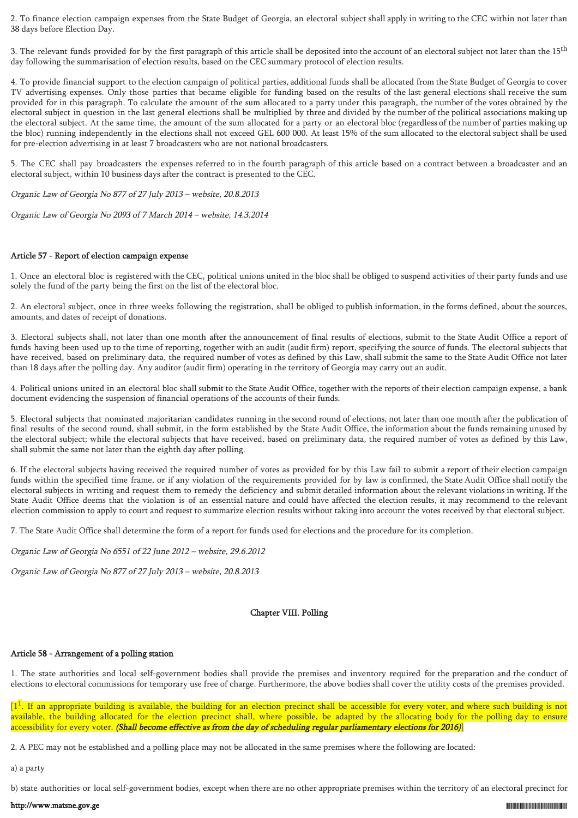2. To finance election campaign expenses from the State Budget of Georgia, an electoral subject shall apply in writing to the CEC within not later than 38 days before Election Day.

3. The relevant funds provided for by the first paragraph of this article shall be deposited into the account of an electoral subject not later than the 15<sup>th</sup> day following the summarisation of election results, based on the CEC summary protocol of election results.

4. To provide financial support to the election campaign of political parties, additional funds shall be allocated from the State Budget of Georgia to cover TV advertising expenses. Only those parties that became eligible for funding based on the results of the last general elections shall receive the sum provided for in this paragraph. To calculate the amount of the sum allocated to a party under this paragraph, the number of the votes obtained by the electoral subject in question in the last general elections shall be multiplied by three and divided by the number of the political associations making up the electoral subject. At the same time, the amount of the sum allocated for a party or an electoral bloc (regardless of the number of parties making up the bloc) running independently in the elections shall not exceed GEL 600 000. At least 15% of the sum allocated to the electoral subject shall be used for pre-election advertising in at least 7 broadcasters who are not national broadcasters.

5. The CEC shall pay broadcasters the expenses referred to in the fourth paragraph of this article based on a contract between a broadcaster and an electoral subject, within 10 business days after the contract is presented to the CEC.

Organic Law of Georgia No 877 of 27 July 2013 – website, 20.8.2013

Organic Law of Georgia No 2093 of 7 March 2014 – website, 14.3.2014

# Article 57 - Report of election campaign expense

1. Once an electoral bloc is registered with the CEC, political unions united in the bloc shall be obliged to suspend activities of their party funds and use solely the fund of the party being the first on the list of the electoral bloc.

2. An electoral subject, once in three weeks following the registration, shall be obliged to publish information, in the forms defined, about the sources, amounts, and dates of receipt of donations.

3. Electoral subjects shall, not later than one month after the announcement of final results of elections, submit to the State Audit Office a report of funds having been used up to the time of reporting, together with an audit (audit firm) report, specifying the source of funds. The electoral subjects that have received, based on preliminary data, the required number of votes as defined by this Law, shall submit the same to the State Audit Office not later than 18 days after the polling day. Any auditor (audit firm) operating in the territory of Georgia may carry out an audit.

4. Political unions united in an electoral bloc shall submit to the State Audit Office, together with the reports of their election campaign expense, a bank document evidencing the suspension of financial operations of the accounts of their funds.

5. Electoral subjects that nominated majoritarian candidates running in the second round of elections, not later than one month after the publication of final results of the second round, shall submit, in the form established by the State Audit Office, the information about the funds remaining unused by the electoral subject; while the electoral subjects that have received, based on preliminary data, the required number of votes as defined by this Law, shall submit the same not later than the eighth day after polling.

6. If the electoral subjects having received the required number of votes as provided for by this Law fail to submit a report of their election campaign funds within the specified time frame, or if any violation of the requirements provided for by law is confirmed, the State Audit Office shall notify the electoral subjects in writing and request them to remedy the deficiency and submit detailed information about the relevant violations in writing. If the State Audit Office deems that the violation is of an essential nature and could have affected the election results, it may recommend to the relevant election commission to apply to court and request to summarize election results without taking into account the votes received by that electoral subject.

7. The State Audit Office shall determine the form of a report for funds used for elections and the procedure for its completion.

Organic Law of Georgia No 6551 of 22 June 2012 – website, 29.6.2012

Organic Law of Georgia No 877 of 27 July 2013 – website, 20.8.2013

# Chapter VIII. Polling

# Article 58 - Arrangement of a polling station

1. The state authorities and local self-government bodies shall provide the premises and inventory required for the preparation and the conduct of elections to electoral commissions for temporary use free of charge. Furthermore, the above bodies shall cover the utility costs of the premises provided.

 $[1^{\overline{1}}]$ . If an appropriate building is available, the building for an election precinct shall be accessible for every voter, and where such building is not available, the building allocated for the election precinct shall, where possible, be adapted by the allocating body for the polling day to ensure accessibility for every voter. (Shall become effective as from the day of scheduling regular parliamentary elections for 2016)]

2. A PEC may not be established and a polling place may not be allocated in the same premises where the following are located:

a) a party

b) state authorities or local self-government bodies, except when there are no other appropriate premises within the territory of an electoral precinct for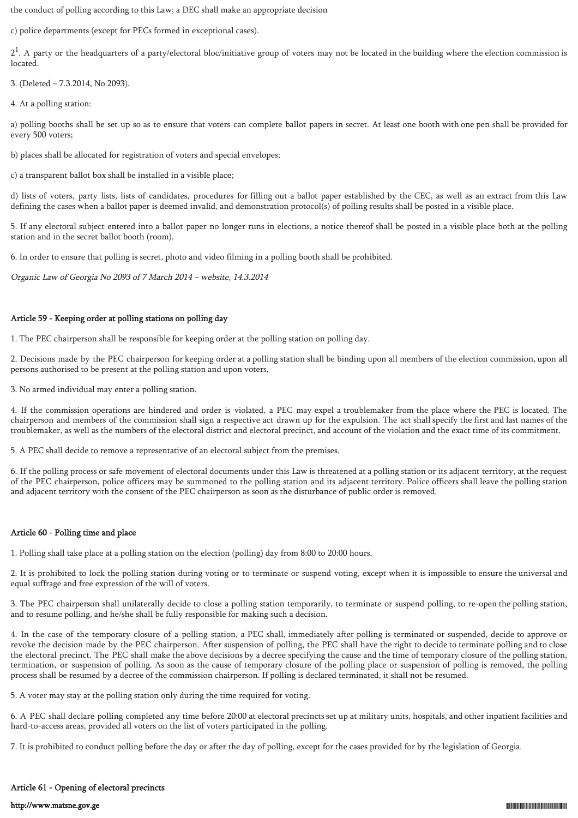the conduct of polling according to this Law; a DEC shall make an appropriate decision

c) police departments (except for PECs formed in exceptional cases).

 $2<sup>1</sup>$ . A party or the headquarters of a party/electoral bloc/initiative group of voters may not be located in the building where the election commission is located.

3. (Deleted – 7.3.2014, No 2093).

4. At a polling station:

a) polling booths shall be set up so as to ensure that voters can complete ballot papers in secret. At least one booth with one pen shall be provided for every 500 voters;

b) places shall be allocated for registration of voters and special envelopes;

c) a transparent ballot box shall be installed in a visible place;

d) lists of voters, party lists, lists of candidates, procedures for filling out a ballot paper established by the CEC, as well as an extract from this Law defining the cases when a ballot paper is deemed invalid, and demonstration protocol(s) of polling results shall be posted in a visible place.

5. If any electoral subject entered into a ballot paper no longer runs in elections, a notice thereof shall be posted in a visible place both at the polling station and in the secret ballot booth (room).

6. In order to ensure that polling is secret, photo and video filming in a polling booth shall be prohibited.

Organic Law of Georgia No 2093 of 7 March 2014 – website, 14.3.2014

# Article 59 - Keeping order at polling stations on polling day

1. The PEC chairperson shall be responsible for keeping order at the polling station on polling day.

2. Decisions made by the PEC chairperson for keeping order at a polling station shall be binding upon all members of the election commission, upon all persons authorised to be present at the polling station and upon voters.

3. No armed individual may enter a polling station.

4. If the commission operations are hindered and order is violated, a PEC may expel a troublemaker from the place where the PEC is located. The chairperson and members of the commission shall sign a respective act drawn up for the expulsion. The act shall specify the first and last names of the troublemaker, as well as the numbers of the electoral district and electoral precinct, and account of the violation and the exact time of its commitment.

5. A PEC shall decide to remove a representative of an electoral subject from the premises.

6. If the polling process or safe movement of electoral documents under this Law is threatened at a polling station or its adjacent territory, at the request of the PEC chairperson, police officers may be summoned to the polling station and its adjacent territory. Police officers shall leave the polling station and adjacent territory with the consent of the PEC chairperson as soon as the disturbance of public order is removed.

# Article 60 - Polling time and place

1. Polling shall take place at a polling station on the election (polling) day from 8:00 to 20:00 hours.

2. It is prohibited to lock the polling station during voting or to terminate or suspend voting, except when it is impossible to ensure the universal and equal suffrage and free expression of the will of voters.

3. The PEC chairperson shall unilaterally decide to close a polling station temporarily, to terminate or suspend polling, to re-open the polling station, and to resume polling, and he/she shall be fully responsible for making such a decision.

4. In the case of the temporary closure of a polling station, a PEC shall, immediately after polling is terminated or suspended, decide to approve or revoke the decision made by the PEC chairperson. After suspension of polling, the PEC shall have the right to decide to terminate polling and to close the electoral precinct. The PEC shall make the above decisions by a decree specifying the cause and the time of temporary closure of the polling station, termination, or suspension of polling. As soon as the cause of temporary closure of the polling place or suspension of polling is removed, the polling process shall be resumed by a decree of the commission chairperson. If polling is declared terminated, it shall not be resumed.

5. A voter may stay at the polling station only during the time required for voting.

6. A PEC shall declare polling completed any time before 20:00 at electoral precincts set up at military units, hospitals, and other inpatient facilities and hard-to-access areas, provided all voters on the list of voters participated in the polling.

7. It is prohibited to conduct polling before the day or after the day of polling, except for the cases provided for by the legislation of Georgia.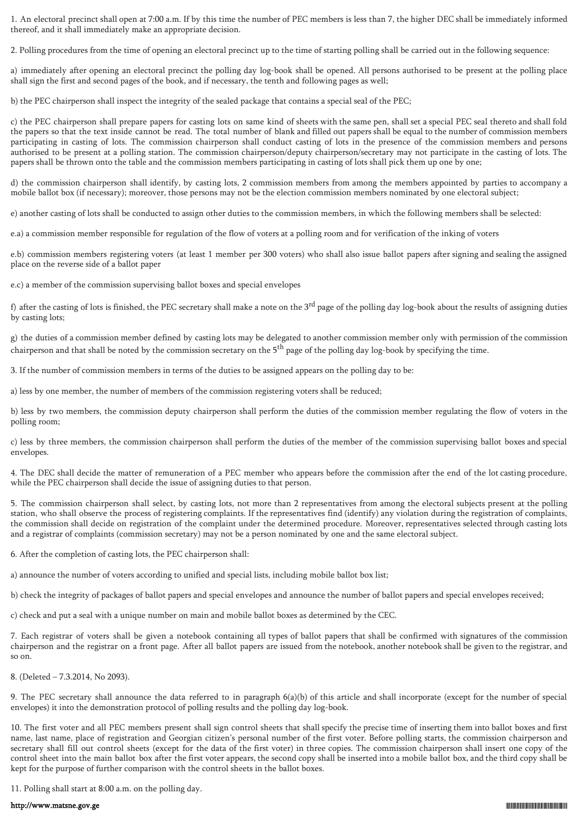1. An electoral precinct shall open at 7:00 a.m. If by this time the number of PEC members is less than 7, the higher DEC shall be immediately informed thereof, and it shall immediately make an appropriate decision.

2. Polling procedures from the time of opening an electoral precinct up to the time of starting polling shall be carried out in the following sequence:

a) immediately after opening an electoral precinct the polling day log-book shall be opened. All persons authorised to be present at the polling place shall sign the first and second pages of the book, and if necessary, the tenth and following pages as well;

b) the PEC chairperson shall inspect the integrity of the sealed package that contains a special seal of the PEC;

c) the PEC chairperson shall prepare papers for casting lots on same kind of sheets with the same pen, shall set a special PEC seal thereto and shall fold the papers so that the text inside cannot be read. The total number of blank and filled out papers shall be equal to the number of commission members participating in casting of lots. The commission chairperson shall conduct casting of lots in the presence of the commission members and persons authorised to be present at a polling station. The commission chairperson/deputy chairperson/secretary may not participate in the casting of lots. The papers shall be thrown onto the table and the commission members participating in casting of lots shall pick them up one by one;

d) the commission chairperson shall identify, by casting lots, 2 commission members from among the members appointed by parties to accompany a mobile ballot box (if necessary); moreover, those persons may not be the election commission members nominated by one electoral subject;

e) another casting of lots shall be conducted to assign other duties to the commission members, in which the following members shall be selected:

e.a) a commission member responsible for regulation of the flow of voters at a polling room and for verification of the inking of voters

e.b) commission members registering voters (at least 1 member per 300 voters) who shall also issue ballot papers after signing and sealing the assigned place on the reverse side of a ballot paper

e.c) a member of the commission supervising ballot boxes and special envelopes

f) after the casting of lots is finished, the PEC secretary shall make a note on the 3<sup>rd</sup> page of the polling day log-book about the results of assigning duties by casting lots;

g) the duties of a commission member defined by casting lots may be delegated to another commission member only with permission of the commission chairperson and that shall be noted by the commission secretary on the  $5<sup>th</sup>$  page of the polling day log-book by specifying the time.

3. If the number of commission members in terms of the duties to be assigned appears on the polling day to be:

a) less by one member, the number of members of the commission registering voters shall be reduced;

b) less by two members, the commission deputy chairperson shall perform the duties of the commission member regulating the flow of voters in the polling room;

c) less by three members, the commission chairperson shall perform the duties of the member of the commission supervising ballot boxes and special envelopes.

4. The DEC shall decide the matter of remuneration of a PEC member who appears before the commission after the end of the lot casting procedure, while the PEC chairperson shall decide the issue of assigning duties to that person.

5. The commission chairperson shall select, by casting lots, not more than 2 representatives from among the electoral subjects present at the polling station, who shall observe the process of registering complaints. If the representatives find (identify) any violation during the registration of complaints, the commission shall decide on registration of the complaint under the determined procedure. Moreover, representatives selected through casting lots and a registrar of complaints (commission secretary) may not be a person nominated by one and the same electoral subject.

6. After the completion of casting lots, the PEC chairperson shall:

a) announce the number of voters according to unified and special lists, including mobile ballot box list;

b) check the integrity of packages of ballot papers and special envelopes and announce the number of ballot papers and special envelopes received;

c) check and put a seal with a unique number on main and mobile ballot boxes as determined by the CEC.

7. Each registrar of voters shall be given a notebook containing all types of ballot papers that shall be confirmed with signatures of the commission chairperson and the registrar on a front page. After all ballot papers are issued from the notebook, another notebook shall be given to the registrar, and so on.

8. (Deleted – 7.3.2014, No 2093).

9. The PEC secretary shall announce the data referred to in paragraph 6(a)(b) of this article and shall incorporate (except for the number of special envelopes) it into the demonstration protocol of polling results and the polling day log-book.

10. The first voter and all PEC members present shall sign control sheets that shall specify the precise time of inserting them into ballot boxes and first name, last name, place of registration and Georgian citizen's personal number of the first voter. Before polling starts, the commission chairperson and secretary shall fill out control sheets (except for the data of the first voter) in three copies. The commission chairperson shall insert one copy of the control sheet into the main ballot box after the first voter appears, the second copy shall be inserted into a mobile ballot box, and the third copy shall be kept for the purpose of further comparison with the control sheets in the ballot boxes.

11. Polling shall start at 8:00 a.m. on the polling day.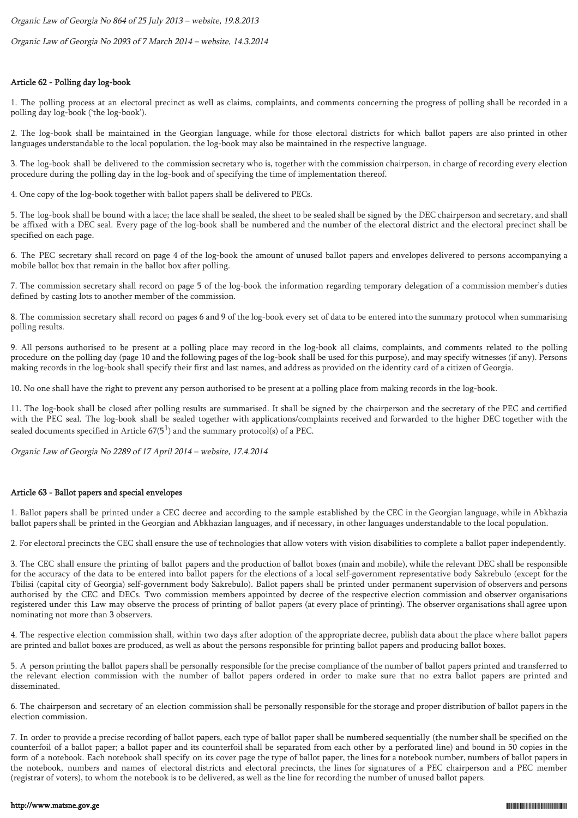Organic Law of Georgia No 864 of 25 July 2013 – website, 19.8.2013

Organic Law of Georgia No 2093 of 7 March 2014 – website, 14.3.2014

## Article 62 - Polling day log-book

1. The polling process at an electoral precinct as well as claims, complaints, and comments concerning the progress of polling shall be recorded in a polling day log-book ('the log-book').

2. The log-book shall be maintained in the Georgian language, while for those electoral districts for which ballot papers are also printed in other languages understandable to the local population, the log-book may also be maintained in the respective language.

3. The log-book shall be delivered to the commission secretary who is, together with the commission chairperson, in charge of recording every election procedure during the polling day in the log-book and of specifying the time of implementation thereof.

4. One copy of the log-book together with ballot papers shall be delivered to PECs.

5. The log-book shall be bound with a lace; the lace shall be sealed, the sheet to be sealed shall be signed by the DEC chairperson and secretary, and shall be affixed with a DEC seal. Every page of the log-book shall be numbered and the number of the electoral district and the electoral precinct shall be specified on each page.

6. The PEC secretary shall record on page 4 of the log-book the amount of unused ballot papers and envelopes delivered to persons accompanying a mobile ballot box that remain in the ballot box after polling.

7. The commission secretary shall record on page 5 of the log-book the information regarding temporary delegation of a commission member's duties defined by casting lots to another member of the commission.

8. The commission secretary shall record on pages 6 and 9 of the log-book every set of data to be entered into the summary protocol when summarising polling results.

9. All persons authorised to be present at a polling place may record in the log-book all claims, complaints, and comments related to the polling procedure on the polling day (page 10 and the following pages of the log-book shall be used for this purpose), and may specify witnesses (if any). Persons making records in the log-book shall specify their first and last names, and address as provided on the identity card of a citizen of Georgia.

10. No one shall have the right to prevent any person authorised to be present at a polling place from making records in the log-book.

11. The log-book shall be closed after polling results are summarised. It shall be signed by the chairperson and the secretary of the PEC and certified with the PEC seal. The log-book shall be sealed together with applications/complaints received and forwarded to the higher DEC together with the sealed documents specified in Article  $67(5^1)$  and the summary protocol(s) of a PEC.

Organic Law of Georgia No 2289 of 17 April 2014 – website, 17.4.2014

## Article 63 - Ballot papers and special envelopes

1. Ballot papers shall be printed under a CEC decree and according to the sample established by the CEC in the Georgian language, while in Abkhazia ballot papers shall be printed in the Georgian and Abkhazian languages, and if necessary, in other languages understandable to the local population.

2. For electoral precincts the CEC shall ensure the use of technologies that allow voters with vision disabilities to complete a ballot paper independently.

3. The CEC shall ensure the printing of ballot papers and the production of ballot boxes (main and mobile), while the relevant DEC shall be responsible for the accuracy of the data to be entered into ballot papers for the elections of a local self-government representative body Sakrebulo (except for the Tbilisi (capital city of Georgia) self-government body Sakrebulo). Ballot papers shall be printed under permanent supervision of observers and persons authorised by the CEC and DECs. Two commission members appointed by decree of the respective election commission and observer organisations registered under this Law may observe the process of printing of ballot papers (at every place of printing). The observer organisations shall agree upon nominating not more than 3 observers.

4. The respective election commission shall, within two days after adoption of the appropriate decree, publish data about the place where ballot papers are printed and ballot boxes are produced, as well as about the persons responsible for printing ballot papers and producing ballot boxes.

5. A person printing the ballot papers shall be personally responsible for the precise compliance of the number of ballot papers printed and transferred to the relevant election commission with the number of ballot papers ordered in order to make sure that no extra ballot papers are printed and disseminated.

6. The chairperson and secretary of an election commission shall be personally responsible for the storage and proper distribution of ballot papers in the election commission.

7. In order to provide a precise recording of ballot papers, each type of ballot paper shall be numbered sequentially (the number shall be specified on the counterfoil of a ballot paper; a ballot paper and its counterfoil shall be separated from each other by a perforated line) and bound in 50 copies in the form of a notebook. Each notebook shall specify on its cover page the type of ballot paper, the lines for a notebook number, numbers of ballot papers in the notebook, numbers and names of electoral districts and electoral precincts, the lines for signatures of a PEC chairperson and a PEC member (registrar of voters), to whom the notebook is to be delivered, as well as the line for recording the number of unused ballot papers.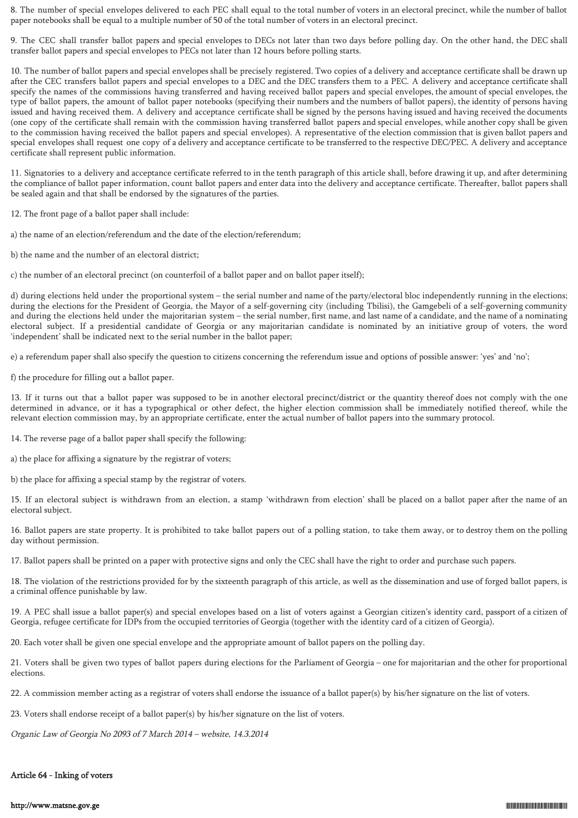8. The number of special envelopes delivered to each PEC shall equal to the total number of voters in an electoral precinct, while the number of ballot paper notebooks shall be equal to a multiple number of 50 of the total number of voters in an electoral precinct.

9. The CEC shall transfer ballot papers and special envelopes to DECs not later than two days before polling day. On the other hand, the DEC shall transfer ballot papers and special envelopes to PECs not later than 12 hours before polling starts.

10. The number of ballot papers and special envelopes shall be precisely registered. Two copies of a delivery and acceptance certificate shall be drawn up after the CEC transfers ballot papers and special envelopes to a DEC and the DEC transfers them to a PEC. A delivery and acceptance certificate shall specify the names of the commissions having transferred and having received ballot papers and special envelopes, the amount of special envelopes, the type of ballot papers, the amount of ballot paper notebooks (specifying their numbers and the numbers of ballot papers), the identity of persons having issued and having received them. A delivery and acceptance certificate shall be signed by the persons having issued and having received the documents (one copy of the certificate shall remain with the commission having transferred ballot papers and special envelopes, while another copy shall be given to the commission having received the ballot papers and special envelopes). A representative of the election commission that is given ballot papers and special envelopes shall request one copy of a delivery and acceptance certificate to be transferred to the respective DEC/PEC. A delivery and acceptance certificate shall represent public information.

11. Signatories to a delivery and acceptance certificate referred to in the tenth paragraph of this article shall, before drawing it up, and after determining the compliance of ballot paper information, count ballot papers and enter data into the delivery and acceptance certificate. Thereafter, ballot papers shall be sealed again and that shall be endorsed by the signatures of the parties.

12. The front page of a ballot paper shall include:

a) the name of an election/referendum and the date of the election/referendum;

b) the name and the number of an electoral district;

c) the number of an electoral precinct (on counterfoil of a ballot paper and on ballot paper itself);

d) during elections held under the proportional system – the serial number and name of the party/electoral bloc independently running in the elections; during the elections for the President of Georgia, the Mayor of a self-governing city (including Tbilisi), the Gamgebeli of a self-governing community and during the elections held under the majoritarian system – the serial number, first name, and last name of a candidate, and the name of a nominating electoral subject. If a presidential candidate of Georgia or any majoritarian candidate is nominated by an initiative group of voters, the word 'independent' shall be indicated next to the serial number in the ballot paper;

e) a referendum paper shall also specify the question to citizens concerning the referendum issue and options of possible answer: 'yes' and 'no';

f) the procedure for filling out a ballot paper.

13. If it turns out that a ballot paper was supposed to be in another electoral precinct/district or the quantity thereof does not comply with the one determined in advance, or it has a typographical or other defect, the higher election commission shall be immediately notified thereof, while the relevant election commission may, by an appropriate certificate, enter the actual number of ballot papers into the summary protocol.

14. The reverse page of a ballot paper shall specify the following:

a) the place for affixing a signature by the registrar of voters;

b) the place for affixing a special stamp by the registrar of voters.

15. If an electoral subject is withdrawn from an election, a stamp 'withdrawn from election' shall be placed on a ballot paper after the name of an electoral subject.

16. Ballot papers are state property. It is prohibited to take ballot papers out of a polling station, to take them away, or to destroy them on the polling day without permission.

17. Ballot papers shall be printed on a paper with protective signs and only the CEC shall have the right to order and purchase such papers.

18. The violation of the restrictions provided for by the sixteenth paragraph of this article, as well as the dissemination and use of forged ballot papers, is a criminal offence punishable by law.

19. A PEC shall issue a ballot paper(s) and special envelopes based on a list of voters against a Georgian citizen's identity card, passport of a citizen of Georgia, refugee certificate for IDPs from the occupied territories of Georgia (together with the identity card of a citizen of Georgia).

20. Each voter shall be given one special envelope and the appropriate amount of ballot papers on the polling day.

21. Voters shall be given two types of ballot papers during elections for the Parliament of Georgia – one for majoritarian and the other for proportional elections.

22. A commission member acting as a registrar of voters shall endorse the issuance of a ballot paper(s) by his/her signature on the list of voters.

23. Voters shall endorse receipt of a ballot paper(s) by his/her signature on the list of voters.

Organic Law of Georgia No 2093 of 7 March 2014 – website, 14.3.2014

## Article 64 - Inking of voters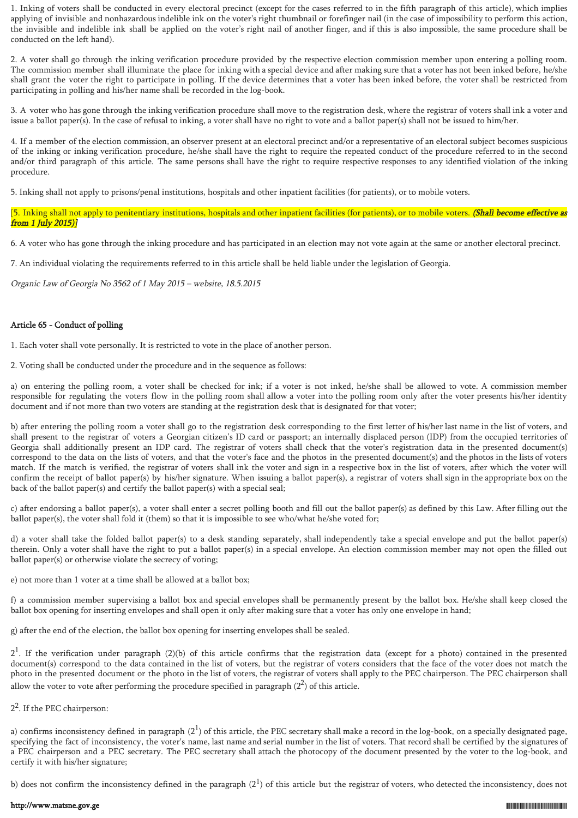1. Inking of voters shall be conducted in every electoral precinct (except for the cases referred to in the fifth paragraph of this article), which implies applying of invisible and nonhazardous indelible ink on the voter's right thumbnail or forefinger nail (in the case of impossibility to perform this action, the invisible and indelible ink shall be applied on the voter's right nail of another finger, and if this is also impossible, the same procedure shall be conducted on the left hand).

2. A voter shall go through the inking verification procedure provided by the respective election commission member upon entering a polling room. The commission member shall illuminate the place for inking with a special device and after making sure that a voter has not been inked before, he/she shall grant the voter the right to participate in polling. If the device determines that a voter has been inked before, the voter shall be restricted from participating in polling and his/her name shall be recorded in the log-book.

3. A voter who has gone through the inking verification procedure shall move to the registration desk, where the registrar of voters shall ink a voter and issue a ballot paper(s). In the case of refusal to inking, a voter shall have no right to vote and a ballot paper(s) shall not be issued to him/her.

4. If a member of the election commission, an observer present at an electoral precinct and/or a representative of an electoral subject becomes suspicious of the inking or inking verification procedure, he/she shall have the right to require the repeated conduct of the procedure referred to in the second and/or third paragraph of this article. The same persons shall have the right to require respective responses to any identified violation of the inking procedure.

5. Inking shall not apply to prisons/penal institutions, hospitals and other inpatient facilities (for patients), or to mobile voters.

[5. Inking shall not apply to penitentiary institutions, hospitals and other inpatient facilities (for patients), or to mobile voters. (Shall become effective as from 1 July 2015)]

6. A voter who has gone through the inking procedure and has participated in an election may not vote again at the same or another electoral precinct.

7. An individual violating the requirements referred to in this article shall be held liable under the legislation of Georgia.

Organic Law of Georgia No 3562 of 1 May 2015 – website, 18.5.2015

## Article 65 - Conduct of polling

1. Each voter shall vote personally. It is restricted to vote in the place of another person.

2. Voting shall be conducted under the procedure and in the sequence as follows:

a) on entering the polling room, a voter shall be checked for ink; if a voter is not inked, he/she shall be allowed to vote. A commission member responsible for regulating the voters flow in the polling room shall allow a voter into the polling room only after the voter presents his/her identity document and if not more than two voters are standing at the registration desk that is designated for that voter;

b) after entering the polling room a voter shall go to the registration desk corresponding to the first letter of his/her last name in the list of voters, and shall present to the registrar of voters a Georgian citizen's ID card or passport; an internally displaced person (IDP) from the occupied territories of Georgia shall additionally present an IDP card. The registrar of voters shall check that the voter's registration data in the presented document(s) correspond to the data on the lists of voters, and that the voter's face and the photos in the presented document(s) and the photos in the lists of voters match. If the match is verified, the registrar of voters shall ink the voter and sign in a respective box in the list of voters, after which the voter will confirm the receipt of ballot paper(s) by his/her signature. When issuing a ballot paper(s), a registrar of voters shall sign in the appropriate box on the back of the ballot paper(s) and certify the ballot paper(s) with a special seal;

c) after endorsing a ballot paper(s), a voter shall enter a secret polling booth and fill out the ballot paper(s) as defined by this Law. After filling out the ballot paper(s), the voter shall fold it (them) so that it is impossible to see who/what he/she voted for;

d) a voter shall take the folded ballot paper(s) to a desk standing separately, shall independently take a special envelope and put the ballot paper(s) therein. Only a voter shall have the right to put a ballot paper(s) in a special envelope. An election commission member may not open the filled out ballot paper(s) or otherwise violate the secrecy of voting;

e) not more than 1 voter at a time shall be allowed at a ballot box;

f) a commission member supervising a ballot box and special envelopes shall be permanently present by the ballot box. He/she shall keep closed the ballot box opening for inserting envelopes and shall open it only after making sure that a voter has only one envelope in hand;

g) after the end of the election, the ballot box opening for inserting envelopes shall be sealed.

 $2<sup>1</sup>$ . If the verification under paragraph (2)(b) of this article confirms that the registration data (except for a photo) contained in the presented document(s) correspond to the data contained in the list of voters, but the registrar of voters considers that the face of the voter does not match the photo in the presented document or the photo in the list of voters, the registrar of voters shall apply to the PEC chairperson. The PEC chairperson shall allow the voter to vote after performing the procedure specified in paragraph  $(2^2)$  of this article.

# 2<sup>2</sup>. If the PEC chairperson:

a) confirms inconsistency defined in paragraph (2<sup>1</sup>) of this article, the PEC secretary shall make a record in the log-book, on a specially designated page, specifying the fact of inconsistency, the voter's name, last name and serial number in the list of voters. That record shall be certified by the signatures of a PEC chairperson and a PEC secretary. The PEC secretary shall attach the photocopy of the document presented by the voter to the log-book, and certify it with his/her signature;

b) does not confirm the inconsistency defined in the paragraph  $(2^1)$  of this article but the registrar of voters, who detected the inconsistency, does not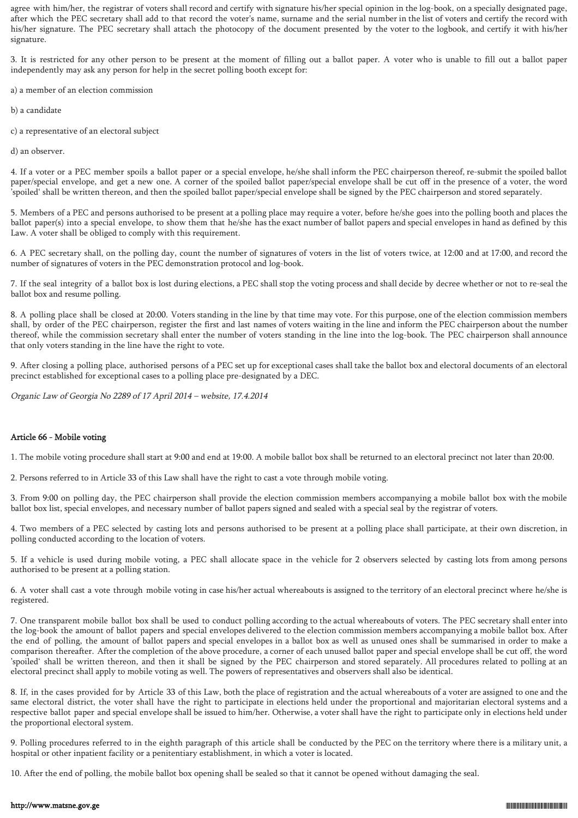agree with him/her, the registrar of voters shall record and certify with signature his/her special opinion in the log-book, on a specially designated page, after which the PEC secretary shall add to that record the voter's name, surname and the serial number in the list of voters and certify the record with his/her signature. The PEC secretary shall attach the photocopy of the document presented by the voter to the logbook, and certify it with his/her signature.

3. It is restricted for any other person to be present at the moment of filling out a ballot paper. A voter who is unable to fill out a ballot paper independently may ask any person for help in the secret polling booth except for:

a) a member of an election commission

b) a candidate

c) a representative of an electoral subject

d) an observer.

4. If a voter or a PEC member spoils a ballot paper or a special envelope, he/she shall inform the PEC chairperson thereof, re-submit the spoiled ballot paper/special envelope, and get a new one. A corner of the spoiled ballot paper/special envelope shall be cut off in the presence of a voter, the word 'spoiled' shall be written thereon, and then the spoiled ballot paper/special envelope shall be signed by the PEC chairperson and stored separately.

5. Members of a PEC and persons authorised to be present at a polling place may require a voter, before he/she goes into the polling booth and places the ballot paper(s) into a special envelope, to show them that he/she has the exact number of ballot papers and special envelopes in hand as defined by this Law. A voter shall be obliged to comply with this requirement.

6. A PEC secretary shall, on the polling day, count the number of signatures of voters in the list of voters twice, at 12:00 and at 17:00, and record the number of signatures of voters in the PEC demonstration protocol and log-book.

7. If the seal integrity of a ballot box is lost during elections, a PEC shall stop the voting process and shall decide by decree whether or not to re-seal the ballot box and resume polling.

8. A polling place shall be closed at 20:00. Voters standing in the line by that time may vote. For this purpose, one of the election commission members shall, by order of the PEC chairperson, register the first and last names of voters waiting in the line and inform the PEC chairperson about the number thereof, while the commission secretary shall enter the number of voters standing in the line into the log-book. The PEC chairperson shall announce that only voters standing in the line have the right to vote.

9. After closing a polling place, authorised persons of a PEC set up for exceptional cases shall take the ballot box and electoral documents of an electoral precinct established for exceptional cases to a polling place pre-designated by a DEC.

Organic Law of Georgia No 2289 of 17 April 2014 – website, 17.4.2014

## Article 66 - Mobile voting

1. The mobile voting procedure shall start at 9:00 and end at 19:00. A mobile ballot box shall be returned to an electoral precinct not later than 20:00.

2. Persons referred to in Article 33 of this Law shall have the right to cast a vote through mobile voting.

3. From 9:00 on polling day, the PEC chairperson shall provide the election commission members accompanying a mobile ballot box with the mobile ballot box list, special envelopes, and necessary number of ballot papers signed and sealed with a special seal by the registrar of voters.

4. Two members of a PEC selected by casting lots and persons authorised to be present at a polling place shall participate, at their own discretion, in polling conducted according to the location of voters.

5. If a vehicle is used during mobile voting, a PEC shall allocate space in the vehicle for 2 observers selected by casting lots from among persons authorised to be present at a polling station.

6. A voter shall cast a vote through mobile voting in case his/her actual whereabouts is assigned to the territory of an electoral precinct where he/she is registered.

7. One transparent mobile ballot box shall be used to conduct polling according to the actual whereabouts of voters. The PEC secretary shall enter into the log-book the amount of ballot papers and special envelopes delivered to the election commission members accompanying a mobile ballot box. After the end of polling, the amount of ballot papers and special envelopes in a ballot box as well as unused ones shall be summarised in order to make a comparison thereafter. After the completion of the above procedure, a corner of each unused ballot paper and special envelope shall be cut off, the word 'spoiled' shall be written thereon, and then it shall be signed by the PEC chairperson and stored separately. All procedures related to polling at an electoral precinct shall apply to mobile voting as well. The powers of representatives and observers shall also be identical.

8. If, in the cases provided for by Article 33 of this Law, both the place of registration and the actual whereabouts of a voter are assigned to one and the same electoral district, the voter shall have the right to participate in elections held under the proportional and majoritarian electoral systems and a respective ballot paper and special envelope shall be issued to him/her. Otherwise, a voter shall have the right to participate only in elections held under the proportional electoral system.

9. Polling procedures referred to in the eighth paragraph of this article shall be conducted by the PEC on the territory where there is a military unit, a hospital or other inpatient facility or a penitentiary establishment, in which a voter is located.

10. After the end of polling, the mobile ballot box opening shall be sealed so that it cannot be opened without damaging the seal.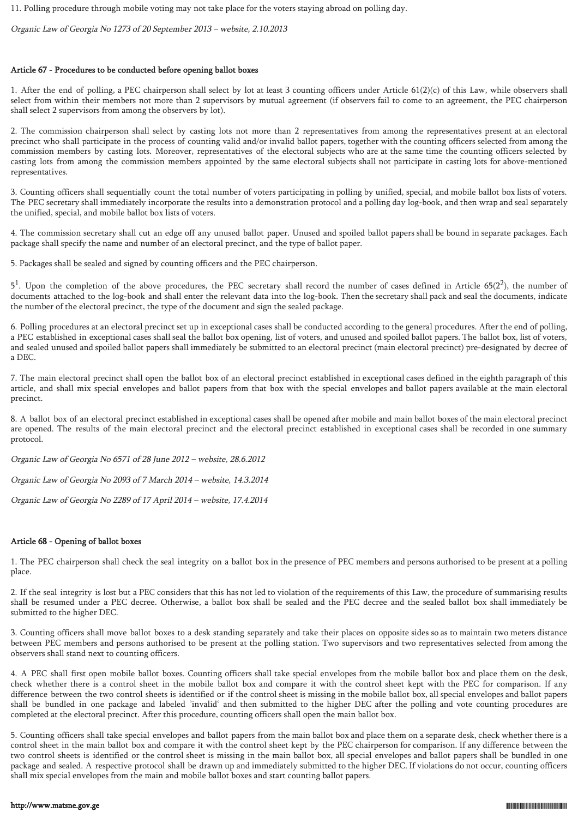11. Polling procedure through mobile voting may not take place for the voters staying abroad on polling day.

Organic Law of Georgia No 1273 of 20 September 2013 – website, 2.10.2013

## Article 67 - Procedures to be conducted before opening ballot boxes

1. After the end of polling, a PEC chairperson shall select by lot at least 3 counting officers under Article 61(2)(c) of this Law, while observers shall select from within their members not more than 2 supervisors by mutual agreement (if observers fail to come to an agreement, the PEC chairperson shall select 2 supervisors from among the observers by lot).

2. The commission chairperson shall select by casting lots not more than 2 representatives from among the representatives present at an electoral precinct who shall participate in the process of counting valid and/or invalid ballot papers, together with the counting officers selected from among the commission members by casting lots. Moreover, representatives of the electoral subjects who are at the same time the counting officers selected by casting lots from among the commission members appointed by the same electoral subjects shall not participate in casting lots for above-mentioned representatives.

3. Counting officers shall sequentially count the total number of voters participating in polling by unified, special, and mobile ballot box lists of voters. The PEC secretary shall immediately incorporate the results into a demonstration protocol and a polling day log-book, and then wrap and seal separately the unified, special, and mobile ballot box lists of voters.

4. The commission secretary shall cut an edge off any unused ballot paper. Unused and spoiled ballot papers shall be bound in separate packages. Each package shall specify the name and number of an electoral precinct, and the type of ballot paper.

5. Packages shall be sealed and signed by counting officers and the PEC chairperson.

 $5<sup>1</sup>$ . Upon the completion of the above procedures, the PEC secretary shall record the number of cases defined in Article 65(2<sup>2</sup>), the number of documents attached to the log-book and shall enter the relevant data into the log-book. Then the secretary shall pack and seal the documents, indicate the number of the electoral precinct, the type of the document and sign the sealed package.

6. Polling procedures at an electoral precinct set up in exceptional cases shall be conducted according to the general procedures. After the end of polling, a PEC established in exceptional cases shall seal the ballot box opening, list of voters, and unused and spoiled ballot papers. The ballot box, list of voters, and sealed unused and spoiled ballot papers shall immediately be submitted to an electoral precinct (main electoral precinct) pre-designated by decree of a DEC.

7. The main electoral precinct shall open the ballot box of an electoral precinct established in exceptional cases defined in the eighth paragraph of this article, and shall mix special envelopes and ballot papers from that box with the special envelopes and ballot papers available at the main electoral precinct.

8. A ballot box of an electoral precinct established in exceptional cases shall be opened after mobile and main ballot boxes of the main electoral precinct are opened. The results of the main electoral precinct and the electoral precinct established in exceptional cases shall be recorded in one summary protocol.

Organic Law of Georgia No 6571 of 28 June 2012 – website, 28.6.2012

Organic Law of Georgia No 2093 of 7 March 2014 – website, 14.3.2014

Organic Law of Georgia No 2289 of 17 April 2014 – website, 17.4.2014

## Article 68 - Opening of ballot boxes

1. The PEC chairperson shall check the seal integrity on a ballot box in the presence of PEC members and persons authorised to be present at a polling place.

2. If the seal integrity is lost but a PEC considers that this has not led to violation of the requirements of this Law, the procedure of summarising results shall be resumed under a PEC decree. Otherwise, a ballot box shall be sealed and the PEC decree and the sealed ballot box shall immediately be submitted to the higher DEC.

3. Counting officers shall move ballot boxes to a desk standing separately and take their places on opposite sides so as to maintain two meters distance between PEC members and persons authorised to be present at the polling station. Two supervisors and two representatives selected from among the observers shall stand next to counting officers.

4. A PEC shall first open mobile ballot boxes. Counting officers shall take special envelopes from the mobile ballot box and place them on the desk, check whether there is a control sheet in the mobile ballot box and compare it with the control sheet kept with the PEC for comparison. If any difference between the two control sheets is identified or if the control sheet is missing in the mobile ballot box, all special envelopes and ballot papers shall be bundled in one package and labeled 'invalid' and then submitted to the higher DEC after the polling and vote counting procedures are completed at the electoral precinct. After this procedure, counting officers shall open the main ballot box.

5. Counting officers shall take special envelopes and ballot papers from the main ballot box and place them on a separate desk, check whether there is a control sheet in the main ballot box and compare it with the control sheet kept by the PEC chairperson for comparison. If any difference between the two control sheets is identified or the control sheet is missing in the main ballot box, all special envelopes and ballot papers shall be bundled in one package and sealed. A respective protocol shall be drawn up and immediately submitted to the higher DEC. If violations do not occur, counting officers shall mix special envelopes from the main and mobile ballot boxes and start counting ballot papers.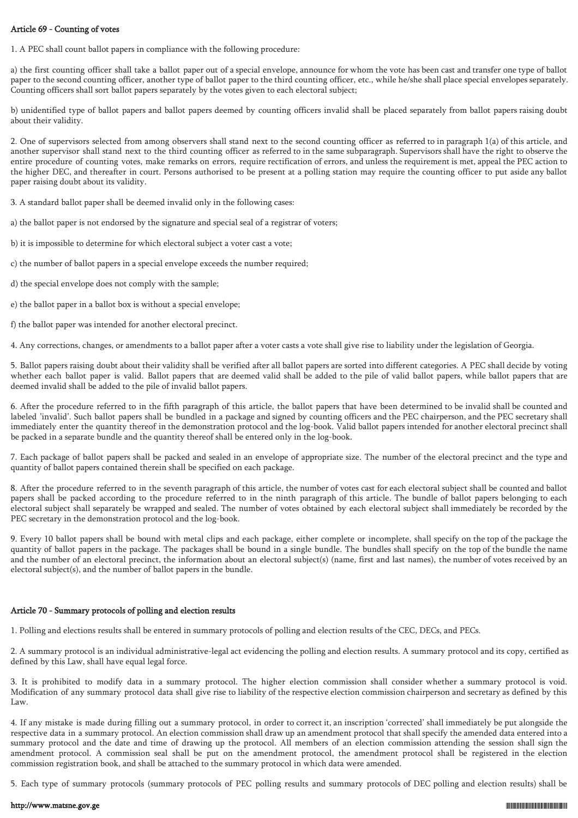## Article 69 - Counting of votes

1. A PEC shall count ballot papers in compliance with the following procedure:

a) the first counting officer shall take a ballot paper out of a special envelope, announce for whom the vote has been cast and transfer one type of ballot paper to the second counting officer, another type of ballot paper to the third counting officer, etc., while he/she shall place special envelopes separately. Counting officers shall sort ballot papers separately by the votes given to each electoral subject;

b) unidentified type of ballot papers and ballot papers deemed by counting officers invalid shall be placed separately from ballot papers raising doubt about their validity.

2. One of supervisors selected from among observers shall stand next to the second counting officer as referred to in paragraph 1(a) of this article, and another supervisor shall stand next to the third counting officer as referred to in the same subparagraph. Supervisors shall have the right to observe the entire procedure of counting votes, make remarks on errors, require rectification of errors, and unless the requirement is met, appeal the PEC action to the higher DEC, and thereafter in court. Persons authorised to be present at a polling station may require the counting officer to put aside any ballot paper raising doubt about its validity.

3. A standard ballot paper shall be deemed invalid only in the following cases:

- a) the ballot paper is not endorsed by the signature and special seal of a registrar of voters;
- b) it is impossible to determine for which electoral subject a voter cast a vote;
- c) the number of ballot papers in a special envelope exceeds the number required;
- d) the special envelope does not comply with the sample;
- e) the ballot paper in a ballot box is without a special envelope;
- f) the ballot paper was intended for another electoral precinct.

4. Any corrections, changes, or amendments to a ballot paper after a voter casts a vote shall give rise to liability under the legislation of Georgia.

5. Ballot papers raising doubt about their validity shall be verified after all ballot papers are sorted into different categories. A PEC shall decide by voting whether each ballot paper is valid. Ballot papers that are deemed valid shall be added to the pile of valid ballot papers, while ballot papers that are deemed invalid shall be added to the pile of invalid ballot papers.

6. After the procedure referred to in the fifth paragraph of this article, the ballot papers that have been determined to be invalid shall be counted and labeled 'invalid'. Such ballot papers shall be bundled in a package and signed by counting officers and the PEC chairperson, and the PEC secretary shall immediately enter the quantity thereof in the demonstration protocol and the log-book. Valid ballot papers intended for another electoral precinct shall be packed in a separate bundle and the quantity thereof shall be entered only in the log-book.

7. Each package of ballot papers shall be packed and sealed in an envelope of appropriate size. The number of the electoral precinct and the type and quantity of ballot papers contained therein shall be specified on each package.

8. After the procedure referred to in the seventh paragraph of this article, the number of votes cast for each electoral subject shall be counted and ballot papers shall be packed according to the procedure referred to in the ninth paragraph of this article. The bundle of ballot papers belonging to each electoral subject shall separately be wrapped and sealed. The number of votes obtained by each electoral subject shall immediately be recorded by the PEC secretary in the demonstration protocol and the log-book.

9. Every 10 ballot papers shall be bound with metal clips and each package, either complete or incomplete, shall specify on the top of the package the quantity of ballot papers in the package. The packages shall be bound in a single bundle. The bundles shall specify on the top of the bundle the name and the number of an electoral precinct, the information about an electoral subject(s) (name, first and last names), the number of votes received by an electoral subject(s), and the number of ballot papers in the bundle.

## Article 70 - Summary protocols of polling and election results

1. Polling and elections results shall be entered in summary protocols of polling and election results of the CEC, DECs, and PECs.

2. A summary protocol is an individual administrative-legal act evidencing the polling and election results. A summary protocol and its copy, certified as defined by this Law, shall have equal legal force.

3. It is prohibited to modify data in a summary protocol. The higher election commission shall consider whether a summary protocol is void. Modification of any summary protocol data shall give rise to liability of the respective election commission chairperson and secretary as defined by this Law.

4. If any mistake is made during filling out a summary protocol, in order to correct it, an inscription 'corrected' shall immediately be put alongside the respective data in a summary protocol. An election commission shall draw up an amendment protocol that shall specify the amended data entered into a summary protocol and the date and time of drawing up the protocol. All members of an election commission attending the session shall sign the amendment protocol. A commission seal shall be put on the amendment protocol, the amendment protocol shall be registered in the election commission registration book, and shall be attached to the summary protocol in which data were amended.

5. Each type of summary protocols (summary protocols of PEC polling results and summary protocols of DEC polling and election results) shall be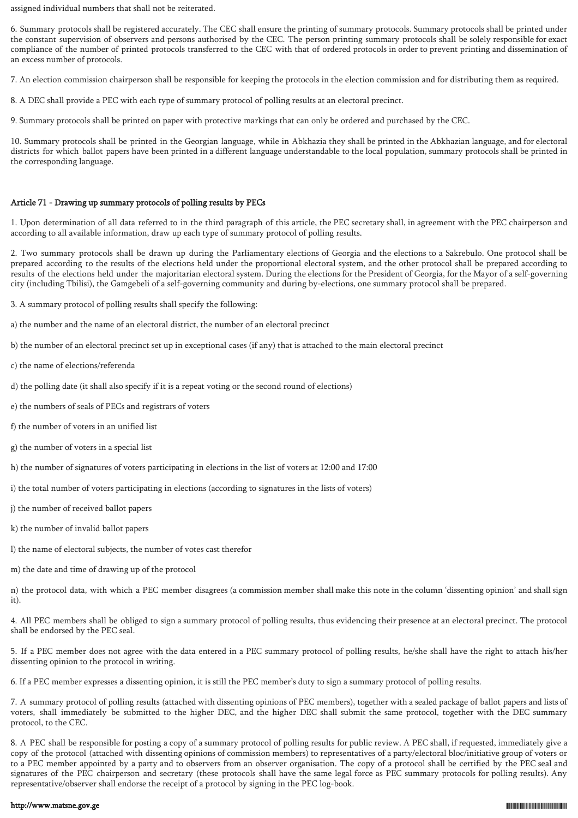assigned individual numbers that shall not be reiterated.

6. Summary protocols shall be registered accurately. The CEC shall ensure the printing of summary protocols. Summary protocols shall be printed under the constant supervision of observers and persons authorised by the CEC. The person printing summary protocols shall be solely responsible for exact compliance of the number of printed protocols transferred to the CEC with that of ordered protocols in order to prevent printing and dissemination of an excess number of protocols.

7. An election commission chairperson shall be responsible for keeping the protocols in the election commission and for distributing them as required.

8. A DEC shall provide a PEC with each type of summary protocol of polling results at an electoral precinct.

9. Summary protocols shall be printed on paper with protective markings that can only be ordered and purchased by the CEC.

10. Summary protocols shall be printed in the Georgian language, while in Abkhazia they shall be printed in the Abkhazian language, and for electoral districts for which ballot papers have been printed in a different language understandable to the local population, summary protocols shall be printed in the corresponding language.

# Article 71 - Drawing up summary protocols of polling results by PECs

1. Upon determination of all data referred to in the third paragraph of this article, the PEC secretary shall, in agreement with the PEC chairperson and according to all available information, draw up each type of summary protocol of polling results.

2. Two summary protocols shall be drawn up during the Parliamentary elections of Georgia and the elections to a Sakrebulo. One protocol shall be prepared according to the results of the elections held under the proportional electoral system, and the other protocol shall be prepared according to results of the elections held under the majoritarian electoral system. During the elections for the President of Georgia, for the Mayor of a self-governing city (including Tbilisi), the Gamgebeli of a self-governing community and during by-elections, one summary protocol shall be prepared.

- 3. A summary protocol of polling results shall specify the following:
- a) the number and the name of an electoral district, the number of an electoral precinct
- b) the number of an electoral precinct set up in exceptional cases (if any) that is attached to the main electoral precinct
- c) the name of elections/referenda
- d) the polling date (it shall also specify if it is a repeat voting or the second round of elections)
- e) the numbers of seals of PECs and registrars of voters
- f) the number of voters in an unified list
- g) the number of voters in a special list
- h) the number of signatures of voters participating in elections in the list of voters at 12:00 and 17:00
- i) the total number of voters participating in elections (according to signatures in the lists of voters)
- j) the number of received ballot papers
- k) the number of invalid ballot papers
- l) the name of electoral subjects, the number of votes cast therefor
- m) the date and time of drawing up of the protocol

n) the protocol data, with which a PEC member disagrees (a commission member shall make this note in the column 'dissenting opinion' and shall sign it).

4. All PEC members shall be obliged to sign a summary protocol of polling results, thus evidencing their presence at an electoral precinct. The protocol shall be endorsed by the PEC seal.

5. If a PEC member does not agree with the data entered in a PEC summary protocol of polling results, he/she shall have the right to attach his/her dissenting opinion to the protocol in writing.

6. If a PEC member expresses a dissenting opinion, it is still the PEC member's duty to sign a summary protocol of polling results.

7. A summary protocol of polling results (attached with dissenting opinions of PEC members), together with a sealed package of ballot papers and lists of voters, shall immediately be submitted to the higher DEC, and the higher DEC shall submit the same protocol, together with the DEC summary protocol, to the CEC.

8. A PEC shall be responsible for posting a copy of a summary protocol of polling results for public review. A PEC shall, if requested, immediately give a copy of the protocol (attached with dissenting opinions of commission members) to representatives of a party/electoral bloc/initiative group of voters or to a PEC member appointed by a party and to observers from an observer organisation. The copy of a protocol shall be certified by the PEC seal and signatures of the PEC chairperson and secretary (these protocols shall have the same legal force as PEC summary protocols for polling results). Any representative/observer shall endorse the receipt of a protocol by signing in the PEC log-book.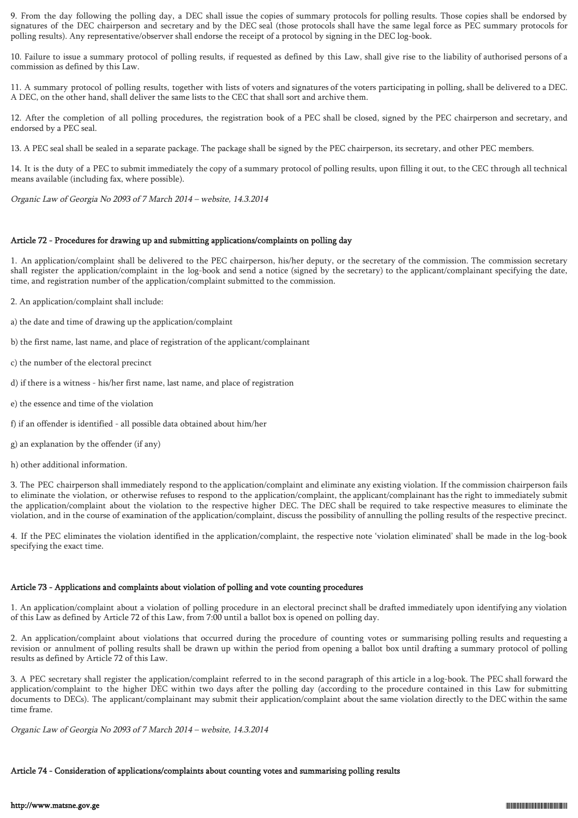9. From the day following the polling day, a DEC shall issue the copies of summary protocols for polling results. Those copies shall be endorsed by signatures of the DEC chairperson and secretary and by the DEC seal (those protocols shall have the same legal force as PEC summary protocols for polling results). Any representative/observer shall endorse the receipt of a protocol by signing in the DEC log-book.

10. Failure to issue a summary protocol of polling results, if requested as defined by this Law, shall give rise to the liability of authorised persons of a commission as defined by this Law.

11. A summary protocol of polling results, together with lists of voters and signatures of the voters participating in polling, shall be delivered to a DEC. A DEC, on the other hand, shall deliver the same lists to the CEC that shall sort and archive them.

12. After the completion of all polling procedures, the registration book of a PEC shall be closed, signed by the PEC chairperson and secretary, and endorsed by a PEC seal.

13. A PEC seal shall be sealed in a separate package. The package shall be signed by the PEC chairperson, its secretary, and other PEC members.

14. It is the duty of a PEC to submit immediately the copy of a summary protocol of polling results, upon filling it out, to the CEC through all technical means available (including fax, where possible).

Organic Law of Georgia No 2093 of 7 March 2014 – website, 14.3.2014

## Article 72 - Procedures for drawing up and submitting applications/complaints on polling day

1. An application/complaint shall be delivered to the PEC chairperson, his/her deputy, or the secretary of the commission. The commission secretary shall register the application/complaint in the log-book and send a notice (signed by the secretary) to the applicant/complainant specifying the date, time, and registration number of the application/complaint submitted to the commission.

- 2. An application/complaint shall include:
- a) the date and time of drawing up the application/complaint
- b) the first name, last name, and place of registration of the applicant/complainant
- c) the number of the electoral precinct
- d) if there is a witness his/her first name, last name, and place of registration
- e) the essence and time of the violation
- f) if an offender is identified all possible data obtained about him/her
- g) an explanation by the offender (if any)
- h) other additional information.

3. The PEC chairperson shall immediately respond to the application/complaint and eliminate any existing violation. If the commission chairperson fails to eliminate the violation, or otherwise refuses to respond to the application/complaint, the applicant/complainant has the right to immediately submit the application/complaint about the violation to the respective higher DEC. The DEC shall be required to take respective measures to eliminate the violation, and in the course of examination of the application/complaint, discuss the possibility of annulling the polling results of the respective precinct.

4. If the PEC eliminates the violation identified in the application/complaint, the respective note 'violation eliminated' shall be made in the log-book specifying the exact time.

## Article 73 - Applications and complaints about violation of polling and vote counting procedures

1. An application/complaint about a violation of polling procedure in an electoral precinct shall be drafted immediately upon identifying any violation of this Law as defined by Article 72 of this Law, from 7:00 until a ballot box is opened on polling day.

2. An application/complaint about violations that occurred during the procedure of counting votes or summarising polling results and requesting a revision or annulment of polling results shall be drawn up within the period from opening a ballot box until drafting a summary protocol of polling results as defined by Article 72 of this Law.

3. A PEC secretary shall register the application/complaint referred to in the second paragraph of this article in a log-book. The PEC shall forward the application/complaint to the higher DEC within two days after the polling day (according to the procedure contained in this Law for submitting documents to DECs). The applicant/complainant may submit their application/complaint about the same violation directly to the DEC within the same time frame.

Organic Law of Georgia No 2093 of 7 March 2014 – website, 14.3.2014

## Article 74 - Consideration of applications/complaints about counting votes and summarising polling results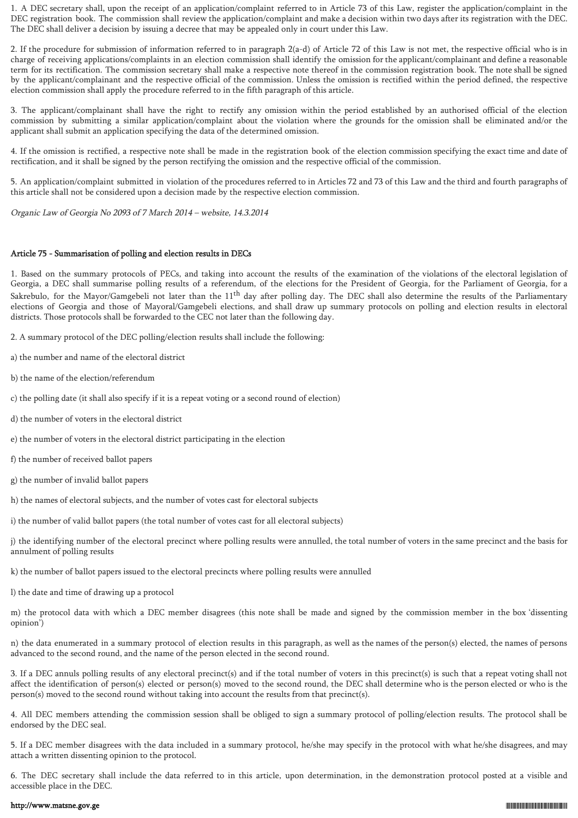1. A DEC secretary shall, upon the receipt of an application/complaint referred to in Article 73 of this Law, register the application/complaint in the DEC registration book. The commission shall review the application/complaint and make a decision within two days after its registration with the DEC. The DEC shall deliver a decision by issuing a decree that may be appealed only in court under this Law.

2. If the procedure for submission of information referred to in paragraph 2(a-d) of Article 72 of this Law is not met, the respective official who is in charge of receiving applications/complaints in an election commission shall identify the omission for the applicant/complainant and define a reasonable term for its rectification. The commission secretary shall make a respective note thereof in the commission registration book. The note shall be signed by the applicant/complainant and the respective official of the commission. Unless the omission is rectified within the period defined, the respective election commission shall apply the procedure referred to in the fifth paragraph of this article.

3. The applicant/complainant shall have the right to rectify any omission within the period established by an authorised official of the election commission by submitting a similar application/complaint about the violation where the grounds for the omission shall be eliminated and/or the applicant shall submit an application specifying the data of the determined omission.

4. If the omission is rectified, a respective note shall be made in the registration book of the election commission specifying the exact time and date of rectification, and it shall be signed by the person rectifying the omission and the respective official of the commission.

5. An application/complaint submitted in violation of the procedures referred to in Articles 72 and 73 of this Law and the third and fourth paragraphs of this article shall not be considered upon a decision made by the respective election commission.

Organic Law of Georgia No 2093 of 7 March 2014 – website, 14.3.2014

### Article 75 - Summarisation of polling and election results in DECs

1. Based on the summary protocols of PECs, and taking into account the results of the examination of the violations of the electoral legislation of Georgia, a DEC shall summarise polling results of a referendum, of the elections for the President of Georgia, for the Parliament of Georgia, for a Sakrebulo, for the Mayor/Gamgebeli not later than the 11<sup>th</sup> day after polling day. The DEC shall also determine the results of the Parliamentary elections of Georgia and those of Mayoral/Gamgebeli elections, and shall draw up summary protocols on polling and election results in electoral districts. Those protocols shall be forwarded to the CEC not later than the following day.

2. A summary protocol of the DEC polling/election results shall include the following:

a) the number and name of the electoral district

b) the name of the election/referendum

c) the polling date (it shall also specify if it is a repeat voting or a second round of election)

d) the number of voters in the electoral district

e) the number of voters in the electoral district participating in the election

f) the number of received ballot papers

g) the number of invalid ballot papers

h) the names of electoral subjects, and the number of votes cast for electoral subjects

i) the number of valid ballot papers (the total number of votes cast for all electoral subjects)

j) the identifying number of the electoral precinct where polling results were annulled, the total number of voters in the same precinct and the basis for annulment of polling results

k) the number of ballot papers issued to the electoral precincts where polling results were annulled

l) the date and time of drawing up a protocol

m) the protocol data with which a DEC member disagrees (this note shall be made and signed by the commission member in the box 'dissenting opinion')

n) the data enumerated in a summary protocol of election results in this paragraph, as well as the names of the person(s) elected, the names of persons advanced to the second round, and the name of the person elected in the second round.

3. If a DEC annuls polling results of any electoral precinct(s) and if the total number of voters in this precinct(s) is such that a repeat voting shall not affect the identification of person(s) elected or person(s) moved to the second round, the DEC shall determine who is the person elected or who is the person(s) moved to the second round without taking into account the results from that precinct(s).

4. All DEC members attending the commission session shall be obliged to sign a summary protocol of polling/election results. The protocol shall be endorsed by the DEC seal.

5. If a DEC member disagrees with the data included in a summary protocol, he/she may specify in the protocol with what he/she disagrees, and may attach a written dissenting opinion to the protocol.

6. The DEC secretary shall include the data referred to in this article, upon determination, in the demonstration protocol posted at a visible and accessible place in the DEC.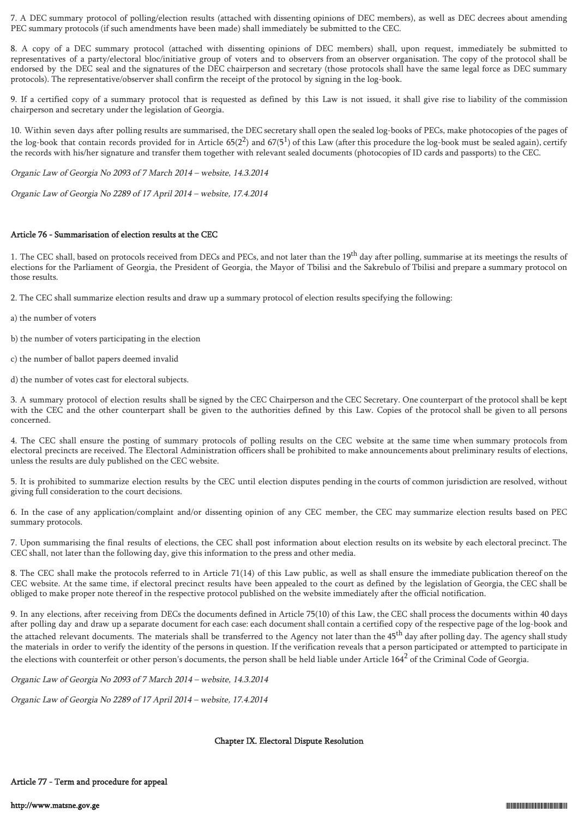7. A DEC summary protocol of polling/election results (attached with dissenting opinions of DEC members), as well as DEC decrees about amending PEC summary protocols (if such amendments have been made) shall immediately be submitted to the CEC.

8. A copy of a DEC summary protocol (attached with dissenting opinions of DEC members) shall, upon request, immediately be submitted to representatives of a party/electoral bloc/initiative group of voters and to observers from an observer organisation. The copy of the protocol shall be endorsed by the DEC seal and the signatures of the DEC chairperson and secretary (those protocols shall have the same legal force as DEC summary protocols). The representative/observer shall confirm the receipt of the protocol by signing in the log-book.

9. If a certified copy of a summary protocol that is requested as defined by this Law is not issued, it shall give rise to liability of the commission chairperson and secretary under the legislation of Georgia.

10. Within seven days after polling results are summarised, the DEC secretary shall open the sealed log-books of PECs, make photocopies of the pages of the log-book that contain records provided for in Article 65(2<sup>2</sup>) and 67(5<sup>1</sup>) of this Law (after this procedure the log-book must be sealed again), certify the records with his/her signature and transfer them together with relevant sealed documents (photocopies of ID cards and passports) to the CEC.

Organic Law of Georgia No 2093 of 7 March 2014 – website, 14.3.2014

Organic Law of Georgia No 2289 of 17 April 2014 – website, 17.4.2014

## Article 76 - Summarisation of election results at the CEC

1. The CEC shall, based on protocols received from DECs and PECs, and not later than the  $19<sup>th</sup>$  day after polling, summarise at its meetings the results of elections for the Parliament of Georgia, the President of Georgia, the Mayor of Tbilisi and the Sakrebulo of Tbilisi and prepare a summary protocol on those results.

2. The CEC shall summarize election results and draw up a summary protocol of election results specifying the following:

a) the number of voters

- b) the number of voters participating in the election
- c) the number of ballot papers deemed invalid
- d) the number of votes cast for electoral subjects.

3. A summary protocol of election results shall be signed by the CEC Chairperson and the CEC Secretary. One counterpart of the protocol shall be kept with the CEC and the other counterpart shall be given to the authorities defined by this Law. Copies of the protocol shall be given to all persons concerned.

4. The CEC shall ensure the posting of summary protocols of polling results on the CEC website at the same time when summary protocols from electoral precincts are received. The Electoral Administration officers shall be prohibited to make announcements about preliminary results of elections, unless the results are duly published on the CEC website.

5. It is prohibited to summarize election results by the CEC until election disputes pending in the courts of common jurisdiction are resolved, without giving full consideration to the court decisions.

6. In the case of any application/complaint and/or dissenting opinion of any CEC member, the CEC may summarize election results based on PEC summary protocols.

7. Upon summarising the final results of elections, the CEC shall post information about election results on its website by each electoral precinct. The CEC shall, not later than the following day, give this information to the press and other media.

8. The CEC shall make the protocols referred to in Article 71(14) of this Law public, as well as shall ensure the immediate publication thereof on the CEC website. At the same time, if electoral precinct results have been appealed to the court as defined by the legislation of Georgia, the CEC shall be obliged to make proper note thereof in the respective protocol published on the website immediately after the official notification.

9. In any elections, after receiving from DECs the documents defined in Article 75(10) of this Law, the CEC shall process the documents within 40 days after polling day and draw up a separate document for each case: each document shall contain a certified copy of the respective page of the log-book and the attached relevant documents. The materials shall be transferred to the Agency not later than the 45<sup>th</sup> day after polling day. The agency shall study the materials in order to verify the identity of the persons in question. If the verification reveals that a person participated or attempted to participate in the elections with counterfeit or other person's documents, the person shall be held liable under Article  $164^2$  of the Criminal Code of Georgia.

Organic Law of Georgia No 2093 of 7 March 2014 – website, 14.3.2014

Organic Law of Georgia No 2289 of 17 April 2014 – website, 17.4.2014

## Chapter IX. Electoral Dispute Resolution

## Article 77 - Term and procedure for appeal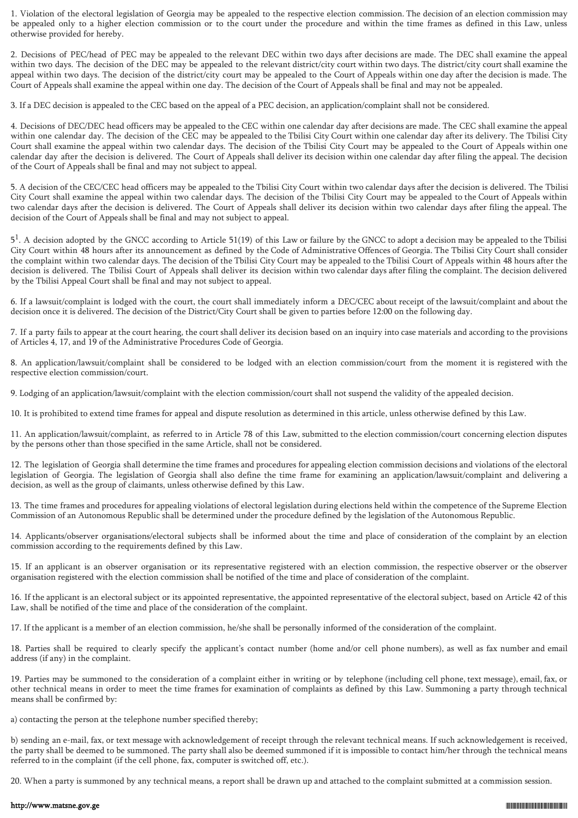1. Violation of the electoral legislation of Georgia may be appealed to the respective election commission. The decision of an election commission may be appealed only to a higher election commission or to the court under the procedure and within the time frames as defined in this Law, unless otherwise provided for hereby.

2. Decisions of PEC/head of PEC may be appealed to the relevant DEC within two days after decisions are made. The DEC shall examine the appeal within two days. The decision of the DEC may be appealed to the relevant district/city court within two days. The district/city court shall examine the appeal within two days. The decision of the district/city court may be appealed to the Court of Appeals within one day after the decision is made. The Court of Appeals shall examine the appeal within one day. The decision of the Court of Appeals shall be final and may not be appealed.

3. If a DEC decision is appealed to the CEC based on the appeal of a PEC decision, an application/complaint shall not be considered.

4. Decisions of DEC/DEC head officers may be appealed to the CEC within one calendar day after decisions are made. The CEC shall examine the appeal within one calendar day. The decision of the CEC may be appealed to the Tbilisi City Court within one calendar day after its delivery. The Tbilisi City Court shall examine the appeal within two calendar days. The decision of the Tbilisi City Court may be appealed to the Court of Appeals within one calendar day after the decision is delivered. The Court of Appeals shall deliver its decision within one calendar day after filing the appeal. The decision of the Court of Appeals shall be final and may not subject to appeal.

5. A decision of the CEC/CEC head officers may be appealed to the Tbilisi City Court within two calendar days after the decision is delivered. The Tbilisi City Court shall examine the appeal within two calendar days. The decision of the Tbilisi City Court may be appealed to the Court of Appeals within two calendar days after the decision is delivered. The Court of Appeals shall deliver its decision within two calendar days after filing the appeal. The decision of the Court of Appeals shall be final and may not subject to appeal.

 $5<sup>1</sup>$ . A decision adopted by the GNCC according to Article 51(19) of this Law or failure by the GNCC to adopt a decision may be appealed to the Tbilisi City Court within 48 hours after its announcement as defined by the Code of Administrative Offences of Georgia. The Tbilisi City Court shall consider the complaint within two calendar days. The decision of the Tbilisi City Court may be appealed to the Tbilisi Court of Appeals within 48 hours after the decision is delivered. The Tbilisi Court of Appeals shall deliver its decision within two calendar days after filing the complaint. The decision delivered by the Tbilisi Appeal Court shall be final and may not subject to appeal.

6. If a lawsuit/complaint is lodged with the court, the court shall immediately inform a DEC/CEC about receipt of the lawsuit/complaint and about the decision once it is delivered. The decision of the District/City Court shall be given to parties before 12:00 on the following day.

7. If a party fails to appear at the court hearing, the court shall deliver its decision based on an inquiry into case materials and according to the provisions of Articles 4, 17, and 19 of the Administrative Procedures Code of Georgia.

8. An application/lawsuit/complaint shall be considered to be lodged with an election commission/court from the moment it is registered with the respective election commission/court.

9. Lodging of an application/lawsuit/complaint with the election commission/court shall not suspend the validity of the appealed decision.

10. It is prohibited to extend time frames for appeal and dispute resolution as determined in this article, unless otherwise defined by this Law.

11. An application/lawsuit/complaint, as referred to in Article 78 of this Law, submitted to the election commission/court concerning election disputes by the persons other than those specified in the same Article, shall not be considered.

12. The legislation of Georgia shall determine the time frames and procedures for appealing election commission decisions and violations of the electoral legislation of Georgia. The legislation of Georgia shall also define the time frame for examining an application/lawsuit/complaint and delivering a decision, as well as the group of claimants, unless otherwise defined by this Law.

13. The time frames and procedures for appealing violations of electoral legislation during elections held within the competence of the Supreme Election Commission of an Autonomous Republic shall be determined under the procedure defined by the legislation of the Autonomous Republic.

14. Applicants/observer organisations/electoral subjects shall be informed about the time and place of consideration of the complaint by an election commission according to the requirements defined by this Law.

15. If an applicant is an observer organisation or its representative registered with an election commission, the respective observer or the observer organisation registered with the election commission shall be notified of the time and place of consideration of the complaint.

16. If the applicant is an electoral subject or its appointed representative, the appointed representative of the electoral subject, based on Article 42 of this Law, shall be notified of the time and place of the consideration of the complaint.

17. If the applicant is a member of an election commission, he/she shall be personally informed of the consideration of the complaint.

18. Parties shall be required to clearly specify the applicant's contact number (home and/or cell phone numbers), as well as fax number and email address (if any) in the complaint.

19. Parties may be summoned to the consideration of a complaint either in writing or by telephone (including cell phone, text message), email, fax, or other technical means in order to meet the time frames for examination of complaints as defined by this Law. Summoning a party through technical means shall be confirmed by:

a) contacting the person at the telephone number specified thereby;

b) sending an e-mail, fax, or text message with acknowledgement of receipt through the relevant technical means. If such acknowledgement is received, the party shall be deemed to be summoned. The party shall also be deemed summoned if it is impossible to contact him/her through the technical means referred to in the complaint (if the cell phone, fax, computer is switched off, etc.).

20. When a party is summoned by any technical means, a report shall be drawn up and attached to the complaint submitted at a commission session.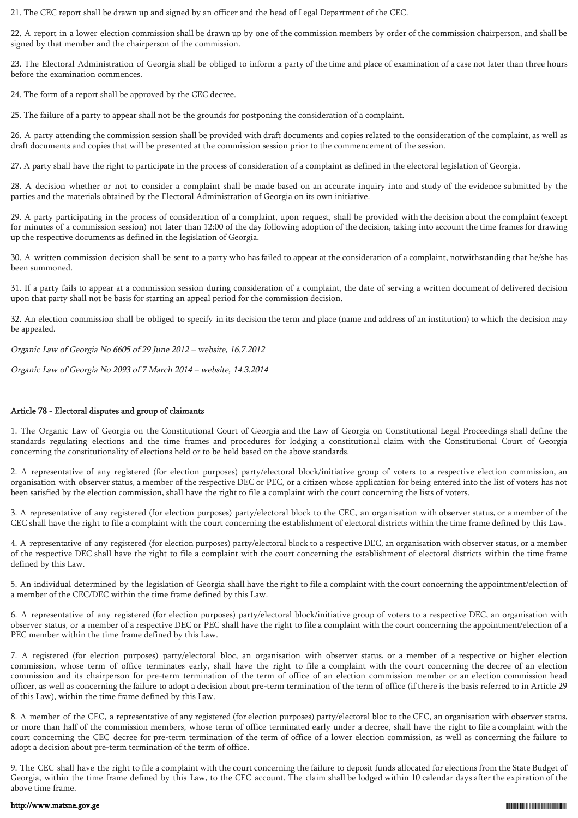21. The CEC report shall be drawn up and signed by an officer and the head of Legal Department of the CEC.

22. A report in a lower election commission shall be drawn up by one of the commission members by order of the commission chairperson, and shall be signed by that member and the chairperson of the commission.

23. The Electoral Administration of Georgia shall be obliged to inform a party of the time and place of examination of a case not later than three hours before the examination commences.

24. The form of a report shall be approved by the CEC decree.

25. The failure of a party to appear shall not be the grounds for postponing the consideration of a complaint.

26. A party attending the commission session shall be provided with draft documents and copies related to the consideration of the complaint, as well as draft documents and copies that will be presented at the commission session prior to the commencement of the session.

27. A party shall have the right to participate in the process of consideration of a complaint as defined in the electoral legislation of Georgia.

28. A decision whether or not to consider a complaint shall be made based on an accurate inquiry into and study of the evidence submitted by the parties and the materials obtained by the Electoral Administration of Georgia on its own initiative.

29. A party participating in the process of consideration of a complaint, upon request, shall be provided with the decision about the complaint (except for minutes of a commission session) not later than 12:00 of the day following adoption of the decision, taking into account the time frames for drawing up the respective documents as defined in the legislation of Georgia.

30. A written commission decision shall be sent to a party who has failed to appear at the consideration of a complaint, notwithstanding that he/she has been summoned.

31. If a party fails to appear at a commission session during consideration of a complaint, the date of serving a written document of delivered decision upon that party shall not be basis for starting an appeal period for the commission decision.

32. An election commission shall be obliged to specify in its decision the term and place (name and address of an institution) to which the decision may be appealed.

Organic Law of Georgia No 6605 of 29 June 2012 – website, 16.7.2012

Organic Law of Georgia No 2093 of 7 March 2014 – website, 14.3.2014

## Article 78 - Electoral disputes and group of claimants

1. The Organic Law of Georgia on the Constitutional Court of Georgia and the Law of Georgia on Constitutional Legal Proceedings shall define the standards regulating elections and the time frames and procedures for lodging a constitutional claim with the Constitutional Court of Georgia concerning the constitutionality of elections held or to be held based on the above standards.

2. A representative of any registered (for election purposes) party/electoral block/initiative group of voters to a respective election commission, an organisation with observer status, a member of the respective DEC or PEC, or a citizen whose application for being entered into the list of voters has not been satisfied by the election commission, shall have the right to file a complaint with the court concerning the lists of voters.

3. A representative of any registered (for election purposes) party/electoral block to the CEC, an organisation with observer status, or a member of the CEC shall have the right to file a complaint with the court concerning the establishment of electoral districts within the time frame defined by this Law.

4. A representative of any registered (for election purposes) party/electoral block to a respective DEC, an organisation with observer status, or a member of the respective DEC shall have the right to file a complaint with the court concerning the establishment of electoral districts within the time frame defined by this Law.

5. An individual determined by the legislation of Georgia shall have the right to file a complaint with the court concerning the appointment/election of a member of the CEC/DEC within the time frame defined by this Law.

6. A representative of any registered (for election purposes) party/electoral block/initiative group of voters to a respective DEC, an organisation with observer status, or a member of a respective DEC or PEC shall have the right to file a complaint with the court concerning the appointment/election of a PEC member within the time frame defined by this Law.

7. A registered (for election purposes) party/electoral bloc, an organisation with observer status, or a member of a respective or higher election commission, whose term of office terminates early, shall have the right to file a complaint with the court concerning the decree of an election commission and its chairperson for pre-term termination of the term of office of an election commission member or an election commission head officer, as well as concerning the failure to adopt a decision about pre-term termination of the term of office (if there is the basis referred to in Article 29 of this Law), within the time frame defined by this Law.

8. A member of the CEC, a representative of any registered (for election purposes) party/electoral bloc to the CEC, an organisation with observer status, or more than half of the commission members, whose term of office terminated early under a decree, shall have the right to file a complaint with the court concerning the CEC decree for pre-term termination of the term of office of a lower election commission, as well as concerning the failure to adopt a decision about pre-term termination of the term of office.

9. The CEC shall have the right to file a complaint with the court concerning the failure to deposit funds allocated for elections from the State Budget of Georgia, within the time frame defined by this Law, to the CEC account. The claim shall be lodged within 10 calendar days after the expiration of the above time frame.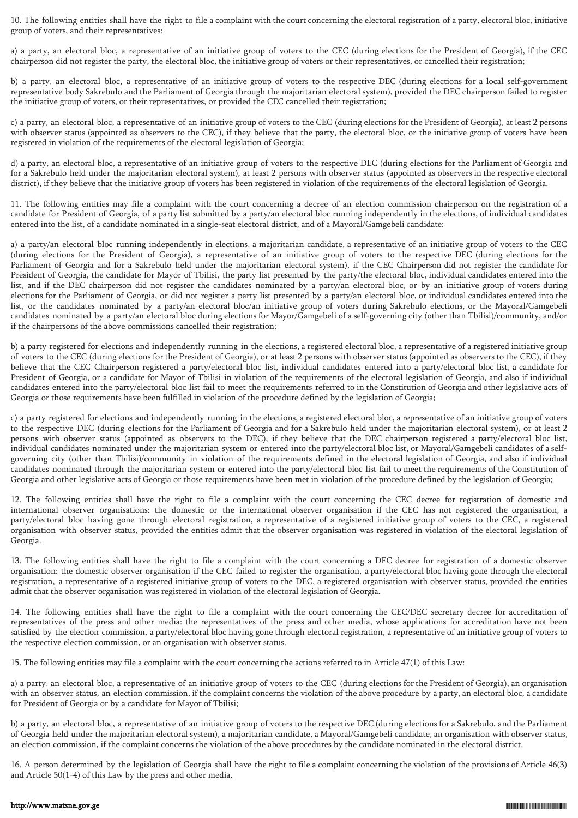10. The following entities shall have the right to file a complaint with the court concerning the electoral registration of a party, electoral bloc, initiative group of voters, and their representatives:

a) a party, an electoral bloc, a representative of an initiative group of voters to the CEC (during elections for the President of Georgia), if the CEC chairperson did not register the party, the electoral bloc, the initiative group of voters or their representatives, or cancelled their registration;

b) a party, an electoral bloc, a representative of an initiative group of voters to the respective DEC (during elections for a local self-government representative body Sakrebulo and the Parliament of Georgia through the majoritarian electoral system), provided the DEC chairperson failed to register the initiative group of voters, or their representatives, or provided the CEC cancelled their registration;

c) a party, an electoral bloc, a representative of an initiative group of voters to the CEC (during elections for the President of Georgia), at least 2 persons with observer status (appointed as observers to the CEC), if they believe that the party, the electoral bloc, or the initiative group of voters have been registered in violation of the requirements of the electoral legislation of Georgia;

d) a party, an electoral bloc, a representative of an initiative group of voters to the respective DEC (during elections for the Parliament of Georgia and for a Sakrebulo held under the majoritarian electoral system), at least 2 persons with observer status (appointed as observers in the respective electoral district), if they believe that the initiative group of voters has been registered in violation of the requirements of the electoral legislation of Georgia.

11. The following entities may file a complaint with the court concerning a decree of an election commission chairperson on the registration of a candidate for President of Georgia, of a party list submitted by a party/an electoral bloc running independently in the elections, of individual candidates entered into the list, of a candidate nominated in a single-seat electoral district, and of a Mayoral/Gamgebeli candidate:

a) a party/an electoral bloc running independently in elections, a majoritarian candidate, a representative of an initiative group of voters to the CEC (during elections for the President of Georgia), a representative of an initiative group of voters to the respective DEC (during elections for the Parliament of Georgia and for a Sakrebulo held under the majoritarian electoral system), if the CEC Chairperson did not register the candidate for President of Georgia, the candidate for Mayor of Tbilisi, the party list presented by the party/the electoral bloc, individual candidates entered into the list, and if the DEC chairperson did not register the candidates nominated by a party/an electoral bloc, or by an initiative group of voters during elections for the Parliament of Georgia, or did not register a party list presented by a party/an electoral bloc, or individual candidates entered into the list, or the candidates nominated by a party/an electoral bloc/an initiative group of voters during Sakrebulo elections, or the Mayoral/Gamgebeli candidates nominated by a party/an electoral bloc during elections for Mayor/Gamgebeli of a self-governing city (other than Tbilisi)/community, and/or if the chairpersons of the above commissions cancelled their registration;

b) a party registered for elections and independently running in the elections, a registered electoral bloc, a representative of a registered initiative group of voters to the CEC (during elections for the President of Georgia), or at least 2 persons with observer status (appointed as observers to the CEC), if they believe that the CEC Chairperson registered a party/electoral bloc list, individual candidates entered into a party/electoral bloc list, a candidate for President of Georgia, or a candidate for Mayor of Tbilisi in violation of the requirements of the electoral legislation of Georgia, and also if individual candidates entered into the party/electoral bloc list fail to meet the requirements referred to in the Constitution of Georgia and other legislative acts of Georgia or those requirements have been fulfilled in violation of the procedure defined by the legislation of Georgia;

c) a party registered for elections and independently running in the elections, a registered electoral bloc, a representative of an initiative group of voters to the respective DEC (during elections for the Parliament of Georgia and for a Sakrebulo held under the majoritarian electoral system), or at least 2 persons with observer status (appointed as observers to the DEC), if they believe that the DEC chairperson registered a party/electoral bloc list, individual candidates nominated under the majoritarian system or entered into the party/electoral bloc list, or Mayoral/Gamgebeli candidates of a selfgoverning city (other than Tbilisi)/community in violation of the requirements defined in the electoral legislation of Georgia, and also if individual candidates nominated through the majoritarian system or entered into the party/electoral bloc list fail to meet the requirements of the Constitution of Georgia and other legislative acts of Georgia or those requirements have been met in violation of the procedure defined by the legislation of Georgia;

12. The following entities shall have the right to file a complaint with the court concerning the CEC decree for registration of domestic and international observer organisations: the domestic or the international observer organisation if the CEC has not registered the organisation, a party/electoral bloc having gone through electoral registration, a representative of a registered initiative group of voters to the CEC, a registered organisation with observer status, provided the entities admit that the observer organisation was registered in violation of the electoral legislation of Georgia.

13. The following entities shall have the right to file a complaint with the court concerning a DEC decree for registration of a domestic observer organisation: the domestic observer organisation if the CEC failed to register the organisation, a party/electoral bloc having gone through the electoral registration, a representative of a registered initiative group of voters to the DEC, a registered organisation with observer status, provided the entities admit that the observer organisation was registered in violation of the electoral legislation of Georgia.

14. The following entities shall have the right to file a complaint with the court concerning the CEC/DEC secretary decree for accreditation of representatives of the press and other media: the representatives of the press and other media, whose applications for accreditation have not been satisfied by the election commission, a party/electoral bloc having gone through electoral registration, a representative of an initiative group of voters to the respective election commission, or an organisation with observer status.

15. The following entities may file a complaint with the court concerning the actions referred to in Article 47(1) of this Law:

a) a party, an electoral bloc, a representative of an initiative group of voters to the CEC (during elections for the President of Georgia), an organisation with an observer status, an election commission, if the complaint concerns the violation of the above procedure by a party, an electoral bloc, a candidate for President of Georgia or by a candidate for Mayor of Tbilisi;

b) a party, an electoral bloc, a representative of an initiative group of voters to the respective DEC (during elections for a Sakrebulo, and the Parliament of Georgia held under the majoritarian electoral system), a majoritarian candidate, a Mayoral/Gamgebeli candidate, an organisation with observer status, an election commission, if the complaint concerns the violation of the above procedures by the candidate nominated in the electoral district.

16. A person determined by the legislation of Georgia shall have the right to file a complaint concerning the violation of the provisions of Article 46(3) and Article 50(1-4) of this Law by the press and other media.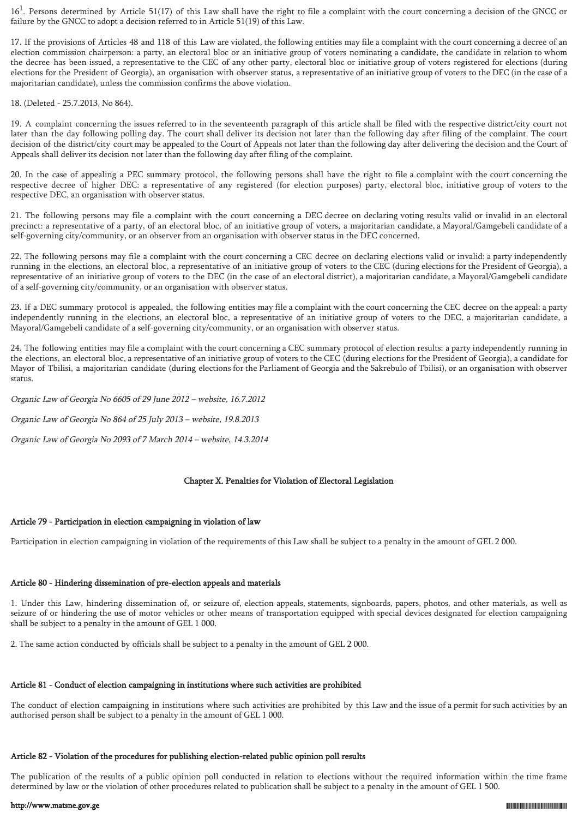$16<sup>1</sup>$ . Persons determined by Article 51(17) of this Law shall have the right to file a complaint with the court concerning a decision of the GNCC or failure by the GNCC to adopt a decision referred to in Article 51(19) of this Law.

17. If the provisions of Articles 48 and 118 of this Law are violated, the following entities may file a complaint with the court concerning a decree of an election commission chairperson: a party, an electoral bloc or an initiative group of voters nominating a candidate, the candidate in relation to whom the decree has been issued, a representative to the CEC of any other party, electoral bloc or initiative group of voters registered for elections (during elections for the President of Georgia), an organisation with observer status, a representative of an initiative group of voters to the DEC (in the case of a majoritarian candidate), unless the commission confirms the above violation.

18. (Deleted - 25.7.2013, No 864).

19. A complaint concerning the issues referred to in the seventeenth paragraph of this article shall be filed with the respective district/city court not later than the day following polling day. The court shall deliver its decision not later than the following day after filing of the complaint. The court decision of the district/city court may be appealed to the Court of Appeals not later than the following day after delivering the decision and the Court of Appeals shall deliver its decision not later than the following day after filing of the complaint.

20. In the case of appealing a PEC summary protocol, the following persons shall have the right to file a complaint with the court concerning the respective decree of higher DEC: a representative of any registered (for election purposes) party, electoral bloc, initiative group of voters to the respective DEC, an organisation with observer status.

21. The following persons may file a complaint with the court concerning a DEC decree on declaring voting results valid or invalid in an electoral precinct: a representative of a party, of an electoral bloc, of an initiative group of voters, a majoritarian candidate, a Mayoral/Gamgebeli candidate of a self-governing city/community, or an observer from an organisation with observer status in the DEC concerned.

22. The following persons may file a complaint with the court concerning a CEC decree on declaring elections valid or invalid: a party independently running in the elections, an electoral bloc, a representative of an initiative group of voters to the CEC (during elections for the President of Georgia), a representative of an initiative group of voters to the DEC (in the case of an electoral district), a majoritarian candidate, a Mayoral/Gamgebeli candidate of a self-governing city/community, or an organisation with observer status.

23. If a DEC summary protocol is appealed, the following entities may file a complaint with the court concerning the CEC decree on the appeal: a party independently running in the elections, an electoral bloc, a representative of an initiative group of voters to the DEC, a majoritarian candidate, a Mayoral/Gamgebeli candidate of a self-governing city/community, or an organisation with observer status.

24. The following entities may file a complaint with the court concerning a CEC summary protocol of election results: a party independently running in the elections, an electoral bloc, a representative of an initiative group of voters to the CEC (during elections for the President of Georgia), a candidate for Mayor of Tbilisi, a majoritarian candidate (during elections for the Parliament of Georgia and the Sakrebulo of Tbilisi), or an organisation with observer status.

Organic Law of Georgia No 6605 of 29 June 2012 – website, 16.7.2012

Organic Law of Georgia No 864 of 25 July 2013 – website, 19.8.2013

Organic Law of Georgia No 2093 of 7 March 2014 – website, 14.3.2014

## Chapter X. Penalties for Violation of Electoral Legislation

## Article 79 - Participation in election campaigning in violation of law

Participation in election campaigning in violation of the requirements of this Law shall be subject to a penalty in the amount of GEL 2 000.

## Article 80 - Hindering dissemination of pre-election appeals and materials

1. Under this Law, hindering dissemination of, or seizure of, election appeals, statements, signboards, papers, photos, and other materials, as well as seizure of or hindering the use of motor vehicles or other means of transportation equipped with special devices designated for election campaigning shall be subject to a penalty in the amount of GEL 1 000.

2. The same action conducted by officials shall be subject to a penalty in the amount of GEL 2 000.

## Article 81 - Conduct of election campaigning in institutions where such activities are prohibited

The conduct of election campaigning in institutions where such activities are prohibited by this Law and the issue of a permit for such activities by an authorised person shall be subject to a penalty in the amount of GEL 1 000.

## Article 82 - Violation of the procedures for publishing election-related public opinion poll results

The publication of the results of a public opinion poll conducted in relation to elections without the required information within the time frame determined by law or the violation of other procedures related to publication shall be subject to a penalty in the amount of GEL 1 500.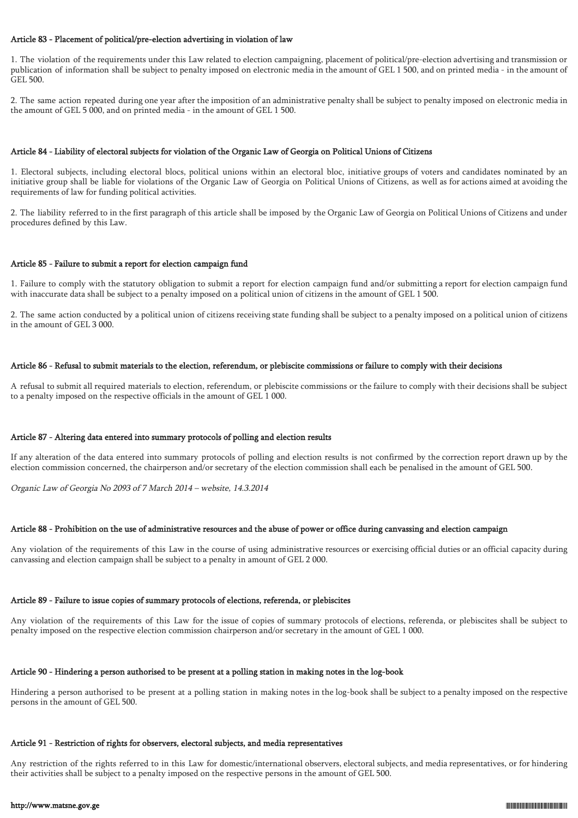### Article 83 - Placement of political/pre-election advertising in violation of law

1. The violation of the requirements under this Law related to election campaigning, placement of political/pre-election advertising and transmission or publication of information shall be subject to penalty imposed on electronic media in the amount of GEL 1 500, and on printed media - in the amount of GEL 500.

2. The same action repeated during one year after the imposition of an administrative penalty shall be subject to penalty imposed on electronic media in the amount of GEL 5 000, and on printed media - in the amount of GEL 1 500.

#### Article 84 - Liability of electoral subjects for violation of the Organic Law of Georgia on Political Unions of Citizens

1. Electoral subjects, including electoral blocs, political unions within an electoral bloc, initiative groups of voters and candidates nominated by an initiative group shall be liable for violations of the Organic Law of Georgia on Political Unions of Citizens, as well as for actions aimed at avoiding the requirements of law for funding political activities.

2. The liability referred to in the first paragraph of this article shall be imposed by the Organic Law of Georgia on Political Unions of Citizens and under procedures defined by this Law.

#### Article 85 - Failure to submit a report for election campaign fund

1. Failure to comply with the statutory obligation to submit a report for election campaign fund and/or submitting a report for election campaign fund with inaccurate data shall be subject to a penalty imposed on a political union of citizens in the amount of GEL 1 500.

2. The same action conducted by a political union of citizens receiving state funding shall be subject to a penalty imposed on a political union of citizens in the amount of GEL 3 000.

#### Article 86 - Refusal to submit materials to the election, referendum, or plebiscite commissions or failure to comply with their decisions

A refusal to submit all required materials to election, referendum, or plebiscite commissions or the failure to comply with their decisions shall be subject to a penalty imposed on the respective officials in the amount of GEL 1 000.

### Article 87 - Altering data entered into summary protocols of polling and election results

If any alteration of the data entered into summary protocols of polling and election results is not confirmed by the correction report drawn up by the election commission concerned, the chairperson and/or secretary of the election commission shall each be penalised in the amount of GEL 500.

Organic Law of Georgia No 2093 of 7 March 2014 – website, 14.3.2014

### Article 88 - Prohibition on the use of administrative resources and the abuse of power or office during canvassing and election campaign

Any violation of the requirements of this Law in the course of using administrative resources or exercising official duties or an official capacity during canvassing and election campaign shall be subject to a penalty in amount of GEL 2 000.

## Article 89 - Failure to issue copies of summary protocols of elections, referenda, or plebiscites

Any violation of the requirements of this Law for the issue of copies of summary protocols of elections, referenda, or plebiscites shall be subject to penalty imposed on the respective election commission chairperson and/or secretary in the amount of GEL 1 000.

### Article 90 - Hindering a person authorised to be present at a polling station in making notes in the log-book

Hindering a person authorised to be present at a polling station in making notes in the log-book shall be subject to a penalty imposed on the respective persons in the amount of GEL 500.

#### Article 91 - Restriction of rights for observers, electoral subjects, and media representatives

Any restriction of the rights referred to in this Law for domestic/international observers, electoral subjects, and media representatives, or for hindering their activities shall be subject to a penalty imposed on the respective persons in the amount of GEL 500.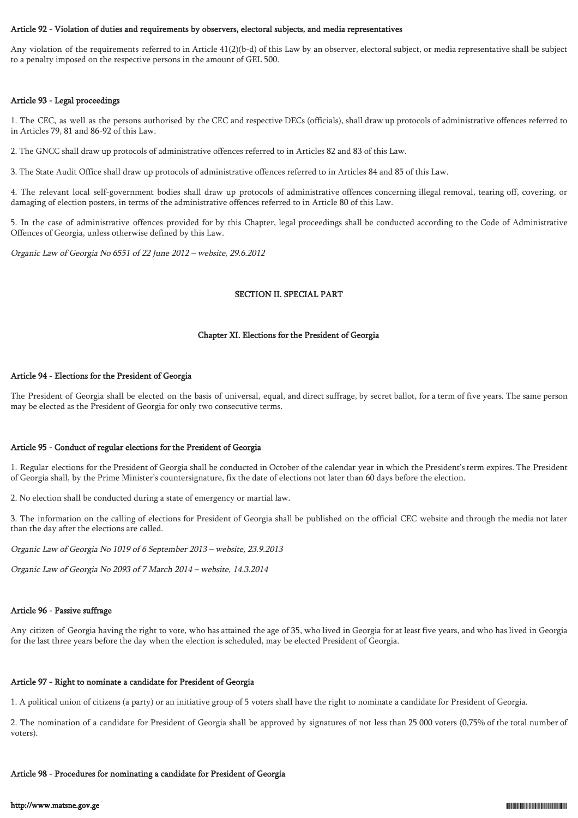#### Article 92 - Violation of duties and requirements by observers, electoral subjects, and media representatives

Any violation of the requirements referred to in Article 41(2)(b-d) of this Law by an observer, electoral subject, or media representative shall be subject to a penalty imposed on the respective persons in the amount of GEL 500.

## Article 93 - Legal proceedings

1. The CEC, as well as the persons authorised by the CEC and respective DECs (officials), shall draw up protocols of administrative offences referred to in Articles 79, 81 and 86-92 of this Law.

2. The GNCC shall draw up protocols of administrative offences referred to in Articles 82 and 83 of this Law.

3. The State Audit Office shall draw up protocols of administrative offences referred to in Articles 84 and 85 of this Law.

4. The relevant local self-government bodies shall draw up protocols of administrative offences concerning illegal removal, tearing off, covering, or damaging of election posters, in terms of the administrative offences referred to in Article 80 of this Law.

5. In the case of administrative offences provided for by this Chapter, legal proceedings shall be conducted according to the Code of Administrative Offences of Georgia, unless otherwise defined by this Law.

Organic Law of Georgia No 6551 of 22 June 2012 – website, 29.6.2012

## SECTION II. SPECIAL PART

### Chapter XI. Elections for the President of Georgia

### Article 94 - Elections for the President of Georgia

The President of Georgia shall be elected on the basis of universal, equal, and direct suffrage, by secret ballot, for a term of five years. The same person may be elected as the President of Georgia for only two consecutive terms.

## Article 95 - Conduct of regular elections for the President of Georgia

1. Regular elections for the President of Georgia shall be conducted in October of the calendar year in which the President's term expires. The President of Georgia shall, by the Prime Minister's countersignature, fix the date of elections not later than 60 days before the election.

2. No election shall be conducted during a state of emergency or martial law.

3. The information on the calling of elections for President of Georgia shall be published on the official CEC website and through the media not later than the day after the elections are called.

Organic Law of Georgia No 1019 of 6 September 2013 – website, 23.9.2013

Organic Law of Georgia No 2093 of 7 March 2014 – website, 14.3.2014

## Article 96 - Passive suffrage

Any citizen of Georgia having the right to vote, who has attained the age of 35, who lived in Georgia for at least five years, and who has lived in Georgia for the last three years before the day when the election is scheduled, may be elected President of Georgia.

#### Article 97 - Right to nominate a candidate for President of Georgia

1. A political union of citizens (a party) or an initiative group of 5 voters shall have the right to nominate a candidate for President of Georgia.

2. The nomination of a candidate for President of Georgia shall be approved by signatures of not less than 25 000 voters (0,75% of the total number of voters).

#### Article 98 - Procedures for nominating a candidate for President of Georgia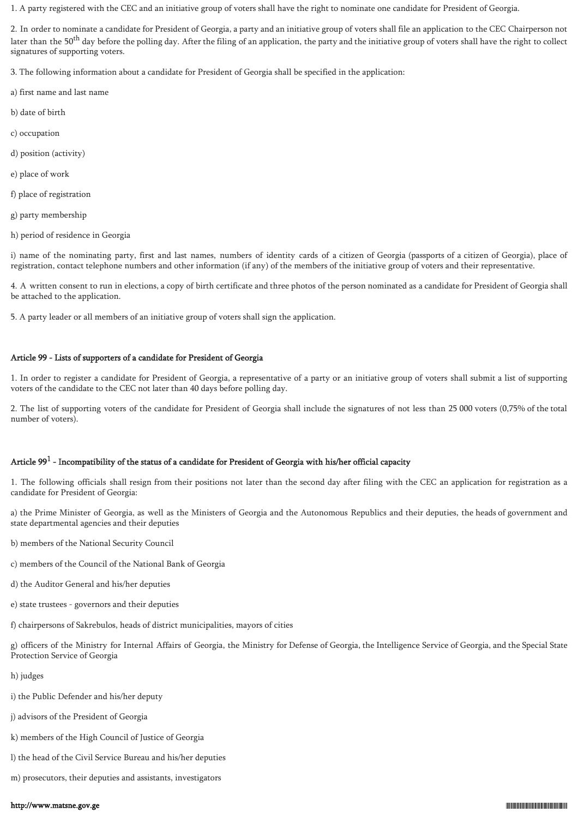1. A party registered with the CEC and an initiative group of voters shall have the right to nominate one candidate for President of Georgia.

2. In order to nominate a candidate for President of Georgia, a party and an initiative group of voters shall file an application to the CEC Chairperson not later than the 50<sup>th</sup> day before the polling day. After the filing of an application, the party and the initiative group of voters shall have the right to collect signatures of supporting voters.

3. The following information about a candidate for President of Georgia shall be specified in the application:

- a) first name and last name
- b) date of birth
- c) occupation
- d) position (activity)
- e) place of work
- f) place of registration
- g) party membership
- h) period of residence in Georgia

i) name of the nominating party, first and last names, numbers of identity cards of a citizen of Georgia (passports of a citizen of Georgia), place of registration, contact telephone numbers and other information (if any) of the members of the initiative group of voters and their representative.

4. A written consent to run in elections, a copy of birth certificate and three photos of the person nominated as a candidate for President of Georgia shall be attached to the application.

5. A party leader or all members of an initiative group of voters shall sign the application.

## Article 99 - Lists of supporters of a candidate for President of Georgia

1. In order to register a candidate for President of Georgia, a representative of a party or an initiative group of voters shall submit a list of supporting voters of the candidate to the CEC not later than 40 days before polling day.

2. The list of supporting voters of the candidate for President of Georgia shall include the signatures of not less than 25 000 voters (0,75% of the total number of voters).

# Article 99 $^1$  - Incompatibility of the status of a candidate for President of Georgia with his/her official capacity

1. The following officials shall resign from their positions not later than the second day after filing with the CEC an application for registration as a candidate for President of Georgia:

a) the Prime Minister of Georgia, as well as the Ministers of Georgia and the Autonomous Republics and their deputies, the heads of government and state departmental agencies and their deputies

- b) members of the National Security Council
- c) members of the Council of the National Bank of Georgia
- d) the Auditor General and his/her deputies
- e) state trustees governors and their deputies
- f) chairpersons of Sakrebulos, heads of district municipalities, mayors of cities

g) officers of the Ministry for Internal Affairs of Georgia, the Ministry for Defense of Georgia, the Intelligence Service of Georgia, and the Special State Protection Service of Georgia

- h) judges
- i) the Public Defender and his/her deputy
- j) advisors of the President of Georgia
- k) members of the High Council of Justice of Georgia
- l) the head of the Civil Service Bureau and his/her deputies
- m) prosecutors, their deputies and assistants, investigators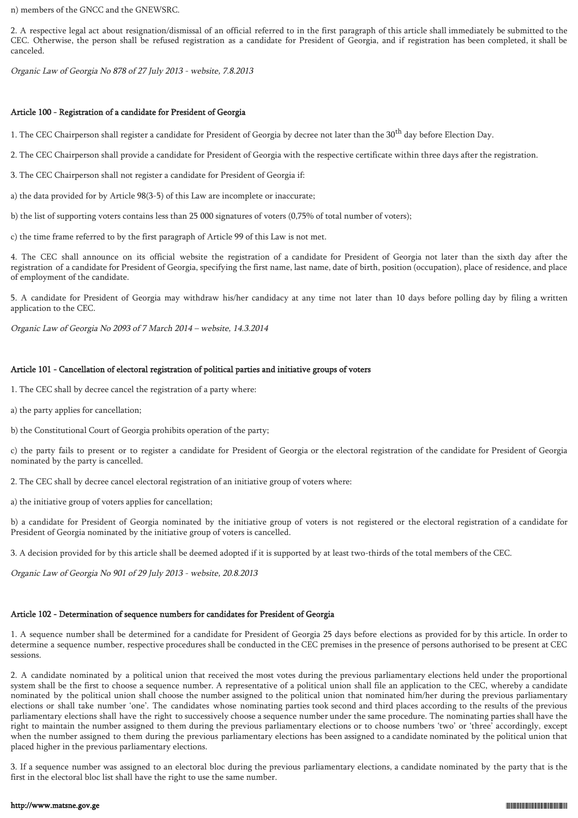n) members of the GNCC and the GNEWSRC.

2. A respective legal act about resignation/dismissal of an official referred to in the first paragraph of this article shall immediately be submitted to the CEC. Otherwise, the person shall be refused registration as a candidate for President of Georgia, and if registration has been completed, it shall be canceled.

Organic Law of Georgia No 878 of 27 July 2013 - website, 7.8.2013

### Article 100 - Registration of a candidate for President of Georgia

1. The CEC Chairperson shall register a candidate for President of Georgia by decree not later than the 30<sup>th</sup> day before Election Day.

2. The CEC Chairperson shall provide a candidate for President of Georgia with the respective certificate within three days after the registration.

3. The CEC Chairperson shall not register a candidate for President of Georgia if:

a) the data provided for by Article 98(3-5) of this Law are incomplete or inaccurate;

b) the list of supporting voters contains less than 25 000 signatures of voters (0,75% of total number of voters);

c) the time frame referred to by the first paragraph of Article 99 of this Law is not met.

4. The CEC shall announce on its official website the registration of a candidate for President of Georgia not later than the sixth day after the registration of a candidate for President of Georgia, specifying the first name, last name, date of birth, position (occupation), place of residence, and place of employment of the candidate.

5. A candidate for President of Georgia may withdraw his/her candidacy at any time not later than 10 days before polling day by filing a written application to the CEC.

Organic Law of Georgia No 2093 of 7 March 2014 – website, 14.3.2014

## Article 101 - Cancellation of electoral registration of political parties and initiative groups of voters

1. The CEC shall by decree cancel the registration of a party where:

- a) the party applies for cancellation;
- b) the Constitutional Court of Georgia prohibits operation of the party;

c) the party fails to present or to register a candidate for President of Georgia or the electoral registration of the candidate for President of Georgia nominated by the party is cancelled.

2. The CEC shall by decree cancel electoral registration of an initiative group of voters where:

a) the initiative group of voters applies for cancellation;

b) a candidate for President of Georgia nominated by the initiative group of voters is not registered or the electoral registration of a candidate for President of Georgia nominated by the initiative group of voters is cancelled.

3. A decision provided for by this article shall be deemed adopted if it is supported by at least two-thirds of the total members of the CEC.

Organic Law of Georgia No 901 of 29 July 2013 - website, 20.8.2013

# Article 102 - Determination of sequence numbers for candidates for President of Georgia

1. A sequence number shall be determined for a candidate for President of Georgia 25 days before elections as provided for by this article. In order to determine a sequence number, respective procedures shall be conducted in the CEC premises in the presence of persons authorised to be present at CEC sessions.

2. A candidate nominated by a political union that received the most votes during the previous parliamentary elections held under the proportional system shall be the first to choose a sequence number. A representative of a political union shall file an application to the CEC, whereby a candidate nominated by the political union shall choose the number assigned to the political union that nominated him/her during the previous parliamentary elections or shall take number 'one'. The candidates whose nominating parties took second and third places according to the results of the previous parliamentary elections shall have the right to successively choose a sequence number under the same procedure. The nominating parties shall have the right to maintain the number assigned to them during the previous parliamentary elections or to choose numbers 'two' or 'three' accordingly, except when the number assigned to them during the previous parliamentary elections has been assigned to a candidate nominated by the political union that placed higher in the previous parliamentary elections.

3. If a sequence number was assigned to an electoral bloc during the previous parliamentary elections, a candidate nominated by the party that is the first in the electoral bloc list shall have the right to use the same number.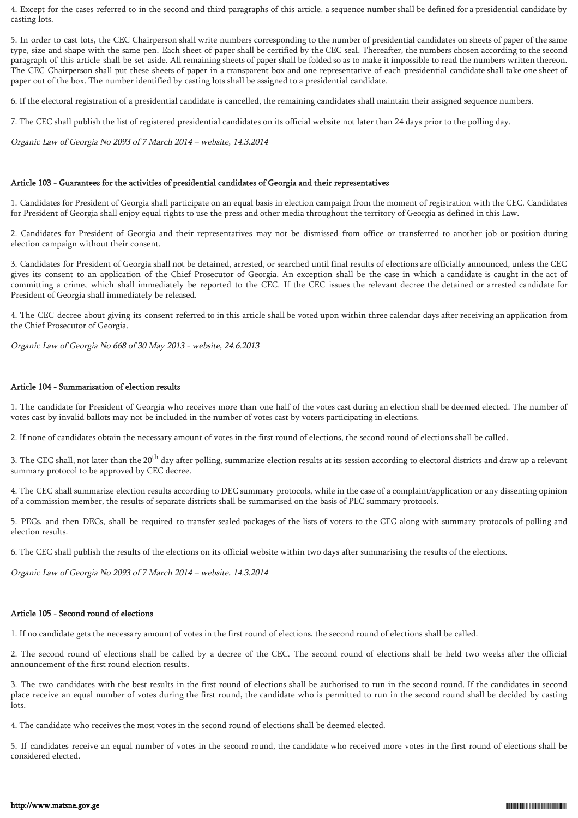4. Except for the cases referred to in the second and third paragraphs of this article, a sequence number shall be defined for a presidential candidate by casting lots.

5. In order to cast lots, the CEC Chairperson shall write numbers corresponding to the number of presidential candidates on sheets of paper of the same type, size and shape with the same pen. Each sheet of paper shall be certified by the CEC seal. Thereafter, the numbers chosen according to the second paragraph of this article shall be set aside. All remaining sheets of paper shall be folded so as to make it impossible to read the numbers written thereon. The CEC Chairperson shall put these sheets of paper in a transparent box and one representative of each presidential candidate shall take one sheet of paper out of the box. The number identified by casting lots shall be assigned to a presidential candidate.

6. If the electoral registration of a presidential candidate is cancelled, the remaining candidates shall maintain their assigned sequence numbers.

7. The CEC shall publish the list of registered presidential candidates on its official website not later than 24 days prior to the polling day.

Organic Law of Georgia No 2093 of 7 March 2014 – website, 14.3.2014

## Article 103 - Guarantees for the activities of presidential candidates of Georgia and their representatives

1. Candidates for President of Georgia shall participate on an equal basis in election campaign from the moment of registration with the CEC. Candidates for President of Georgia shall enjoy equal rights to use the press and other media throughout the territory of Georgia as defined in this Law.

2. Candidates for President of Georgia and their representatives may not be dismissed from office or transferred to another job or position during election campaign without their consent.

3. Candidates for President of Georgia shall not be detained, arrested, or searched until final results of elections are officially announced, unless the CEC gives its consent to an application of the Chief Prosecutor of Georgia. An exception shall be the case in which a candidate is caught in the act of committing a crime, which shall immediately be reported to the CEC. If the CEC issues the relevant decree the detained or arrested candidate for President of Georgia shall immediately be released.

4. The CEC decree about giving its consent referred to in this article shall be voted upon within three calendar days after receiving an application from the Chief Prosecutor of Georgia.

Organic Law of Georgia No 668 of 30 May 2013 - website, 24.6.2013

## Article 104 - Summarisation of election results

1. The candidate for President of Georgia who receives more than one half of the votes cast during an election shall be deemed elected. The number of votes cast by invalid ballots may not be included in the number of votes cast by voters participating in elections.

2. If none of candidates obtain the necessary amount of votes in the first round of elections, the second round of elections shall be called.

3. The CEC shall, not later than the 20<sup>th</sup> day after polling, summarize election results at its session according to electoral districts and draw up a relevant summary protocol to be approved by CEC decree.

4. The CEC shall summarize election results according to DEC summary protocols, while in the case of a complaint/application or any dissenting opinion of a commission member, the results of separate districts shall be summarised on the basis of PEC summary protocols.

5. PECs, and then DECs, shall be required to transfer sealed packages of the lists of voters to the CEC along with summary protocols of polling and election results.

6. The CEC shall publish the results of the elections on its official website within two days after summarising the results of the elections.

Organic Law of Georgia No 2093 of 7 March 2014 – website, 14.3.2014

## Article 105 - Second round of elections

1. If no candidate gets the necessary amount of votes in the first round of elections, the second round of elections shall be called.

2. The second round of elections shall be called by a decree of the CEC. The second round of elections shall be held two weeks after the official announcement of the first round election results.

3. The two candidates with the best results in the first round of elections shall be authorised to run in the second round. If the candidates in second place receive an equal number of votes during the first round, the candidate who is permitted to run in the second round shall be decided by casting lots.

4. The candidate who receives the most votes in the second round of elections shall be deemed elected.

5. If candidates receive an equal number of votes in the second round, the candidate who received more votes in the first round of elections shall be considered elected.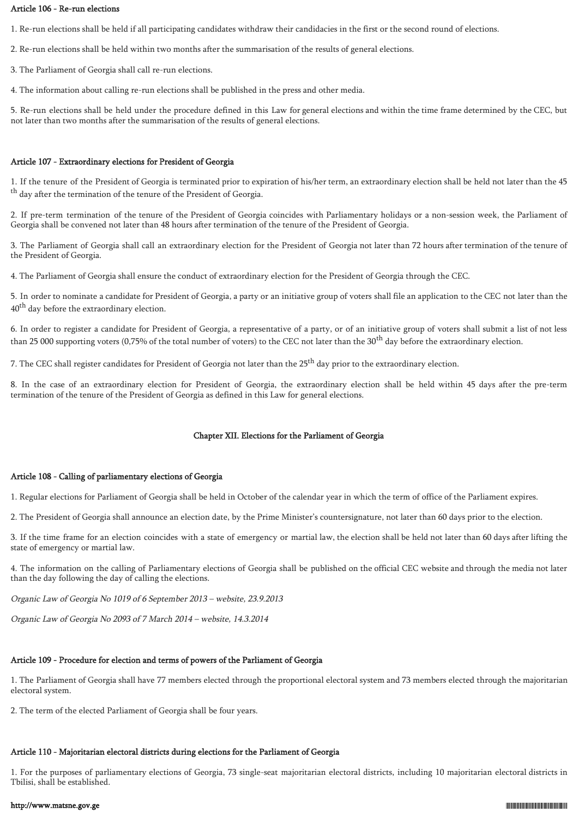## Article 106 - Re-run elections

1. Re-run elections shall be held if all participating candidates withdraw their candidacies in the first or the second round of elections.

2. Re-run elections shall be held within two months after the summarisation of the results of general elections.

3. The Parliament of Georgia shall call re-run elections.

4. The information about calling re-run elections shall be published in the press and other media.

5. Re-run elections shall be held under the procedure defined in this Law for general elections and within the time frame determined by the CEC, but not later than two months after the summarisation of the results of general elections.

#### Article 107 - Extraordinary elections for President of Georgia

1. If the tenure of the President of Georgia is terminated prior to expiration of his/her term, an extraordinary election shall be held not later than the 45 <sup>th</sup> day after the termination of the tenure of the President of Georgia.

2. If pre-term termination of the tenure of the President of Georgia coincides with Parliamentary holidays or a non-session week, the Parliament of Georgia shall be convened not later than 48 hours after termination of the tenure of the President of Georgia.

3. The Parliament of Georgia shall call an extraordinary election for the President of Georgia not later than 72 hours after termination of the tenure of the President of Georgia.

4. The Parliament of Georgia shall ensure the conduct of extraordinary election for the President of Georgia through the CEC.

5. In order to nominate a candidate for President of Georgia, a party or an initiative group of voters shall file an application to the CEC not later than the 40<sup>th</sup> day before the extraordinary election.

6. In order to register a candidate for President of Georgia, a representative of a party, or of an initiative group of voters shall submit a list of not less than 25 000 supporting voters (0,75% of the total number of voters) to the CEC not later than the  $30<sup>th</sup>$  day before the extraordinary election.

7. The CEC shall register candidates for President of Georgia not later than the 25<sup>th</sup> day prior to the extraordinary election.

8. In the case of an extraordinary election for President of Georgia, the extraordinary election shall be held within 45 days after the pre-term termination of the tenure of the President of Georgia as defined in this Law for general elections.

#### Chapter XII. Elections for the Parliament of Georgia

#### Article 108 - Calling of parliamentary elections of Georgia

1. Regular elections for Parliament of Georgia shall be held in October of the calendar year in which the term of office of the Parliament expires.

2. The President of Georgia shall announce an election date, by the Prime Minister's countersignature, not later than 60 days prior to the election.

3. If the time frame for an election coincides with a state of emergency or martial law, the election shall be held not later than 60 days after lifting the state of emergency or martial law.

4. The information on the calling of Parliamentary elections of Georgia shall be published on the official CEC website and through the media not later than the day following the day of calling the elections.

Organic Law of Georgia No 1019 of 6 September 2013 – website, 23.9.2013

Organic Law of Georgia No 2093 of 7 March 2014 – website, 14.3.2014

# Article 109 - Procedure for election and terms of powers of the Parliament of Georgia

1. The Parliament of Georgia shall have 77 members elected through the proportional electoral system and 73 members elected through the majoritarian electoral system.

2. The term of the elected Parliament of Georgia shall be four years.

# Article 110 - Majoritarian electoral districts during elections for the Parliament of Georgia

1. For the purposes of parliamentary elections of Georgia, 73 single-seat majoritarian electoral districts, including 10 majoritarian electoral districts in Tbilisi, shall be established.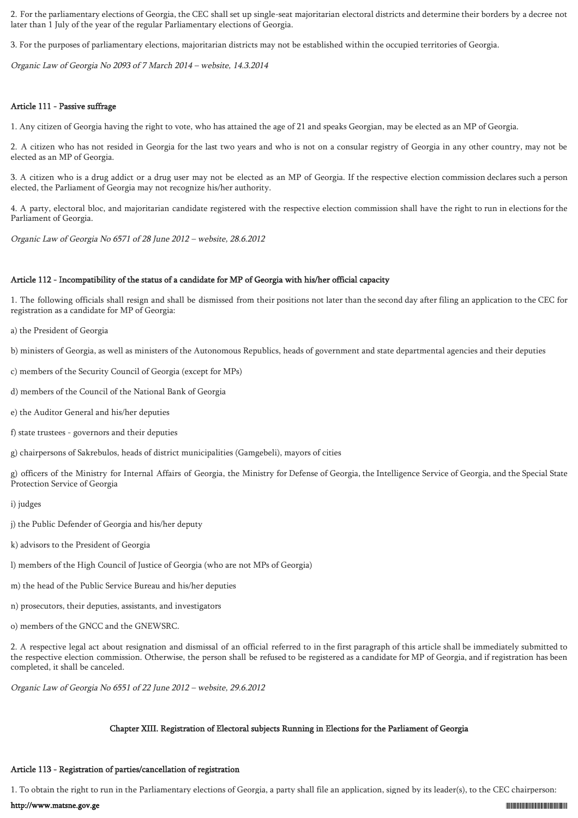2. For the parliamentary elections of Georgia, the CEC shall set up single-seat majoritarian electoral districts and determine their borders by a decree not later than 1 July of the year of the regular Parliamentary elections of Georgia.

3. For the purposes of parliamentary elections, majoritarian districts may not be established within the occupied territories of Georgia.

Organic Law of Georgia No 2093 of 7 March 2014 – website, 14.3.2014

## Article 111 - Passive suffrage

1. Any citizen of Georgia having the right to vote, who has attained the age of 21 and speaks Georgian, may be elected as an MP of Georgia.

2. A citizen who has not resided in Georgia for the last two years and who is not on a consular registry of Georgia in any other country, may not be elected as an MP of Georgia.

3. A citizen who is a drug addict or a drug user may not be elected as an MP of Georgia. If the respective election commission declares such a person elected, the Parliament of Georgia may not recognize his/her authority.

4. A party, electoral bloc, and majoritarian candidate registered with the respective election commission shall have the right to run in elections for the Parliament of Georgia.

Organic Law of Georgia No 6571 of 28 June 2012 – website, 28.6.2012

### Article 112 - Incompatibility of the status of a candidate for MP of Georgia with his/her official capacity

1. The following officials shall resign and shall be dismissed from their positions not later than the second day after filing an application to the CEC for registration as a candidate for MP of Georgia:

a) the President of Georgia

b) ministers of Georgia, as well as ministers of the Autonomous Republics, heads of government and state departmental agencies and their deputies

c) members of the Security Council of Georgia (except for MPs)

d) members of the Council of the National Bank of Georgia

e) the Auditor General and his/her deputies

f) state trustees - governors and their deputies

g) chairpersons of Sakrebulos, heads of district municipalities (Gamgebeli), mayors of cities

g) officers of the Ministry for Internal Affairs of Georgia, the Ministry for Defense of Georgia, the Intelligence Service of Georgia, and the Special State Protection Service of Georgia

i) judges

j) the Public Defender of Georgia and his/her deputy

k) advisors to the President of Georgia

l) members of the High Council of Justice of Georgia (who are not MPs of Georgia)

m) the head of the Public Service Bureau and his/her deputies

n) prosecutors, their deputies, assistants, and investigators

o) members of the GNCC and the GNEWSRC.

2. A respective legal act about resignation and dismissal of an official referred to in the first paragraph of this article shall be immediately submitted to the respective election commission. Otherwise, the person shall be refused to be registered as a candidate for MP of Georgia, and if registration has been completed, it shall be canceled.

Organic Law of Georgia No 6551 of 22 June 2012 – website, 29.6.2012

## Chapter XIII. Registration of Electoral subjects Running in Elections for the Parliament of Georgia

## Article 113 - Registration of parties/cancellation of registration

1. To obtain the right to run in the Parliamentary elections of Georgia, a party shall file an application, signed by its leader(s), to the CEC chairperson: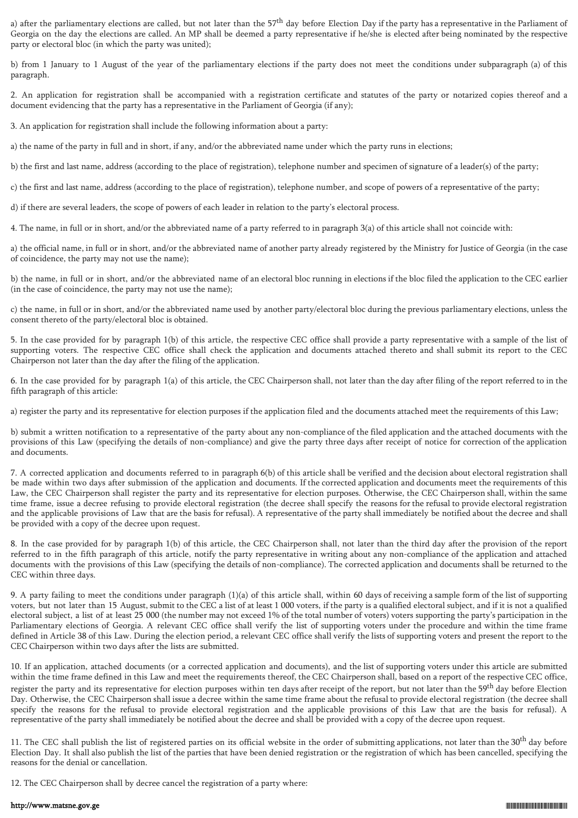a) after the parliamentary elections are called, but not later than the  $57<sup>th</sup>$  day before Election Day if the party has a representative in the Parliament of Georgia on the day the elections are called. An MP shall be deemed a party representative if he/she is elected after being nominated by the respective party or electoral bloc (in which the party was united);

b) from 1 January to 1 August of the year of the parliamentary elections if the party does not meet the conditions under subparagraph (a) of this paragraph.

2. An application for registration shall be accompanied with a registration certificate and statutes of the party or notarized copies thereof and a document evidencing that the party has a representative in the Parliament of Georgia (if any);

3. An application for registration shall include the following information about a party:

a) the name of the party in full and in short, if any, and/or the abbreviated name under which the party runs in elections;

b) the first and last name, address (according to the place of registration), telephone number and specimen of signature of a leader(s) of the party;

c) the first and last name, address (according to the place of registration), telephone number, and scope of powers of a representative of the party;

d) if there are several leaders, the scope of powers of each leader in relation to the party's electoral process.

4. The name, in full or in short, and/or the abbreviated name of a party referred to in paragraph 3(a) of this article shall not coincide with:

a) the official name, in full or in short, and/or the abbreviated name of another party already registered by the Ministry for Justice of Georgia (in the case of coincidence, the party may not use the name);

b) the name, in full or in short, and/or the abbreviated name of an electoral bloc running in elections if the bloc filed the application to the CEC earlier (in the case of coincidence, the party may not use the name);

c) the name, in full or in short, and/or the abbreviated name used by another party/electoral bloc during the previous parliamentary elections, unless the consent thereto of the party/electoral bloc is obtained.

5. In the case provided for by paragraph 1(b) of this article, the respective CEC office shall provide a party representative with a sample of the list of supporting voters. The respective CEC office shall check the application and documents attached thereto and shall submit its report to the CEC Chairperson not later than the day after the filing of the application.

6. In the case provided for by paragraph 1(a) of this article, the CEC Chairperson shall, not later than the day after filing of the report referred to in the fifth paragraph of this article:

a) register the party and its representative for election purposes if the application filed and the documents attached meet the requirements of this Law;

b) submit a written notification to a representative of the party about any non-compliance of the filed application and the attached documents with the provisions of this Law (specifying the details of non-compliance) and give the party three days after receipt of notice for correction of the application and documents.

7. A corrected application and documents referred to in paragraph 6(b) of this article shall be verified and the decision about electoral registration shall be made within two days after submission of the application and documents. If the corrected application and documents meet the requirements of this Law, the CEC Chairperson shall register the party and its representative for election purposes. Otherwise, the CEC Chairperson shall, within the same time frame, issue a decree refusing to provide electoral registration (the decree shall specify the reasons for the refusal to provide electoral registration and the applicable provisions of Law that are the basis for refusal). A representative of the party shall immediately be notified about the decree and shall be provided with a copy of the decree upon request.

8. In the case provided for by paragraph 1(b) of this article, the CEC Chairperson shall, not later than the third day after the provision of the report referred to in the fifth paragraph of this article, notify the party representative in writing about any non-compliance of the application and attached documents with the provisions of this Law (specifying the details of non-compliance). The corrected application and documents shall be returned to the CEC within three days.

9. A party failing to meet the conditions under paragraph (1)(a) of this article shall, within 60 days of receiving a sample form of the list of supporting voters, but not later than 15 August, submit to the CEC a list of at least 1 000 voters, if the party is a qualified electoral subject, and if it is not a qualified electoral subject, a list of at least 25 000 (the number may not exceed 1% of the total number of voters) voters supporting the party's participation in the Parliamentary elections of Georgia. A relevant CEC office shall verify the list of supporting voters under the procedure and within the time frame defined in Article 38 of this Law. During the election period, a relevant CEC office shall verify the lists of supporting voters and present the report to the CEC Chairperson within two days after the lists are submitted.

10. If an application, attached documents (or a corrected application and documents), and the list of supporting voters under this article are submitted within the time frame defined in this Law and meet the requirements thereof, the CEC Chairperson shall, based on a report of the respective CEC office, register the party and its representative for election purposes within ten days after receipt of the report, but not later than the 59<sup>th</sup> day before Election Day. Otherwise, the CEC Chairperson shall issue a decree within the same time frame about the refusal to provide electoral registration (the decree shall specify the reasons for the refusal to provide electoral registration and the applicable provisions of this Law that are the basis for refusal). A representative of the party shall immediately be notified about the decree and shall be provided with a copy of the decree upon request.

11. The CEC shall publish the list of registered parties on its official website in the order of submitting applications, not later than the 30<sup>th</sup> day before Election Day. It shall also publish the list of the parties that have been denied registration or the registration of which has been cancelled, specifying the reasons for the denial or cancellation.

12. The CEC Chairperson shall by decree cancel the registration of a party where: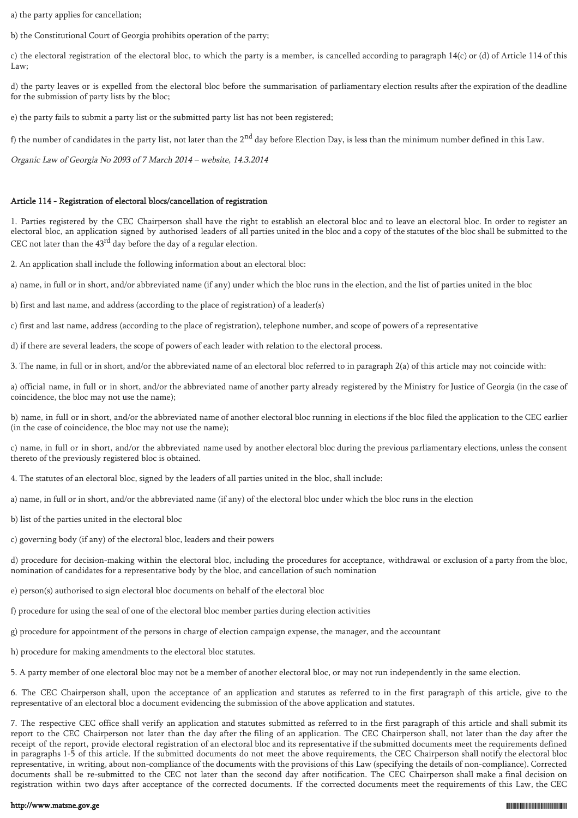a) the party applies for cancellation;

b) the Constitutional Court of Georgia prohibits operation of the party;

c) the electoral registration of the electoral bloc, to which the party is a member, is cancelled according to paragraph  $14(c)$  or (d) of Article 114 of this Law;

d) the party leaves or is expelled from the electoral bloc before the summarisation of parliamentary election results after the expiration of the deadline for the submission of party lists by the bloc;

e) the party fails to submit a party list or the submitted party list has not been registered;

f) the number of candidates in the party list, not later than the  $2<sup>nd</sup>$  day before Election Day, is less than the minimum number defined in this Law.

Organic Law of Georgia No 2093 of 7 March 2014 – website, 14.3.2014

## Article 114 - Registration of electoral blocs/cancellation of registration

1. Parties registered by the CEC Chairperson shall have the right to establish an electoral bloc and to leave an electoral bloc. In order to register an electoral bloc, an application signed by authorised leaders of all parties united in the bloc and a copy of the statutes of the bloc shall be submitted to the CEC not later than the 43rd day before the day of a regular election.

2. An application shall include the following information about an electoral bloc:

a) name, in full or in short, and/or abbreviated name (if any) under which the bloc runs in the election, and the list of parties united in the bloc

b) first and last name, and address (according to the place of registration) of a leader(s)

c) first and last name, address (according to the place of registration), telephone number, and scope of powers of a representative

d) if there are several leaders, the scope of powers of each leader with relation to the electoral process.

3. The name, in full or in short, and/or the abbreviated name of an electoral bloc referred to in paragraph 2(a) of this article may not coincide with:

a) official name, in full or in short, and/or the abbreviated name of another party already registered by the Ministry for Justice of Georgia (in the case of coincidence, the bloc may not use the name);

b) name, in full or in short, and/or the abbreviated name of another electoral bloc running in elections if the bloc filed the application to the CEC earlier (in the case of coincidence, the bloc may not use the name);

c) name, in full or in short, and/or the abbreviated name used by another electoral bloc during the previous parliamentary elections, unless the consent thereto of the previously registered bloc is obtained.

4. The statutes of an electoral bloc, signed by the leaders of all parties united in the bloc, shall include:

a) name, in full or in short, and/or the abbreviated name (if any) of the electoral bloc under which the bloc runs in the election

b) list of the parties united in the electoral bloc

c) governing body (if any) of the electoral bloc, leaders and their powers

d) procedure for decision-making within the electoral bloc, including the procedures for acceptance, withdrawal or exclusion of a party from the bloc, nomination of candidates for a representative body by the bloc, and cancellation of such nomination

e) person(s) authorised to sign electoral bloc documents on behalf of the electoral bloc

f) procedure for using the seal of one of the electoral bloc member parties during election activities

g) procedure for appointment of the persons in charge of election campaign expense, the manager, and the accountant

h) procedure for making amendments to the electoral bloc statutes.

5. A party member of one electoral bloc may not be a member of another electoral bloc, or may not run independently in the same election.

6. The CEC Chairperson shall, upon the acceptance of an application and statutes as referred to in the first paragraph of this article, give to the representative of an electoral bloc a document evidencing the submission of the above application and statutes.

7. The respective CEC office shall verify an application and statutes submitted as referred to in the first paragraph of this article and shall submit its report to the CEC Chairperson not later than the day after the filing of an application. The CEC Chairperson shall, not later than the day after the receipt of the report, provide electoral registration of an electoral bloc and its representative if the submitted documents meet the requirements defined in paragraphs 1-5 of this article. If the submitted documents do not meet the above requirements, the CEC Chairperson shall notify the electoral bloc representative, in writing, about non-compliance of the documents with the provisions of this Law (specifying the details of non-compliance). Corrected documents shall be re-submitted to the CEC not later than the second day after notification. The CEC Chairperson shall make a final decision on registration within two days after acceptance of the corrected documents. If the corrected documents meet the requirements of this Law, the CEC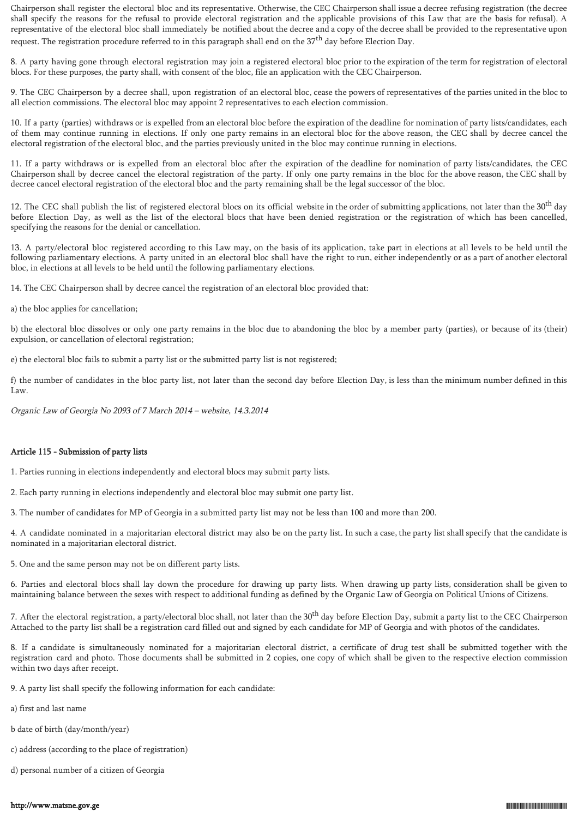Chairperson shall register the electoral bloc and its representative. Otherwise, the CEC Chairperson shall issue a decree refusing registration (the decree shall specify the reasons for the refusal to provide electoral registration and the applicable provisions of this Law that are the basis for refusal). A representative of the electoral bloc shall immediately be notified about the decree and a copy of the decree shall be provided to the representative upon request. The registration procedure referred to in this paragraph shall end on the 37<sup>th</sup> day before Election Day.

8. A party having gone through electoral registration may join a registered electoral bloc prior to the expiration of the term for registration of electoral blocs. For these purposes, the party shall, with consent of the bloc, file an application with the CEC Chairperson.

9. The CEC Chairperson by a decree shall, upon registration of an electoral bloc, cease the powers of representatives of the parties united in the bloc to all election commissions. The electoral bloc may appoint 2 representatives to each election commission.

10. If a party (parties) withdraws or is expelled from an electoral bloc before the expiration of the deadline for nomination of party lists/candidates, each of them may continue running in elections. If only one party remains in an electoral bloc for the above reason, the CEC shall by decree cancel the electoral registration of the electoral bloc, and the parties previously united in the bloc may continue running in elections.

11. If a party withdraws or is expelled from an electoral bloc after the expiration of the deadline for nomination of party lists/candidates, the CEC Chairperson shall by decree cancel the electoral registration of the party. If only one party remains in the bloc for the above reason, the CEC shall by decree cancel electoral registration of the electoral bloc and the party remaining shall be the legal successor of the bloc.

12. The CEC shall publish the list of registered electoral blocs on its official website in the order of submitting applications, not later than the 30<sup>th</sup> day before Election Day, as well as the list of the electoral blocs that have been denied registration or the registration of which has been cancelled, specifying the reasons for the denial or cancellation.

13. A party/electoral bloc registered according to this Law may, on the basis of its application, take part in elections at all levels to be held until the following parliamentary elections. A party united in an electoral bloc shall have the right to run, either independently or as a part of another electoral bloc, in elections at all levels to be held until the following parliamentary elections.

14. The CEC Chairperson shall by decree cancel the registration of an electoral bloc provided that:

a) the bloc applies for cancellation;

b) the electoral bloc dissolves or only one party remains in the bloc due to abandoning the bloc by a member party (parties), or because of its (their) expulsion, or cancellation of electoral registration;

e) the electoral bloc fails to submit a party list or the submitted party list is not registered;

f) the number of candidates in the bloc party list, not later than the second day before Election Day, is less than the minimum number defined in this Law.

Organic Law of Georgia No 2093 of 7 March 2014 – website, 14.3.2014

## Article 115 - Submission of party lists

1. Parties running in elections independently and electoral blocs may submit party lists.

2. Each party running in elections independently and electoral bloc may submit one party list.

3. The number of candidates for MP of Georgia in a submitted party list may not be less than 100 and more than 200.

4. A candidate nominated in a majoritarian electoral district may also be on the party list. In such a case, the party list shall specify that the candidate is nominated in a majoritarian electoral district.

5. One and the same person may not be on different party lists.

6. Parties and electoral blocs shall lay down the procedure for drawing up party lists. When drawing up party lists, consideration shall be given to maintaining balance between the sexes with respect to additional funding as defined by the Organic Law of Georgia on Political Unions of Citizens.

7. After the electoral registration, a party/electoral bloc shall, not later than the 30<sup>th</sup> day before Election Day, submit a party list to the CEC Chairperson Attached to the party list shall be a registration card filled out and signed by each candidate for MP of Georgia and with photos of the candidates.

8. If a candidate is simultaneously nominated for a majoritarian electoral district, a certificate of drug test shall be submitted together with the registration card and photo. Those documents shall be submitted in 2 copies, one copy of which shall be given to the respective election commission within two days after receipt.

9. A party list shall specify the following information for each candidate:

- a) first and last name
- b date of birth (day/month/year)
- c) address (according to the place of registration)
- d) personal number of a citizen of Georgia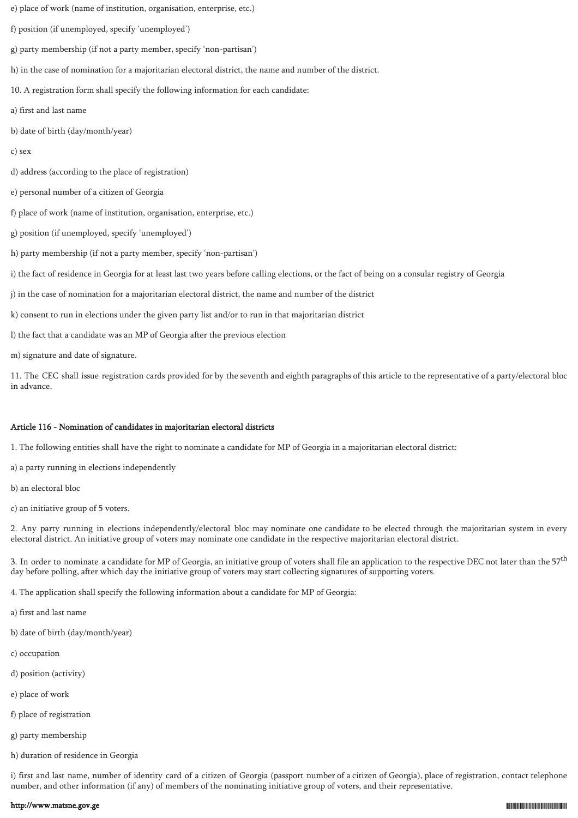- e) place of work (name of institution, organisation, enterprise, etc.)
- f) position (if unemployed, specify 'unemployed')
- g) party membership (if not a party member, specify 'non-partisan')
- h) in the case of nomination for a majoritarian electoral district, the name and number of the district.
- 10. A registration form shall specify the following information for each candidate:
- a) first and last name
- b) date of birth (day/month/year)
- c) sex
- d) address (according to the place of registration)
- e) personal number of a citizen of Georgia
- f) place of work (name of institution, organisation, enterprise, etc.)
- g) position (if unemployed, specify 'unemployed')
- h) party membership (if not a party member, specify 'non-partisan')
- i) the fact of residence in Georgia for at least last two years before calling elections, or the fact of being on a consular registry of Georgia
- j) in the case of nomination for a majoritarian electoral district, the name and number of the district
- k) consent to run in elections under the given party list and/or to run in that majoritarian district
- l) the fact that a candidate was an MP of Georgia after the previous election
- m) signature and date of signature.

11. The CEC shall issue registration cards provided for by the seventh and eighth paragraphs of this article to the representative of a party/electoral bloc in advance.

# Article 116 - Nomination of candidates in majoritarian electoral districts

1. The following entities shall have the right to nominate a candidate for MP of Georgia in a majoritarian electoral district:

- a) a party running in elections independently
- b) an electoral bloc
- c) an initiative group of 5 voters.

2. Any party running in elections independently/electoral bloc may nominate one candidate to be elected through the majoritarian system in every electoral district. An initiative group of voters may nominate one candidate in the respective majoritarian electoral district.

3. In order to nominate a candidate for MP of Georgia, an initiative group of voters shall file an application to the respective DEC not later than the  $57<sup>th</sup>$ day before polling, after which day the initiative group of voters may start collecting signatures of supporting voters.

4. The application shall specify the following information about a candidate for MP of Georgia:

- a) first and last name
- b) date of birth (day/month/year)
- c) occupation
- d) position (activity)
- e) place of work
- f) place of registration
- g) party membership
- h) duration of residence in Georgia

i) first and last name, number of identity card of a citizen of Georgia (passport number of a citizen of Georgia), place of registration, contact telephone number, and other information (if any) of members of the nominating initiative group of voters, and their representative.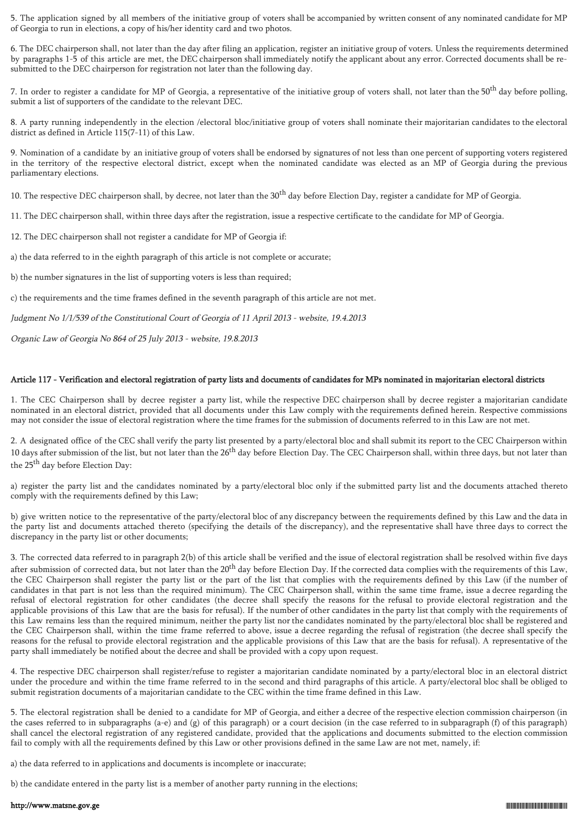5. The application signed by all members of the initiative group of voters shall be accompanied by written consent of any nominated candidate for MP of Georgia to run in elections, a copy of his/her identity card and two photos.

6. The DEC chairperson shall, not later than the day after filing an application, register an initiative group of voters. Unless the requirements determined by paragraphs 1-5 of this article are met, the DEC chairperson shall immediately notify the applicant about any error. Corrected documents shall be resubmitted to the DEC chairperson for registration not later than the following day.

7. In order to register a candidate for MP of Georgia, a representative of the initiative group of voters shall, not later than the 50<sup>th</sup> day before polling, submit a list of supporters of the candidate to the relevant DEC.

8. A party running independently in the election /electoral bloc/initiative group of voters shall nominate their majoritarian candidates to the electoral district as defined in Article 115(7-11) of this Law.

9. Nomination of a candidate by an initiative group of voters shall be endorsed by signatures of not less than one percent of supporting voters registered in the territory of the respective electoral district, except when the nominated candidate was elected as an MP of Georgia during the previous parliamentary elections.

10. The respective DEC chairperson shall, by decree, not later than the  $30<sup>th</sup>$  day before Election Day, register a candidate for MP of Georgia.

11. The DEC chairperson shall, within three days after the registration, issue a respective certificate to the candidate for MP of Georgia.

12. The DEC chairperson shall not register a candidate for MP of Georgia if:

a) the data referred to in the eighth paragraph of this article is not complete or accurate;

b) the number signatures in the list of supporting voters is less than required;

c) the requirements and the time frames defined in the seventh paragraph of this article are not met.

Judgment No 1/1/539 of the Constitutional Court of Georgia of 11 April 2013 - website, 19.4.2013

Organic Law of Georgia No 864 of 25 July 2013 - website, 19.8.2013

# Article 117 - Verification and electoral registration of party lists and documents of candidates for MPs nominated in majoritarian electoral districts

1. The CEC Chairperson shall by decree register a party list, while the respective DEC chairperson shall by decree register a majoritarian candidate nominated in an electoral district, provided that all documents under this Law comply with the requirements defined herein. Respective commissions may not consider the issue of electoral registration where the time frames for the submission of documents referred to in this Law are not met.

2. A designated office of the CEC shall verify the party list presented by a party/electoral bloc and shall submit its report to the CEC Chairperson within 10 days after submission of the list, but not later than the  $26<sup>th</sup>$  day before Election Day. The CEC Chairperson shall, within three days, but not later than the 25<sup>th</sup> day before Election Day:

a) register the party list and the candidates nominated by a party/electoral bloc only if the submitted party list and the documents attached thereto comply with the requirements defined by this Law;

b) give written notice to the representative of the party/electoral bloc of any discrepancy between the requirements defined by this Law and the data in the party list and documents attached thereto (specifying the details of the discrepancy), and the representative shall have three days to correct the discrepancy in the party list or other documents;

3. The corrected data referred to in paragraph 2(b) of this article shall be verified and the issue of electoral registration shall be resolved within five days after submission of corrected data, but not later than the  $20^{th}$  day before Election Day. If the corrected data complies with the requirements of this Law, the CEC Chairperson shall register the party list or the part of the list that complies with the requirements defined by this Law (if the number of candidates in that part is not less than the required minimum). The CEC Chairperson shall, within the same time frame, issue a decree regarding the refusal of electoral registration for other candidates (the decree shall specify the reasons for the refusal to provide electoral registration and the applicable provisions of this Law that are the basis for refusal). If the number of other candidates in the party list that comply with the requirements of this Law remains less than the required minimum, neither the party list nor the candidates nominated by the party/electoral bloc shall be registered and the CEC Chairperson shall, within the time frame referred to above, issue a decree regarding the refusal of registration (the decree shall specify the reasons for the refusal to provide electoral registration and the applicable provisions of this Law that are the basis for refusal). A representative of the party shall immediately be notified about the decree and shall be provided with a copy upon request.

4. The respective DEC chairperson shall register/refuse to register a majoritarian candidate nominated by a party/electoral bloc in an electoral district under the procedure and within the time frame referred to in the second and third paragraphs of this article. A party/electoral bloc shall be obliged to submit registration documents of a majoritarian candidate to the CEC within the time frame defined in this Law.

5. The electoral registration shall be denied to a candidate for MP of Georgia, and either a decree of the respective election commission chairperson (in the cases referred to in subparagraphs (a-e) and (g) of this paragraph) or a court decision (in the case referred to in subparagraph (f) of this paragraph) shall cancel the electoral registration of any registered candidate, provided that the applications and documents submitted to the election commission fail to comply with all the requirements defined by this Law or other provisions defined in the same Law are not met, namely, if:

a) the data referred to in applications and documents is incomplete or inaccurate;

b) the candidate entered in the party list is a member of another party running in the elections;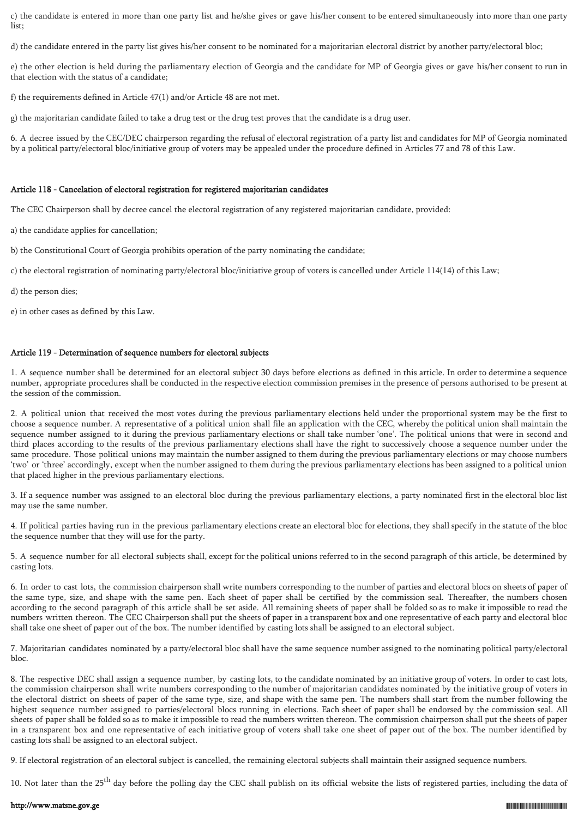c) the candidate is entered in more than one party list and he/she gives or gave his/her consent to be entered simultaneously into more than one party list;

d) the candidate entered in the party list gives his/her consent to be nominated for a majoritarian electoral district by another party/electoral bloc;

e) the other election is held during the parliamentary election of Georgia and the candidate for MP of Georgia gives or gave his/her consent to run in that election with the status of a candidate;

f) the requirements defined in Article 47(1) and/or Article 48 are not met.

g) the majoritarian candidate failed to take a drug test or the drug test proves that the candidate is a drug user.

6. A decree issued by the CEC/DEC chairperson regarding the refusal of electoral registration of a party list and candidates for MP of Georgia nominated by a political party/electoral bloc/initiative group of voters may be appealed under the procedure defined in Articles 77 and 78 of this Law.

## Article 118 - Cancelation of electoral registration for registered majoritarian candidates

The CEC Chairperson shall by decree cancel the electoral registration of any registered majoritarian candidate, provided:

a) the candidate applies for cancellation;

b) the Constitutional Court of Georgia prohibits operation of the party nominating the candidate;

c) the electoral registration of nominating party/electoral bloc/initiative group of voters is cancelled under Article 114(14) of this Law;

d) the person dies;

e) in other cases as defined by this Law.

### Article 119 - Determination of sequence numbers for electoral subjects

1. A sequence number shall be determined for an electoral subject 30 days before elections as defined in this article. In order to determine a sequence number, appropriate procedures shall be conducted in the respective election commission premises in the presence of persons authorised to be present at the session of the commission.

2. A political union that received the most votes during the previous parliamentary elections held under the proportional system may be the first to choose a sequence number. A representative of a political union shall file an application with the CEC, whereby the political union shall maintain the sequence number assigned to it during the previous parliamentary elections or shall take number 'one'. The political unions that were in second and third places according to the results of the previous parliamentary elections shall have the right to successively choose a sequence number under the same procedure. Those political unions may maintain the number assigned to them during the previous parliamentary elections or may choose numbers 'two' or 'three' accordingly, except when the number assigned to them during the previous parliamentary elections has been assigned to a political union that placed higher in the previous parliamentary elections.

3. If a sequence number was assigned to an electoral bloc during the previous parliamentary elections, a party nominated first in the electoral bloc list may use the same number.

4. If political parties having run in the previous parliamentary elections create an electoral bloc for elections, they shall specify in the statute of the bloc the sequence number that they will use for the party.

5. A sequence number for all electoral subjects shall, except for the political unions referred to in the second paragraph of this article, be determined by casting lots.

6. In order to cast lots, the commission chairperson shall write numbers corresponding to the number of parties and electoral blocs on sheets of paper of the same type, size, and shape with the same pen. Each sheet of paper shall be certified by the commission seal. Thereafter, the numbers chosen according to the second paragraph of this article shall be set aside. All remaining sheets of paper shall be folded so as to make it impossible to read the numbers written thereon. The CEC Chairperson shall put the sheets of paper in a transparent box and one representative of each party and electoral bloc shall take one sheet of paper out of the box. The number identified by casting lots shall be assigned to an electoral subject.

7. Majoritarian candidates nominated by a party/electoral bloc shall have the same sequence number assigned to the nominating political party/electoral bloc.

8. The respective DEC shall assign a sequence number, by casting lots, to the candidate nominated by an initiative group of voters. In order to cast lots, the commission chairperson shall write numbers corresponding to the number of majoritarian candidates nominated by the initiative group of voters in the electoral district on sheets of paper of the same type, size, and shape with the same pen. The numbers shall start from the number following the highest sequence number assigned to parties/electoral blocs running in elections. Each sheet of paper shall be endorsed by the commission seal. All sheets of paper shall be folded so as to make it impossible to read the numbers written thereon. The commission chairperson shall put the sheets of paper in a transparent box and one representative of each initiative group of voters shall take one sheet of paper out of the box. The number identified by casting lots shall be assigned to an electoral subject.

9. If electoral registration of an electoral subject is cancelled, the remaining electoral subjects shall maintain their assigned sequence numbers.

10. Not later than the 25<sup>th</sup> day before the polling day the CEC shall publish on its official website the lists of registered parties, including the data of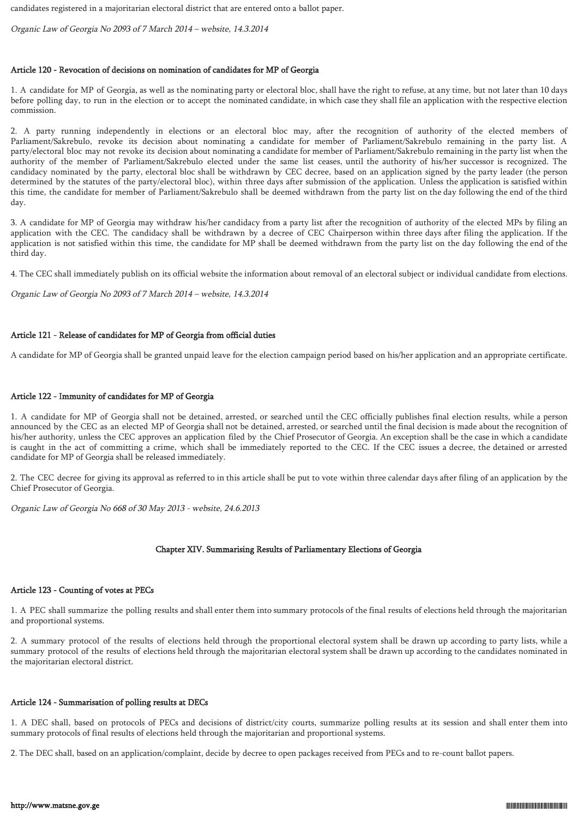candidates registered in a majoritarian electoral district that are entered onto a ballot paper.

Organic Law of Georgia No 2093 of 7 March 2014 – website, 14.3.2014

# Article 120 - Revocation of decisions on nomination of candidates for MP of Georgia

1. A candidate for MP of Georgia, as well as the nominating party or electoral bloc, shall have the right to refuse, at any time, but not later than 10 days before polling day, to run in the election or to accept the nominated candidate, in which case they shall file an application with the respective election commission.

2. A party running independently in elections or an electoral bloc may, after the recognition of authority of the elected members of Parliament/Sakrebulo, revoke its decision about nominating a candidate for member of Parliament/Sakrebulo remaining in the party list. A party/electoral bloc may not revoke its decision about nominating a candidate for member of Parliament/Sakrebulo remaining in the party list when the authority of the member of Parliament/Sakrebulo elected under the same list ceases, until the authority of his/her successor is recognized. The candidacy nominated by the party, electoral bloc shall be withdrawn by CEC decree, based on an application signed by the party leader (the person determined by the statutes of the party/electoral bloc), within three days after submission of the application. Unless the application is satisfied within this time, the candidate for member of Parliament/Sakrebulo shall be deemed withdrawn from the party list on the day following the end of the third day.

3. A candidate for MP of Georgia may withdraw his/her candidacy from a party list after the recognition of authority of the elected MPs by filing an application with the CEC. The candidacy shall be withdrawn by a decree of CEC Chairperson within three days after filing the application. If the application is not satisfied within this time, the candidate for MP shall be deemed withdrawn from the party list on the day following the end of the third day.

4. The CEC shall immediately publish on its official website the information about removal of an electoral subject or individual candidate from elections.

Organic Law of Georgia No 2093 of 7 March 2014 – website, 14.3.2014

## Article 121 - Release of candidates for MP of Georgia from official duties

A candidate for MP of Georgia shall be granted unpaid leave for the election campaign period based on his/her application and an appropriate certificate.

## Article 122 - Immunity of candidates for MP of Georgia

1. A candidate for MP of Georgia shall not be detained, arrested, or searched until the CEC officially publishes final election results, while a person announced by the CEC as an elected MP of Georgia shall not be detained, arrested, or searched until the final decision is made about the recognition of his/her authority, unless the CEC approves an application filed by the Chief Prosecutor of Georgia. An exception shall be the case in which a candidate is caught in the act of committing a crime, which shall be immediately reported to the CEC. If the CEC issues a decree, the detained or arrested candidate for MP of Georgia shall be released immediately.

2. The CEC decree for giving its approval as referred to in this article shall be put to vote within three calendar days after filing of an application by the Chief Prosecutor of Georgia.

Organic Law of Georgia No 668 of 30 May 2013 - website, 24.6.2013

## Chapter XIV. Summarising Results of Parliamentary Elections of Georgia

## Article 123 - Counting of votes at PECs

1. A PEC shall summarize the polling results and shall enter them into summary protocols of the final results of elections held through the majoritarian and proportional systems.

2. A summary protocol of the results of elections held through the proportional electoral system shall be drawn up according to party lists, while a summary protocol of the results of elections held through the majoritarian electoral system shall be drawn up according to the candidates nominated in the majoritarian electoral district.

## Article 124 - Summarisation of polling results at DECs

1. A DEC shall, based on protocols of PECs and decisions of district/city courts, summarize polling results at its session and shall enter them into summary protocols of final results of elections held through the majoritarian and proportional systems.

2. The DEC shall, based on an application/complaint, decide by decree to open packages received from PECs and to re-count ballot papers.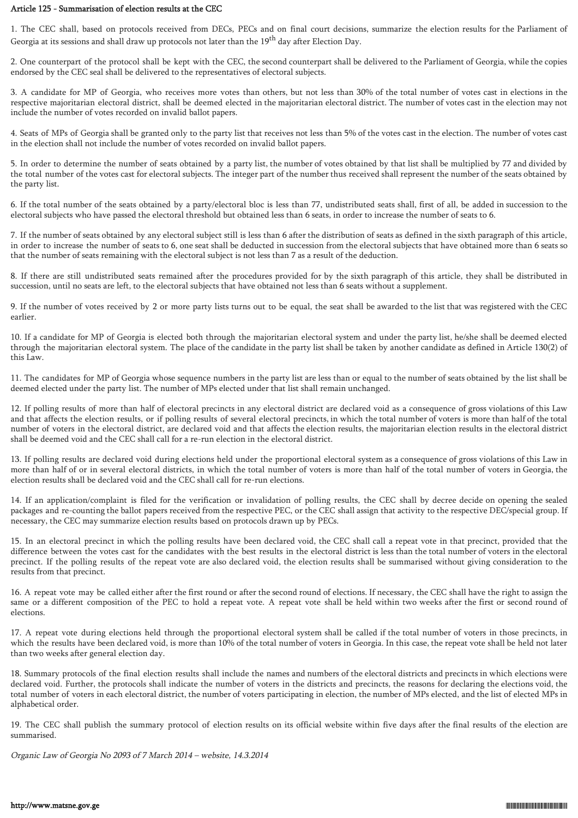#### Article 125 - Summarisation of election results at the CEC

1. The CEC shall, based on protocols received from DECs, PECs and on final court decisions, summarize the election results for the Parliament of Georgia at its sessions and shall draw up protocols not later than the 19<sup>th</sup> day after Election Day.

2. One counterpart of the protocol shall be kept with the CEC, the second counterpart shall be delivered to the Parliament of Georgia, while the copies endorsed by the CEC seal shall be delivered to the representatives of electoral subjects.

3. A candidate for MP of Georgia, who receives more votes than others, but not less than 30% of the total number of votes cast in elections in the respective majoritarian electoral district, shall be deemed elected in the majoritarian electoral district. The number of votes cast in the election may not include the number of votes recorded on invalid ballot papers.

4. Seats of MPs of Georgia shall be granted only to the party list that receives not less than 5% of the votes cast in the election. The number of votes cast in the election shall not include the number of votes recorded on invalid ballot papers.

5. In order to determine the number of seats obtained by a party list, the number of votes obtained by that list shall be multiplied by 77 and divided by the total number of the votes cast for electoral subjects. The integer part of the number thus received shall represent the number of the seats obtained by the party list.

6. If the total number of the seats obtained by a party/electoral bloc is less than 77, undistributed seats shall, first of all, be added in succession to the electoral subjects who have passed the electoral threshold but obtained less than 6 seats, in order to increase the number of seats to 6.

7. If the number of seats obtained by any electoral subject still is less than 6 after the distribution of seats as defined in the sixth paragraph of this article, in order to increase the number of seats to 6, one seat shall be deducted in succession from the electoral subjects that have obtained more than 6 seats so that the number of seats remaining with the electoral subject is not less than 7 as a result of the deduction.

8. If there are still undistributed seats remained after the procedures provided for by the sixth paragraph of this article, they shall be distributed in succession, until no seats are left, to the electoral subjects that have obtained not less than 6 seats without a supplement.

9. If the number of votes received by 2 or more party lists turns out to be equal, the seat shall be awarded to the list that was registered with the CEC earlier.

10. If a candidate for MP of Georgia is elected both through the majoritarian electoral system and under the party list, he/she shall be deemed elected through the majoritarian electoral system. The place of the candidate in the party list shall be taken by another candidate as defined in Article 130(2) of this Law.

11. The candidates for MP of Georgia whose sequence numbers in the party list are less than or equal to the number of seats obtained by the list shall be deemed elected under the party list. The number of MPs elected under that list shall remain unchanged.

12. If polling results of more than half of electoral precincts in any electoral district are declared void as a consequence of gross violations of this Law and that affects the election results, or if polling results of several electoral precincts, in which the total number of voters is more than half of the total number of voters in the electoral district, are declared void and that affects the election results, the majoritarian election results in the electoral district shall be deemed void and the CEC shall call for a re-run election in the electoral district.

13. If polling results are declared void during elections held under the proportional electoral system as a consequence of gross violations of this Law in more than half of or in several electoral districts, in which the total number of voters is more than half of the total number of voters in Georgia, the election results shall be declared void and the CEC shall call for re-run elections.

14. If an application/complaint is filed for the verification or invalidation of polling results, the CEC shall by decree decide on opening the sealed packages and re-counting the ballot papers received from the respective PEC, or the CEC shall assign that activity to the respective DEC/special group. If necessary, the CEC may summarize election results based on protocols drawn up by PECs.

15. In an electoral precinct in which the polling results have been declared void, the CEC shall call a repeat vote in that precinct, provided that the difference between the votes cast for the candidates with the best results in the electoral district is less than the total number of voters in the electoral precinct. If the polling results of the repeat vote are also declared void, the election results shall be summarised without giving consideration to the results from that precinct.

16. A repeat vote may be called either after the first round or after the second round of elections. If necessary, the CEC shall have the right to assign the same or a different composition of the PEC to hold a repeat vote. A repeat vote shall be held within two weeks after the first or second round of elections.

17. A repeat vote during elections held through the proportional electoral system shall be called if the total number of voters in those precincts, in which the results have been declared void, is more than 10% of the total number of voters in Georgia. In this case, the repeat vote shall be held not later than two weeks after general election day.

18. Summary protocols of the final election results shall include the names and numbers of the electoral districts and precincts in which elections were declared void. Further, the protocols shall indicate the number of voters in the districts and precincts, the reasons for declaring the elections void, the total number of voters in each electoral district, the number of voters participating in election, the number of MPs elected, and the list of elected MPs in alphabetical order.

19. The CEC shall publish the summary protocol of election results on its official website within five days after the final results of the election are summarised.

Organic Law of Georgia No 2093 of 7 March 2014 – website, 14.3.2014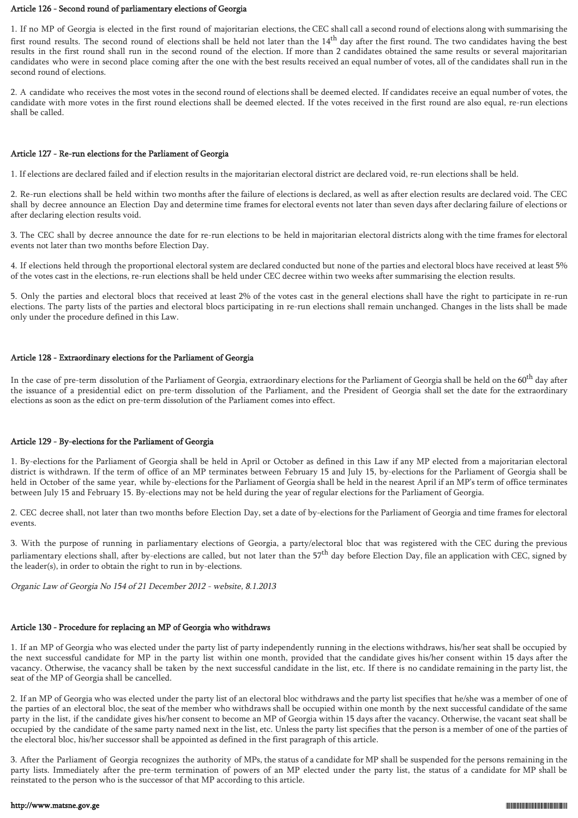#### Article 126 - Second round of parliamentary elections of Georgia

1. If no MP of Georgia is elected in the first round of majoritarian elections, the CEC shall call a second round of elections along with summarising the first round results. The second round of elections shall be held not later than the  $14<sup>th</sup>$  day after the first round. The two candidates having the best results in the first round shall run in the second round of the election. If more than 2 candidates obtained the same results or several majoritarian candidates who were in second place coming after the one with the best results received an equal number of votes, all of the candidates shall run in the second round of elections.

2. A candidate who receives the most votes in the second round of elections shall be deemed elected. If candidates receive an equal number of votes, the candidate with more votes in the first round elections shall be deemed elected. If the votes received in the first round are also equal, re-run elections shall be called.

### Article 127 - Re-run elections for the Parliament of Georgia

1. If elections are declared failed and if election results in the majoritarian electoral district are declared void, re-run elections shall be held.

2. Re-run elections shall be held within two months after the failure of elections is declared, as well as after election results are declared void. The CEC shall by decree announce an Election Day and determine time frames for electoral events not later than seven days after declaring failure of elections or after declaring election results void.

3. The CEC shall by decree announce the date for re-run elections to be held in majoritarian electoral districts along with the time frames for electoral events not later than two months before Election Day.

4. If elections held through the proportional electoral system are declared conducted but none of the parties and electoral blocs have received at least 5% of the votes cast in the elections, re-run elections shall be held under CEC decree within two weeks after summarising the election results.

5. Only the parties and electoral blocs that received at least 2% of the votes cast in the general elections shall have the right to participate in re-run elections. The party lists of the parties and electoral blocs participating in re-run elections shall remain unchanged. Changes in the lists shall be made only under the procedure defined in this Law.

## Article 128 - Extraordinary elections for the Parliament of Georgia

In the case of pre-term dissolution of the Parliament of Georgia, extraordinary elections for the Parliament of Georgia shall be held on the 60<sup>th</sup> day after the issuance of a presidential edict on pre-term dissolution of the Parliament, and the President of Georgia shall set the date for the extraordinary elections as soon as the edict on pre-term dissolution of the Parliament comes into effect.

## Article 129 - By-elections for the Parliament of Georgia

1. By-elections for the Parliament of Georgia shall be held in April or October as defined in this Law if any MP elected from a majoritarian electoral district is withdrawn. If the term of office of an MP terminates between February 15 and July 15, by-elections for the Parliament of Georgia shall be held in October of the same year, while by-elections for the Parliament of Georgia shall be held in the nearest April if an MP's term of office terminates between July 15 and February 15. By-elections may not be held during the year of regular elections for the Parliament of Georgia.

2. CEC decree shall, not later than two months before Election Day, set a date of by-elections for the Parliament of Georgia and time frames for electoral events.

3. With the purpose of running in parliamentary elections of Georgia, a party/electoral bloc that was registered with the CEC during the previous parliamentary elections shall, after by-elections are called, but not later than the  $57<sup>th</sup>$  day before Election Day, file an application with CEC, signed by the leader(s), in order to obtain the right to run in by-elections.

Organic Law of Georgia No 154 of 21 December 2012 - website, 8.1.2013

# Article 130 - Procedure for replacing an MP of Georgia who withdraws

1. If an MP of Georgia who was elected under the party list of party independently running in the elections withdraws, his/her seat shall be occupied by the next successful candidate for MP in the party list within one month, provided that the candidate gives his/her consent within 15 days after the vacancy. Otherwise, the vacancy shall be taken by the next successful candidate in the list, etc. If there is no candidate remaining in the party list, the seat of the MP of Georgia shall be cancelled.

2. If an MP of Georgia who was elected under the party list of an electoral bloc withdraws and the party list specifies that he/she was a member of one of the parties of an electoral bloc, the seat of the member who withdraws shall be occupied within one month by the next successful candidate of the same party in the list, if the candidate gives his/her consent to become an MP of Georgia within 15 days after the vacancy. Otherwise, the vacant seat shall be occupied by the candidate of the same party named next in the list, etc. Unless the party list specifies that the person is a member of one of the parties of the electoral bloc, his/her successor shall be appointed as defined in the first paragraph of this article.

3. After the Parliament of Georgia recognizes the authority of MPs, the status of a candidate for MP shall be suspended for the persons remaining in the party lists. Immediately after the pre-term termination of powers of an MP elected under the party list, the status of a candidate for MP shall be reinstated to the person who is the successor of that MP according to this article.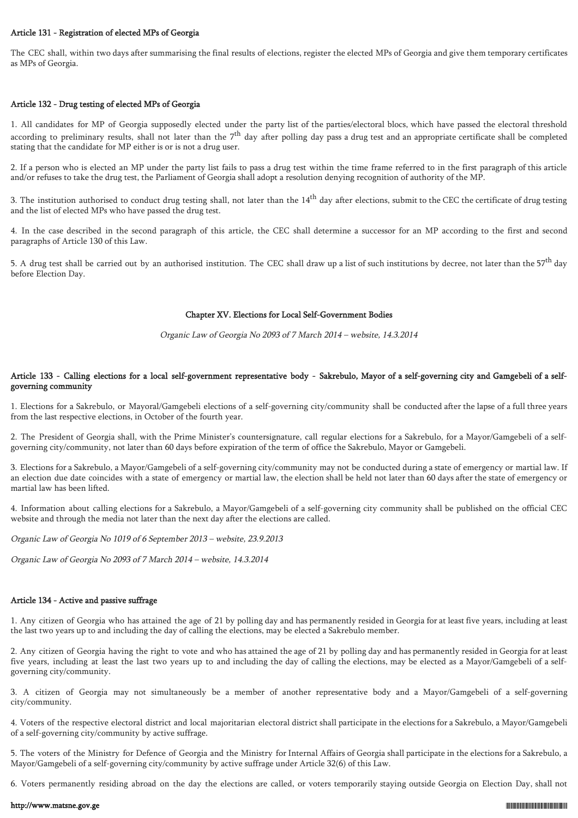## Article 131 - Registration of elected MPs of Georgia

The CEC shall, within two days after summarising the final results of elections, register the elected MPs of Georgia and give them temporary certificates as MPs of Georgia.

## Article 132 - Drug testing of elected MPs of Georgia

1. All candidates for MP of Georgia supposedly elected under the party list of the parties/electoral blocs, which have passed the electoral threshold according to preliminary results, shall not later than the 7<sup>th</sup> day after polling day pass a drug test and an appropriate certificate shall be completed stating that the candidate for MP either is or is not a drug user.

2. If a person who is elected an MP under the party list fails to pass a drug test within the time frame referred to in the first paragraph of this article and/or refuses to take the drug test, the Parliament of Georgia shall adopt a resolution denying recognition of authority of the MP.

3. The institution authorised to conduct drug testing shall, not later than the  $14<sup>th</sup>$  day after elections, submit to the CEC the certificate of drug testing and the list of elected MPs who have passed the drug test.

4. In the case described in the second paragraph of this article, the CEC shall determine a successor for an MP according to the first and second paragraphs of Article 130 of this Law.

5. A drug test shall be carried out by an authorised institution. The CEC shall draw up a list of such institutions by decree, not later than the 57<sup>th</sup> day before Election Day.

## Chapter XV. Elections for Local Self-Government Bodies

Organic Law of Georgia No 2093 of 7 March 2014 – website, 14.3.2014

## Article 133 - Calling elections for a local self-government representative body - Sakrebulo, Mayor of a self-governing city and Gamgebeli of a selfgoverning community

1. Elections for a Sakrebulo, or Mayoral/Gamgebeli elections of a self-governing city/community shall be conducted after the lapse of a full three years from the last respective elections, in October of the fourth year.

2. The President of Georgia shall, with the Prime Minister's countersignature, call regular elections for a Sakrebulo, for a Mayor/Gamgebeli of a selfgoverning city/community, not later than 60 days before expiration of the term of office the Sakrebulo, Mayor or Gamgebeli.

3. Elections for a Sakrebulo, a Mayor/Gamgebeli of a self-governing city/community may not be conducted during a state of emergency or martial law. If an election due date coincides with a state of emergency or martial law, the election shall be held not later than 60 days after the state of emergency or martial law has been lifted.

4. Information about calling elections for a Sakrebulo, a Mayor/Gamgebeli of a self-governing city community shall be published on the official CEC website and through the media not later than the next day after the elections are called.

Organic Law of Georgia No 1019 of 6 September 2013 – website, 23.9.2013

Organic Law of Georgia No 2093 of 7 March 2014 – website, 14.3.2014

## Article 134 - Active and passive suffrage

1. Any citizen of Georgia who has attained the age of 21 by polling day and has permanently resided in Georgia for at least five years, including at least the last two years up to and including the day of calling the elections, may be elected a Sakrebulo member.

2. Any citizen of Georgia having the right to vote and who has attained the age of 21 by polling day and has permanently resided in Georgia for at least five years, including at least the last two years up to and including the day of calling the elections, may be elected as a Mayor/Gamgebeli of a selfgoverning city/community.

3. A citizen of Georgia may not simultaneously be a member of another representative body and a Mayor/Gamgebeli of a self-governing city/community.

4. Voters of the respective electoral district and local majoritarian electoral district shall participate in the elections for a Sakrebulo, a Mayor/Gamgebeli of a self-governing city/community by active suffrage.

5. The voters of the Ministry for Defence of Georgia and the Ministry for Internal Affairs of Georgia shall participate in the elections for a Sakrebulo, a Mayor/Gamgebeli of a self-governing city/community by active suffrage under Article 32(6) of this Law.

6. Voters permanently residing abroad on the day the elections are called, or voters temporarily staying outside Georgia on Election Day, shall not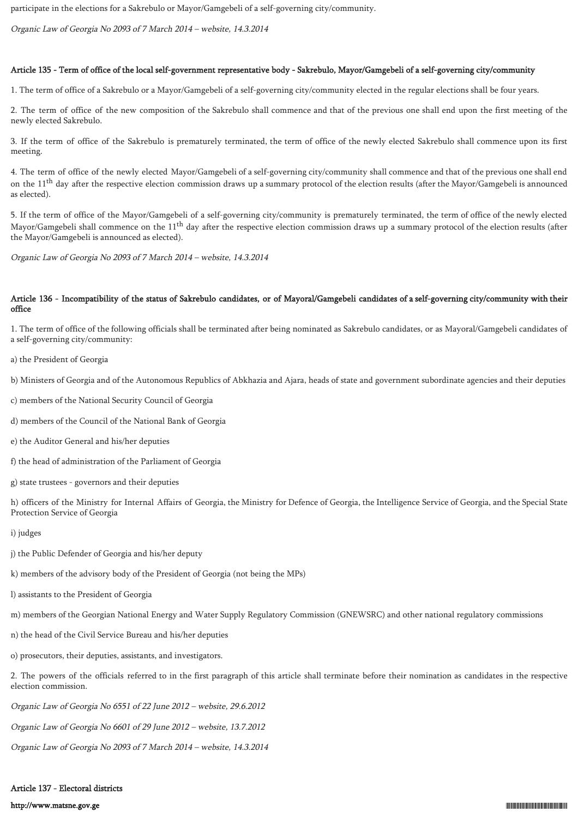participate in the elections for a Sakrebulo or Mayor/Gamgebeli of a self-governing city/community.

Organic Law of Georgia No 2093 of 7 March 2014 – website, 14.3.2014

### Article 135 - Term of office of the local self-government representative body - Sakrebulo, Mayor/Gamgebeli of a self-governing city/community

1. The term of office of a Sakrebulo or a Mayor/Gamgebeli of a self-governing city/community elected in the regular elections shall be four years.

2. The term of office of the new composition of the Sakrebulo shall commence and that of the previous one shall end upon the first meeting of the newly elected Sakrebulo.

3. If the term of office of the Sakrebulo is prematurely terminated, the term of office of the newly elected Sakrebulo shall commence upon its first meeting.

4. The term of office of the newly elected Mayor/Gamgebeli of a self-governing city/community shall commence and that of the previous one shall end on the 11<sup>th</sup> day after the respective election commission draws up a summary protocol of the election results (after the Mayor/Gamgebeli is announced as elected).

5. If the term of office of the Mayor/Gamgebeli of a self-governing city/community is prematurely terminated, the term of office of the newly elected Mayor/Gamgebeli shall commence on the  $11<sup>th</sup>$  day after the respective election commission draws up a summary protocol of the election results (after the Mayor/Gamgebeli is announced as elected).

Organic Law of Georgia No 2093 of 7 March 2014 – website, 14.3.2014

## Article 136 - Incompatibility of the status of Sakrebulo candidates, or of Mayoral/Gamgebeli candidates of a self-governing city/community with their office

1. The term of office of the following officials shall be terminated after being nominated as Sakrebulo candidates, or as Mayoral/Gamgebeli candidates of a self-governing city/community:

- a) the President of Georgia
- b) Ministers of Georgia and of the Autonomous Republics of Abkhazia and Ajara, heads of state and government subordinate agencies and their deputies
- c) members of the National Security Council of Georgia
- d) members of the Council of the National Bank of Georgia
- e) the Auditor General and his/her deputies
- f) the head of administration of the Parliament of Georgia
- g) state trustees governors and their deputies

h) officers of the Ministry for Internal Affairs of Georgia, the Ministry for Defence of Georgia, the Intelligence Service of Georgia, and the Special State Protection Service of Georgia

i) judges

- j) the Public Defender of Georgia and his/her deputy
- k) members of the advisory body of the President of Georgia (not being the MPs)
- l) assistants to the President of Georgia
- m) members of the Georgian National Energy and Water Supply Regulatory Commission (GNEWSRC) and other national regulatory commissions
- n) the head of the Civil Service Bureau and his/her deputies
- o) prosecutors, their deputies, assistants, and investigators.

2. The powers of the officials referred to in the first paragraph of this article shall terminate before their nomination as candidates in the respective election commission.

Organic Law of Georgia No 6551 of 22 June 2012 – website, 29.6.2012

Organic Law of Georgia No 6601 of 29 June 2012 – website, 13.7.2012

Organic Law of Georgia No 2093 of 7 March 2014 – website, 14.3.2014

#### Article 137 - Electoral districts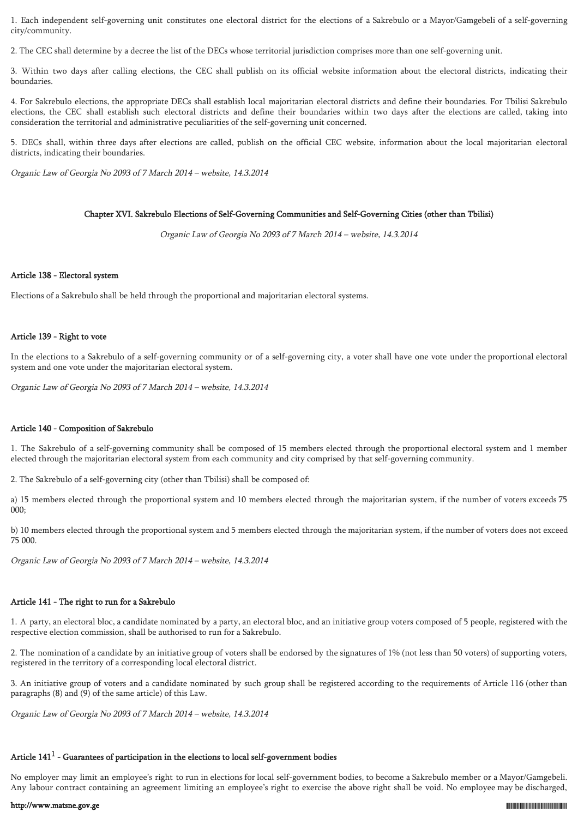1. Each independent self-governing unit constitutes one electoral district for the elections of a Sakrebulo or a Mayor/Gamgebeli of a self-governing city/community.

2. The CEC shall determine by a decree the list of the DECs whose territorial jurisdiction comprises more than one self-governing unit.

3. Within two days after calling elections, the CEC shall publish on its official website information about the electoral districts, indicating their boundaries.

4. For Sakrebulo elections, the appropriate DECs shall establish local majoritarian electoral districts and define their boundaries. For Tbilisi Sakrebulo elections, the CEC shall establish such electoral districts and define their boundaries within two days after the elections are called, taking into consideration the territorial and administrative peculiarities of the self-governing unit concerned.

5. DECs shall, within three days after elections are called, publish on the official CEC website, information about the local majoritarian electoral districts, indicating their boundaries.

Organic Law of Georgia No 2093 of 7 March 2014 – website, 14.3.2014

#### Chapter XVI. Sakrebulo Elections of Self-Governing Communities and Self-Governing Cities (other than Tbilisi)

Organic Law of Georgia No 2093 of 7 March 2014 – website, 14.3.2014

## Article 138 - Electoral system

Elections of a Sakrebulo shall be held through the proportional and majoritarian electoral systems.

## Article 139 - Right to vote

In the elections to a Sakrebulo of a self-governing community or of a self-governing city, a voter shall have one vote under the proportional electoral system and one vote under the majoritarian electoral system.

Organic Law of Georgia No 2093 of 7 March 2014 – website, 14.3.2014

#### Article 140 - Composition of Sakrebulo

1. The Sakrebulo of a self-governing community shall be composed of 15 members elected through the proportional electoral system and 1 member elected through the majoritarian electoral system from each community and city comprised by that self-governing community.

2. The Sakrebulo of a self-governing city (other than Tbilisi) shall be composed of:

a) 15 members elected through the proportional system and 10 members elected through the majoritarian system, if the number of voters exceeds 75 000;

b) 10 members elected through the proportional system and 5 members elected through the majoritarian system, if the number of voters does not exceed 75 000.

Organic Law of Georgia No 2093 of 7 March 2014 – website, 14.3.2014

#### Article 141 - The right to run for a Sakrebulo

1. A party, an electoral bloc, a candidate nominated by a party, an electoral bloc, and an initiative group voters composed of 5 people, registered with the respective election commission, shall be authorised to run for a Sakrebulo.

2. The nomination of a candidate by an initiative group of voters shall be endorsed by the signatures of 1% (not less than 50 voters) of supporting voters, registered in the territory of a corresponding local electoral district.

3. An initiative group of voters and a candidate nominated by such group shall be registered according to the requirements of Article 116 (other than paragraphs (8) and (9) of the same article) of this Law.

Organic Law of Georgia No 2093 of 7 March 2014 – website, 14.3.2014

# Article 141 $^{\rm 1}$  - Guarantees of participation in the elections to local self-government bodies

No employer may limit an employee's right to run in elections for local self-government bodies, to become a Sakrebulo member or a Mayor/Gamgebeli. Any labour contract containing an agreement limiting an employee's right to exercise the above right shall be void. No employee may be discharged,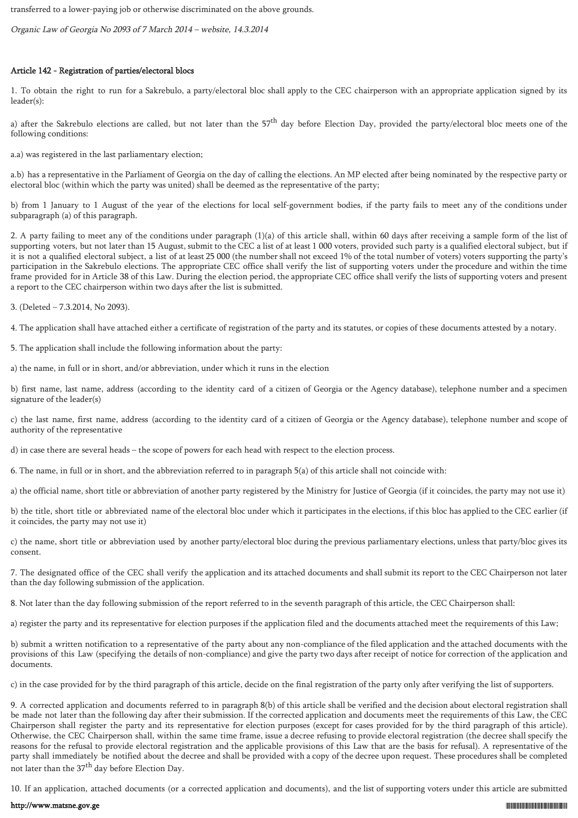transferred to a lower-paying job or otherwise discriminated on the above grounds.

Organic Law of Georgia No 2093 of 7 March 2014 – website, 14.3.2014

## Article 142 - Registration of parties/electoral blocs

1. To obtain the right to run for a Sakrebulo, a party/electoral bloc shall apply to the CEC chairperson with an appropriate application signed by its leader(s):

a) after the Sakrebulo elections are called, but not later than the 57<sup>th</sup> day before Election Day, provided the party/electoral bloc meets one of the following conditions:

a.a) was registered in the last parliamentary election;

a.b) has a representative in the Parliament of Georgia on the day of calling the elections. An MP elected after being nominated by the respective party or electoral bloc (within which the party was united) shall be deemed as the representative of the party;

b) from 1 January to 1 August of the year of the elections for local self-government bodies, if the party fails to meet any of the conditions under subparagraph (a) of this paragraph.

2. A party failing to meet any of the conditions under paragraph (1)(a) of this article shall, within 60 days after receiving a sample form of the list of supporting voters, but not later than 15 August, submit to the CEC a list of at least 1 000 voters, provided such party is a qualified electoral subject, but if it is not a qualified electoral subject, a list of at least 25 000 (the number shall not exceed 1% of the total number of voters) voters supporting the party's participation in the Sakrebulo elections. The appropriate CEC office shall verify the list of supporting voters under the procedure and within the time frame provided for in Article 38 of this Law. During the election period, the appropriate CEC office shall verify the lists of supporting voters and present a report to the CEC chairperson within two days after the list is submitted.

3. (Deleted – 7.3.2014, No 2093).

4. The application shall have attached either a certificate of registration of the party and its statutes, or copies of these documents attested by a notary.

5. The application shall include the following information about the party:

a) the name, in full or in short, and/or abbreviation, under which it runs in the election

b) first name, last name, address (according to the identity card of a citizen of Georgia or the Agency database), telephone number and a specimen signature of the leader(s)

c) the last name, first name, address (according to the identity card of a citizen of Georgia or the Agency database), telephone number and scope of authority of the representative

d) in case there are several heads – the scope of powers for each head with respect to the election process.

6. The name, in full or in short, and the abbreviation referred to in paragraph 5(a) of this article shall not coincide with:

a) the official name, short title or abbreviation of another party registered by the Ministry for Justice of Georgia (if it coincides, the party may not use it)

b) the title, short title or abbreviated name of the electoral bloc under which it participates in the elections, if this bloc has applied to the CEC earlier (if it coincides, the party may not use it)

c) the name, short title or abbreviation used by another party/electoral bloc during the previous parliamentary elections, unless that party/bloc gives its consent.

7. The designated office of the CEC shall verify the application and its attached documents and shall submit its report to the CEC Chairperson not later than the day following submission of the application.

8. Not later than the day following submission of the report referred to in the seventh paragraph of this article, the CEC Chairperson shall:

a) register the party and its representative for election purposes if the application filed and the documents attached meet the requirements of this Law;

b) submit a written notification to a representative of the party about any non-compliance of the filed application and the attached documents with the provisions of this Law (specifying the details of non-compliance) and give the party two days after receipt of notice for correction of the application and documents.

c) in the case provided for by the third paragraph of this article, decide on the final registration of the party only after verifying the list of supporters.

9. A corrected application and documents referred to in paragraph 8(b) of this article shall be verified and the decision about electoral registration shall be made not later than the following day after their submission. If the corrected application and documents meet the requirements of this Law, the CEC Chairperson shall register the party and its representative for election purposes (except for cases provided for by the third paragraph of this article). Otherwise, the CEC Chairperson shall, within the same time frame, issue a decree refusing to provide electoral registration (the decree shall specify the reasons for the refusal to provide electoral registration and the applicable provisions of this Law that are the basis for refusal). A representative of the party shall immediately be notified about the decree and shall be provided with a copy of the decree upon request. These procedures shall be completed not later than the 37<sup>th</sup> day before Election Day.

10. If an application, attached documents (or a corrected application and documents), and the list of supporting voters under this article are submitted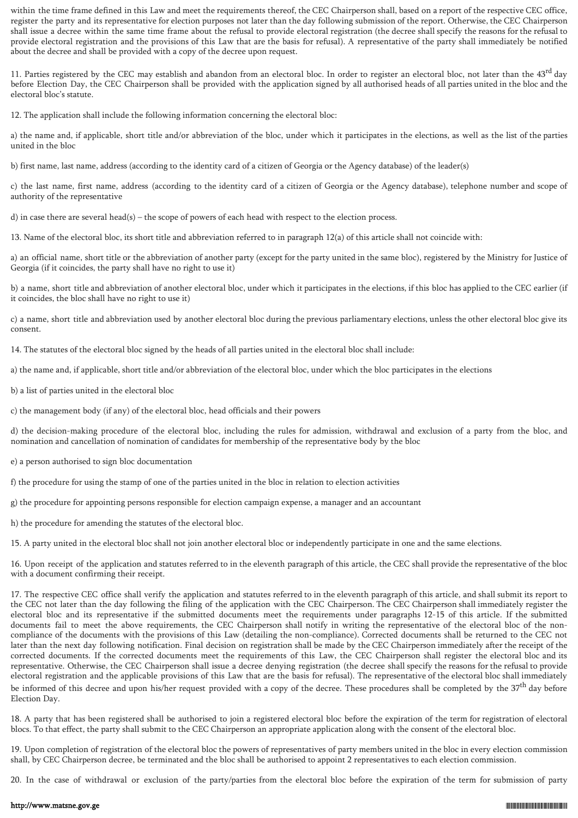within the time frame defined in this Law and meet the requirements thereof, the CEC Chairperson shall, based on a report of the respective CEC office, register the party and its representative for election purposes not later than the day following submission of the report. Otherwise, the CEC Chairperson shall issue a decree within the same time frame about the refusal to provide electoral registration (the decree shall specify the reasons for the refusal to provide electoral registration and the provisions of this Law that are the basis for refusal). A representative of the party shall immediately be notified about the decree and shall be provided with a copy of the decree upon request.

11. Parties registered by the CEC may establish and abandon from an electoral bloc. In order to register an electoral bloc, not later than the  $43<sup>rd</sup>$  day before Election Day, the CEC Chairperson shall be provided with the application signed by all authorised heads of all parties united in the bloc and the electoral bloc's statute.

12. The application shall include the following information concerning the electoral bloc:

a) the name and, if applicable, short title and/or abbreviation of the bloc, under which it participates in the elections, as well as the list of the parties united in the bloc

b) first name, last name, address (according to the identity card of a citizen of Georgia or the Agency database) of the leader(s)

c) the last name, first name, address (according to the identity card of a citizen of Georgia or the Agency database), telephone number and scope of authority of the representative

d) in case there are several head(s) – the scope of powers of each head with respect to the election process.

13. Name of the electoral bloc, its short title and abbreviation referred to in paragraph 12(a) of this article shall not coincide with:

a) an official name, short title or the abbreviation of another party (except for the party united in the same bloc), registered by the Ministry for Justice of Georgia (if it coincides, the party shall have no right to use it)

b) a name, short title and abbreviation of another electoral bloc, under which it participates in the elections, if this bloc has applied to the CEC earlier (if it coincides, the bloc shall have no right to use it)

c) a name, short title and abbreviation used by another electoral bloc during the previous parliamentary elections, unless the other electoral bloc give its consent.

14. The statutes of the electoral bloc signed by the heads of all parties united in the electoral bloc shall include:

a) the name and, if applicable, short title and/or abbreviation of the electoral bloc, under which the bloc participates in the elections

b) a list of parties united in the electoral bloc

c) the management body (if any) of the electoral bloc, head officials and their powers

d) the decision-making procedure of the electoral bloc, including the rules for admission, withdrawal and exclusion of a party from the bloc, and nomination and cancellation of nomination of candidates for membership of the representative body by the bloc

e) a person authorised to sign bloc documentation

f) the procedure for using the stamp of one of the parties united in the bloc in relation to election activities

g) the procedure for appointing persons responsible for election campaign expense, a manager and an accountant

h) the procedure for amending the statutes of the electoral bloc.

15. A party united in the electoral bloc shall not join another electoral bloc or independently participate in one and the same elections.

16. Upon receipt of the application and statutes referred to in the eleventh paragraph of this article, the CEC shall provide the representative of the bloc with a document confirming their receipt.

17. The respective CEC office shall verify the application and statutes referred to in the eleventh paragraph of this article, and shall submit its report to the CEC not later than the day following the filing of the application with the CEC Chairperson. The CEC Chairperson shall immediately register the electoral bloc and its representative if the submitted documents meet the requirements under paragraphs 12-15 of this article. If the submitted documents fail to meet the above requirements, the CEC Chairperson shall notify in writing the representative of the electoral bloc of the noncompliance of the documents with the provisions of this Law (detailing the non-compliance). Corrected documents shall be returned to the CEC not later than the next day following notification. Final decision on registration shall be made by the CEC Chairperson immediately after the receipt of the corrected documents. If the corrected documents meet the requirements of this Law, the CEC Chairperson shall register the electoral bloc and its representative. Otherwise, the CEC Chairperson shall issue a decree denying registration (the decree shall specify the reasons for the refusal to provide electoral registration and the applicable provisions of this Law that are the basis for refusal). The representative of the electoral bloc shall immediately be informed of this decree and upon his/her request provided with a copy of the decree. These procedures shall be completed by the 37<sup>th</sup> day before Election Day.

18. A party that has been registered shall be authorised to join a registered electoral bloc before the expiration of the term for registration of electoral blocs. To that effect, the party shall submit to the CEC Chairperson an appropriate application along with the consent of the electoral bloc.

19. Upon completion of registration of the electoral bloc the powers of representatives of party members united in the bloc in every election commission shall, by CEC Chairperson decree, be terminated and the bloc shall be authorised to appoint 2 representatives to each election commission.

20. In the case of withdrawal or exclusion of the party/parties from the electoral bloc before the expiration of the term for submission of party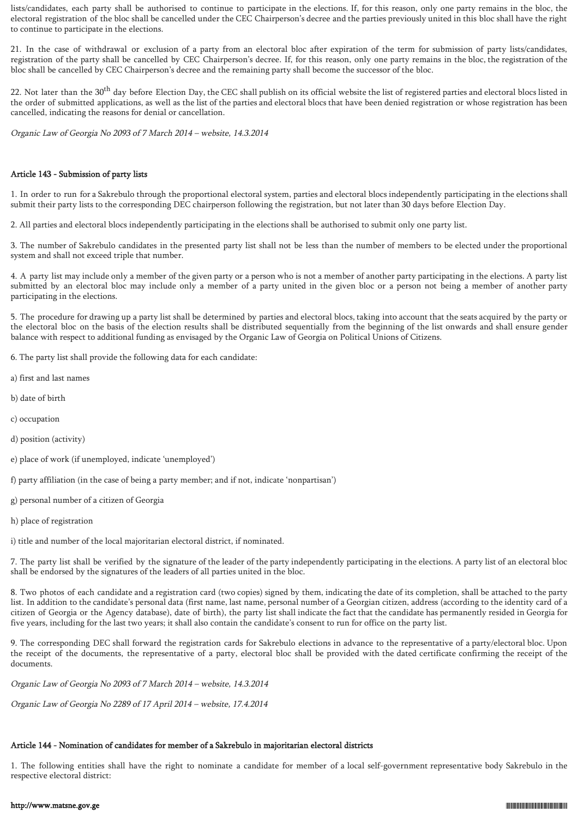lists/candidates, each party shall be authorised to continue to participate in the elections. If, for this reason, only one party remains in the bloc, the electoral registration of the bloc shall be cancelled under the CEC Chairperson's decree and the parties previously united in this bloc shall have the right to continue to participate in the elections.

21. In the case of withdrawal or exclusion of a party from an electoral bloc after expiration of the term for submission of party lists/candidates, registration of the party shall be cancelled by CEC Chairperson's decree. If, for this reason, only one party remains in the bloc, the registration of the bloc shall be cancelled by CEC Chairperson's decree and the remaining party shall become the successor of the bloc.

22. Not later than the 30<sup>th</sup> day before Election Day, the CEC shall publish on its official website the list of registered parties and electoral blocs listed in the order of submitted applications, as well as the list of the parties and electoral blocs that have been denied registration or whose registration has been cancelled, indicating the reasons for denial or cancellation.

Organic Law of Georgia No 2093 of 7 March 2014 – website, 14.3.2014

### Article 143 - Submission of party lists

1. In order to run for a Sakrebulo through the proportional electoral system, parties and electoral blocs independently participating in the elections shall submit their party lists to the corresponding DEC chairperson following the registration, but not later than 30 days before Election Day.

2. All parties and electoral blocs independently participating in the elections shall be authorised to submit only one party list.

3. The number of Sakrebulo candidates in the presented party list shall not be less than the number of members to be elected under the proportional system and shall not exceed triple that number.

4. A party list may include only a member of the given party or a person who is not a member of another party participating in the elections. A party list submitted by an electoral bloc may include only a member of a party united in the given bloc or a person not being a member of another party participating in the elections.

5. The procedure for drawing up a party list shall be determined by parties and electoral blocs, taking into account that the seats acquired by the party or the electoral bloc on the basis of the election results shall be distributed sequentially from the beginning of the list onwards and shall ensure gender balance with respect to additional funding as envisaged by the Organic Law of Georgia on Political Unions of Citizens.

6. The party list shall provide the following data for each candidate:

- a) first and last names
- b) date of birth
- c) occupation
- d) position (activity)
- e) place of work (if unemployed, indicate 'unemployed')

f) party affiliation (in the case of being a party member; and if not, indicate 'nonpartisan')

- g) personal number of a citizen of Georgia
- h) place of registration

i) title and number of the local majoritarian electoral district, if nominated.

7. The party list shall be verified by the signature of the leader of the party independently participating in the elections. A party list of an electoral bloc shall be endorsed by the signatures of the leaders of all parties united in the bloc.

8. Two photos of each candidate and a registration card (two copies) signed by them, indicating the date of its completion, shall be attached to the party list. In addition to the candidate's personal data (first name, last name, personal number of a Georgian citizen, address (according to the identity card of a citizen of Georgia or the Agency database), date of birth), the party list shall indicate the fact that the candidate has permanently resided in Georgia for five years, including for the last two years; it shall also contain the candidate's consent to run for office on the party list.

9. The corresponding DEC shall forward the registration cards for Sakrebulo elections in advance to the representative of a party/electoral bloc. Upon the receipt of the documents, the representative of a party, electoral bloc shall be provided with the dated certificate confirming the receipt of the documents.

Organic Law of Georgia No 2093 of 7 March 2014 – website, 14.3.2014

Organic Law of Georgia No 2289 of 17 April 2014 – website, 17.4.2014

# Article 144 - Nomination of candidates for member of a Sakrebulo in majoritarian electoral districts

1. The following entities shall have the right to nominate a candidate for member of a local self-government representative body Sakrebulo in the respective electoral district: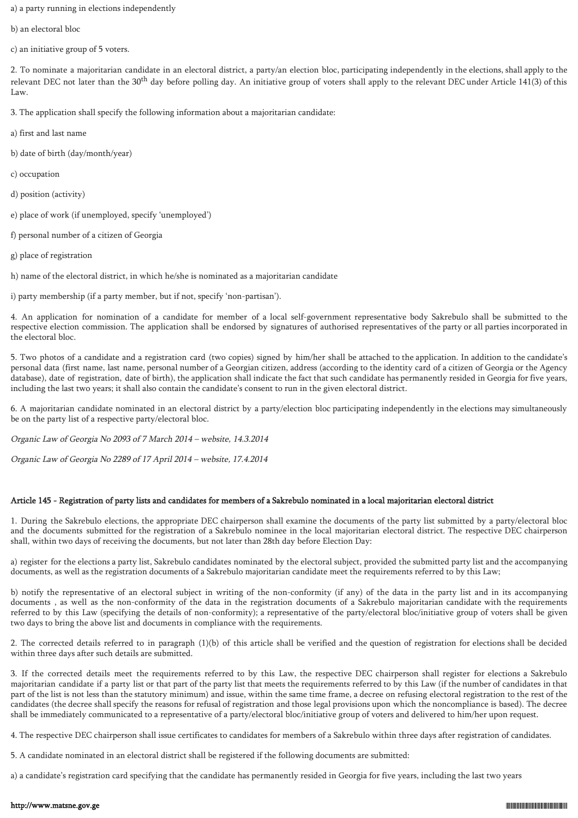a) a party running in elections independently

b) an electoral bloc

c) an initiative group of 5 voters.

2. To nominate a majoritarian candidate in an electoral district, a party/an election bloc, participating independently in the elections, shall apply to the relevant DEC not later than the  $30<sup>th</sup>$  day before polling day. An initiative group of voters shall apply to the relevant DEC under Article 141(3) of this Law.

3. The application shall specify the following information about a majoritarian candidate:

a) first and last name

b) date of birth (day/month/year)

c) occupation

d) position (activity)

e) place of work (if unemployed, specify 'unemployed')

f) personal number of a citizen of Georgia

g) place of registration

h) name of the electoral district, in which he/she is nominated as a majoritarian candidate

i) party membership (if a party member, but if not, specify 'non-partisan').

4. An application for nomination of a candidate for member of a local self-government representative body Sakrebulo shall be submitted to the respective election commission. The application shall be endorsed by signatures of authorised representatives of the party or all parties incorporated in the electoral bloc.

5. Two photos of a candidate and a registration card (two copies) signed by him/her shall be attached to the application. In addition to the candidate's personal data (first name, last name, personal number of a Georgian citizen, address (according to the identity card of a citizen of Georgia or the Agency database), date of registration, date of birth), the application shall indicate the fact that such candidate has permanently resided in Georgia for five years, including the last two years; it shall also contain the candidate's consent to run in the given electoral district.

6. A majoritarian candidate nominated in an electoral district by a party/election bloc participating independently in the elections may simultaneously be on the party list of a respective party/electoral bloc.

Organic Law of Georgia No 2093 of 7 March 2014 – website, 14.3.2014

Organic Law of Georgia No 2289 of 17 April 2014 – website, 17.4.2014

# Article 145 - Registration of party lists and candidates for members of a Sakrebulo nominated in a local majoritarian electoral district

1. During the Sakrebulo elections, the appropriate DEC chairperson shall examine the documents of the party list submitted by a party/electoral bloc and the documents submitted for the registration of a Sakrebulo nominee in the local majoritarian electoral district. The respective DEC chairperson shall, within two days of receiving the documents, but not later than 28th day before Election Day:

a) register for the elections a party list, Sakrebulo candidates nominated by the electoral subject, provided the submitted party list and the accompanying documents, as well as the registration documents of a Sakrebulo majoritarian candidate meet the requirements referred to by this Law;

b) notify the representative of an electoral subject in writing of the non-conformity (if any) of the data in the party list and in its accompanying documents , as well as the non-conformity of the data in the registration documents of a Sakrebulo majoritarian candidate with the requirements referred to by this Law (specifying the details of non-conformity); a representative of the party/electoral bloc/initiative group of voters shall be given two days to bring the above list and documents in compliance with the requirements.

2. The corrected details referred to in paragraph (1)(b) of this article shall be verified and the question of registration for elections shall be decided within three days after such details are submitted.

3. If the corrected details meet the requirements referred to by this Law, the respective DEC chairperson shall register for elections a Sakrebulo majoritarian candidate if a party list or that part of the party list that meets the requirements referred to by this Law (if the number of candidates in that part of the list is not less than the statutory minimum) and issue, within the same time frame, a decree on refusing electoral registration to the rest of the candidates (the decree shall specify the reasons for refusal of registration and those legal provisions upon which the noncompliance is based). The decree shall be immediately communicated to a representative of a party/electoral bloc/initiative group of voters and delivered to him/her upon request.

4. The respective DEC chairperson shall issue certificates to candidates for members of a Sakrebulo within three days after registration of candidates.

5. A candidate nominated in an electoral district shall be registered if the following documents are submitted:

a) a candidate's registration card specifying that the candidate has permanently resided in Georgia for five years, including the last two years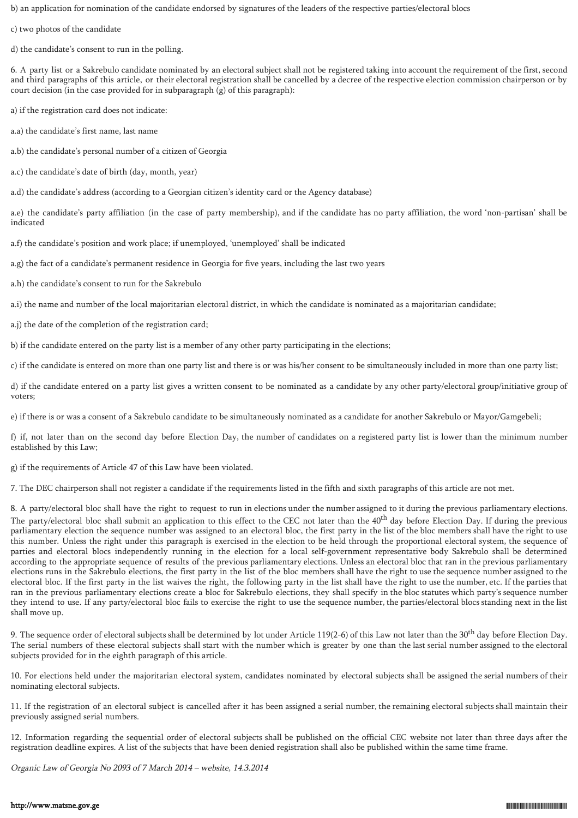b) an application for nomination of the candidate endorsed by signatures of the leaders of the respective parties/electoral blocs

c) two photos of the candidate

d) the candidate's consent to run in the polling.

6. A party list or a Sakrebulo candidate nominated by an electoral subject shall not be registered taking into account the requirement of the first, second and third paragraphs of this article, or their electoral registration shall be cancelled by a decree of the respective election commission chairperson or by court decision (in the case provided for in subparagraph (g) of this paragraph):

a) if the registration card does not indicate:

- a.a) the candidate's first name, last name
- a.b) the candidate's personal number of a citizen of Georgia
- a.c) the candidate's date of birth (day, month, year)

a.d) the candidate's address (according to a Georgian citizen's identity card or the Agency database)

a.e) the candidate's party affiliation (in the case of party membership), and if the candidate has no party affiliation, the word 'non-partisan' shall be indicated

a.f) the candidate's position and work place; if unemployed, 'unemployed' shall be indicated

a.g) the fact of a candidate's permanent residence in Georgia for five years, including the last two years

a.h) the candidate's consent to run for the Sakrebulo

a.i) the name and number of the local majoritarian electoral district, in which the candidate is nominated as a majoritarian candidate;

a.j) the date of the completion of the registration card;

b) if the candidate entered on the party list is a member of any other party participating in the elections;

c) if the candidate is entered on more than one party list and there is or was his/her consent to be simultaneously included in more than one party list;

d) if the candidate entered on a party list gives a written consent to be nominated as a candidate by any other party/electoral group/initiative group of voters;

e) if there is or was a consent of a Sakrebulo candidate to be simultaneously nominated as a candidate for another Sakrebulo or Mayor/Gamgebeli;

f) if, not later than on the second day before Election Day, the number of candidates on a registered party list is lower than the minimum number established by this Law;

g) if the requirements of Article 47 of this Law have been violated.

7. The DEC chairperson shall not register a candidate if the requirements listed in the fifth and sixth paragraphs of this article are not met.

8. A party/electoral bloc shall have the right to request to run in elections under the number assigned to it during the previous parliamentary elections. The party/electoral bloc shall submit an application to this effect to the CEC not later than the  $40<sup>th</sup>$  day before Election Day. If during the previous parliamentary election the sequence number was assigned to an electoral bloc, the first party in the list of the bloc members shall have the right to use this number. Unless the right under this paragraph is exercised in the election to be held through the proportional electoral system, the sequence of parties and electoral blocs independently running in the election for a local self-government representative body Sakrebulo shall be determined according to the appropriate sequence of results of the previous parliamentary elections. Unless an electoral bloc that ran in the previous parliamentary elections runs in the Sakrebulo elections, the first party in the list of the bloc members shall have the right to use the sequence number assigned to the electoral bloc. If the first party in the list waives the right, the following party in the list shall have the right to use the number, etc. If the parties that ran in the previous parliamentary elections create a bloc for Sakrebulo elections, they shall specify in the bloc statutes which party's sequence number they intend to use. If any party/electoral bloc fails to exercise the right to use the sequence number, the parties/electoral blocs standing next in the list shall move up.

9. The sequence order of electoral subjects shall be determined by lot under Article 119(2-6) of this Law not later than the  $30<sup>th</sup>$  day before Election Day. The serial numbers of these electoral subjects shall start with the number which is greater by one than the last serial number assigned to the electoral subjects provided for in the eighth paragraph of this article.

10. For elections held under the majoritarian electoral system, candidates nominated by electoral subjects shall be assigned the serial numbers of their nominating electoral subjects.

11. If the registration of an electoral subject is cancelled after it has been assigned a serial number, the remaining electoral subjects shall maintain their previously assigned serial numbers.

12. Information regarding the sequential order of electoral subjects shall be published on the official CEC website not later than three days after the registration deadline expires. A list of the subjects that have been denied registration shall also be published within the same time frame.

Organic Law of Georgia No 2093 of 7 March 2014 – website, 14.3.2014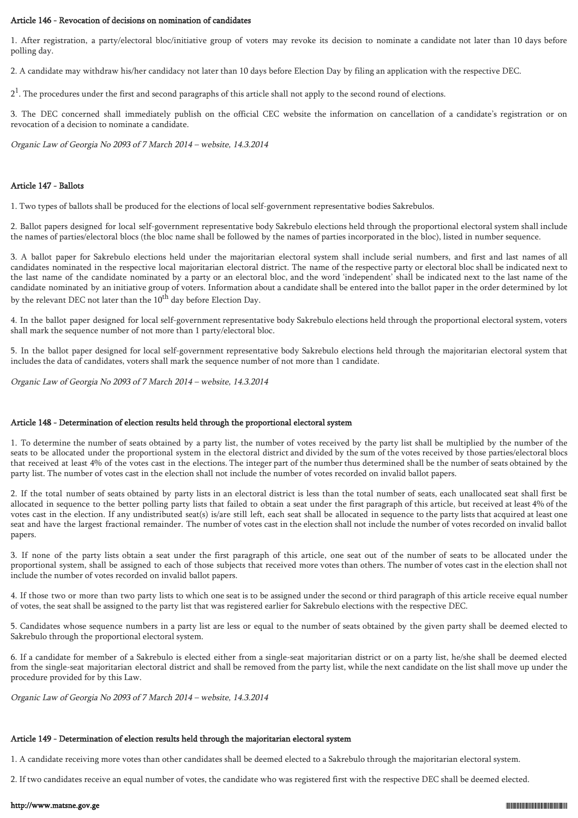### Article 146 - Revocation of decisions on nomination of candidates

1. After registration, a party/electoral bloc/initiative group of voters may revoke its decision to nominate a candidate not later than 10 days before polling day.

2. A candidate may withdraw his/her candidacy not later than 10 days before Election Day by filing an application with the respective DEC.

 $2<sup>1</sup>$ . The procedures under the first and second paragraphs of this article shall not apply to the second round of elections.

3. The DEC concerned shall immediately publish on the official CEC website the information on cancellation of a candidate's registration or on revocation of a decision to nominate a candidate.

Organic Law of Georgia No 2093 of 7 March 2014 – website, 14.3.2014

### Article 147 - Ballots

1. Two types of ballots shall be produced for the elections of local self-government representative bodies Sakrebulos.

2. Ballot papers designed for local self-government representative body Sakrebulo elections held through the proportional electoral system shall include the names of parties/electoral blocs (the bloc name shall be followed by the names of parties incorporated in the bloc), listed in number sequence.

3. A ballot paper for Sakrebulo elections held under the majoritarian electoral system shall include serial numbers, and first and last names of all candidates nominated in the respective local majoritarian electoral district. The name of the respective party or electoral bloc shall be indicated next to the last name of the candidate nominated by a party or an electoral bloc, and the word 'independent' shall be indicated next to the last name of the candidate nominated by an initiative group of voters. Information about a candidate shall be entered into the ballot paper in the order determined by lot by the relevant DEC not later than the 10<sup>th</sup> day before Election Day.

4. In the ballot paper designed for local self-government representative body Sakrebulo elections held through the proportional electoral system, voters shall mark the sequence number of not more than 1 party/electoral bloc.

5. In the ballot paper designed for local self-government representative body Sakrebulo elections held through the majoritarian electoral system that includes the data of candidates, voters shall mark the sequence number of not more than 1 candidate.

Organic Law of Georgia No 2093 of 7 March 2014 – website, 14.3.2014

### Article 148 - Determination of election results held through the proportional electoral system

1. To determine the number of seats obtained by a party list, the number of votes received by the party list shall be multiplied by the number of the seats to be allocated under the proportional system in the electoral district and divided by the sum of the votes received by those parties/electoral blocs that received at least 4% of the votes cast in the elections. The integer part of the number thus determined shall be the number of seats obtained by the party list. The number of votes cast in the election shall not include the number of votes recorded on invalid ballot papers.

2. If the total number of seats obtained by party lists in an electoral district is less than the total number of seats, each unallocated seat shall first be allocated in sequence to the better polling party lists that failed to obtain a seat under the first paragraph of this article, but received at least 4% of the votes cast in the election. If any undistributed seat(s) is/are still left, each seat shall be allocated in sequence to the party lists that acquired at least one seat and have the largest fractional remainder. The number of votes cast in the election shall not include the number of votes recorded on invalid ballot papers.

3. If none of the party lists obtain a seat under the first paragraph of this article, one seat out of the number of seats to be allocated under the proportional system, shall be assigned to each of those subjects that received more votes than others. The number of votes cast in the election shall not include the number of votes recorded on invalid ballot papers.

4. If those two or more than two party lists to which one seat is to be assigned under the second or third paragraph of this article receive equal number of votes, the seat shall be assigned to the party list that was registered earlier for Sakrebulo elections with the respective DEC.

5. Candidates whose sequence numbers in a party list are less or equal to the number of seats obtained by the given party shall be deemed elected to Sakrebulo through the proportional electoral system.

6. If a candidate for member of a Sakrebulo is elected either from a single-seat majoritarian district or on a party list, he/she shall be deemed elected from the single-seat majoritarian electoral district and shall be removed from the party list, while the next candidate on the list shall move up under the procedure provided for by this Law.

Organic Law of Georgia No 2093 of 7 March 2014 – website, 14.3.2014

### Article 149 - Determination of election results held through the majoritarian electoral system

1. A candidate receiving more votes than other candidates shall be deemed elected to a Sakrebulo through the majoritarian electoral system.

2. If two candidates receive an equal number of votes, the candidate who was registered first with the respective DEC shall be deemed elected.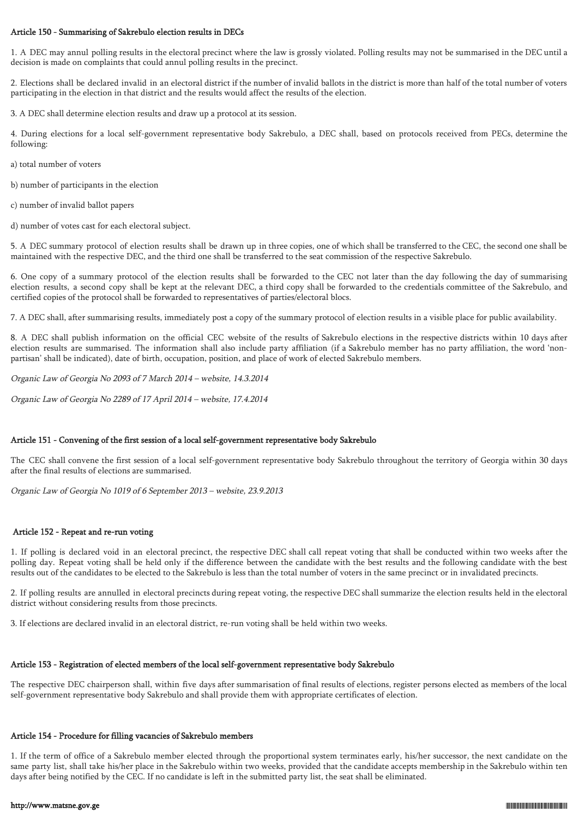### Article 150 - Summarising of Sakrebulo election results in DECs

1. A DEC may annul polling results in the electoral precinct where the law is grossly violated. Polling results may not be summarised in the DEC until a decision is made on complaints that could annul polling results in the precinct.

2. Elections shall be declared invalid in an electoral district if the number of invalid ballots in the district is more than half of the total number of voters participating in the election in that district and the results would affect the results of the election.

3. A DEC shall determine election results and draw up a protocol at its session.

4. During elections for a local self-government representative body Sakrebulo, a DEC shall, based on protocols received from PECs, determine the following:

a) total number of voters

b) number of participants in the election

c) number of invalid ballot papers

d) number of votes cast for each electoral subject.

5. A DEC summary protocol of election results shall be drawn up in three copies, one of which shall be transferred to the CEC, the second one shall be maintained with the respective DEC, and the third one shall be transferred to the seat commission of the respective Sakrebulo.

6. One copy of a summary protocol of the election results shall be forwarded to the CEC not later than the day following the day of summarising election results, a second copy shall be kept at the relevant DEC, a third copy shall be forwarded to the credentials committee of the Sakrebulo, and certified copies of the protocol shall be forwarded to representatives of parties/electoral blocs.

7. A DEC shall, after summarising results, immediately post a copy of the summary protocol of election results in a visible place for public availability.

8. A DEC shall publish information on the official CEC website of the results of Sakrebulo elections in the respective districts within 10 days after election results are summarised. The information shall also include party affiliation (if a Sakrebulo member has no party affiliation, the word 'nonpartisan' shall be indicated), date of birth, occupation, position, and place of work of elected Sakrebulo members.

Organic Law of Georgia No 2093 of 7 March 2014 – website, 14.3.2014

Organic Law of Georgia No 2289 of 17 April 2014 – website, 17.4.2014

# Article 151 - Convening of the first session of a local self-government representative body Sakrebulo

The CEC shall convene the first session of a local self-government representative body Sakrebulo throughout the territory of Georgia within 30 days after the final results of elections are summarised.

Organic Law of Georgia No 1019 of 6 September 2013 – website, 23.9.2013

### Article 152 - Repeat and re-run voting

1. If polling is declared void in an electoral precinct, the respective DEC shall call repeat voting that shall be conducted within two weeks after the polling day. Repeat voting shall be held only if the difference between the candidate with the best results and the following candidate with the best results out of the candidates to be elected to the Sakrebulo is less than the total number of voters in the same precinct or in invalidated precincts.

2. If polling results are annulled in electoral precincts during repeat voting, the respective DEC shall summarize the election results held in the electoral district without considering results from those precincts.

3. If elections are declared invalid in an electoral district, re-run voting shall be held within two weeks.

### Article 153 - Registration of elected members of the local self-government representative body Sakrebulo

The respective DEC chairperson shall, within five days after summarisation of final results of elections, register persons elected as members of the local self-government representative body Sakrebulo and shall provide them with appropriate certificates of election.

#### Article 154 - Procedure for filling vacancies of Sakrebulo members

1. If the term of office of a Sakrebulo member elected through the proportional system terminates early, his/her successor, the next candidate on the same party list, shall take his/her place in the Sakrebulo within two weeks, provided that the candidate accepts membership in the Sakrebulo within ten days after being notified by the CEC. If no candidate is left in the submitted party list, the seat shall be eliminated.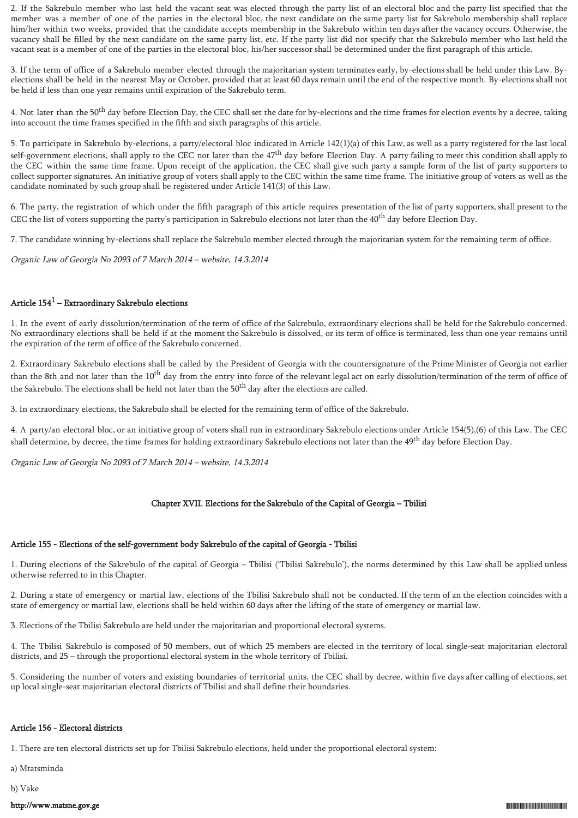2. If the Sakrebulo member who last held the vacant seat was elected through the party list of an electoral bloc and the party list specified that the member was a member of one of the parties in the electoral bloc, the next candidate on the same party list for Sakrebulo membership shall replace him/her within two weeks, provided that the candidate accepts membership in the Sakrebulo within ten days after the vacancy occurs. Otherwise, the vacancy shall be filled by the next candidate on the same party list, etc. If the party list did not specify that the Sakrebulo member who last held the vacant seat is a member of one of the parties in the electoral bloc, his/her successor shall be determined under the first paragraph of this article.

3. If the term of office of a Sakrebulo member elected through the majoritarian system terminates early, by-elections shall be held under this Law. Byelections shall be held in the nearest May or October, provided that at least 60 days remain until the end of the respective month. By-elections shall not be held if less than one year remains until expiration of the Sakrebulo term.

4. Not later than the 50<sup>th</sup> day before Election Day, the CEC shall set the date for by-elections and the time frames for election events by a decree, taking into account the time frames specified in the fifth and sixth paragraphs of this article.

5. To participate in Sakrebulo by-elections, a party/electoral bloc indicated in Article 142(1)(a) of this Law, as well as a party registered for the last local self-government elections, shall apply to the CEC not later than the 47<sup>th</sup> day before Election Day. A party failing to meet this condition shall apply to the CEC within the same time frame. Upon receipt of the application, the CEC shall give such party a sample form of the list of party supporters to collect supporter signatures. An initiative group of voters shall apply to the CEC within the same time frame. The initiative group of voters as well as the candidate nominated by such group shall be registered under Article 141(3) of this Law.

6. The party, the registration of which under the fifth paragraph of this article requires presentation of the list of party supporters, shall present to the CEC the list of voters supporting the party's participation in Sakrebulo elections not later than the 40<sup>th</sup> day before Election Day.

7. The candidate winning by-elections shall replace the Sakrebulo member elected through the majoritarian system for the remaining term of office.

Organic Law of Georgia No 2093 of 7 March 2014 – website, 14.3.2014

# Article  $154^1$  – Extraordinary Sakrebulo elections

1. In the event of early dissolution/termination of the term of office of the Sakrebulo, extraordinary elections shall be held for the Sakrebulo concerned. No extraordinary elections shall be held if at the moment the Sakrebulo is dissolved, or its term of office is terminated, less than one year remains until the expiration of the term of office of the Sakrebulo concerned.

2. Extraordinary Sakrebulo elections shall be called by the President of Georgia with the countersignature of the Prime Minister of Georgia not earlier than the 8th and not later than the 10<sup>th</sup> day from the entry into force of the relevant legal act on early dissolution/termination of the term of office of the Sakrebulo. The elections shall be held not later than the 50<sup>th</sup> day after the elections are called.

3. In extraordinary elections, the Sakrebulo shall be elected for the remaining term of office of the Sakrebulo.

4. A party/an electoral bloc, or an initiative group of voters shall run in extraordinary Sakrebulo elections under Article 154(5),(6) of this Law. The CEC shall determine, by decree, the time frames for holding extraordinary Sakrebulo elections not later than the 49<sup>th</sup> day before Election Day.

Organic Law of Georgia No 2093 of 7 March 2014 – website, 14.3.2014

### Chapter XVII. Elections for the Sakrebulo of the Capital of Georgia – Tbilisi

### Article 155 - Elections of the self-government body Sakrebulo of the capital of Georgia - Tbilisi

1. During elections of the Sakrebulo of the capital of Georgia – Tbilisi ('Tbilisi Sakrebulo'), the norms determined by this Law shall be applied unless otherwise referred to in this Chapter.

2. During a state of emergency or martial law, elections of the Tbilisi Sakrebulo shall not be conducted. If the term of an the election coincides with a state of emergency or martial law, elections shall be held within 60 days after the lifting of the state of emergency or martial law.

3. Elections of the Tbilisi Sakrebulo are held under the majoritarian and proportional electoral systems.

4. The Tbilisi Sakrebulo is composed of 50 members, out of which 25 members are elected in the territory of local single-seat majoritarian electoral districts, and 25 – through the proportional electoral system in the whole territory of Tbilisi.

5. Considering the number of voters and existing boundaries of territorial units, the CEC shall by decree, within five days after calling of elections, set up local single-seat majoritarian electoral districts of Tbilisi and shall define their boundaries.

#### Article 156 - Electoral districts

1. There are ten electoral districts set up for Tbilisi Sakrebulo elections, held under the proportional electoral system:

a) Mtatsminda

b) Vake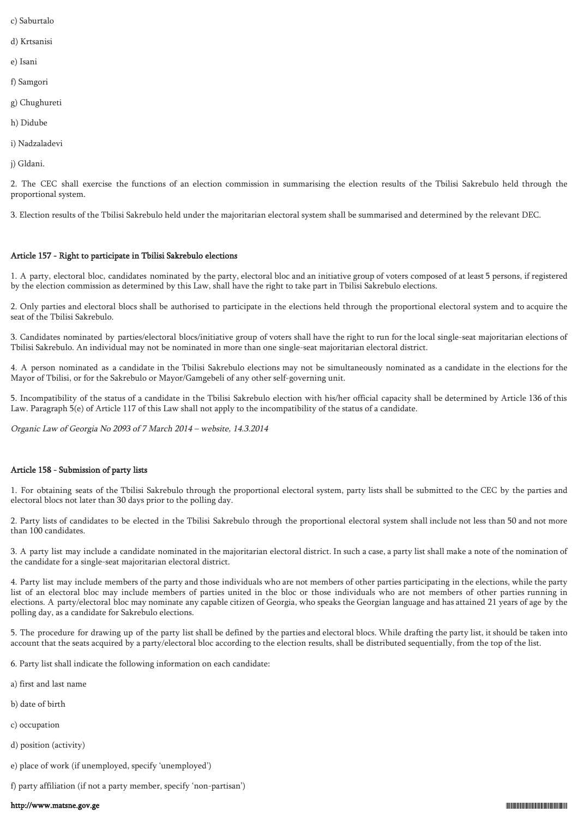- c) Saburtalo
- d) Krtsanisi
- e) Isani
- f) Samgori
- g) Chughureti
- h) Didube
- i) Nadzaladevi
- j) Gldani.

2. The CEC shall exercise the functions of an election commission in summarising the election results of the Tbilisi Sakrebulo held through the proportional system.

3. Election results of the Tbilisi Sakrebulo held under the majoritarian electoral system shall be summarised and determined by the relevant DEC.

# Article 157 - Right to participate in Tbilisi Sakrebulo elections

1. A party, electoral bloc, candidates nominated by the party, electoral bloc and an initiative group of voters composed of at least 5 persons, if registered by the election commission as determined by this Law, shall have the right to take part in Tbilisi Sakrebulo elections.

2. Only parties and electoral blocs shall be authorised to participate in the elections held through the proportional electoral system and to acquire the seat of the Tbilisi Sakrebulo.

3. Candidates nominated by parties/electoral blocs/initiative group of voters shall have the right to run for the local single-seat majoritarian elections of Tbilisi Sakrebulo. An individual may not be nominated in more than one single-seat majoritarian electoral district.

4. A person nominated as a candidate in the Tbilisi Sakrebulo elections may not be simultaneously nominated as a candidate in the elections for the Mayor of Tbilisi, or for the Sakrebulo or Mayor/Gamgebeli of any other self-governing unit.

5. Incompatibility of the status of a candidate in the Tbilisi Sakrebulo election with his/her official capacity shall be determined by Article 136 of this Law. Paragraph 5(e) of Article 117 of this Law shall not apply to the incompatibility of the status of a candidate.

Organic Law of Georgia No 2093 of 7 March 2014 – website, 14.3.2014

# Article 158 - Submission of party lists

1. For obtaining seats of the Tbilisi Sakrebulo through the proportional electoral system, party lists shall be submitted to the CEC by the parties and electoral blocs not later than 30 days prior to the polling day.

2. Party lists of candidates to be elected in the Tbilisi Sakrebulo through the proportional electoral system shall include not less than 50 and not more than 100 candidates.

3. A party list may include a candidate nominated in the majoritarian electoral district. In such a case, a party list shall make a note of the nomination of the candidate for a single-seat majoritarian electoral district.

4. Party list may include members of the party and those individuals who are not members of other parties participating in the elections, while the party list of an electoral bloc may include members of parties united in the bloc or those individuals who are not members of other parties running in elections. A party/electoral bloc may nominate any capable citizen of Georgia, who speaks the Georgian language and has attained 21 years of age by the polling day, as a candidate for Sakrebulo elections.

5. The procedure for drawing up of the party list shall be defined by the parties and electoral blocs. While drafting the party list, it should be taken into account that the seats acquired by a party/electoral bloc according to the election results, shall be distributed sequentially, from the top of the list.

- 6. Party list shall indicate the following information on each candidate:
- a) first and last name
- b) date of birth
- c) occupation
- d) position (activity)
- e) place of work (if unemployed, specify 'unemployed')

f) party affiliation (if not a party member, specify 'non-partisan')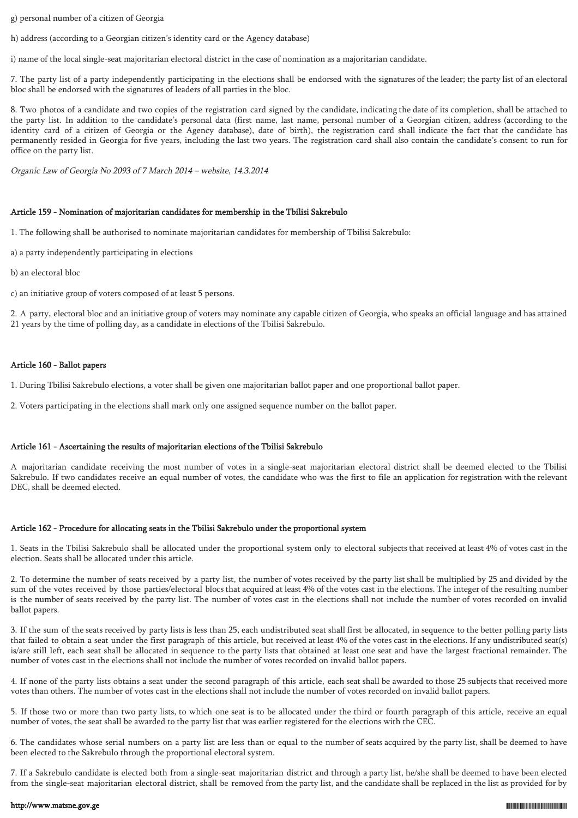g) personal number of a citizen of Georgia

h) address (according to a Georgian citizen's identity card or the Agency database)

i) name of the local single-seat majoritarian electoral district in the case of nomination as a majoritarian candidate.

7. The party list of a party independently participating in the elections shall be endorsed with the signatures of the leader; the party list of an electoral bloc shall be endorsed with the signatures of leaders of all parties in the bloc.

8. Two photos of a candidate and two copies of the registration card signed by the candidate, indicating the date of its completion, shall be attached to the party list. In addition to the candidate's personal data (first name, last name, personal number of a Georgian citizen, address (according to the identity card of a citizen of Georgia or the Agency database), date of birth), the registration card shall indicate the fact that the candidate has permanently resided in Georgia for five years, including the last two years. The registration card shall also contain the candidate's consent to run for office on the party list.

Organic Law of Georgia No 2093 of 7 March 2014 – website, 14.3.2014

# Article 159 - Nomination of majoritarian candidates for membership in the Tbilisi Sakrebulo

1. The following shall be authorised to nominate majoritarian candidates for membership of Tbilisi Sakrebulo:

a) a party independently participating in elections

b) an electoral bloc

c) an initiative group of voters composed of at least 5 persons.

2. A party, electoral bloc and an initiative group of voters may nominate any capable citizen of Georgia, who speaks an official language and has attained 21 years by the time of polling day, as a candidate in elections of the Tbilisi Sakrebulo.

# Article 160 - Ballot papers

1. During Tbilisi Sakrebulo elections, a voter shall be given one majoritarian ballot paper and one proportional ballot paper.

2. Voters participating in the elections shall mark only one assigned sequence number on the ballot paper.

# Article 161 - Ascertaining the results of majoritarian elections of the Tbilisi Sakrebulo

A majoritarian candidate receiving the most number of votes in a single-seat majoritarian electoral district shall be deemed elected to the Tbilisi Sakrebulo. If two candidates receive an equal number of votes, the candidate who was the first to file an application for registration with the relevant DEC, shall be deemed elected.

# Article 162 - Procedure for allocating seats in the Tbilisi Sakrebulo under the proportional system

1. Seats in the Tbilisi Sakrebulo shall be allocated under the proportional system only to electoral subjects that received at least 4% of votes cast in the election. Seats shall be allocated under this article.

2. To determine the number of seats received by a party list, the number of votes received by the party list shall be multiplied by 25 and divided by the sum of the votes received by those parties/electoral blocs that acquired at least 4% of the votes cast in the elections. The integer of the resulting number is the number of seats received by the party list. The number of votes cast in the elections shall not include the number of votes recorded on invalid ballot papers.

3. If the sum of the seats received by party lists is less than 25, each undistributed seat shall first be allocated, in sequence to the better polling party lists that failed to obtain a seat under the first paragraph of this article, but received at least 4% of the votes cast in the elections. If any undistributed seat(s) is/are still left, each seat shall be allocated in sequence to the party lists that obtained at least one seat and have the largest fractional remainder. The number of votes cast in the elections shall not include the number of votes recorded on invalid ballot papers.

4. If none of the party lists obtains a seat under the second paragraph of this article, each seat shall be awarded to those 25 subjects that received more votes than others. The number of votes cast in the elections shall not include the number of votes recorded on invalid ballot papers.

5. If those two or more than two party lists, to which one seat is to be allocated under the third or fourth paragraph of this article, receive an equal number of votes, the seat shall be awarded to the party list that was earlier registered for the elections with the CEC.

6. The candidates whose serial numbers on a party list are less than or equal to the number of seats acquired by the party list, shall be deemed to have been elected to the Sakrebulo through the proportional electoral system.

7. If a Sakrebulo candidate is elected both from a single-seat majoritarian district and through a party list, he/she shall be deemed to have been elected from the single-seat majoritarian electoral district, shall be removed from the party list, and the candidate shall be replaced in the list as provided for by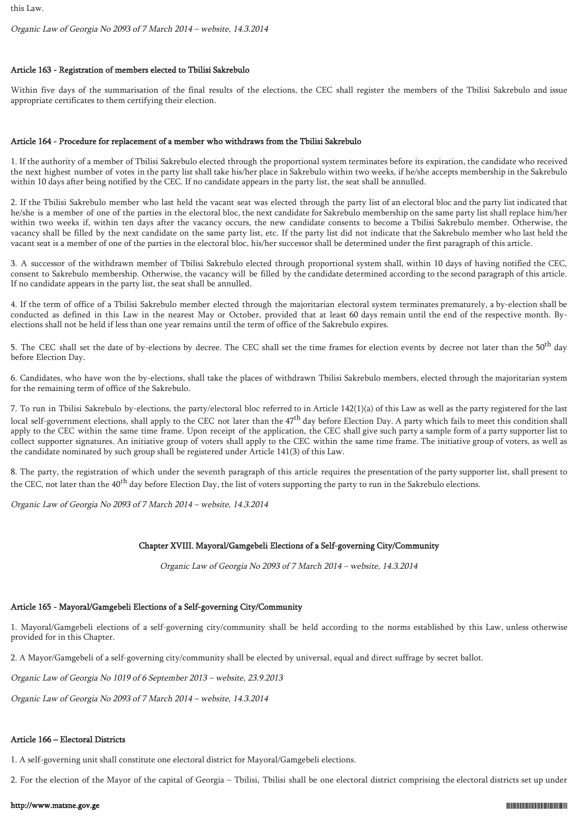Organic Law of Georgia No 2093 of 7 March 2014 – website, 14.3.2014

# Article 163 - Registration of members elected to Tbilisi Sakrebulo

Within five days of the summarisation of the final results of the elections, the CEC shall register the members of the Tbilisi Sakrebulo and issue appropriate certificates to them certifying their election.

# Article 164 - Procedure for replacement of a member who withdraws from the Tbilisi Sakrebulo

1. If the authority of a member of Tbilisi Sakrebulo elected through the proportional system terminates before its expiration, the candidate who received the next highest number of votes in the party list shall take his/her place in Sakrebulo within two weeks, if he/she accepts membership in the Sakrebulo within 10 days after being notified by the CEC. If no candidate appears in the party list, the seat shall be annulled.

2. If the Tbilisi Sakrebulo member who last held the vacant seat was elected through the party list of an electoral bloc and the party list indicated that he/she is a member of one of the parties in the electoral bloc, the next candidate for Sakrebulo membership on the same party list shall replace him/her within two weeks if, within ten days after the vacancy occurs, the new candidate consents to become a Tbilisi Sakrebulo member. Otherwise, the vacancy shall be filled by the next candidate on the same party list, etc. If the party list did not indicate that the Sakrebulo member who last held the vacant seat is a member of one of the parties in the electoral bloc, his/her successor shall be determined under the first paragraph of this article.

3. A successor of the withdrawn member of Tbilisi Sakrebulo elected through proportional system shall, within 10 days of having notified the CEC, consent to Sakrebulo membership. Otherwise, the vacancy will be filled by the candidate determined according to the second paragraph of this article. If no candidate appears in the party list, the seat shall be annulled.

4. If the term of office of a Tbilisi Sakrebulo member elected through the majoritarian electoral system terminates prematurely, a by-election shall be conducted as defined in this Law in the nearest May or October, provided that at least 60 days remain until the end of the respective month. Byelections shall not be held if less than one year remains until the term of office of the Sakrebulo expires.

5. The CEC shall set the date of by-elections by decree. The CEC shall set the time frames for election events by decree not later than the 50<sup>th</sup> day before Election Day.

6. Candidates, who have won the by-elections, shall take the places of withdrawn Tbilisi Sakrebulo members, elected through the majoritarian system for the remaining term of office of the Sakrebulo.

7. To run in Tbilisi Sakrebulo by-elections, the party/electoral bloc referred to in Article 142(1)(a) of this Law as well as the party registered for the last local self-government elections, shall apply to the CEC not later than the 47<sup>th</sup> day before Election Day. A party which fails to meet this condition shall apply to the CEC within the same time frame. Upon receipt of the application, the CEC shall give such party a sample form of a party supporter list to collect supporter signatures. An initiative group of voters shall apply to the CEC within the same time frame. The initiative group of voters, as well as the candidate nominated by such group shall be registered under Article 141(3) of this Law.

8. The party, the registration of which under the seventh paragraph of this article requires the presentation of the party supporter list, shall present to the CEC, not later than the 40<sup>th</sup> day before Election Day, the list of voters supporting the party to run in the Sakrebulo elections.

Organic Law of Georgia No 2093 of 7 March 2014 – website, 14.3.2014

# Chapter XVIII. Mayoral/Gamgebeli Elections of a Self-governing City/Community

Organic Law of Georgia No 2093 of 7 March 2014 – website, 14.3.2014

# Article 165 - Mayoral/Gamgebeli Elections of a Self-governing City/Community

1. Mayoral/Gamgebeli elections of a self-governing city/community shall be held according to the norms established by this Law, unless otherwise provided for in this Chapter.

2. A Mayor/Gamgebeli of a self-governing city/community shall be elected by universal, equal and direct suffrage by secret ballot.

Organic Law of Georgia No 1019 of 6 September 2013 – website, 23.9.2013

Organic Law of Georgia No 2093 of 7 March 2014 – website, 14.3.2014

# Article 166 – Electoral Districts

1. A self-governing unit shall constitute one electoral district for Mayoral/Gamgebeli elections.

2. For the election of the Mayor of the capital of Georgia – Tbilisi, Tbilisi shall be one electoral district comprising the electoral districts set up under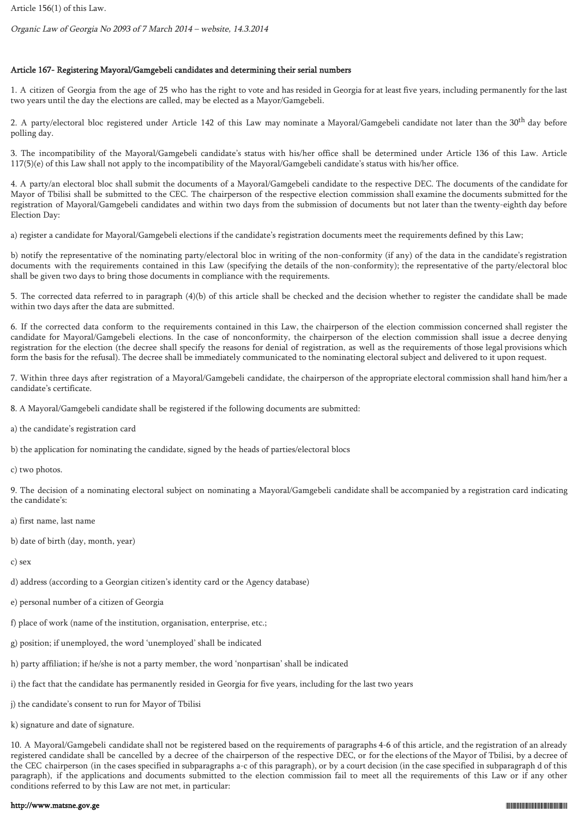Organic Law of Georgia No 2093 of 7 March 2014 – website, 14.3.2014

# Article 167- Registering Mayoral/Gamgebeli candidates and determining their serial numbers

1. A citizen of Georgia from the age of 25 who has the right to vote and has resided in Georgia for at least five years, including permanently for the last two years until the day the elections are called, may be elected as a Mayor/Gamgebeli.

2. A party/electoral bloc registered under Article 142 of this Law may nominate a Mayoral/Gamgebeli candidate not later than the 30<sup>th</sup> day before polling day.

3. The incompatibility of the Mayoral/Gamgebeli candidate's status with his/her office shall be determined under Article 136 of this Law. Article 117(5)(e) of this Law shall not apply to the incompatibility of the Mayoral/Gamgebeli candidate's status with his/her office.

4. A party/an electoral bloc shall submit the documents of a Mayoral/Gamgebeli candidate to the respective DEC. The documents of the candidate for Mayor of Tbilisi shall be submitted to the CEC. The chairperson of the respective election commission shall examine the documents submitted for the registration of Mayoral/Gamgebeli candidates and within two days from the submission of documents but not later than the twenty-eighth day before Election Day:

a) register a candidate for Mayoral/Gamgebeli elections if the candidate's registration documents meet the requirements defined by this Law;

b) notify the representative of the nominating party/electoral bloc in writing of the non-conformity (if any) of the data in the candidate's registration documents with the requirements contained in this Law (specifying the details of the non-conformity); the representative of the party/electoral bloc shall be given two days to bring those documents in compliance with the requirements.

5. The corrected data referred to in paragraph (4)(b) of this article shall be checked and the decision whether to register the candidate shall be made within two days after the data are submitted.

6. If the corrected data conform to the requirements contained in this Law, the chairperson of the election commission concerned shall register the candidate for Mayoral/Gamgebeli elections. In the case of nonconformity, the chairperson of the election commission shall issue a decree denying registration for the election (the decree shall specify the reasons for denial of registration, as well as the requirements of those legal provisions which form the basis for the refusal). The decree shall be immediately communicated to the nominating electoral subject and delivered to it upon request.

7. Within three days after registration of a Mayoral/Gamgebeli candidate, the chairperson of the appropriate electoral commission shall hand him/her a candidate's certificate.

8. A Mayoral/Gamgebeli candidate shall be registered if the following documents are submitted:

a) the candidate's registration card

b) the application for nominating the candidate, signed by the heads of parties/electoral blocs

c) two photos.

9. The decision of a nominating electoral subject on nominating a Mayoral/Gamgebeli candidate shall be accompanied by a registration card indicating the candidate's:

- a) first name, last name
- b) date of birth (day, month, year)

c) sex

d) address (according to a Georgian citizen's identity card or the Agency database)

- e) personal number of a citizen of Georgia
- f) place of work (name of the institution, organisation, enterprise, etc.;
- g) position; if unemployed, the word 'unemployed' shall be indicated
- h) party affiliation; if he/she is not a party member, the word 'nonpartisan' shall be indicated
- i) the fact that the candidate has permanently resided in Georgia for five years, including for the last two years
- j) the candidate's consent to run for Mayor of Tbilisi
- k) signature and date of signature.

10. A Mayoral/Gamgebeli candidate shall not be registered based on the requirements of paragraphs 4-6 of this article, and the registration of an already registered candidate shall be cancelled by a decree of the chairperson of the respective DEC, or for the elections of the Mayor of Tbilisi, by a decree of the CEC chairperson (in the cases specified in subparagraphs a-c of this paragraph), or by a court decision (in the case specified in subparagraph d of this paragraph), if the applications and documents submitted to the election commission fail to meet all the requirements of this Law or if any other conditions referred to by this Law are not met, in particular: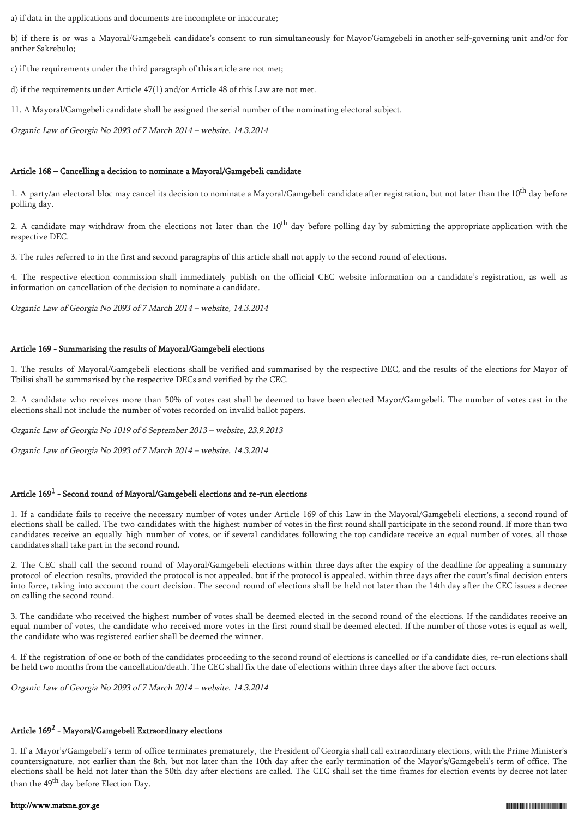a) if data in the applications and documents are incomplete or inaccurate;

b) if there is or was a Mayoral/Gamgebeli candidate's consent to run simultaneously for Mayor/Gamgebeli in another self-governing unit and/or for anther Sakrebulo;

c) if the requirements under the third paragraph of this article are not met;

d) if the requirements under Article 47(1) and/or Article 48 of this Law are not met.

11. A Mayoral/Gamgebeli candidate shall be assigned the serial number of the nominating electoral subject.

Organic Law of Georgia No 2093 of 7 March 2014 – website, 14.3.2014

### Article 168 – Cancelling a decision to nominate a Mayoral/Gamgebeli candidate

1. A party/an electoral bloc may cancel its decision to nominate a Mayoral/Gamgebeli candidate after registration, but not later than the 10<sup>th</sup> day before polling day.

2. A candidate may withdraw from the elections not later than the  $10<sup>th</sup>$  day before polling day by submitting the appropriate application with the respective DEC.

3. The rules referred to in the first and second paragraphs of this article shall not apply to the second round of elections.

4. The respective election commission shall immediately publish on the official CEC website information on a candidate's registration, as well as information on cancellation of the decision to nominate a candidate.

Organic Law of Georgia No 2093 of 7 March 2014 – website, 14.3.2014

### Article 169 - Summarising the results of Mayoral/Gamgebeli elections

1. The results of Mayoral/Gamgebeli elections shall be verified and summarised by the respective DEC, and the results of the elections for Mayor of Tbilisi shall be summarised by the respective DECs and verified by the CEC.

2. A candidate who receives more than 50% of votes cast shall be deemed to have been elected Mayor/Gamgebeli. The number of votes cast in the elections shall not include the number of votes recorded on invalid ballot papers.

Organic Law of Georgia No 1019 of 6 September 2013 – website, 23.9.2013

Organic Law of Georgia No 2093 of 7 March 2014 – website, 14.3.2014

# Article  $169^1$  - Second round of Mayoral/Gamgebeli elections and re-run elections

1. If a candidate fails to receive the necessary number of votes under Article 169 of this Law in the Mayoral/Gamgebeli elections, a second round of elections shall be called. The two candidates with the highest number of votes in the first round shall participate in the second round. If more than two candidates receive an equally high number of votes, or if several candidates following the top candidate receive an equal number of votes, all those candidates shall take part in the second round.

2. The CEC shall call the second round of Mayoral/Gamgebeli elections within three days after the expiry of the deadline for appealing a summary protocol of election results, provided the protocol is not appealed, but if the protocol is appealed, within three days after the court's final decision enters into force, taking into account the court decision. The second round of elections shall be held not later than the 14th day after the CEC issues a decree on calling the second round.

3. The candidate who received the highest number of votes shall be deemed elected in the second round of the elections. If the candidates receive an equal number of votes, the candidate who received more votes in the first round shall be deemed elected. If the number of those votes is equal as well, the candidate who was registered earlier shall be deemed the winner.

4. If the registration of one or both of the candidates proceeding to the second round of elections is cancelled or if a candidate dies, re-run elections shall be held two months from the cancellation/death. The CEC shall fix the date of elections within three days after the above fact occurs.

Organic Law of Georgia No 2093 of 7 March 2014 – website, 14.3.2014

# Article  $169^2$  - Mayoral/Gamgebeli Extraordinary elections

1. If a Mayor's/Gamgebeli's term of office terminates prematurely, the President of Georgia shall call extraordinary elections, with the Prime Minister's countersignature, not earlier than the 8th, but not later than the 10th day after the early termination of the Mayor's/Gamgebeli's term of office. The elections shall be held not later than the 50th day after elections are called. The CEC shall set the time frames for election events by decree not later than the 49<sup>th</sup> day before Election Day.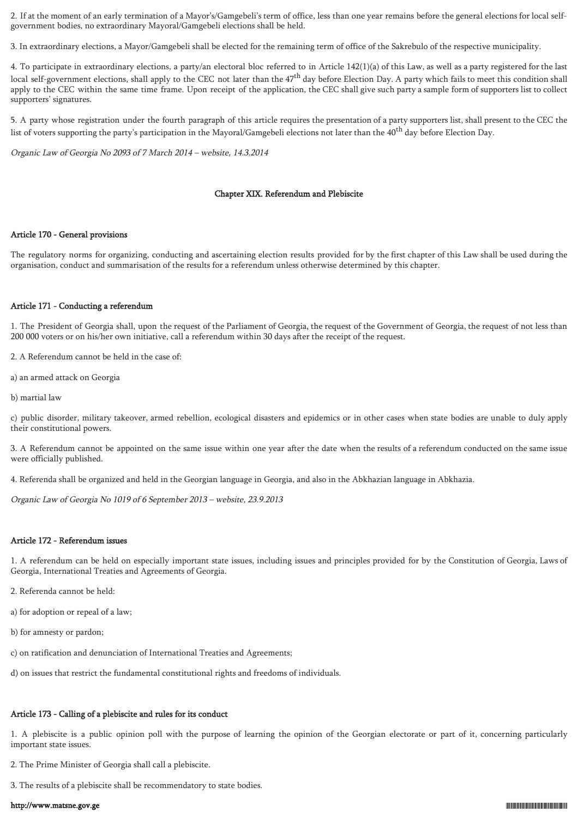2. If at the moment of an early termination of a Mayor's/Gamgebeli's term of office, less than one year remains before the general elections for local selfgovernment bodies, no extraordinary Mayoral/Gamgebeli elections shall be held.

3. In extraordinary elections, a Mayor/Gamgebeli shall be elected for the remaining term of office of the Sakrebulo of the respective municipality.

4. To participate in extraordinary elections, a party/an electoral bloc referred to in Article 142(1)(a) of this Law, as well as a party registered for the last local self-government elections, shall apply to the CEC not later than the 47<sup>th</sup> day before Election Day. A party which fails to meet this condition shall apply to the CEC within the same time frame. Upon receipt of the application, the CEC shall give such party a sample form of supporters list to collect supporters' signatures.

5. A party whose registration under the fourth paragraph of this article requires the presentation of a party supporters list, shall present to the CEC the list of voters supporting the party's participation in the Mayoral/Gamgebeli elections not later than the 40th day before Election Day.

Organic Law of Georgia No 2093 of 7 March 2014 – website, 14.3.2014

#### Chapter XIX. Referendum and Plebiscite

### Article 170 - General provisions

The regulatory norms for organizing, conducting and ascertaining election results provided for by the first chapter of this Law shall be used during the organisation, conduct and summarisation of the results for a referendum unless otherwise determined by this chapter.

### Article 171 - Conducting a referendum

1. The President of Georgia shall, upon the request of the Parliament of Georgia, the request of the Government of Georgia, the request of not less than 200 000 voters or on his/her own initiative, call a referendum within 30 days after the receipt of the request.

2. A Referendum cannot be held in the case of:

- a) an armed attack on Georgia
- b) martial law

c) public disorder, military takeover, armed rebellion, ecological disasters and epidemics or in other cases when state bodies are unable to duly apply their constitutional powers.

3. A Referendum cannot be appointed on the same issue within one year after the date when the results of a referendum conducted on the same issue were officially published.

4. Referenda shall be organized and held in the Georgian language in Georgia, and also in the Abkhazian language in Abkhazia.

Organic Law of Georgia No 1019 of 6 September 2013 – website, 23.9.2013

#### Article 172 - Referendum issues

1. A referendum can be held on especially important state issues, including issues and principles provided for by the Constitution of Georgia, Laws of Georgia, International Treaties and Agreements of Georgia.

- 2. Referenda cannot be held:
- a) for adoption or repeal of a law;
- b) for amnesty or pardon;
- c) on ratification and denunciation of International Treaties and Agreements;
- d) on issues that restrict the fundamental constitutional rights and freedoms of individuals.

#### Article 173 - Calling of a plebiscite and rules for its conduct

1. A plebiscite is a public opinion poll with the purpose of learning the opinion of the Georgian electorate or part of it, concerning particularly important state issues.

- 2. The Prime Minister of Georgia shall call a plebiscite.
- 3. The results of a plebiscite shall be recommendatory to state bodies.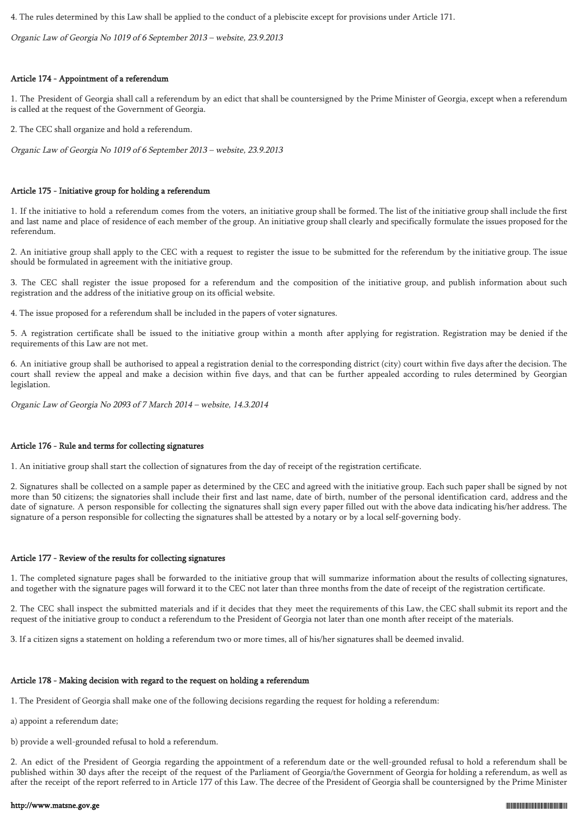4. The rules determined by this Law shall be applied to the conduct of a plebiscite except for provisions under Article 171.

Organic Law of Georgia No 1019 of 6 September 2013 – website, 23.9.2013

# Article 174 - Appointment of a referendum

1. The President of Georgia shall call a referendum by an edict that shall be countersigned by the Prime Minister of Georgia, except when a referendum is called at the request of the Government of Georgia.

2. The CEC shall organize and hold a referendum.

Organic Law of Georgia No 1019 of 6 September 2013 – website, 23.9.2013

### Article 175 - Initiative group for holding a referendum

1. If the initiative to hold a referendum comes from the voters, an initiative group shall be formed. The list of the initiative group shall include the first and last name and place of residence of each member of the group. An initiative group shall clearly and specifically formulate the issues proposed for the referendum.

2. An initiative group shall apply to the CEC with a request to register the issue to be submitted for the referendum by the initiative group. The issue should be formulated in agreement with the initiative group.

3. The CEC shall register the issue proposed for a referendum and the composition of the initiative group, and publish information about such registration and the address of the initiative group on its official website.

4. The issue proposed for a referendum shall be included in the papers of voter signatures.

5. A registration certificate shall be issued to the initiative group within a month after applying for registration. Registration may be denied if the requirements of this Law are not met.

6. An initiative group shall be authorised to appeal a registration denial to the corresponding district (city) court within five days after the decision. The court shall review the appeal and make a decision within five days, and that can be further appealed according to rules determined by Georgian legislation.

Organic Law of Georgia No 2093 of 7 March 2014 – website, 14.3.2014

### Article 176 - Rule and terms for collecting signatures

1. An initiative group shall start the collection of signatures from the day of receipt of the registration certificate.

2. Signatures shall be collected on a sample paper as determined by the CEC and agreed with the initiative group. Each such paper shall be signed by not more than 50 citizens; the signatories shall include their first and last name, date of birth, number of the personal identification card, address and the date of signature. A person responsible for collecting the signatures shall sign every paper filled out with the above data indicating his/her address. The signature of a person responsible for collecting the signatures shall be attested by a notary or by a local self-governing body.

### Article 177 - Review of the results for collecting signatures

1. The completed signature pages shall be forwarded to the initiative group that will summarize information about the results of collecting signatures, and together with the signature pages will forward it to the CEC not later than three months from the date of receipt of the registration certificate.

2. The CEC shall inspect the submitted materials and if it decides that they meet the requirements of this Law, the CEC shall submit its report and the request of the initiative group to conduct a referendum to the President of Georgia not later than one month after receipt of the materials.

3. If a citizen signs a statement on holding a referendum two or more times, all of his/her signatures shall be deemed invalid.

# Article 178 - Making decision with regard to the request on holding a referendum

1. The President of Georgia shall make one of the following decisions regarding the request for holding a referendum:

- a) appoint a referendum date;
- b) provide a well-grounded refusal to hold a referendum.

2. An edict of the President of Georgia regarding the appointment of a referendum date or the well-grounded refusal to hold a referendum shall be published within 30 days after the receipt of the request of the Parliament of Georgia/the Government of Georgia for holding a referendum, as well as after the receipt of the report referred to in Article 177 of this Law. The decree of the President of Georgia shall be countersigned by the Prime Minister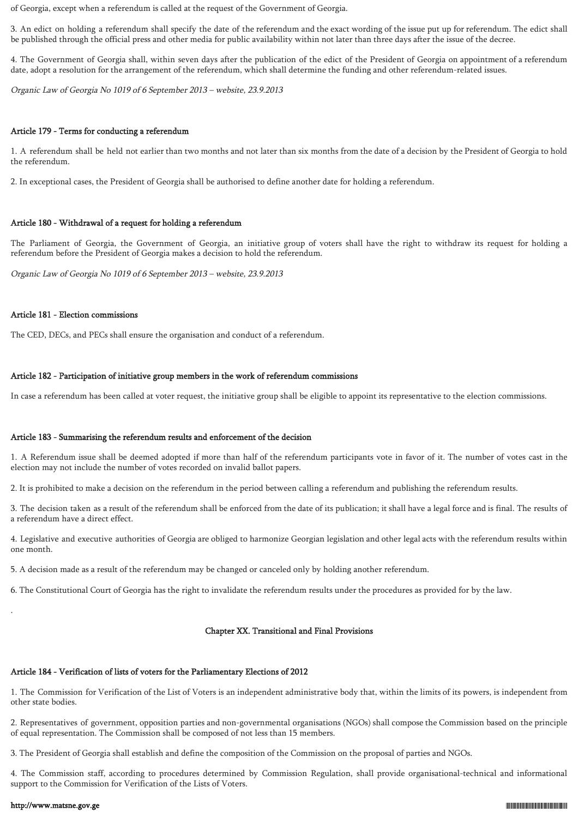of Georgia, except when a referendum is called at the request of the Government of Georgia.

3. An edict on holding a referendum shall specify the date of the referendum and the exact wording of the issue put up for referendum. The edict shall be published through the official press and other media for public availability within not later than three days after the issue of the decree.

4. The Government of Georgia shall, within seven days after the publication of the edict of the President of Georgia on appointment of a referendum date, adopt a resolution for the arrangement of the referendum, which shall determine the funding and other referendum-related issues.

Organic Law of Georgia No 1019 of 6 September 2013 – website, 23.9.2013

#### Article 179 - Terms for conducting a referendum

1. A referendum shall be held not earlier than two months and not later than six months from the date of a decision by the President of Georgia to hold the referendum.

2. In exceptional cases, the President of Georgia shall be authorised to define another date for holding a referendum.

#### Article 180 - Withdrawal of a request for holding a referendum

The Parliament of Georgia, the Government of Georgia, an initiative group of voters shall have the right to withdraw its request for holding a referendum before the President of Georgia makes a decision to hold the referendum.

Organic Law of Georgia No 1019 of 6 September 2013 – website, 23.9.2013

### Article 181 - Election commissions

The CED, DECs, and PECs shall ensure the organisation and conduct of a referendum.

### Article 182 - Participation of initiative group members in the work of referendum commissions

In case a referendum has been called at voter request, the initiative group shall be eligible to appoint its representative to the election commissions.

#### Article 183 - Summarising the referendum results and enforcement of the decision

1. A Referendum issue shall be deemed adopted if more than half of the referendum participants vote in favor of it. The number of votes cast in the election may not include the number of votes recorded on invalid ballot papers.

2. It is prohibited to make a decision on the referendum in the period between calling a referendum and publishing the referendum results.

3. The decision taken as a result of the referendum shall be enforced from the date of its publication; it shall have a legal force and is final. The results of a referendum have a direct effect.

4. Legislative and executive authorities of Georgia are obliged to harmonize Georgian legislation and other legal acts with the referendum results within one month.

5. A decision made as a result of the referendum may be changed or canceled only by holding another referendum.

6. The Constitutional Court of Georgia has the right to invalidate the referendum results under the procedures as provided for by the law.

#### Chapter XX. Transitional and Final Provisions

# Article 184 - Verification of lists of voters for the Parliamentary Elections of 2012

1. The Commission for Verification of the List of Voters is an independent administrative body that, within the limits of its powers, is independent from other state bodies.

2. Representatives of government, opposition parties and non-governmental organisations (NGOs) shall compose the Commission based on the principle of equal representation. The Commission shall be composed of not less than 15 members.

3. The President of Georgia shall establish and define the composition of the Commission on the proposal of parties and NGOs.

4. The Commission staff, according to procedures determined by Commission Regulation, shall provide organisational-technical and informational support to the Commission for Verification of the Lists of Voters.

#### http://www.matsne.gov.ge 01019002004001016032

.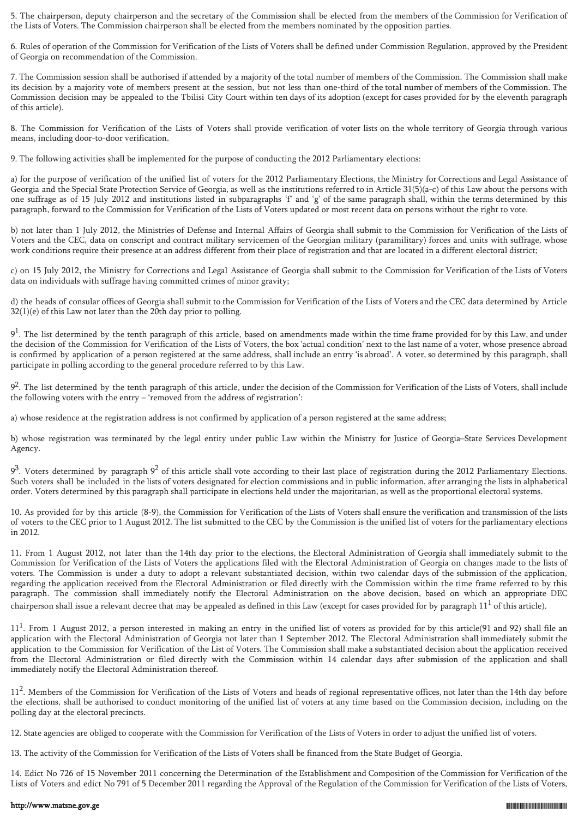5. The chairperson, deputy chairperson and the secretary of the Commission shall be elected from the members of the Commission for Verification of the Lists of Voters. The Commission chairperson shall be elected from the members nominated by the opposition parties.

6. Rules of operation of the Commission for Verification of the Lists of Voters shall be defined under Commission Regulation, approved by the President of Georgia on recommendation of the Commission.

7. The Commission session shall be authorised if attended by a majority of the total number of members of the Commission. The Commission shall make its decision by a majority vote of members present at the session, but not less than one-third of the total number of members of the Commission. The Commission decision may be appealed to the Tbilisi City Court within ten days of its adoption (except for cases provided for by the eleventh paragraph of this article).

8. The Commission for Verification of the Lists of Voters shall provide verification of voter lists on the whole territory of Georgia through various means, including door-to-door verification.

9. The following activities shall be implemented for the purpose of conducting the 2012 Parliamentary elections:

a) for the purpose of verification of the unified list of voters for the 2012 Parliamentary Elections, the Ministry for Corrections and Legal Assistance of Georgia and the Special State Protection Service of Georgia, as well as the institutions referred to in Article 31(5)(a-c) of this Law about the persons with one suffrage as of 15 July 2012 and institutions listed in subparagraphs 'f' and 'g' of the same paragraph shall, within the terms determined by this paragraph, forward to the Commission for Verification of the Lists of Voters updated or most recent data on persons without the right to vote.

b) not later than 1 July 2012, the Ministries of Defense and Internal Affairs of Georgia shall submit to the Commission for Verification of the Lists of Voters and the CEC, data on conscript and contract military servicemen of the Georgian military (paramilitary) forces and units with suffrage, whose work conditions require their presence at an address different from their place of registration and that are located in a different electoral district;

c) on 15 July 2012, the Ministry for Corrections and Legal Assistance of Georgia shall submit to the Commission for Verification of the Lists of Voters data on individuals with suffrage having committed crimes of minor gravity;

d) the heads of consular offices of Georgia shall submit to the Commission for Verification of the Lists of Voters and the CEC data determined by Article 32(1)(e) of this Law not later than the 20th day prior to polling.

 $9<sup>1</sup>$ . The list determined by the tenth paragraph of this article, based on amendments made within the time frame provided for by this Law, and under the decision of the Commission for Verification of the Lists of Voters, the box 'actual condition' next to the last name of a voter, whose presence abroad is confirmed by application of a person registered at the same address, shall include an entry 'is abroad'. A voter, so determined by this paragraph, shall participate in polling according to the general procedure referred to by this Law.

9<sup>2</sup>. The list determined by the tenth paragraph of this article, under the decision of the Commission for Verification of the Lists of Voters, shall include the following voters with the entry – 'removed from the address of registration':

a) whose residence at the registration address is not confirmed by application of a person registered at the same address;

b) whose registration was terminated by the legal entity under public Law within the Ministry for Justice of Georgia–State Services Development Agency.

 $9<sup>3</sup>$ . Voters determined by paragraph  $9<sup>2</sup>$  of this article shall vote according to their last place of registration during the 2012 Parliamentary Elections. Such voters shall be included in the lists of voters designated for election commissions and in public information, after arranging the lists in alphabetical order. Voters determined by this paragraph shall participate in elections held under the majoritarian, as well as the proportional electoral systems.

10. As provided for by this article (8-9), the Commission for Verification of the Lists of Voters shall ensure the verification and transmission of the lists of voters to the CEC prior to 1 August 2012. The list submitted to the CEC by the Commission is the unified list of voters for the parliamentary elections in 2012.

11. From 1 August 2012, not later than the 14th day prior to the elections, the Electoral Administration of Georgia shall immediately submit to the Commission for Verification of the Lists of Voters the applications filed with the Electoral Administration of Georgia on changes made to the lists of voters. The Commission is under a duty to adopt a relevant substantiated decision, within two calendar days of the submission of the application, regarding the application received from the Electoral Administration or filed directly with the Commission within the time frame referred to by this paragraph. The commission shall immediately notify the Electoral Administration on the above decision, based on which an appropriate DEC chairperson shall issue a relevant decree that may be appealed as defined in this Law (except for cases provided for by paragraph  $11^1$  of this article).

 $11<sup>1</sup>$ . From 1 August 2012, a person interested in making an entry in the unified list of voters as provided for by this article(91 and 92) shall file an application with the Electoral Administration of Georgia not later than 1 September 2012. The Electoral Administration shall immediately submit the application to the Commission for Verification of the List of Voters. The Commission shall make a substantiated decision about the application received from the Electoral Administration or filed directly with the Commission within 14 calendar days after submission of the application and shall immediately notify the Electoral Administration thereof.

11<sup>2</sup>. Members of the Commission for Verification of the Lists of Voters and heads of regional representative offices, not later than the 14th day before the elections, shall be authorised to conduct monitoring of the unified list of voters at any time based on the Commission decision, including on the polling day at the electoral precincts.

12. State agencies are obliged to cooperate with the Commission for Verification of the Lists of Voters in order to adjust the unified list of voters.

13. The activity of the Commission for Verification of the Lists of Voters shall be financed from the State Budget of Georgia.

14. Edict No 726 of 15 November 2011 concerning the Determination of the Establishment and Composition of the Commission for Verification of the Lists of Voters and edict No 791 of 5 December 2011 regarding the Approval of the Regulation of the Commission for Verification of the Lists of Voters,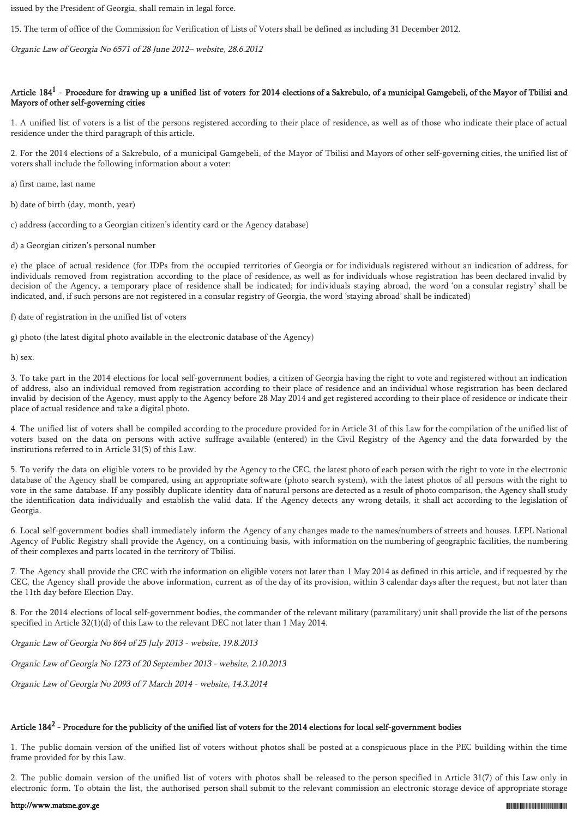issued by the President of Georgia, shall remain in legal force.

15. The term of office of the Commission for Verification of Lists of Voters shall be defined as including 31 December 2012.

Organic Law of Georgia No 6571 of 28 June 2012– website, 28.6.2012

### Article  $184^1$  - Procedure for drawing up a unified list of voters for 2014 elections of a Sakrebulo, of a municipal Gamgebeli, of the Mayor of Tbilisi and Mayors of other self-governing cities

1. A unified list of voters is a list of the persons registered according to their place of residence, as well as of those who indicate their place of actual residence under the third paragraph of this article.

2. For the 2014 elections of a Sakrebulo, of a municipal Gamgebeli, of the Mayor of Tbilisi and Mayors of other self-governing cities, the unified list of voters shall include the following information about a voter:

a) first name, last name

b) date of birth (day, month, year)

c) address (according to a Georgian citizen's identity card or the Agency database)

d) a Georgian citizen's personal number

e) the place of actual residence (for IDPs from the occupied territories of Georgia or for individuals registered without an indication of address, for individuals removed from registration according to the place of residence, as well as for individuals whose registration has been declared invalid by decision of the Agency, a temporary place of residence shall be indicated; for individuals staying abroad, the word 'on a consular registry' shall be indicated, and, if such persons are not registered in a consular registry of Georgia, the word 'staying abroad' shall be indicated)

f) date of registration in the unified list of voters

g) photo (the latest digital photo available in the electronic database of the Agency)

h) sex.

3. To take part in the 2014 elections for local self-government bodies, a citizen of Georgia having the right to vote and registered without an indication of address, also an individual removed from registration according to their place of residence and an individual whose registration has been declared invalid by decision of the Agency, must apply to the Agency before 28 May 2014 and get registered according to their place of residence or indicate their place of actual residence and take a digital photo.

4. The unified list of voters shall be compiled according to the procedure provided for in Article 31 of this Law for the compilation of the unified list of voters based on the data on persons with active suffrage available (entered) in the Civil Registry of the Agency and the data forwarded by the institutions referred to in Article 31(5) of this Law.

5. To verify the data on eligible voters to be provided by the Agency to the CEC, the latest photo of each person with the right to vote in the electronic database of the Agency shall be compared, using an appropriate software (photo search system), with the latest photos of all persons with the right to vote in the same database. If any possibly duplicate identity data of natural persons are detected as a result of photo comparison, the Agency shall study the identification data individually and establish the valid data. If the Agency detects any wrong details, it shall act according to the legislation of Georgia.

6. Local self-government bodies shall immediately inform the Agency of any changes made to the names/numbers of streets and houses. LEPL National Agency of Public Registry shall provide the Agency, on a continuing basis, with information on the numbering of geographic facilities, the numbering of their complexes and parts located in the territory of Tbilisi.

7. The Agency shall provide the CEC with the information on eligible voters not later than 1 May 2014 as defined in this article, and if requested by the CEC, the Agency shall provide the above information, current as of the day of its provision, within 3 calendar days after the request, but not later than the 11th day before Election Day.

8. For the 2014 elections of local self-government bodies, the commander of the relevant military (paramilitary) unit shall provide the list of the persons specified in Article 32(1)(d) of this Law to the relevant DEC not later than 1 May 2014.

Organic Law of Georgia No 864 of 25 July 2013 - website, 19.8.2013

Organic Law of Georgia No 1273 of 20 September 2013 - website, 2.10.2013

Organic Law of Georgia No 2093 of 7 March 2014 - website, 14.3.2014

# Article 184 $^2$  - Procedure for the publicity of the unified list of voters for the 2014 elections for local self-government bodies

1. The public domain version of the unified list of voters without photos shall be posted at a conspicuous place in the PEC building within the time frame provided for by this Law.

2. The public domain version of the unified list of voters with photos shall be released to the person specified in Article 31(7) of this Law only in electronic form. To obtain the list, the authorised person shall submit to the relevant commission an electronic storage device of appropriate storage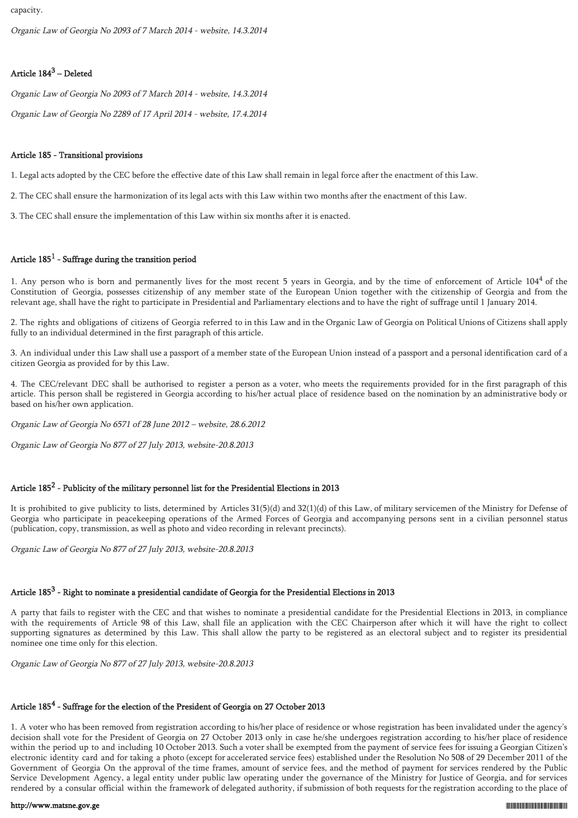capacity.

Organic Law of Georgia No 2093 of 7 March 2014 - website, 14.3.2014

# Article 184<sup>3</sup> – Deleted

Organic Law of Georgia No 2093 of 7 March 2014 - website, 14.3.2014

Organic Law of Georgia No 2289 of 17 April 2014 - website, 17.4.2014

### Article 185 - Transitional provisions

1. Legal acts adopted by the CEC before the effective date of this Law shall remain in legal force after the enactment of this Law.

2. The CEC shall ensure the harmonization of its legal acts with this Law within two months after the enactment of this Law.

3. The CEC shall ensure the implementation of this Law within six months after it is enacted.

# Article  $185^1$  - Suffrage during the transition period

1. Any person who is born and permanently lives for the most recent 5 years in Georgia, and by the time of enforcement of Article  $104<sup>4</sup>$  of the Constitution of Georgia, possesses citizenship of any member state of the European Union together with the citizenship of Georgia and from the relevant age, shall have the right to participate in Presidential and Parliamentary elections and to have the right of suffrage until 1 January 2014.

2. The rights and obligations of citizens of Georgia referred to in this Law and in the Organic Law of Georgia on Political Unions of Citizens shall apply fully to an individual determined in the first paragraph of this article.

3. An individual under this Law shall use a passport of a member state of the European Union instead of a passport and a personal identification card of a citizen Georgia as provided for by this Law.

4. The CEC/relevant DEC shall be authorised to register a person as a voter, who meets the requirements provided for in the first paragraph of this article. This person shall be registered in Georgia according to his/her actual place of residence based on the nomination by an administrative body or based on his/her own application.

Organic Law of Georgia No 6571 of 28 June 2012 – website, 28.6.2012

Organic Law of Georgia No 877 of 27 July 2013, website-20.8.2013

# Article  $185^2$  - Publicity of the military personnel list for the Presidential Elections in 2013

It is prohibited to give publicity to lists, determined by Articles 31(5)(d) and 32(1)(d) of this Law, of military servicemen of the Ministry for Defense of Georgia who participate in peacekeeping operations of the Armed Forces of Georgia and accompanying persons sent in a civilian personnel status (publication, copy, transmission, as well as photo and video recording in relevant precincts).

Organic Law of Georgia No 877 of 27 July 2013, website-20.8.2013

# Article 185 $^3$  - Right to nominate a presidential candidate of Georgia for the Presidential Elections in 2013

A party that fails to register with the CEC and that wishes to nominate a presidential candidate for the Presidential Elections in 2013, in compliance with the requirements of Article 98 of this Law, shall file an application with the CEC Chairperson after which it will have the right to collect supporting signatures as determined by this Law. This shall allow the party to be registered as an electoral subject and to register its presidential nominee one time only for this election.

Organic Law of Georgia No 877 of 27 July 2013, website-20.8.2013

# Article  $185^4$  - Suffrage for the election of the President of Georgia on 27 October 2013

1. A voter who has been removed from registration according to his/her place of residence or whose registration has been invalidated under the agency's decision shall vote for the President of Georgia on 27 October 2013 only in case he/she undergoes registration according to his/her place of residence within the period up to and including 10 October 2013. Such a voter shall be exempted from the payment of service fees for issuing a Georgian Citizen's electronic identity card and for taking a photo (except for accelerated service fees) established under the Resolution No 508 of 29 December 2011 of the Government of Georgia On the approval of the time frames, amount of service fees, and the method of payment for services rendered by the Public Service Development Agency, a legal entity under public law operating under the governance of the Ministry for Justice of Georgia, and for services rendered by a consular official within the framework of delegated authority, if submission of both requests for the registration according to the place of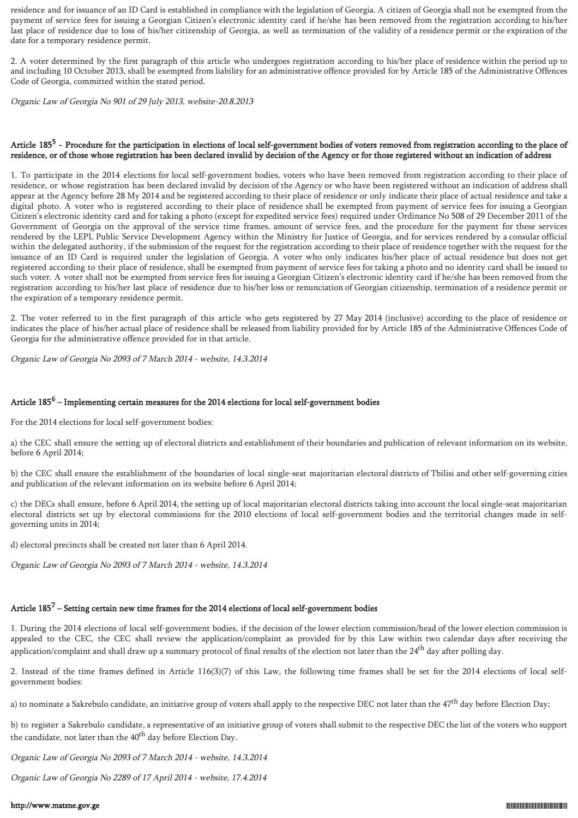residence and for issuance of an ID Card is established in compliance with the legislation of Georgia. A citizen of Georgia shall not be exempted from the payment of service fees for issuing a Georgian Citizen's electronic identity card if he/she has been removed from the registration according to his/her last place of residence due to loss of his/her citizenship of Georgia, as well as termination of the validity of a residence permit or the expiration of the date for a temporary residence permit.

2. A voter determined by the first paragraph of this article who undergoes registration according to his/her place of residence within the period up to and including 10 October 2013, shall be exempted from liability for an administrative offence provided for by Article 185 of the Administrative Offences Code of Georgia, committed within the stated period.

Organic Law of Georgia No 901 of 29 July 2013, website-20.8.2013

### Article 185<sup>5</sup> - Procedure for the participation in elections of local self-government bodies of voters removed from registration according to the place of residence, or of those whose registration has been declared invalid by decision of the Agency or for those registered without an indication of address

1. To participate in the 2014 elections for local self-government bodies, voters who have been removed from registration according to their place of residence, or whose registration has been declared invalid by decision of the Agency or who have been registered without an indication of address shall appear at the Agency before 28 My 2014 and be registered according to their place of residence or only indicate their place of actual residence and take a digital photo. A voter who is registered according to their place of residence shall be exempted from payment of service fees for issuing a Georgian Citizen's electronic identity card and for taking a photo (except for expedited service fees) required under Ordinance No 508 of 29 December 2011 of the Government of Georgia on the approval of the service time frames, amount of service fees, and the procedure for the payment for these services rendered by the LEPL Public Service Development Agency within the Ministry for Justice of Georgia, and for services rendered by a consular official within the delegated authority, if the submission of the request for the registration according to their place of residence together with the request for the issuance of an ID Card is required under the legislation of Georgia. A voter who only indicates his/her place of actual residence but does not get registered according to their place of residence, shall be exempted from payment of service fees for taking a photo and no identity card shall be issued to such voter. A voter shall not be exempted from service fees for issuing a Georgian Citizen's electronic identity card if he/she has been removed from the registration according to his/her last place of residence due to his/her loss or renunciation of Georgian citizenship, termination of a residence permit or the expiration of a temporary residence permit.

2. The voter referred to in the first paragraph of this article who gets registered by 27 May 2014 (inclusive) according to the place of residence or indicates the place of his/her actual place of residence shall be released from liability provided for by Article 185 of the Administrative Offences Code of Georgia for the administrative offence provided for in that article.

Organic Law of Georgia No 2093 of 7 March 2014 - website, 14.3.2014

# Article 185<sup>6</sup> – Implementing certain measures for the 2014 elections for local self-government bodies

For the 2014 elections for local self-government bodies:

a) the CEC shall ensure the setting up of electoral districts and establishment of their boundaries and publication of relevant information on its website, before 6 April 2014;

b) the CEC shall ensure the establishment of the boundaries of local single-seat majoritarian electoral districts of Tbilisi and other self-governing cities and publication of the relevant information on its website before 6 April 2014;

c) the DECs shall ensure, before 6 April 2014, the setting up of local majoritarian electoral districts taking into account the local single-seat majoritarian electoral districts set up by electoral commissions for the 2010 elections of local self-government bodies and the territorial changes made in selfgoverning units in 2014;

d) electoral precincts shall be created not later than 6 April 2014.

Organic Law of Georgia No 2093 of 7 March 2014 - website, 14.3.2014

# Article  $185^7$  – Setting certain new time frames for the 2014 elections of local self-government bodies

1. During the 2014 elections of local self-government bodies, if the decision of the lower election commission/head of the lower election commission is appealed to the CEC, the CEC shall review the application/complaint as provided for by this Law within two calendar days after receiving the application/complaint and shall draw up a summary protocol of final results of the election not later than the 24<sup>th</sup> day after polling day.

2. Instead of the time frames defined in Article 116(3)(7) of this Law, the following time frames shall be set for the 2014 elections of local selfgovernment bodies:

a) to nominate a Sakrebulo candidate, an initiative group of voters shall apply to the respective DEC not later than the 47<sup>th</sup> day before Election Day;

b) to register a Sakrebulo candidate, a representative of an initiative group of voters shall submit to the respective DEC the list of the voters who support the candidate, not later than the  $40<sup>th</sup>$  day before Election Day.

Organic Law of Georgia No 2093 of 7 March 2014 - website, 14.3.2014

Organic Law of Georgia No 2289 of 17 April 2014 - website, 17.4.2014